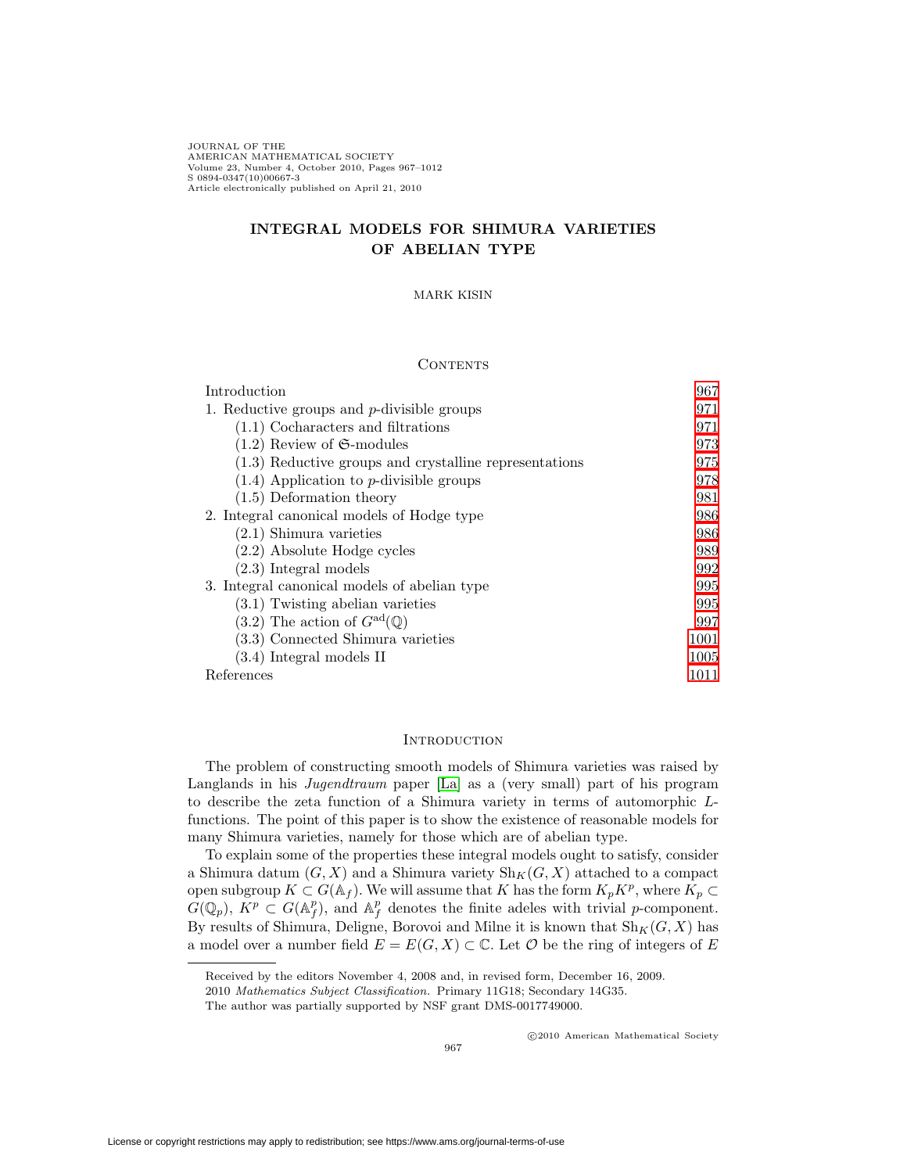JOURNAL OF THE AMERICAN MATHEMATICAL SOCIETY Volume 23, Number 4, October 2010, Pages 967–1012 S 0894-0347(10)00667-3 Article electronically published on April 21, 2010

# **INTEGRAL MODELS FOR SHIMURA VARIETIES OF ABELIAN TYPE**

## MARK KISIN

### **CONTENTS**

| Introduction                                             | 967  |
|----------------------------------------------------------|------|
| 1. Reductive groups and $p$ -divisible groups            | 971  |
| $(1.1)$ Cocharacters and filtrations                     | 971  |
| $(1.2)$ Review of $\mathfrak{S}\text{-modules}$          | 973  |
| $(1.3)$ Reductive groups and crystalline representations | 975  |
| $(1.4)$ Application to <i>p</i> -divisible groups        | 978  |
| $(1.5)$ Deformation theory                               | 981  |
| 2. Integral canonical models of Hodge type               | 986  |
| $(2.1)$ Shimura varieties                                | 986  |
| (2.2) Absolute Hodge cycles                              | 989  |
| $(2.3)$ Integral models                                  | 992  |
| 3. Integral canonical models of abelian type             | 995  |
| $(3.1)$ Twisting abelian varieties                       | 995  |
| $(3.2)$ The action of $G^{\rm ad}(\mathbb{Q})$           | 997  |
| (3.3) Connected Shimura varieties                        | 1001 |
| (3.4) Integral models II                                 | 1005 |
| References                                               | 1011 |

# **INTRODUCTION**

<span id="page-0-0"></span>The problem of constructing smooth models of Shimura varieties was raised by Langlands in his Jugendtraum paper [\[La\]](#page-44-1) as a (very small) part of his program to describe the zeta function of a Shimura variety in terms of automorphic Lfunctions. The point of this paper is to show the existence of reasonable models for many Shimura varieties, namely for those which are of abelian type.

To explain some of the properties these integral models ought to satisfy, consider a Shimura datum  $(G, X)$  and a Shimura variety  $\text{Sh}_K(G, X)$  attached to a compact open subgroup  $K \subset G(\mathbb{A}_f)$ . We will assume that K has the form  $K_p K^p$ , where  $K_p \subset$  $G(\mathbb{Q}_p)$ ,  $\tilde{K}^p \subset G(\mathbb{A}_f^p)$ , and  $\mathbb{A}_f^p$  denotes the finite adeles with trivial p-component. By results of Shimura, Deligne, Borovoi and Milne it is known that  $\text{Sh}_K(G, X)$  has a model over a number field  $E = E(G, X) \subset \mathbb{C}$ . Let  $\mathcal O$  be the ring of integers of E

Received by the editors November 4, 2008 and, in revised form, December 16, 2009.

<sup>2010</sup> Mathematics Subject Classification. Primary 11G18; Secondary 14G35.

The author was partially supported by NSF grant DMS-0017749000.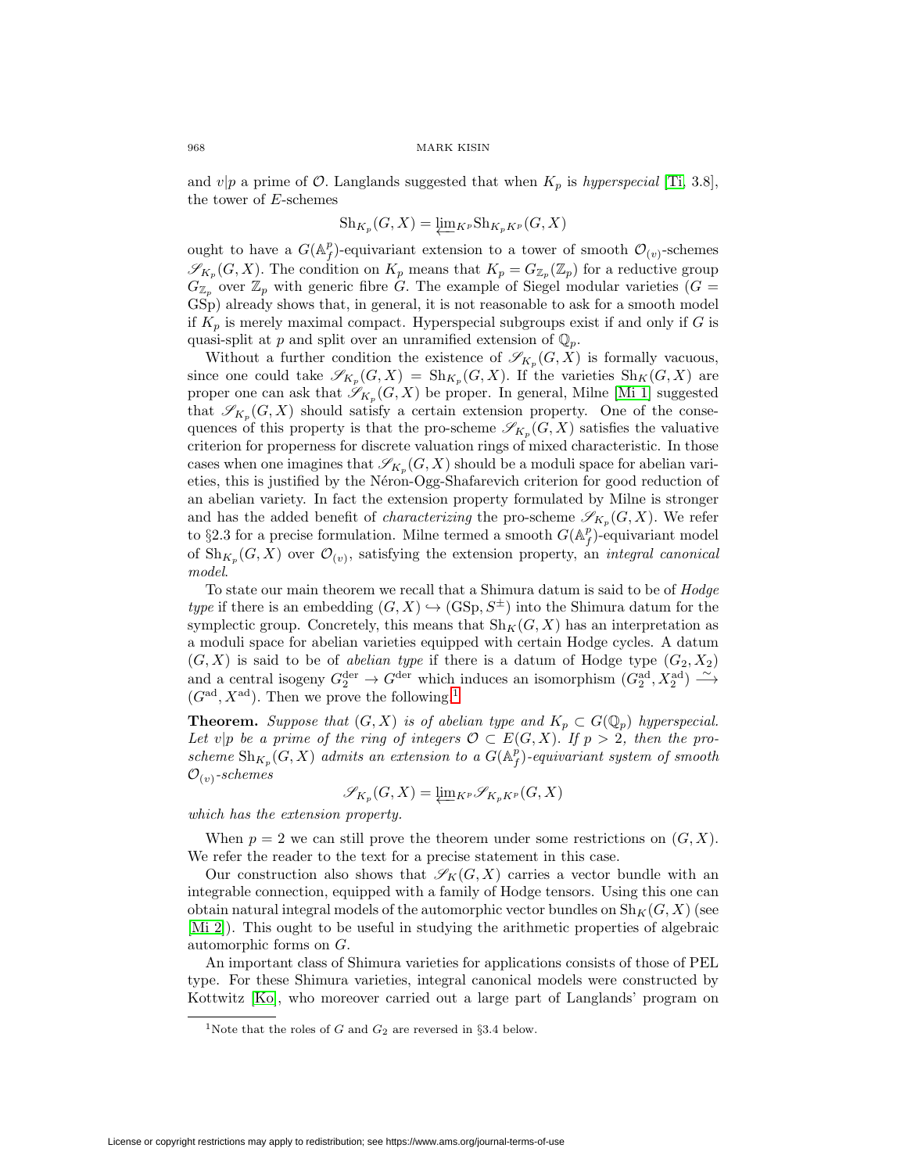and  $v|p$  a prime of  $\mathcal O$ . Langlands suggested that when  $K_p$  is hyperspecial [\[Ti,](#page-45-0) 3.8], the tower of E-schemes

$$
\mathrm{Sh}_{K_p}(G, X) = \underleftarrow{\lim_{K^p}} \mathrm{Sh}_{K_pK^p}(G, X)
$$

ought to have a  $G(\mathbb{A}_f^p)$ -equivariant extension to a tower of smooth  $\mathcal{O}_{(v)}$ -schemes  $\mathscr{S}_{K_p}(G, X)$ . The condition on  $K_p$  means that  $K_p = G_{\mathbb{Z}_p}(\mathbb{Z}_p)$  for a reductive group  $G_{\mathbb{Z}_p}$  over  $\mathbb{Z}_p$  with generic fibre G. The example of Siegel modular varieties ( $G =$ GSp) already shows that, in general, it is not reasonable to ask for a smooth model if  $K_p$  is merely maximal compact. Hyperspecial subgroups exist if and only if G is quasi-split at p and split over an unramified extension of  $\mathbb{Q}_p$ .

Without a further condition the existence of  $\mathscr{S}_{K_p}(G,\bar{X})$  is formally vacuous, since one could take  $\mathscr{S}_{K_p}(G, X) = Sh_{K_p}(G, X)$ . If the varieties  $Sh_K(G, X)$  are proper one can ask that  $\mathscr{S}_{K_p}(G, X)$  be proper. In general, Milne [\[Mi 1\]](#page-44-2) suggested that  $\mathscr{S}_{K_n}(G, X)$  should satisfy a certain extension property. One of the consequences of this property is that the pro-scheme  $\mathscr{S}_{K_p}(G, X)$  satisfies the valuative criterion for properness for discrete valuation rings of mixed characteristic. In those cases when one imagines that  $\mathscr{S}_{K_p}(G, X)$  should be a moduli space for abelian varieties, this is justified by the Néron-Ogg-Shafarevich criterion for good reduction of an abelian variety. In fact the extension property formulated by Milne is stronger and has the added benefit of *characterizing* the pro-scheme  $\mathscr{S}_{K_p}(G, X)$ . We refer to §2.3 for a precise formulation. Milne termed a smooth  $G(\mathbb{A}_f^p)$ -equivariant model of  $\mathrm{Sh}_{K_n}(G, X)$  over  $\mathcal{O}_{(v)}$ , satisfying the extension property, an *integral canonical* model.

To state our main theorem we recall that a Shimura datum is said to be of Hodge type if there is an embedding  $(G, X) \hookrightarrow (GSp, S^{\pm})$  into the Shimura datum for the symplectic group. Concretely, this means that  $\text{Sh}_K(G, X)$  has an interpretation as a moduli space for abelian varieties equipped with certain Hodge cycles. A datum  $(G, X)$  is said to be of *abelian type* if there is a datum of Hodge type  $(G_2, X_2)$ and a central isogeny  $G_2^{\text{der}} \to G^{\text{der}}$  which induces an isomorphism  $(G_2^{\text{ad}}, X_2^{\text{ad}}) \xrightarrow{\sim}$  $(G<sup>ad</sup>, X<sup>ad</sup>)$ . Then we prove the following.<sup>[1](#page-1-0)</sup>

**Theorem.** Suppose that  $(G, X)$  is of abelian type and  $K_p \subset G(\mathbb{Q}_p)$  hyperspecial. Let v|p be a prime of the ring of integers  $\mathcal{O} \subset E(G, X)$ . If  $p > 2$ , then the proscheme  $\mathrm{Sh}_{K_p}(G,X)$  admits an extension to a  $G(\mathbb{A}_f^p)$ -equivariant system of smooth  $\mathcal{O}_{(v)}$ -schemes

$$
\mathscr{S}_{K_p}(G,X)=\varprojlim_{K^p}\mathscr{S}_{K_pK^p}(G,X)
$$

which has the extension property.

When  $p = 2$  we can still prove the theorem under some restrictions on  $(G, X)$ . We refer the reader to the text for a precise statement in this case.

Our construction also shows that  $\mathscr{S}_K(G, X)$  carries a vector bundle with an integrable connection, equipped with a family of Hodge tensors. Using this one can obtain natural integral models of the automorphic vector bundles on  $\text{Sh}_K(G, X)$  (see [\[Mi 2\]](#page-45-1)). This ought to be useful in studying the arithmetic properties of algebraic automorphic forms on G.

An important class of Shimura varieties for applications consists of those of PEL type. For these Shimura varieties, integral canonical models were constructed by Kottwitz [\[Ko\]](#page-44-3), who moreover carried out a large part of Langlands' program on

<span id="page-1-0"></span><sup>&</sup>lt;sup>1</sup>Note that the roles of G and  $G_2$  are reversed in §3.4 below.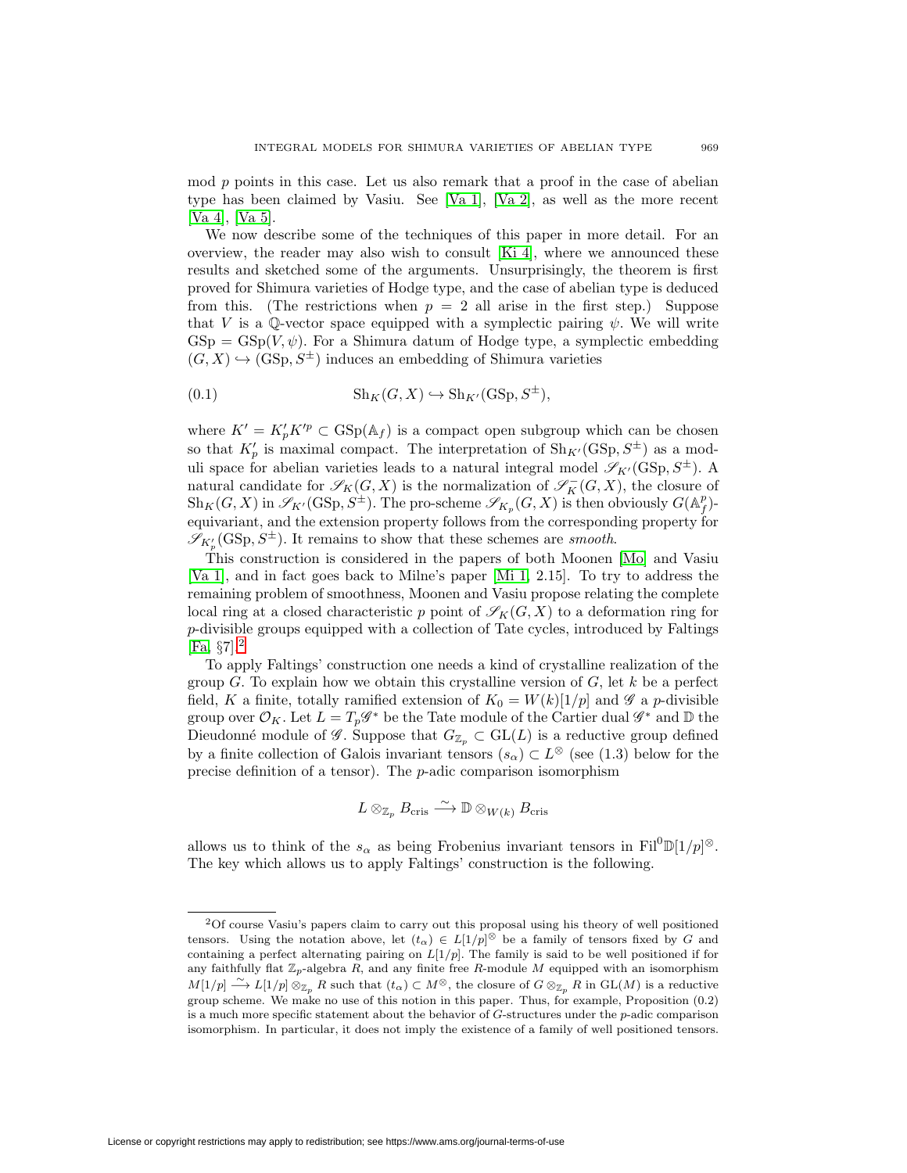mod p points in this case. Let us also remark that a proof in the case of abelian type has been claimed by Vasiu. See [\[Va 1\]](#page-45-2), [\[Va 2\]](#page-45-3), as well as the more recent [\[Va 4\]](#page-45-4), [\[Va 5\]](#page-45-5).

We now describe some of the techniques of this paper in more detail. For an overview, the reader may also wish to consult [\[Ki 4\]](#page-44-4), where we announced these results and sketched some of the arguments. Unsurprisingly, the theorem is first proved for Shimura varieties of Hodge type, and the case of abelian type is deduced from this. (The restrictions when  $p = 2$  all arise in the first step.) Suppose that V is a Q-vector space equipped with a symplectic pairing  $\psi$ . We will write  $GSp = GSp(V, \psi)$ . For a Shimura datum of Hodge type, a symplectic embedding  $(G, X) \hookrightarrow (GSp, S^{\pm})$  induces an embedding of Shimura varieties

(0.1) 
$$
\text{Sh}_K(G, X) \hookrightarrow \text{Sh}_{K'}(\text{GSp}, S^{\pm}),
$$

where  $K' = K'_{p} K'^{p} \subset \text{GSp}(\mathbb{A}_{f})$  is a compact open subgroup which can be chosen so that  $K'_p$  is maximal compact. The interpretation of  $\text{Sh}_{K'}(\text{GSp}, S^{\pm})$  as a moduli space for abelian varieties leads to a natural integral model  $\mathscr{S}_{K'}(\mathrm{GSp}, S^{\pm})$ . A natural candidate for  $\mathscr{S}_K(G,X)$  is the normalization of  $\mathscr{S}_K^-(G,X)$ , the closure of  $\operatorname{Sh}_K(G,X)$  in  $\mathscr{S}_{K'}(\operatorname{GSp},S^{\pm})$ . The pro-scheme  $\mathscr{S}_{K_p}(G,X)$  is then obviously  $G(\mathbb{A}_f^p)$ . equivariant, and the extension property follows from the corresponding property for  $\mathscr{S}_{K'_{p}}(\text{GSp}, S^{\pm})$ . It remains to show that these schemes are smooth.

This construction is considered in the papers of both Moonen [\[Mo\]](#page-45-6) and Vasiu [\[Va 1\]](#page-45-2), and in fact goes back to Milne's paper [\[Mi 1,](#page-44-2) 2.15]. To try to address the remaining problem of smoothness, Moonen and Vasiu propose relating the complete local ring at a closed characteristic p point of  $\mathscr{S}_K(G, X)$  to a deformation ring for p-divisible groups equipped with a collection of Tate cycles, introduced by Faltings  $[Fa, §7].<sup>2</sup>$  $[Fa, §7].<sup>2</sup>$  $[Fa, §7].<sup>2</sup>$  $[Fa, §7].<sup>2</sup>$ 

To apply Faltings' construction one needs a kind of crystalline realization of the group G. To explain how we obtain this crystalline version of  $G$ , let  $k$  be a perfect field, K a finite, totally ramified extension of  $K_0 = W(k)[1/p]$  and  $\mathscr G$  a p-divisible group over  $\mathcal{O}_K$ . Let  $L = T_p \mathscr{G}^*$  be the Tate module of the Cartier dual  $\mathscr{G}^*$  and  $\mathbb D$  the Dieudonné module of  $\mathscr{G}$ . Suppose that  $G_{\mathbb{Z}_p} \subset GL(L)$  is a reductive group defined by a finite collection of Galois invariant tensors  $(s_{\alpha}) \subset L^{\otimes}$  (see (1.3) below for the precise definition of a tensor). The  $p$ -adic comparison isomorphism

$$
L\otimes_{\mathbb{Z}_p}B_{\mathrm{cris}}\stackrel{\sim}{\longrightarrow} \mathbb{D}\otimes_{W(k)}B_{\mathrm{cris}}
$$

allows us to think of the  $s_{\alpha}$  as being Frobenius invariant tensors in Fil<sup>0</sup> $\mathbb{D}[1/p]^{\otimes}$ . The key which allows us to apply Faltings' construction is the following.

<span id="page-2-0"></span><sup>2</sup>Of course Vasiu's papers claim to carry out this proposal using his theory of well positioned tensors. Using the notation above, let  $(t_\alpha) \in L[1/p]^\otimes$  be a family of tensors fixed by G and containing a perfect alternating pairing on  $L[1/p]$ . The family is said to be well positioned if for any faithfully flat  $\mathbb{Z}_p$ -algebra R, and any finite free R-module M equipped with an isomorphism  $M[1/p] \stackrel{\sim}{\longrightarrow} L[1/p] \otimes_{\mathbb{Z}_p} R$  such that  $(t_\alpha) \subset M^\otimes$ , the closure of  $G \otimes_{\mathbb{Z}_p} R$  in  $\mathrm{GL}(M)$  is a reductive group scheme. We make no use of this notion in this paper. Thus, for example, Proposition (0.2) is a much more specific statement about the behavior of  $G$ -structures under the  $p$ -adic comparison isomorphism. In particular, it does not imply the existence of a family of well positioned tensors.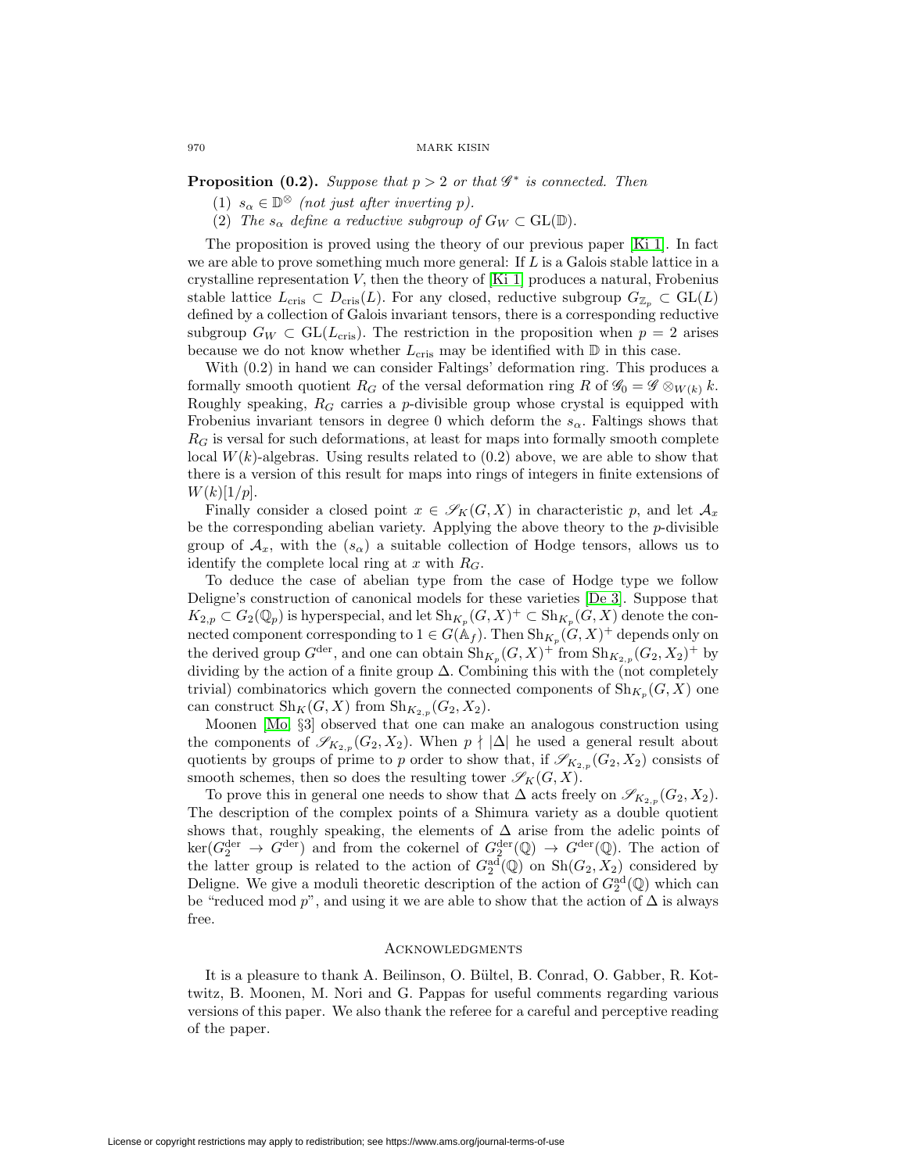**Proposition (0.2).** Suppose that  $p > 2$  or that  $\mathscr{G}^*$  is connected. Then

- (1)  $s_{\alpha} \in \mathbb{D}^{\otimes}$  (not just after inverting p).
- (2) The  $s_{\alpha}$  define a reductive subgroup of  $G_W \subset GL(\mathbb{D})$ .

The proposition is proved using the theory of our previous paper [\[Ki 1\]](#page-44-6). In fact we are able to prove something much more general: If  $L$  is a Galois stable lattice in a crystalline representation V, then the theory of  $[Ki]$  produces a natural, Frobenius stable lattice  $L_{\text{cris}} \subset D_{\text{cris}}(L)$ . For any closed, reductive subgroup  $G_{\mathbb{Z}_p} \subset GL(L)$ defined by a collection of Galois invariant tensors, there is a corresponding reductive subgroup  $G_W \subset GL(L_{cris})$ . The restriction in the proposition when  $p = 2$  arises because we do not know whether  $L_{\text{cris}}$  may be identified with  $\mathbb D$  in this case.

With (0.2) in hand we can consider Faltings' deformation ring. This produces a formally smooth quotient  $R_G$  of the versal deformation ring R of  $\mathcal{G}_0 = \mathcal{G} \otimes_{W(k)} k$ . Roughly speaking,  $R_G$  carries a p-divisible group whose crystal is equipped with Frobenius invariant tensors in degree 0 which deform the  $s_{\alpha}$ . Faltings shows that  $R<sub>G</sub>$  is versal for such deformations, at least for maps into formally smooth complete local  $W(k)$ -algebras. Using results related to  $(0.2)$  above, we are able to show that there is a version of this result for maps into rings of integers in finite extensions of  $W(k)[1/p].$ 

Finally consider a closed point  $x \in \mathscr{S}_K(G,X)$  in characteristic p, and let  $\mathcal{A}_x$ be the corresponding abelian variety. Applying the above theory to the p-divisible group of  $A_x$ , with the  $(s_\alpha)$  a suitable collection of Hodge tensors, allows us to identify the complete local ring at  $x$  with  $R_G$ .

To deduce the case of abelian type from the case of Hodge type we follow Deligne's construction of canonical models for these varieties [\[De 3\]](#page-44-7). Suppose that  $K_{2,p} \subset G_2(\mathbb{Q}_p)$  is hyperspecial, and let  $\text{Sh}_{K_p}(G, X)^+ \subset \text{Sh}_{K_p}(G, X)$  denote the connected component corresponding to  $1 \in G(\mathbb{A}_f)$ . Then  $\text{Sh}_{K_p}(G, X)^+$  depends only on the derived group  $G^{\text{der}}$ , and one can obtain  $\text{Sh}_{K_p}(G, X)^+$  from  $\text{Sh}_{K_{2,p}}(G_2, X_2)^+$  by dividing by the action of a finite group  $\Delta$ . Combining this with the (not completely trivial) combinatorics which govern the connected components of  $\mathrm{Sh}_{K_p}(G, X)$  one can construct  $\mathrm{Sh}_K(G, X)$  from  $\mathrm{Sh}_{K_{2,p}}(G_2, X_2)$ .

Moonen [\[Mo,](#page-45-6) §3] observed that one can make an analogous construction using the components of  $\mathscr{S}_{K_{2,p}}(G_2, X_2)$ . When  $p \nmid |\Delta|$  he used a general result about quotients by groups of prime to p order to show that, if  $\mathscr{S}_{K_{2,p}}(G_2, X_2)$  consists of smooth schemes, then so does the resulting tower  $\mathscr{S}_K(G, X)$ .

To prove this in general one needs to show that  $\Delta$  acts freely on  $\mathscr{S}_{K_{2,p}}(G_2, X_2)$ . The description of the complex points of a Shimura variety as a double quotient shows that, roughly speaking, the elements of  $\Delta$  arise from the adelic points of  $\ker(G_2^{\text{der}} \to G^{\text{der}})$  and from the cokernel of  $G_2^{\text{der}}(\mathbb{Q}) \to G^{\text{der}}(\mathbb{Q})$ . The action of the latter group is related to the action of  $G_2^{\text{ad}}(\mathbb{Q})$  on  $\text{Sh}(G_2, X_2)$  considered by Deligne. We give a moduli theoretic description of the action of  $G_2^{\text{ad}}(\mathbb{Q})$  which can be "reduced mod p", and using it we are able to show that the action of  $\Delta$  is always free.

### **ACKNOWLEDGMENTS**

It is a pleasure to thank A. Beilinson, O. Bültel, B. Conrad, O. Gabber, R. Kottwitz, B. Moonen, M. Nori and G. Pappas for useful comments regarding various versions of this paper. We also thank the referee for a careful and perceptive reading of the paper.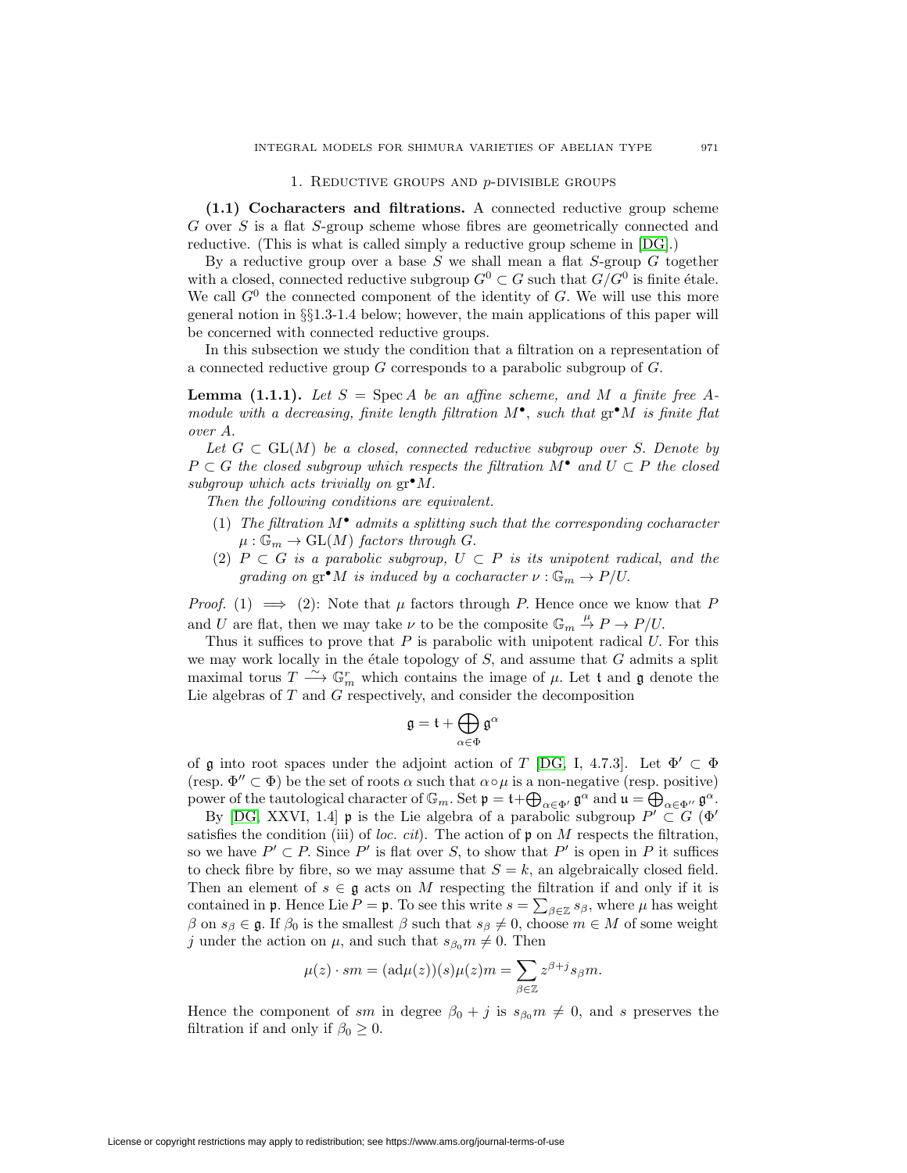### 1. REDUCTIVE GROUPS AND  $p$ -DIVISIBLE GROUPS

<span id="page-4-0"></span>**(1.1) Cocharacters and filtrations.** A connected reductive group scheme G over S is a flat S-group scheme whose fibres are geometrically connected and reductive. (This is what is called simply a reductive group scheme in [\[DG\]](#page-44-8).)

By a reductive group over a base S we shall mean a flat S-group  $G$  together with a closed, connected reductive subgroup  $G^0 \subset G$  such that  $G/G^0$  is finite étale. We call  $G^0$  the connected component of the identity of G. We will use this more general notion in §§1.3-1.4 below; however, the main applications of this paper will be concerned with connected reductive groups.

In this subsection we study the condition that a filtration on a representation of a connected reductive group  $G$  corresponds to a parabolic subgroup of  $G$ .

**Lemma (1.1.1).** Let  $S = \text{Spec } A$  be an affine scheme, and M a finite free Amodule with a decreasing, finite length filtration  $M^{\bullet}$ , such that  $gr^{\bullet}M$  is finite flat over A.

Let  $G \subset GL(M)$  be a closed, connected reductive subgroup over S. Denote by  $P \subset G$  the closed subgroup which respects the filtration  $M^{\bullet}$  and  $U \subset P$  the closed subgroup which acts trivially on  $gr^{\bullet}M$ .

Then the following conditions are equivalent.

- (1) The filtration  $M^{\bullet}$  admits a splitting such that the corresponding cocharacter  $\mu: \mathbb{G}_m \to \mathrm{GL}(M)$  factors through G.
- (2)  $P \subset G$  is a parabolic subgroup,  $U \subset P$  is its unipotent radical, and the grading on  $\operatorname{gr}^{\bullet} M$  is induced by a cocharacter  $\nu : \mathbb{G}_m \to P/U$ .

*Proof.* (1)  $\implies$  (2): Note that  $\mu$  factors through P. Hence once we know that P and U are flat, then we may take  $\nu$  to be the composite  $\mathbb{G}_m \stackrel{\mu}{\to} P \to P/U$ .

Thus it suffices to prove that  $P$  is parabolic with unipotent radical  $U$ . For this we may work locally in the étale topology of  $S$ , and assume that  $G$  admits a split maximal torus  $T \longrightarrow \mathbb{G}_m^r$  which contains the image of  $\mu$ . Let t and  $\mathfrak g$  denote the Lie algebras of  $T$  and  $G$  respectively, and consider the decomposition  $\sigma$  is parabol<br>copology of<br>contains the<br>ely, and con<br> $\mathfrak{g} = \mathfrak{t} + \bigoplus$ 

$$
\mathfrak{g}=\mathfrak{t}+\bigoplus_{\alpha\in\Phi}\mathfrak{g}^\alpha
$$

of g into root spaces under the adjoint action of T [\[DG,](#page-44-8) I, 4.7.3]. Let  $\Phi' \subset \Phi$ (resp.  $\Phi'' \subset \Phi$ ) be the set of roots  $\alpha$  such that  $\alpha \circ \mu$  is a non-negative (resp. positive)  $\mathfrak{g} = \mathfrak{t} + \bigoplus_{\alpha \in \Phi} \mathfrak{g}^{\alpha}$ <br>of  $\mathfrak{g}$  into root spaces under the adjoint action of  $T$  [DG, I, 4.7.3]. Let<br>(resp.  $\Phi'' \subset \Phi$ ) be the set of roots  $\alpha$  such that  $\alpha \circ \mu$  is a non-negative (resp. power of t  $\alpha \in \Phi'$ ,  $\mathfrak{g}^{\alpha}$  and  $\mathfrak{u} = \bigoplus_{\alpha \in \Phi''} \mathfrak{g}^{\alpha}$ .

By [\[DG,](#page-44-8) XXVI, 1.4] **p** is the Lie algebra of a parabolic subgroup  $P' \subset G$  ( $\Phi'$ satisfies the condition (iii) of loc. cit). The action of  $\mathfrak p$  on M respects the filtration, so we have  $P' \subset P$ . Since P' is flat over S, to show that P' is open in P it suffices to check fibre by fibre, so we may assume that  $S = k$ , an algebraically closed field. Then an element of  $s \in \mathfrak{g}$  acts on M respecting the filtration if and only if it is satisfies the condition (iii) of *loc. cit*). The action of **p** on *M* respects the filtration,<br>so we have  $P' \subset P$ . Since  $P'$  is flat over *S*, to show that  $P'$  is open in *P* it suffices<br>to check fibre by fibre, so we β on  $s_\beta \in \mathfrak{g}$ . If  $\beta_0$  is the smallest  $\beta$  such that  $s_\beta \neq 0$ , choose  $m \in M$  of some weight j under the action on  $\mu$ , and such that  $s_{\beta_0} m \neq 0$ . Then of  $s \in \mathfrak{g}$  acts on  $M$  respecting the<br>nce Lie  $P = \mathfrak{p}$ . To see this write  $s = \sum_{i=1}^{n} s_i$ <br>is the smallest  $\beta$  such that  $s_{\beta} \neq 0$ , ch<br>i on  $\mu$ , and such that  $s_{\beta_0} m \neq 0$ . The<br> $\mu(z) \cdot sm = (\text{ad}\mu(z))(s)\mu(z)m = \sum_{i=$ 

$$
\mu(z) \cdot sm = (ad\mu(z))(s)\mu(z)m = \sum_{\beta \in \mathbb{Z}} z^{\beta + j} s_{\beta} m.
$$

Hence the component of sm in degree  $\beta_0 + j$  is  $s_{\beta_0} m \neq 0$ , and s preserves the filtration if and only if  $\beta_0 \geq 0$ .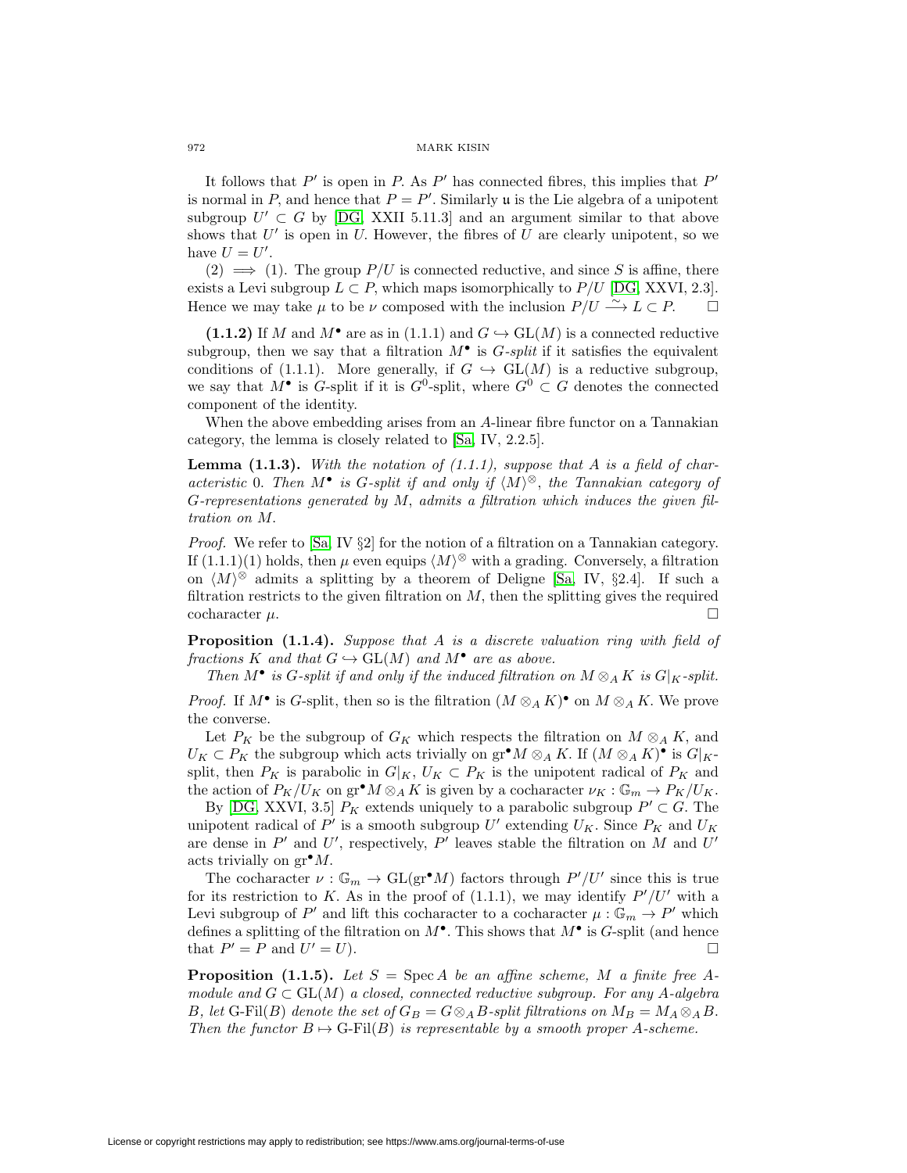It follows that  $P'$  is open in P. As  $P'$  has connected fibres, this implies that  $P'$ is normal in P, and hence that  $P = P'$ . Similarly u is the Lie algebra of a unipotent subgroup  $U' \subset G$  by [\[DG,](#page-44-8) XXII 5.11.3] and an argument similar to that above shows that  $U'$  is open in  $U$ . However, the fibres of  $U$  are clearly unipotent, so we have  $U = U'$ .

 $(2) \implies (1)$ . The group  $P/U$  is connected reductive, and since S is affine, there exists a Levi subgroup  $L \subset P$ , which maps isomorphically to  $P/U$  [\[DG,](#page-44-8) XXVI, 2.3]. Hence we may take  $\mu$  to be  $\nu$  composed with the inclusion  $P/U \stackrel{\sim}{\longrightarrow} L \subset P$ .  $\Box$  $\Box$ 

(1.1.2) If M and  $M^{\bullet}$  are as in (1.1.1) and  $G \hookrightarrow GL(M)$  is a connected reductive subgroup, then we say that a filtration  $M^{\bullet}$  is  $G$ -split if it satisfies the equivalent conditions of (1.1.1). More generally, if  $G \hookrightarrow GL(M)$  is a reductive subgroup, we say that  $M^{\bullet}$  is G-split if it is  $G^0$ -split, where  $G^0 \subset G$  denotes the connected component of the identity.

When the above embedding arises from an A-linear fibre functor on a Tannakian category, the lemma is closely related to [\[Sa,](#page-45-7) IV, 2.2.5].

**Lemma (1.1.3).** With the notation of  $(1.1.1)$ , suppose that A is a field of characteristic 0. Then  $M^{\bullet}$  is G-split if and only if  $\langle M \rangle^{\otimes}$ , the Tannakian category of G-representations generated by  $M$ , admits a filtration which induces the given filtration on M.

*Proof.* We refer to [\[Sa,](#page-45-7) IV  $\S2$ ] for the notion of a filtration on a Tannakian category. If  $(1.1.1)(1)$  holds, then  $\mu$  even equips  $\langle M \rangle^{\otimes}$  with a grading. Conversely, a filtration on  $\langle M \rangle^{\otimes}$  admits a splitting by a theorem of Deligne [\[Sa,](#page-45-7) IV, §2.4]. If such a filtration restricts to the given filtration on  $M$ , then the splitting gives the required  $\operatorname{cocharacter} \mu$ .

**Proposition (1.1.4).** Suppose that A is a discrete valuation ring with field of fractions K and that  $G \hookrightarrow GL(M)$  and  $M^{\bullet}$  are as above.

Then  $M^{\bullet}$  is G-split if and only if the induced filtration on  $M \otimes_A K$  is  $G|_K$ -split.

*Proof.* If  $M^{\bullet}$  is G-split, then so is the filtration  $(M \otimes_A K)^{\bullet}$  on  $M \otimes_A K$ . We prove the converse.

Let  $P_K$  be the subgroup of  $G_K$  which respects the filtration on  $M \otimes_A K$ , and  $U_K \subset P_K$  the subgroup which acts trivially on  $\operatorname{gr}^{\bullet} M \otimes_A K$ . If  $(M \otimes_A K)^{\bullet}$  is  $G|_{K^{\bullet}}$ split, then  $P_K$  is parabolic in  $G|_K$ ,  $U_K \subset P_K$  is the unipotent radical of  $P_K$  and the action of  $P_K/U_K$  on  $\operatorname{gr}^{\bullet} M \otimes_A K$  is given by a cocharacter  $\nu_K : \mathbb{G}_m \to P_K/U_K$ .

By [\[DG,](#page-44-8) XXVI, 3.5]  $P_K$  extends uniquely to a parabolic subgroup  $P' \subset G$ . The unipotent radical of  $P'$  is a smooth subgroup U' extending  $U_K$ . Since  $P_K$  and  $U_K$ are dense in  $P'$  and U', respectively,  $P'$  leaves stable the filtration on M and U' acts trivially on  $gr^{\bullet}M$ .

The cocharacter  $\nu : \mathbb{G}_m \to \mathrm{GL}(\mathrm{gr}^\bullet M)$  factors through  $P'/U'$  since this is true for its restriction to K. As in the proof of  $(1.1.1)$ , we may identify  $P'/U'$  with a Levi subgroup of P' and lift this cocharacter to a cocharacter  $\mu : \mathbb{G}_m \to P'$  which defines a splitting of the filtration on  $M^{\bullet}$ . This shows that  $M^{\bullet}$  is G-split (and hence that  $P' = P$  and  $U' = U$ ).

**Proposition (1.1.5).** Let  $S = \text{Spec } A$  be an affine scheme, M a finite free Amodule and  $G \subset GL(M)$  a closed, connected reductive subgroup. For any A-algebra B, let G-Fil(B) denote the set of  $G_B = G \otimes_A B$ -split filtrations on  $M_B = M_A \otimes_A B$ . Then the functor  $B \mapsto G\text{-Fil}(B)$  is representable by a smooth proper A-scheme.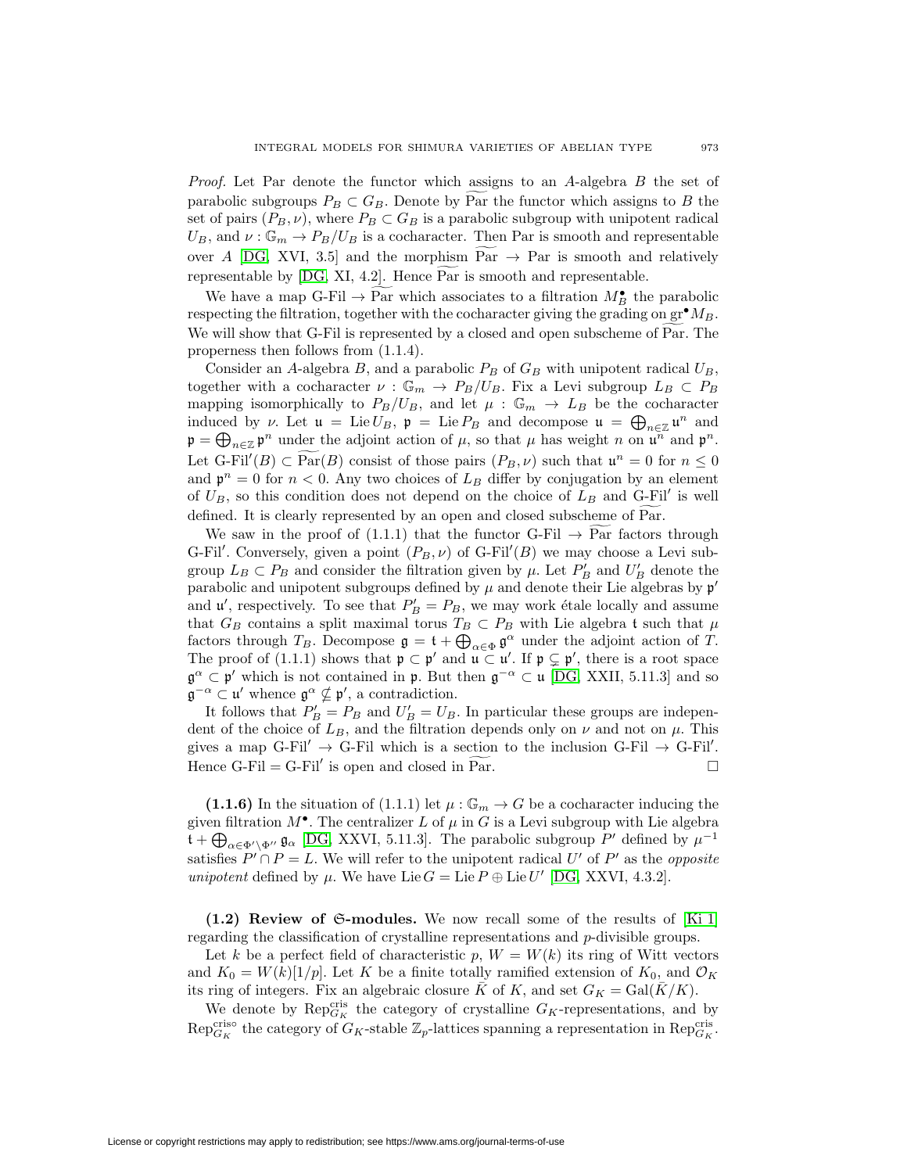*Proof.* Let Par denote the functor which assigns to an  $A$ -algebra  $B$  the set of INTEGRAL MODELS FOR SHIMURA VARIETIES OF ABELIAN TYPE 973<br>*Proof.* Let Par denote the functor which assigns to an A-algebra B the set of parabolic subgroups  $P_B \subset G_B$ . Denote by Par the functor which assigns to B the parabolic subgroups  $P_B \subset G_B$ . Denote by Par the functor which assigns to *B* the set of pairs ( $P_B, \nu$ ), where  $P_B \subset G_B$  is a parabolic subgroup with unipotent radical  $U_B$ , and  $\nu : \mathbb{G}_m \to P_B/U_B$  is a cocharacter. Then Pa  $U_B$ , and  $\nu : \mathbb{G}_m \to P_B/U_B$  is a cocharacter. Then Par is smooth and representable *Proof.* Let Par denote the functor which assigns to an A-algebra B the set of parabolic subgroups  $P_B \subset G_B$ . Denote by Par the functor which assigns to B the set of pairs  $(P_B, \nu)$ , where  $P_B \subset G_B$  is a parabolic subgroup w  $W$ , and  $\nu : \mathbb{G}_m \to P_B/U_B$  is a cocharacter. Then Par is smooth and representable<br>er A [DG, XVI, 3.5] and the morphism  $\overline{Par} \to \overline{Par}$  is smooth and relatively<br>presentable by [DG, XI, 4.2]. Hence  $\overline{Par}$  is smooth and

respecting the filtration, together with the cocharacter giving the grading on  $gr^{\bullet}M_B$ . representable by [DG, XI, 4.2]. Hence Par is smooth and representable.<br>We have a map G-Fil  $\rightarrow$  Par which associates to a filtration  $M_B^{\bullet}$  the parabolic respecting the filtration, together with the cocharacter giving t properness then follows from (1.1.4).

Consider an A-algebra B, and a parabolic  $P_B$  of  $G_B$  with unipotent radical  $U_B$ , together with a cocharacter  $\nu : \mathbb{G}_m \to P_B/U_B$ . Fix a Levi subgroup  $L_B \subset P_B$ mapping isomorphically to  $P_B/U_B$ , and let  $\mu$ :  $\mathbb{G}_m \to L_B$  be the cocharacter properness then follows from (1.1.4).<br>Consider an A-algebra B, and a parabolic  $P_B$  of  $G_B$  with unipotent<br>together with a cocharacter  $\nu : \mathbb{G}_m \to P_B/U_B$ . Fix a Levi subgroup<br>mapping isomorphically to  $P_B/U_B$ , and let  $\mu :$ induced by  $\nu$ . Let  $\mathfrak{u} = \text{Lie} U_B$ ,  $\mathfrak{p} = \text{Lie} P_B$  and decompose  $\mathfrak{u} = \bigoplus_{n \in \mathbb{Z}} \mathfrak{u}^n$  and  $\begin{array}{c} \text{Con} \ \text{together} \ \text{mappin} \ \text{induce} \ \mathfrak{p} = \bigoplus \end{array}$  $\mathfrak{p}=\bigoplus_{n\in\mathbb{Z}}\mathfrak{p}^n$  under the adjoint action of  $\mu$ , so that  $\mu$  has weight n on  $\mathfrak{u}^n$  and  $\mathfrak{p}^n$ . Let  $G-Fil'(B) \subset \text{Par}(B)$  consist of those pairs  $(P_B, \nu)$  such that  $\mu : \mathbb{G}_m \to L_B$  be the cocharacter<br>induced by  $\nu$ . Let  $\mathfrak{u} = \text{Lie } U_B$ ,  $\mathfrak{p} = \text{Lie } P_B$  and decompose  $\mathfrak{u} = \bigoplus_{n \in \mathbb{Z}} \mathfrak{u}^n$  and  $\mathfrak{p} = \big$ and  $\mathfrak{p}^n = 0$  for  $n < 0$ . Any two choices of  $L_B$  differ by conjugation by an element of  $U_B$ , so this condition does not depend on the choice of  $L_B$  and G-Fil' is well  $\mathbf{p} - \mathbf{\nabla}_{n \in \mathbb{Z}} \mathbf{p}$  under the adjoint action of  $\mu$ , so that  $\mu$  has weight n on  $\mathbf{u}$ .<br>Let G-Fil'( $B$ )  $\subset$  Par( $B$ ) consist of those pairs  $(P_B, \nu)$  such that  $\mathbf{u}^n = 0$  for  $n < 0$ . Any two choices o  $U_G$ -Fil  $(B)$   $\subset$  Par $(B)$  consist of those pairs  $(P_B, \nu)$  such that  $\mathfrak{u}^* = 0$  for  $n \leq 0$ <br>  $\mathfrak{d} \mathfrak{p}^n = 0$  for  $n < 0$ . Any two choices of  $L_B$  differ by conjugation by an element<br>  $U_B$ , so this condition does

G-Fil'. Conversely, given a point  $(P_B, \nu)$  of G-Fil'(B) we may choose a Levi subgroup  $L_B \subset P_B$  and consider the filtration given by  $\mu$ . Let  $P'_B$  and  $U'_B$  denote the parabolic and unipotent subgroups defined by  $\mu$  and denote their Lie algebras by  $\mathfrak{p}'$ and  $\mathfrak{u}'$ , respectively. To see that  $P'_B = P_B$ , we may work étale locally and assume that  $G_B$  contains a split maximal torus  $T_B \subset P_B$  with Lie algebra t such that  $\mu$ group  $L_B \subset P_B$  and consider the filtration given by  $\mu$ . Let  $P'_B$  and  $U'_B$  denote the<br>parabolic and unipotent subgroups defined by  $\mu$  and denote their Lie algebras by  $\mathfrak{p}'$ <br>and  $\mathfrak{u}'$ , respectively. To see tha The proof of (1.1.1) shows that  $\mathfrak{p} \subset \mathfrak{p}'$  and  $\mathfrak{u} \subset \mathfrak{u}'$ . If  $\mathfrak{p} \subsetneq \mathfrak{p}'$ , there is a root space  $\mathfrak{g}^{\alpha} \subset \mathfrak{p}'$  which is not contained in  $\mathfrak{p}$ . But then  $\mathfrak{g}^{-\alpha} \subset \mathfrak{u}$  [\[DG,](#page-44-8) XXII, 5.11.3] and so  $\mathfrak{g}^{-\alpha} \subset \mathfrak{u}'$  whence  $\mathfrak{g}^{\alpha} \nsubseteq \mathfrak{p}'$ , a contradiction.

It follows that  $P'_B = P_B$  and  $U'_B = U_B$ . In particular these groups are independent of the choice of  $L_B$ , and the filtration depends only on  $\nu$  and not on  $\mu$ . This gives a map  $G-Fil' \rightarrow G-Fil$  which is a section to the inclusion  $G-Fil \rightarrow G-Fil'$ .  $\mathfrak{g}^{-\alpha} \subset \mathfrak{u}'$  whence  $\mathfrak{g}^{\alpha} \nsubseteq \mathfrak{p}'$ , a contradiction.<br>It follows that  $P'_B = P_B$  and  $U'_B = U_B$ . In particular these groups are independent of the choice of  $L_B$ , and the filtration depends only on  $\nu$  and

**(1.1.6)** In the situation of (1.1.1) let  $\mu : \mathbb{G}_m \to G$  be a cocharacter inducing the given filtration  $M^{\bullet}$ . The centralizer L of  $\mu$  in G is a Levi subgroup with Lie algebra Hence<br>  $(1.)$ <br>
given the  $\alpha \in \Phi' \setminus \Phi''$   $\mathfrak{g}_{\alpha}$  [\[DG,](#page-44-8) XXVI, 5.11.3]. The parabolic subgroup P' defined by  $\mu^{-1}$ satisfies  $P' \cap P = L$ . We will refer to the unipotent radical U' of P' as the *opposite* unipotent defined by  $\mu$ . We have Lie  $G = \text{Lie } P \oplus \text{Lie } U'$  [\[DG,](#page-44-8) XXVI, 4.3.2].

<span id="page-6-0"></span>**(1.2) Review of** S**-modules.** We now recall some of the results of [\[Ki 1\]](#page-44-6) regarding the classification of crystalline representations and p-divisible groups.

Let k be a perfect field of characteristic p,  $W = W(k)$  its ring of Witt vectors and  $K_0 = W(k)[1/p]$ . Let K be a finite totally ramified extension of  $K_0$ , and  $\mathcal{O}_K$ its ring of integers. Fix an algebraic closure K of K, and set  $G_K = \text{Gal}(\overline{K}/K)$ .

We denote by  $\mathrm{Rep}_{G_K}^{\text{cris}}$  the category of crystalline  $G_K$ -representations, and by Repcris<sup>o</sup> the category of  $G_K$ -stable  $\mathbb{Z}_p$ -lattices spanning a representation in  $\text{Rep}_{G_K}^{\text{cris}}$ .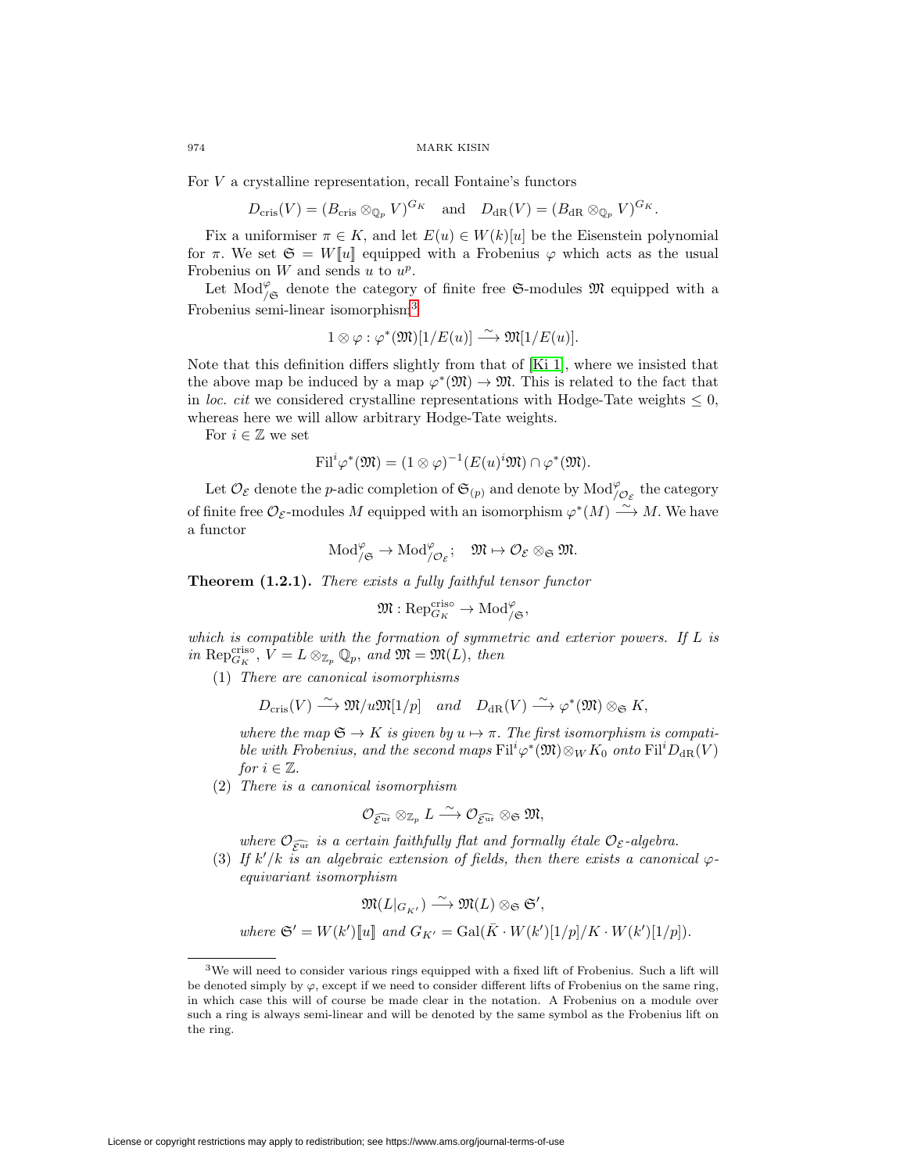For V a crystalline representation, recall Fontaine's functors

$$
D_{\mathrm{cris}}(V) = (B_{\mathrm{cris}} \otimes_{\mathbb{Q}_p} V)^{G_K}
$$
 and  $D_{\mathrm{dR}}(V) = (B_{\mathrm{dR}} \otimes_{\mathbb{Q}_p} V)^{G_K}$ .

Fix a uniformiser  $\pi \in K$ , and let  $E(u) \in W(k)[u]$  be the Eisenstein polynomial for  $\pi$ . We set  $\mathfrak{S} = W[\![u]\!]$  equipped with a Frobenius  $\varphi$  which acts as the usual Frobenius on  $W$  and sends  $u$  to  $u^p$ .

Let  $\text{Mod}_{/\mathfrak{S}}^{\varphi}$  denote the category of finite free  $\mathfrak{S}\text{-modules}$   $\mathfrak{M}$  equipped with a Frobenius semi-linear isomorphism[3](#page-7-0)

$$
1 \otimes \varphi : \varphi^*(\mathfrak{M})[1/E(u)] \xrightarrow{\sim} \mathfrak{M}[1/E(u)].
$$

Note that this definition differs slightly from that of [\[Ki 1\]](#page-44-6), where we insisted that the above map be induced by a map  $\varphi^*(\mathfrak{M}) \to \mathfrak{M}$ . This is related to the fact that in loc. cit we considered crystalline representations with Hodge-Tate weights  $\leq 0$ , whereas here we will allow arbitrary Hodge-Tate weights.

For  $i\in\mathbb{Z}$  we set

$$
\mathrm{Fil}^i \varphi^*(\mathfrak{M}) = (1 \otimes \varphi)^{-1}(E(u)^i \mathfrak{M}) \cap \varphi^*(\mathfrak{M}).
$$

Let  $\mathcal{O}_{\mathcal{E}}$  denote the *p*-adic completion of  $\mathfrak{S}_{(p)}$  and denote by  $\text{Mod}^{\varphi}_{/\mathcal{O}_{\mathcal{E}}}$  the category of finite free  $\mathcal{O}_{\mathcal{E}}$ -modules M equipped with an isomorphism  $\varphi^*(M) \stackrel{\sim}{\longrightarrow} M$ . We have a functor

$$
\text{Mod}^{\varphi}_{/\mathfrak{S}} \to \text{Mod}^{\varphi}_{/\mathcal{O}_{\mathcal{E}}}; \quad \mathfrak{M} \mapsto \mathcal{O}_{\mathcal{E}} \otimes_{\mathfrak{S}} \mathfrak{M}.
$$

**Theorem (1.2.1).** There exists a fully faithful tensor functor

$$
\mathfrak{M}: \mathrm{Rep}_{G_K}^{\mathrm{criso}} \to \mathrm{Mod}^\varphi_{/\mathfrak{S}},
$$

which is compatible with the formation of symmetric and exterior powers. If L is in Repcriso,  $V = L \otimes_{\mathbb{Z}_p} \mathbb{Q}_p$ , and  $\mathfrak{M} = \mathfrak{M}(L)$ , then

(1) There are canonical isomorphisms

$$
D_{\mathrm{cris}}(V) \xrightarrow{\sim} \mathfrak{M}/u\mathfrak{M}[1/p] \quad and \quad D_{\mathrm{dR}}(V) \xrightarrow{\sim} \varphi^*(\mathfrak{M}) \otimes_{\mathfrak{S}} K,
$$

where the map  $\mathfrak{S} \to K$  is given by  $u \mapsto \pi$ . The first isomorphism is compatible with Frobenius, and the second maps  $\mathrm{Fil}^i\varphi^*(\mathfrak{M}) \otimes_W K_0$  onto  $\mathrm{Fil}^iD_{\mathrm{dR}}(V)$ for  $i \in \mathbb{Z}$ .

(2) There is a canonical isomorphism

$$
\mathcal{O}_{\widehat{\mathcal{E}^{\mathrm{ur}}}} \otimes_{\mathbb{Z}_p} L \stackrel{\sim}{\longrightarrow} \mathcal{O}_{\widehat{\mathcal{E}^{\mathrm{ur}}}} \otimes_{\mathfrak{S}} \mathfrak{M},
$$

where  $\mathcal{O}_{\widehat{\mathcal{E}^{\text{ur}}}}$  is a certain faithfully flat and formally étale  $\mathcal{O}_{\mathcal{E}}$ -algebra.

(3) If  $k'/k$  is an algebraic extension of fields, then there exists a canonical  $\varphi$ equivariant isomorphism

$$
\mathfrak{M}(L|_{G_{K'}}) \xrightarrow{\sim} \mathfrak{M}(L) \otimes_{\mathfrak{S}} \mathfrak{S}',
$$
  
where  $\mathfrak{S}' = W(k')[\mathbb{I}]\$  and  $G_{K'} = \text{Gal}(\overline{K} \cdot W(k')[1/p]/K \cdot W(k')[1/p]).$ 

<span id="page-7-0"></span> $3$ We will need to consider various rings equipped with a fixed lift of Frobenius. Such a lift will be denoted simply by  $\varphi$ , except if we need to consider different lifts of Frobenius on the same ring, in which case this will of course be made clear in the notation. A Frobenius on a module over such a ring is always semi-linear and will be denoted by the same symbol as the Frobenius lift on the ring.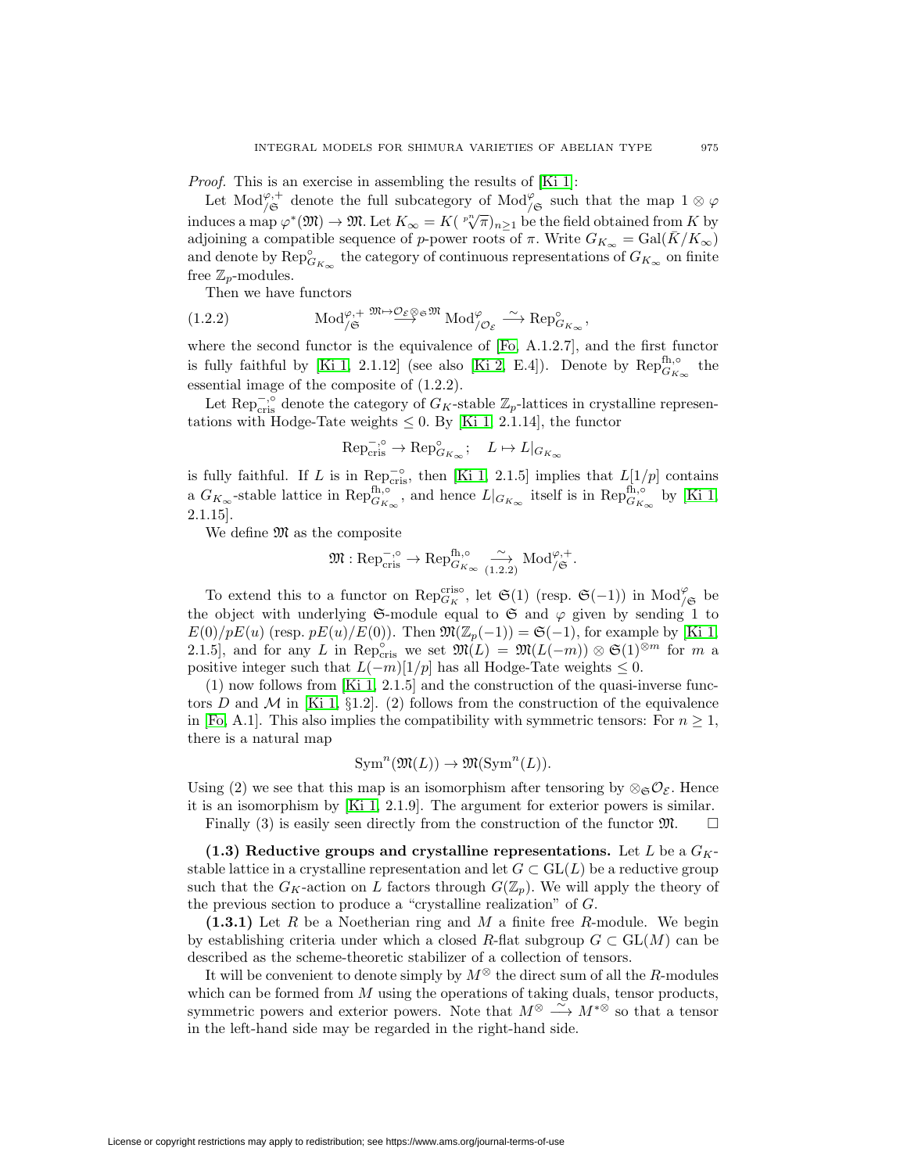Proof. This is an exercise in assembling the results of [\[Ki 1\]](#page-44-6):

Let Mod<sup> $\varphi,$ +</sup> denote the full subcategory of Mod $\varphi$  such that the map  $1 \otimes \varphi$ induces a map  $\varphi^*(\mathfrak{M}) \to \mathfrak{M}$ . Let  $K_{\infty} = K(\sqrt[p^n]{\pi})_{n \geq 1}$  be the field obtained from K by adjoining a compatible sequence of p-power roots of  $\pi$ . Write  $G_{K_{\infty}} = \text{Gal}(\overline{K}/K_{\infty})$ and denote by  $\text{Rep}_{G_{K_{\infty}}}^{\circ}$  the category of continuous representations of  $G_{K_{\infty}}$  on finite free  $\mathbb{Z}_p$ -modules.

Then we have functors

(1.2.2) 
$$
\text{Mod}_{/\mathfrak{S}}^{\varphi,+} \stackrel{\mathfrak{M}\mapsto \mathcal{O}_{\mathcal{E}}\otimes \mathfrak{S}^{\mathfrak{M}}}{\longrightarrow} \text{Mod}_{/\mathcal{O}_{\mathcal{E}}}^{\varphi} \stackrel{\sim}{\longrightarrow} \text{Rep}_{G_{K_{\infty}}}^{\circ},
$$

where the second functor is the equivalence of [\[Fo,](#page-44-9) A.1.2.7], and the first functor is fully faithful by [\[Ki 1,](#page-44-6) 2.1.12] (see also [\[Ki 2,](#page-44-10) E.4]). Denote by  $\mathrm{Rep}_{G_{K_{\infty}}}^{\mathrm{fh},\circ}$  the essential image of the composite of (1.2.2).

Let Rep<sup>-,</sup>∘ denote the category of  $G_K$ -stable  $\mathbb{Z}_p$ -lattices in crystalline representations with Hodge-Tate weights  $\leq 0$ . By [\[Ki 1,](#page-44-6) 2.1.14], the functor

$$
\text{Rep}_{\text{cris}}^{-,\circ} \to \text{Rep}_{G_{K_{\infty}}}^{\circ}; \quad L \mapsto L|_{G_{K_{\infty}}}
$$

is fully faithful. If L is in  $\mathbb{R}\text{e}\text{p}^{-\circ}_{\text{cris}}$ , then [\[Ki 1,](#page-44-6) 2.1.5] implies that  $L[1/p]$  contains a  $G_{K_{\infty}}$ -stable lattice in  $\operatorname{Rep}_{G_{K_{\infty}}}^{\text{fh},\circ}$ , and hence  $L|_{G_{K_{\infty}}}$  itself is in  $\operatorname{Rep}_{G_{K_{\infty}}}^{\text{fh},\circ}$  by [\[Ki 1,](#page-44-6) 2.1.15].

We define  $\mathfrak{M}$  as the composite

$$
\mathfrak{M} : \mathrm{Rep}^{-,\circ}_{\mathrm{cris}} \to \mathrm{Rep}^{\mathrm{fh},\circ}_{G_{K_\infty}} \xrightarrow[1.2.2]{} \mathrm{Mod}_{/\mathfrak{S}}^{\varphi,+}.
$$

To extend this to a functor on  $\text{Rep}_{G_K}^{\text{criso}}$ , let  $\mathfrak{S}(1)$  (resp.  $\mathfrak{S}(-1)$ ) in  $\text{Mod}_{/\mathfrak{S}}^{\varphi}$  be the object with underlying G-module equal to G and  $\varphi$  given by sending 1 to  $E(0)/pE(u)$  (resp.  $pE(u)/E(0)$ ). Then  $\mathfrak{M}(\mathbb{Z}_p(-1)) = \mathfrak{S}(-1)$ , for example by [\[Ki 1,](#page-44-6) 2.1.5], and for any L in Rep<sub>cris</sub> we set  $\mathfrak{M}(L) = \mathfrak{M}(L(-m)) \otimes \mathfrak{S}(1)^{\otimes m}$  for m a positive integer such that  $L(-m)[1/p]$  has all Hodge-Tate weights  $\leq 0$ .

(1) now follows from [\[Ki 1,](#page-44-6) 2.1.5] and the construction of the quasi-inverse func-tors D and M in [\[Ki 1,](#page-44-6) §1.2]. (2) follows from the construction of the equivalence in [\[Fo,](#page-44-9) A.1]. This also implies the compatibility with symmetric tensors: For  $n \geq 1$ , there is a natural map

$$
\operatorname{Sym}^n(\mathfrak{M}(L)) \to \mathfrak{M}(\operatorname{Sym}^n(L)).
$$

Using (2) we see that this map is an isomorphism after tensoring by  $\otimes_{\mathfrak{S}} \mathcal{O}_{\mathcal{E}}$ . Hence it is an isomorphism by [\[Ki 1,](#page-44-6) 2.1.9]. The argument for exterior powers is similar.  $\Box$ 

Finally  $(3)$  is easily seen directly from the construction of the functor  $\mathfrak{M}$ .

<span id="page-8-0"></span> $(1.3)$  Reductive groups and crystalline representations. Let L be a  $G_K$ stable lattice in a crystalline representation and let  $G \subset GL(L)$  be a reductive group such that the  $G_K$ -action on L factors through  $G(\mathbb{Z}_p)$ . We will apply the theory of the previous section to produce a "crystalline realization" of G.

**(1.3.1)** Let R be a Noetherian ring and M a finite free R-module. We begin by establishing criteria under which a closed R-flat subgroup  $G \subset GL(M)$  can be described as the scheme-theoretic stabilizer of a collection of tensors.

It will be convenient to denote simply by  $M^{\otimes}$  the direct sum of all the R-modules which can be formed from  $M$  using the operations of taking duals, tensor products, symmetric powers and exterior powers. Note that  $M^{\otimes} \longrightarrow M^{*\otimes}$  so that a tensor in the left-hand side may be regarded in the right-hand side.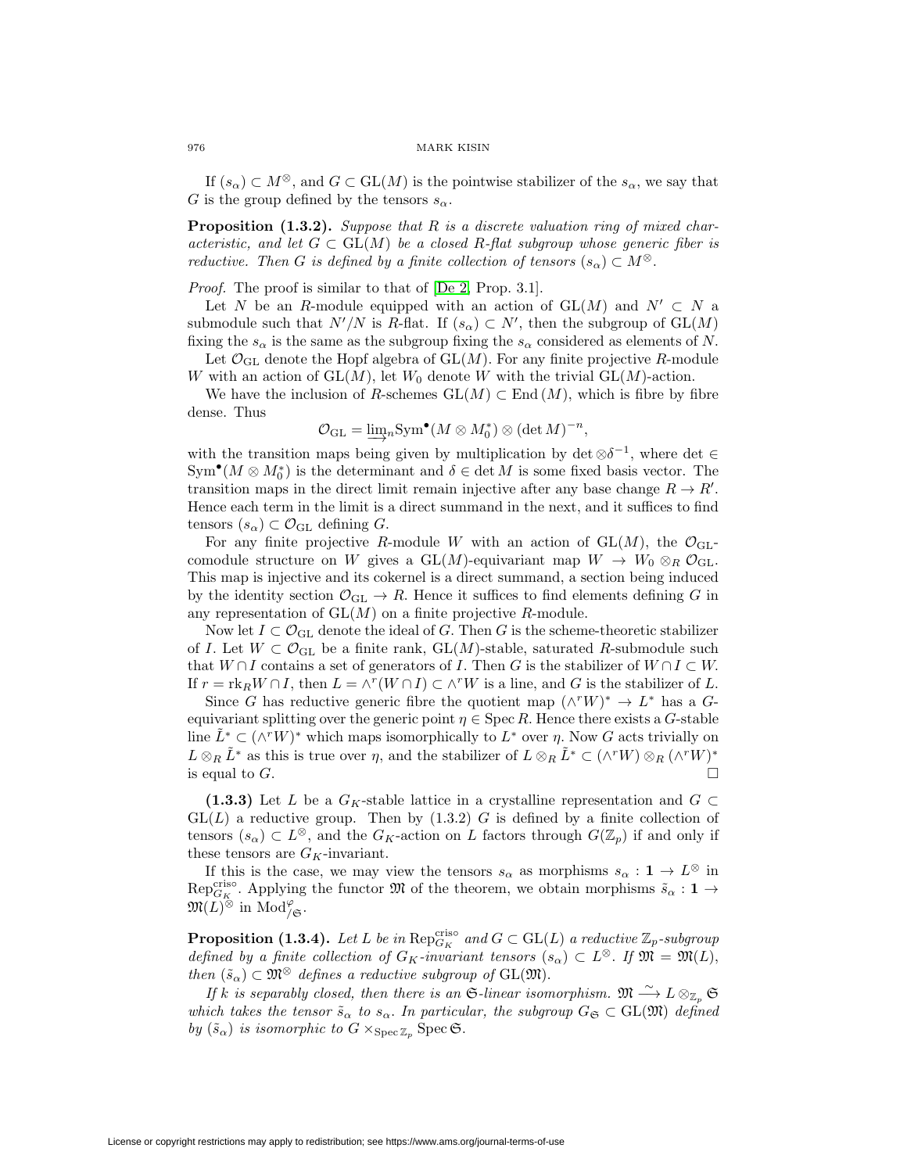If  $(s_\alpha) \subset M^\otimes$ , and  $G \subset GL(M)$  is the pointwise stabilizer of the  $s_\alpha$ , we say that G is the group defined by the tensors  $s_{\alpha}$ .

**Proposition (1.3.2).** Suppose that R is a discrete valuation ring of mixed characteristic, and let  $G \subset GL(M)$  be a closed R-flat subgroup whose generic fiber is reductive. Then G is defined by a finite collection of tensors  $(s_{\alpha}) \subset M^{\otimes}$ .

Proof. The proof is similar to that of [\[De 2,](#page-44-11) Prop. 3.1].

Let N be an R-module equipped with an action of  $GL(M)$  and  $N' \subset N$  a submodule such that  $N'/N$  is R-flat. If  $(s_\alpha) \subset N'$ , then the subgroup of  $GL(M)$ fixing the  $s_{\alpha}$  is the same as the subgroup fixing the  $s_{\alpha}$  considered as elements of N.

Let  $\mathcal{O}_{\text{GL}}$  denote the Hopf algebra of  $\text{GL}(M)$ . For any finite projective R-module W with an action of  $GL(M)$ , let  $W_0$  denote W with the trivial  $GL(M)$ -action.

We have the inclusion of R-schemes  $GL(M) \subset End(M)$ , which is fibre by fibre dense. Thus

$$
\mathcal{O}_{\mathrm{GL}} = \underline{\lim}_{n} \mathrm{Sym}^{\bullet} (M \otimes M_0^*) \otimes (\det M)^{-n},
$$

with the transition maps being given by multiplication by det  $\otimes \delta^{-1}$ , where det ∈  $\text{Sym}^{\bullet}(M \otimes M_0^*)$  is the determinant and  $\delta \in \det M$  is some fixed basis vector. The transition maps in the direct limit remain injective after any base change  $R \to R'$ . Hence each term in the limit is a direct summand in the next, and it suffices to find tensors  $(s_{\alpha}) \subset \mathcal{O}_{\mathrm{GL}}$  defining  $G$ .

For any finite projective R-module W with an action of  $GL(M)$ , the  $\mathcal{O}_{GL}$ comodule structure on W gives a GL(M)-equivariant map  $W \to W_0 \otimes_R \mathcal{O}_{GL}$ . This map is injective and its cokernel is a direct summand, a section being induced by the identity section  $\mathcal{O}_{GL} \to R$ . Hence it suffices to find elements defining G in any representation of  $GL(M)$  on a finite projective R-module.

Now let  $I \subset \mathcal{O}_{GL}$  denote the ideal of G. Then G is the scheme-theoretic stabilizer of I. Let  $W \subset \mathcal{O}_{GL}$  be a finite rank,  $GL(M)$ -stable, saturated R-submodule such that  $W \cap I$  contains a set of generators of I. Then G is the stabilizer of  $W \cap I \subset W$ . If  $r = \text{rk}_R W \cap I$ , then  $L = \wedge^r (W \cap I) \subset \wedge^r W$  is a line, and G is the stabilizer of L.

Since G has reductive generic fibre the quotient map  $(\wedge^r W)^* \to L^*$  has a Gequivariant splitting over the generic point  $\eta \in \text{Spec } R$ . Hence there exists a G-stable line  $L^* \subset (\wedge^r W)^*$  which maps isomorphically to  $L^*$  over  $\eta$ . Now G acts trivially on  $L \otimes_R \tilde{L}^*$  as this is true over  $\eta$ , and the stabilizer of  $L \otimes_R \tilde{L}^* \subset (\wedge^r W) \otimes_R (\wedge^r W)^*$ is equal to  $G$ .

**(1.3.3)** Let L be a  $G_K$ -stable lattice in a crystalline representation and  $G \subset$  $GL(L)$  a reductive group. Then by  $(1.3.2)$  G is defined by a finite collection of tensors  $(s_{\alpha}) \subset L^{\otimes}$ , and the  $G_K$ -action on L factors through  $G(\mathbb{Z}_p)$  if and only if these tensors are  $G_K$ -invariant.

If this is the case, we may view the tensors  $s_{\alpha}$  as morphisms  $s_{\alpha} : \mathbf{1} \to L^{\otimes}$  in Rep<sup>cris</sup><sup>o</sup>. Applying the functor  $\mathfrak{M}$  of the theorem, we obtain morphisms  $\tilde{s}_{\alpha}: 1 \rightarrow$  $\mathfrak{M}(L)^\otimes$  in  $\mathrm{Mod}_{/\mathfrak{S}}^\varphi$ .

**Proposition (1.3.4).** Let L be in  $\text{Rep}_{G_K}^{\text{criso}}$  and  $G \subset \text{GL}(L)$  a reductive  $\mathbb{Z}_p$ -subgroup defined by a finite collection of  $G_K$ -invariant tensors  $(s_\alpha) \subset L^\otimes$ . If  $\mathfrak{M} = \mathfrak{M}(L)$ , then  $(\tilde{s}_{\alpha}) \subset \mathfrak{M}^{\otimes}$  defines a reductive subgroup of  $GL(\mathfrak{M})$ .

If k is separably closed, then there is an G-linear isomorphism.  $\mathfrak{M} \stackrel{\sim}{\longrightarrow} L \otimes_{\mathbb{Z}_p} \mathfrak{S}$ which takes the tensor  $\tilde{s}_{\alpha}$  to  $s_{\alpha}$ . In particular, the subgroup  $G_{\mathfrak{S}} \subset GL(\mathfrak{M})$  defined by  $(\tilde{s}_{\alpha})$  is isomorphic to  $G \times_{\text{Spec } \mathbb{Z}_p} \text{Spec } \mathfrak{S}.$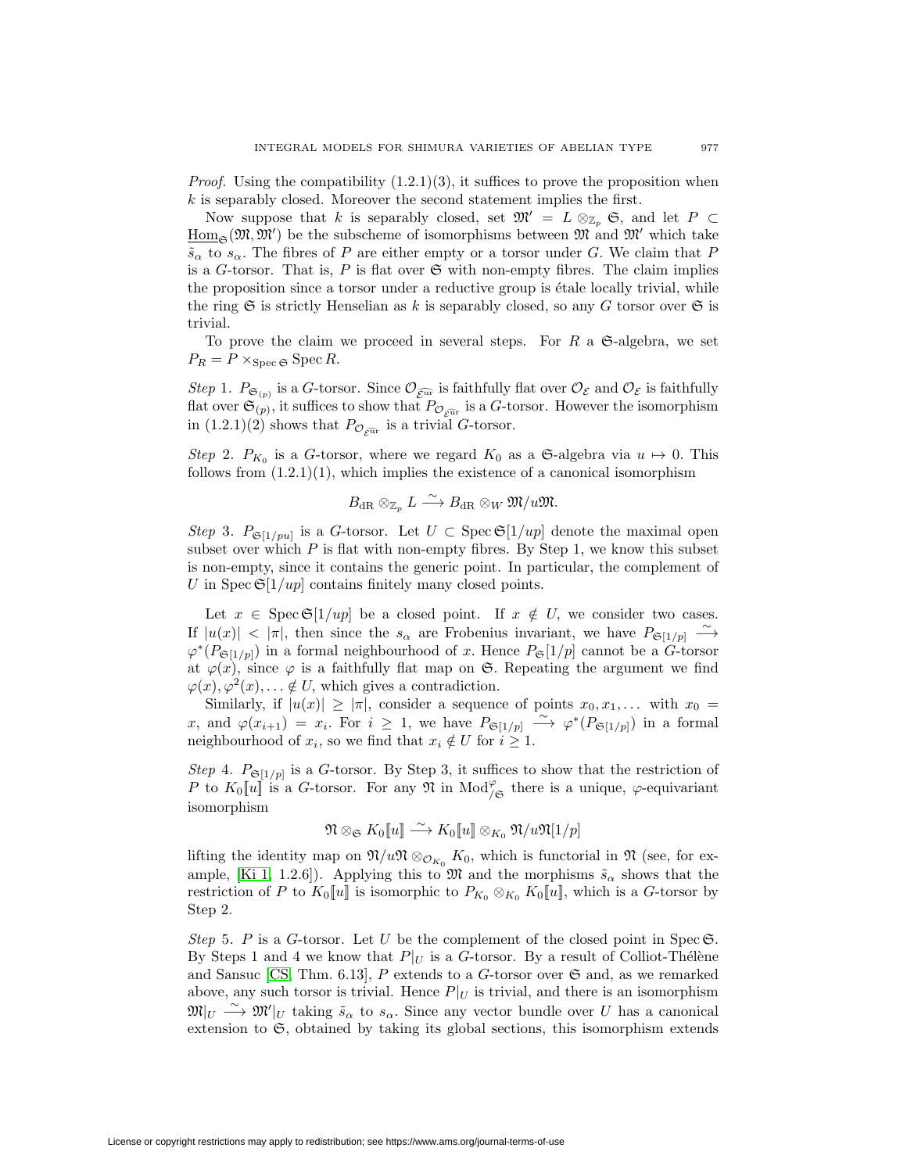*Proof.* Using the compatibility  $(1.2.1)(3)$ , it suffices to prove the proposition when  $k$  is separably closed. Moreover the second statement implies the first.

Now suppose that k is separably closed, set  $\mathfrak{M}' = L \otimes_{\mathbb{Z}_n} \mathfrak{S}$ , and let  $P \subset$  $\underline{\mathrm{Hom}}_{\mathfrak{S}}(\mathfrak{M},\mathfrak{M}')$  be the subscheme of isomorphisms between  $\mathfrak{M}$  and  $\mathfrak{M}'$  which take  $\tilde{s}_{\alpha}$  to  $s_{\alpha}$ . The fibres of P are either empty or a torsor under G. We claim that P is a G-torsor. That is,  $P$  is flat over  $\mathfrak S$  with non-empty fibres. The claim implies the proposition since a torsor under a reductive group is  $\epsilon$ tale locally trivial, while the ring  $\mathfrak S$  is strictly Henselian as k is separably closed, so any G torsor over  $\mathfrak S$  is trivial.

To prove the claim we proceed in several steps. For  $R$  a  $\mathfrak{S}\text{-algebra}$ , we set  $P_R = P \times_{\text{Spec } \mathfrak{S}} \text{Spec } R.$ 

Step 1.  $P_{\mathfrak{S}_{(p)}}$  is a G-torsor. Since  $\mathcal{O}_{\widehat{\mathcal{E}^{\text{ur}}}}$  is faithfully flat over  $\mathcal{O}_{\mathcal{E}}$  and  $\mathcal{O}_{\mathcal{E}}$  is faithfully *Step* 1.  $P_{\mathfrak{S}_{(p)}}$  is a G-torsor. Since  $\mathcal{O}_{\widehat{\mathcal{E}^{\text{ur}}}}$  is faithfully flat over  $\mathcal{O}_{\mathcal{E}}$  and  $\mathcal{O}_{\mathcal{E}}$  is faithfully flat over  $\mathfrak{S}_{(p)}$ , it suffices to show that  $P_{\mathcal{O}_{\widehat{\mathcal{E}^{\text{ur}}}}}$  is flat over  $\mathfrak{S}_{(p)}$ , it suffices to show that  $P_{\mathcal{O}_{\mathcal{E}^{\widehat{\text{ut}}}}}$  is a  $G$ -to in  $(1.2.1)(2)$  shows that  $P_{\mathcal{O}_{\mathcal{E}^{\widehat{\text{ut}}}}}$  is a trivial  $G$ -torsor.

Step 2.  $P_{K_0}$  is a G-torsor, where we regard  $K_0$  as a G-algebra via  $u \mapsto 0$ . This follows from  $(1.2.1)(1)$ , which implies the existence of a canonical isomorphism

$$
B_{\mathrm{dR}}\otimes_{\mathbb{Z}_p}L\stackrel{\sim}{\longrightarrow}B_{\mathrm{dR}}\otimes_W \mathfrak{M}/u\mathfrak{M}.
$$

Step 3.  $P_{\mathfrak{S}[1/pu]}$  is a G-torsor. Let  $U \subset \operatorname{Spec} \mathfrak{S}[1/up]$  denote the maximal open subset over which  $P$  is flat with non-empty fibres. By Step 1, we know this subset is non-empty, since it contains the generic point. In particular, the complement of U in Spec  $\mathfrak{S}[1/up]$  contains finitely many closed points.

Let  $x \in \text{Spec } \mathfrak{S}[1/up]$  be a closed point. If  $x \notin U$ , we consider two cases. If  $|u(x)| < |\pi|$ , then since the  $s_{\alpha}$  are Frobenius invariant, we have  $P_{\mathfrak{S}[1/p]} \longrightarrow$  $\varphi^*(P_{\mathfrak{S}[1/p]})$  in a formal neighbourhood of x. Hence  $P_{\mathfrak{S}}[1/p]$  cannot be a G-torsor at  $\varphi(x)$ , since  $\varphi$  is a faithfully flat map on G. Repeating the argument we find  $\varphi(x), \varphi^2(x), \ldots \notin U$ , which gives a contradiction.

Similarly, if  $|u(x)| \geq |\pi|$ , consider a sequence of points  $x_0, x_1,...$  with  $x_0 =$ x, and  $\varphi(x_{i+1}) = x_i$ . For  $i \geq 1$ , we have  $P_{\mathfrak{S}[1/p]} \longrightarrow \varphi^*(P_{\mathfrak{S}[1/p]})$  in a formal neighbourhood of  $x_i$ , so we find that  $x_i \notin U$  for  $i \geq 1$ .

Step 4.  $P_{\mathfrak{S}[1/p]}$  is a G-torsor. By Step 3, it suffices to show that the restriction of P to  $K_0[[u]]$  is a G-torsor. For any  $\mathfrak N$  in Mod<sub> $/\mathfrak S$ </sub> there is a unique,  $\varphi$ -equivariant isomorphism

$$
\mathfrak{N} \otimes_{\mathfrak{S}} K_0[\![u]\!] \stackrel{\sim}{\longrightarrow} K_0[\![u]\!] \otimes_{K_0} \mathfrak{N}/u\mathfrak{N}[1/p]
$$

lifting the identity map on  $\mathfrak{N}/u\mathfrak{N} \otimes_{\mathcal{O}_{K_0}} K_0$ , which is functorial in  $\mathfrak{N}$  (see, for ex-ample, [\[Ki 1,](#page-44-6) 1.2.6]). Applying this to  $\mathfrak{M}$  and the morphisms  $\tilde{s}_{\alpha}$  shows that the restriction of P to  $K_0[[u]]$  is isomorphic to  $P_{K_0}\otimes_{K_0}K_0[[u]]$ , which is a G-torsor by Step 2.

Step 5. P is a G-torsor. Let U be the complement of the closed point in Spec  $\mathfrak{S}$ . By Steps 1 and 4 we know that  $P|_U$  is a G-torsor. By a result of Colliot-Thélène and Sansuc [\[CS,](#page-44-12) Thm. 6.13],  $P$  extends to a  $G$ -torsor over  $\mathfrak{S}$  and, as we remarked above, any such torsor is trivial. Hence  $P|_U$  is trivial, and there is an isomorphism  $\mathfrak{M}|_U \longrightarrow \mathfrak{M}'|_U$  taking  $\tilde{s}_{\alpha}$  to  $s_{\alpha}$ . Since any vector bundle over U has a canonical extension to  $\mathfrak{S}$ , obtained by taking its global sections, this isomorphism extends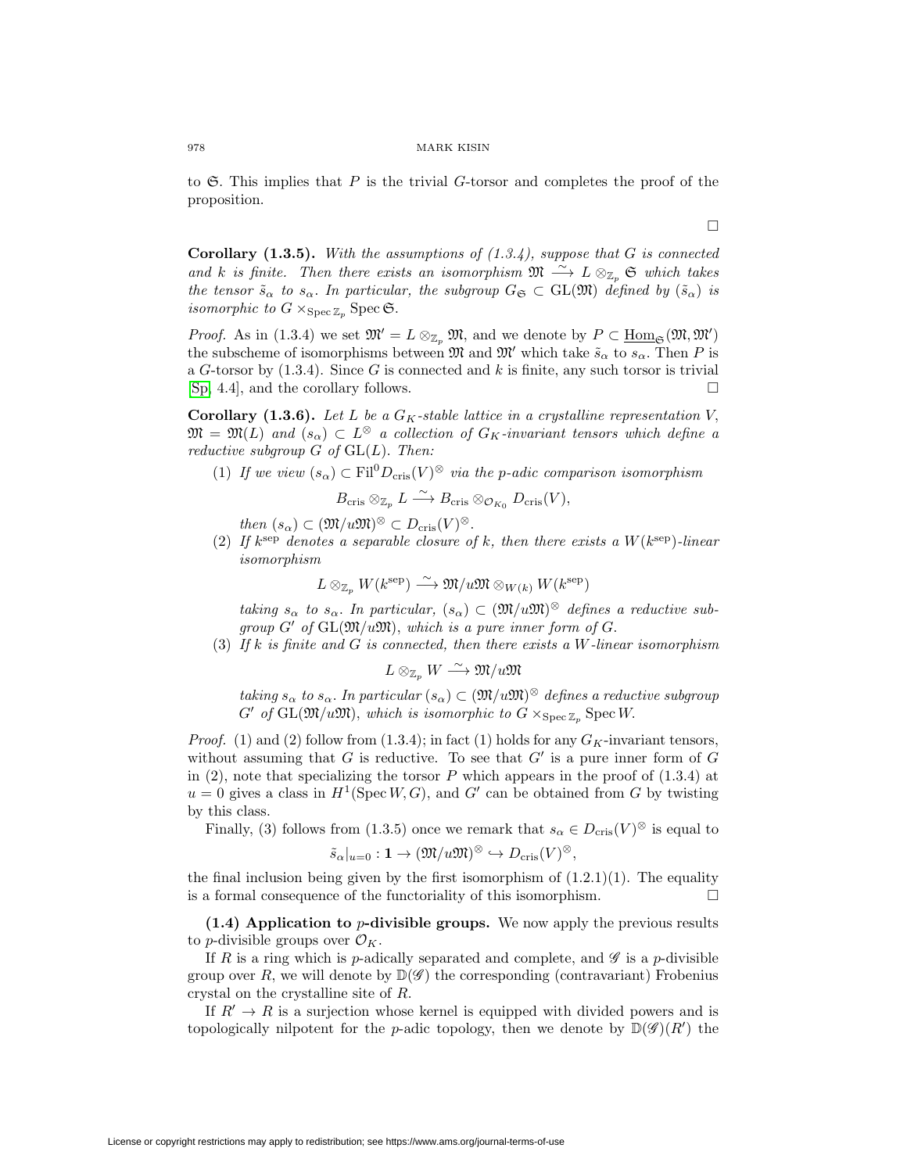to  $\mathfrak{S}$ . This implies that P is the trivial G-torsor and completes the proof of the proposition.

 $\Box$ 

**Corollary (1.3.5).** With the assumptions of  $(1.3.4)$ , suppose that G is connected and k is finite. Then there exists an isomorphism  $\mathfrak{M} \stackrel{\sim}{\longrightarrow} L \otimes_{\mathbb{Z}_p} \mathfrak{S}$  which takes the tensor  $\tilde{s}_{\alpha}$  to  $s_{\alpha}$ . In particular, the subgroup  $G_{\mathfrak{S}} \subset GL(\mathfrak{M})$  defined by  $(\tilde{s}_{\alpha})$  is isomorphic to  $G \times_{\text{Spec } \mathbb{Z}_p} \text{Spec } \mathfrak{S}.$ 

*Proof.* As in (1.3.4) we set  $\mathfrak{M}' = L \otimes_{\mathbb{Z}_p} \mathfrak{M}$ , and we denote by  $P \subset \underline{\text{Hom}}_{\mathfrak{S}}(\mathfrak{M}, \mathfrak{M}')$ the subscheme of isomorphisms between  $\mathfrak{M}$  and  $\mathfrak{M}'$  which take  $\tilde{s}_{\alpha}$  to  $s_{\alpha}$ . Then P is a G-torsor by  $(1.3.4)$ . Since G is connected and k is finite, any such torsor is trivial [\[Sp,](#page-45-8) 4.4], and the corollary follows.  $\Box$ 

**Corollary (1.3.6).** Let L be a  $G_K$ -stable lattice in a crystalline representation V,  $\mathfrak{M} = \mathfrak{M}(L)$  and  $(s_{\alpha}) \subset L^{\otimes}$  a collection of  $G_K$ -invariant tensors which define a reductive subgroup  $G$  of  $GL(L)$ . Then:

(1) If we view  $(s_{\alpha}) \subset \text{Fil}^0D_{\text{cris}}(V)^{\otimes}$  via the p-adic comparison isomorphism

$$
B_{\mathrm{cris}} \otimes_{\mathbb{Z}_p} L \xrightarrow{\sim} B_{\mathrm{cris}} \otimes_{\mathcal{O}_{K_0}} D_{\mathrm{cris}}(V),
$$

then  $(s_{\alpha}) \subset (\mathfrak{M}/u\mathfrak{M})^{\otimes} \subset D_{\mathrm{cris}}(V)^{\otimes}$ .

(2) If  $k^{\text{sep}}$  denotes a separable closure of k, then there exists a  $W(k^{\text{sep}})$ -linear isomorphism

$$
L \otimes_{\mathbb{Z}_p} W(k^{\text{sep}}) \xrightarrow{\sim} \mathfrak{M}/u\mathfrak{M} \otimes_{W(k)} W(k^{\text{sep}})
$$

taking  $s_{\alpha}$  to  $s_{\alpha}$ . In particular,  $(s_{\alpha}) \subset (\mathfrak{M}/u\mathfrak{M})^{\otimes}$  defines a reductive subgroup  $G'$  of  $GL(\mathfrak{M}/u\mathfrak{M})$ , which is a pure inner form of  $G$ .

(3) If k is finite and G is connected, then there exists a W-linear isomorphism

$$
L\otimes_{\mathbb{Z}_p}W\stackrel{\sim}{\longrightarrow} \mathfrak{M}/u\mathfrak{M}
$$

taking  $s_{\alpha}$  to  $s_{\alpha}$ . In particular  $(s_{\alpha}) \subset (\mathfrak{M}/u\mathfrak{M})^{\otimes}$  defines a reductive subgroup  $G'$  of  $GL(\mathfrak{M}/u\mathfrak{M})$ , which is isomorphic to  $G \times_{\text{Spec } \mathbb{Z}_p} \text{Spec } W$ .

*Proof.* (1) and (2) follow from (1.3.4); in fact (1) holds for any  $G_K$ -invariant tensors, without assuming that  $G$  is reductive. To see that  $G'$  is a pure inner form of  $G$ in  $(2)$ , note that specializing the torsor P which appears in the proof of  $(1.3.4)$  at  $u = 0$  gives a class in  $H^1(\text{Spec } W, G)$ , and  $G'$  can be obtained from G by twisting by this class.

Finally, (3) follows from (1.3.5) once we remark that  $s_{\alpha} \in D_{\text{cris}}(V)^{\otimes}$  is equal to

$$
\tilde{s}_{\alpha}|_{u=0} : \mathbf{1} \to (\mathfrak{M}/u\mathfrak{M})^{\otimes} \hookrightarrow D_{\mathrm{cris}}(V)^{\otimes},
$$

the final inclusion being given by the first isomorphism of  $(1.2.1)(1)$ . The equality is a formal consequence of the functoriality of this isomorphism.  $\Box$ 

<span id="page-11-0"></span>**(1.4) Application to** p**-divisible groups.** We now apply the previous results to *p*-divisible groups over  $\mathcal{O}_K$ .

If R is a ring which is p-adically separated and complete, and  $\mathscr G$  is a p-divisible group over R, we will denote by  $\mathbb{D}(\mathscr{G})$  the corresponding (contravariant) Frobenius crystal on the crystalline site of R.

If  $R' \to R$  is a surjection whose kernel is equipped with divided powers and is topologically nilpotent for the *p*-adic topology, then we denote by  $\mathbb{D}(\mathscr{G})(R')$  the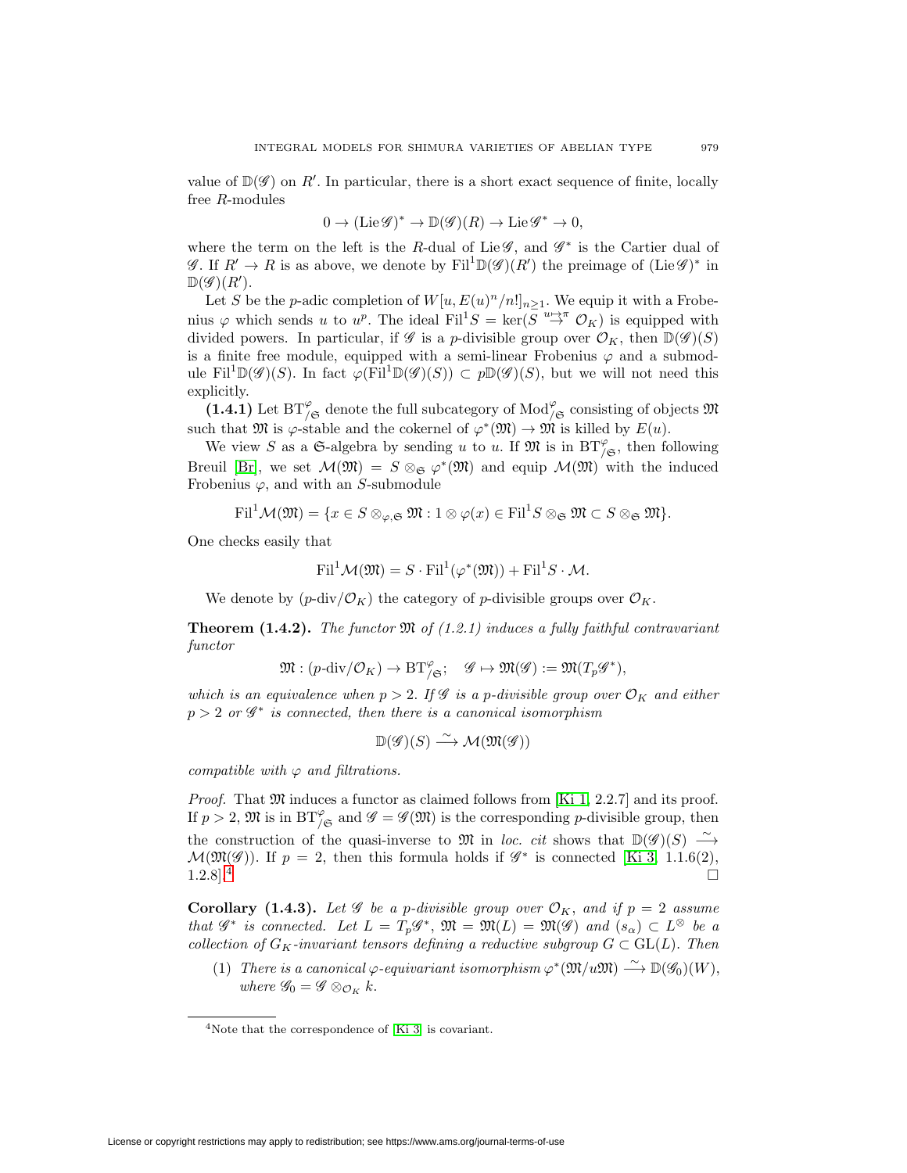value of  $\mathbb{D}(\mathscr{G})$  on R'. In particular, there is a short exact sequence of finite, locally free R-modules

$$
0 \to (\mathrm{Lie}\,\mathscr{G})^* \to \mathbb{D}(\mathscr{G})(R) \to \mathrm{Lie}\,\mathscr{G}^* \to 0,
$$

where the term on the left is the R-dual of Lie  $\mathscr{G}$ , and  $\mathscr{G}^*$  is the Cartier dual of  $\mathscr{G}$ . If  $R' \to R$  is as above, we denote by Fil<sup>1</sup>D( $\mathscr{G}(R')$ ) the preimage of (Lie $\mathscr{G})^*$  in  $\mathbb{D}(\mathscr{G})(R').$ 

Let S be the p-adic completion of  $W[u, E(u)^n/n!]_{n\geq 1}$ . We equip it with a Frobenius  $\varphi$  which sends u to u<sup>p</sup>. The ideal Fil<sup>1</sup>S = ker( $S \stackrel{u \mapsto \pi}{\to} O_K$ ) is equipped with divided powers. In particular, if  $\mathscr G$  is a p-divisible group over  $\mathcal O_K$ , then  $\mathbb{D}(\mathscr G)(S)$ is a finite free module, equipped with a semi-linear Frobenius  $\varphi$  and a submodule Fil<sup>1</sup>D( $\mathscr{G}(S)$ ). In fact  $\varphi$ (Fil<sup>1</sup>D( $\mathscr{G}(S)$ ) ⊂  $p\mathbb{D}(\mathscr{G})(S)$ , but we will not need this explicitly.

 $(1.4.1)$  Let  $BT^{\varphi}_{/\mathfrak{S}}$  denote the full subcategory of  $\text{Mod}^{\varphi}_{/\mathfrak{S}}$  consisting of objects  $\mathfrak{M}$ such that  $\mathfrak{M}$  is  $\varphi$ -stable and the cokernel of  $\varphi^*(\mathfrak{M}) \to \mathfrak{M}$  is killed by  $E(u)$ .

We view S as a G-algebra by sending u to u. If  $\mathfrak{M}$  is in  $BT_{/\mathfrak{S}}^{\varphi}$ , then following Breuil [\[Br\]](#page-44-13), we set  $\mathcal{M}(\mathfrak{M}) = S \otimes_{\mathfrak{S}} \varphi^*(\mathfrak{M})$  and equip  $\mathcal{M}(\mathfrak{M})$  with the induced Frobenius  $\varphi$ , and with an S-submodule

$$
\mathrm{Fil}^1 \mathcal{M}(\mathfrak{M}) = \{ x \in S \otimes_{\varphi, \mathfrak{S}} \mathfrak{M} : 1 \otimes \varphi(x) \in \mathrm{Fil}^1 S \otimes_{\mathfrak{S}} \mathfrak{M} \subset S \otimes_{\mathfrak{S}} \mathfrak{M} \}.
$$

One checks easily that

$$
\mathrm{Fil}^1 \mathcal{M}(\mathfrak{M}) = S \cdot \mathrm{Fil}^1(\varphi^*(\mathfrak{M})) + \mathrm{Fil}^1 S \cdot \mathcal{M}.
$$

We denote by  $(p-\text{div}/\mathcal{O}_K)$  the category of p-divisible groups over  $\mathcal{O}_K$ .

**Theorem (1.4.2).** The functor  $\mathfrak{M}$  of (1.2.1) induces a fully faithful contravariant functor

$$
\mathfrak{M}:(p\text{-}\mathrm{div}/\mathcal{O}_K)\rightarrow \mathrm{BT}^\varphi_{/\mathfrak{S}};\quad \mathscr{G}\mapsto \mathfrak{M}(\mathscr{G}):=\mathfrak{M}(T_p\mathscr{G}^*),
$$

which is an equivalence when  $p > 2$ . If G is a p-divisible group over  $\mathcal{O}_K$  and either  $p > 2$  or  $\mathscr{G}^*$  is connected, then there is a canonical isomorphism

$$
\mathbb{D}(\mathscr{G})(S) \xrightarrow{\sim} \mathcal{M}(\mathfrak{M}(\mathscr{G}))
$$

compatible with  $\varphi$  and filtrations.

*Proof.* That  $\mathfrak M$  induces a functor as claimed follows from [\[Ki 1,](#page-44-6) 2.2.7] and its proof. If  $p > 2$ ,  $\mathfrak{M}$  is in  $BT^{\varphi}_{/\mathfrak{S}}$  and  $\mathscr{G} = \mathscr{G}(\mathfrak{M})$  is the corresponding p-divisible group, then the construction of the quasi-inverse to M in loc. cit shows that  $\mathbb{D}(\mathscr{G})(S) \longrightarrow$  $\mathcal{M}(\mathfrak{M}(\mathscr{G}))$ . If  $p = 2$ , then this formula holds if  $\mathscr{G}^*$  is connected [\[Ki 3,](#page-44-14) 1.1.6(2),  $1.2.8$ ].<sup>[4](#page-12-0)</sup>

**Corollary (1.4.3).** Let  $\mathscr G$  be a p-divisible group over  $\mathcal O_K$ , and if  $p = 2$  assume that  $\mathscr{G}^*$  is connected. Let  $L = T_p \mathscr{G}^*$ ,  $\mathfrak{M} = \mathfrak{M}(L) = \mathfrak{M}(\mathscr{G})$  and  $(s_\alpha) \subset L^\otimes$  be a collection of  $G_K$ -invariant tensors defining a reductive subgroup  $G \subset GL(L)$ . Then

(1) There is a canonical  $\varphi$ -equivariant isomorphism  $\varphi^*(\mathfrak{M}/u\mathfrak{M}) \stackrel{\sim}{\longrightarrow} \mathbb{D}(\mathscr{G}_0)(W)$ , where  $\mathscr{G}_0 = \mathscr{G} \otimes_{\mathcal{O}_K} k$ .

<span id="page-12-0"></span><sup>4</sup>Note that the correspondence of [\[Ki 3\]](#page-44-14) is covariant.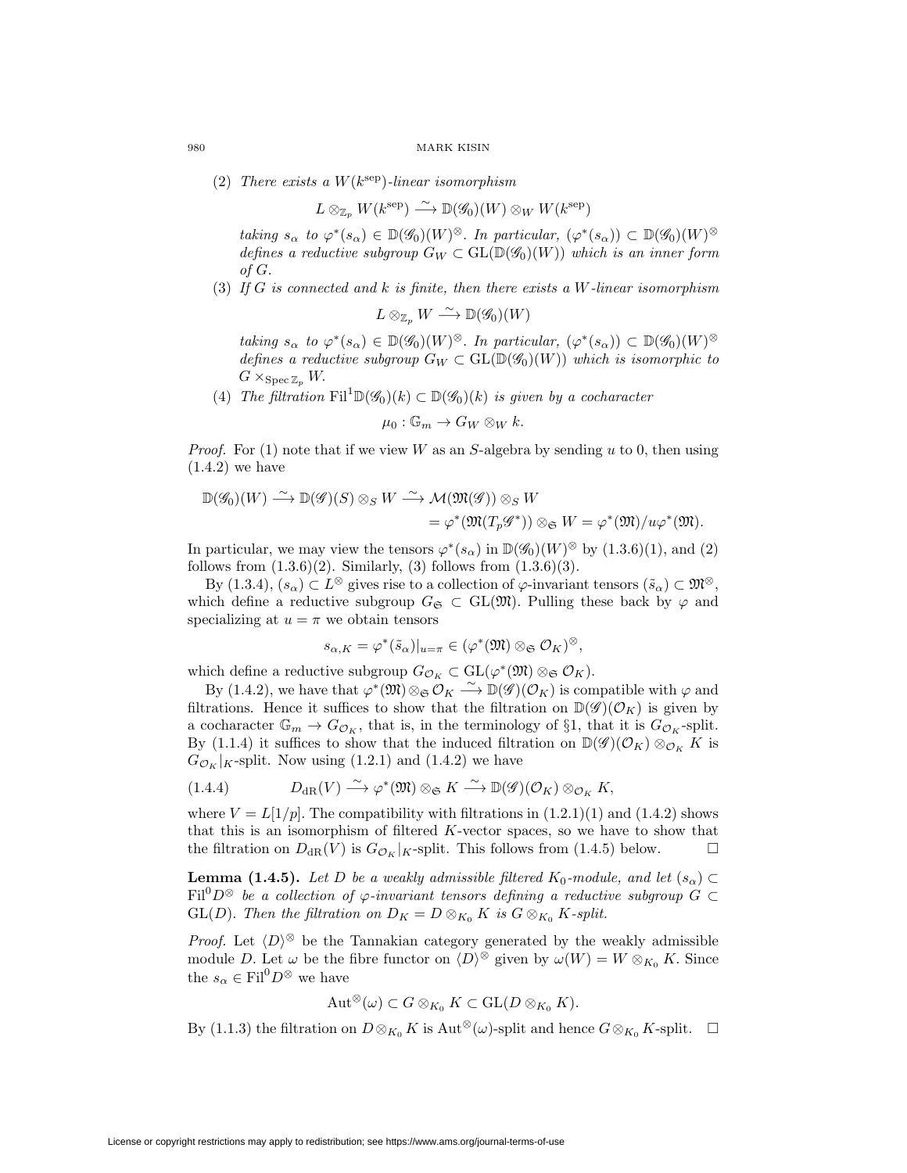(2) There exists a  $W(k^{\text{sep}})$ -linear isomorphism

$$
L \otimes_{\mathbb{Z}_p} W(k^{\text{sep}}) \stackrel{\sim}{\longrightarrow} \mathbb{D}(\mathscr{G}_0)(W) \otimes_W W(k^{\text{sep}})
$$

taking  $s_{\alpha}$  to  $\varphi^*(s_{\alpha}) \in \mathbb{D}(\mathscr{G}_0)(W)^\otimes$ . In particular,  $(\varphi^*(s_{\alpha})) \subset \mathbb{D}(\mathscr{G}_0)(W)^\otimes$ defines a reductive subgroup  $G_W \subset GL(\mathbb{D}(\mathscr{G}_0)(W))$  which is an inner form of G.

(3) If G is connected and k is finite, then there exists a W-linear isomorphism

$$
L\otimes_{\mathbb{Z}_p} W\stackrel{\sim}{\longrightarrow} \mathbb{D}(\mathscr{G}_0)(W)
$$

taking  $s_{\alpha}$  to  $\varphi^*(s_{\alpha}) \in \mathbb{D}(\mathscr{G}_0)(W)^{\otimes}$ . In particular,  $(\varphi^*(s_{\alpha})) \subset \mathbb{D}(\mathscr{G}_0)(W)^{\otimes}$ defines a reductive subgroup  $G_W \subset GL(\mathbb{D}(\mathscr{G}_0)(W))$  which is isomorphic to  $G \times_{\text{Spec } \mathbb{Z}_p} W$ .

(4) The filtration  $\text{Fil}^1\mathbb{D}(\mathscr{G}_0)(k) \subset \mathbb{D}(\mathscr{G}_0)(k)$  is given by a cocharacter

$$
\mu_0 : \mathbb{G}_m \to G_W \otimes_W k.
$$

*Proof.* For (1) note that if we view W as an S-algebra by sending u to 0, then using  $(1.4.2)$  we have

$$
\mathbb{D}(\mathscr{G}_0)(W) \stackrel{\sim}{\longrightarrow} \mathbb{D}(\mathscr{G})(S) \otimes_S W \stackrel{\sim}{\longrightarrow} \mathcal{M}(\mathfrak{M}(\mathscr{G})) \otimes_S W \n= \varphi^*(\mathfrak{M}(T_p \mathscr{G}^*)) \otimes_{\mathfrak{S}} W = \varphi^*(\mathfrak{M})/u\varphi^*(\mathfrak{M}).
$$

In particular, we may view the tensors  $\varphi^*(s_\alpha)$  in  $\mathbb{D}(\mathscr{G}_0)(W)^\otimes$  by (1.3.6)(1), and (2) follows from  $(1.3.6)(2)$ . Similarly,  $(3)$  follows from  $(1.3.6)(3)$ .

By  $(1.3.4), (s_\alpha) \subset L^\otimes$  gives rise to a collection of  $\varphi$ -invariant tensors  $(\tilde{s}_\alpha) \subset \mathfrak{M}^\otimes$ , which define a reductive subgroup  $G_{\mathfrak{S}} \subset GL(\mathfrak{M})$ . Pulling these back by  $\varphi$  and specializing at  $u = \pi$  we obtain tensors

$$
s_{\alpha,K} = \varphi^*(\tilde{s}_{\alpha})|_{u=\pi} \in (\varphi^*(\mathfrak{M}) \otimes_{\mathfrak{S}} \mathcal{O}_K)^{\otimes},
$$

which define a reductive subgroup  $G_{\mathcal{O}_K} \subset \mathrm{GL}(\varphi^*(\mathfrak{M}) \otimes_{\mathfrak{S}} \mathcal{O}_K)$ .

By (1.4.2), we have that  $\varphi^*(\mathfrak{M}) \otimes_{\mathfrak{S}} \mathcal{O}_K \longrightarrow \mathbb{D}(\mathscr{G})(\mathcal{O}_K)$  is compatible with  $\varphi$  and filtrations. Hence it suffices to show that the filtration on  $\mathbb{D}(\mathscr{G})(\mathcal{O}_K)$  is given by a cocharacter  $\mathbb{G}_m \to G_{\mathcal{O}_K}$ , that is, in the terminology of §1, that it is  $G_{\mathcal{O}_K}$ -split. By (1.1.4) it suffices to show that the induced filtration on  $\mathbb{D}(\mathscr{G})(\mathcal{O}_K) \otimes_{\mathcal{O}_K} K$  is  $G_{\mathcal{O}_K}|_K$ -split. Now using (1.2.1) and (1.4.2) we have

$$
(1.4.4) \tDdk(V) \xrightarrow{\sim} \varphi^*(\mathfrak{M}) \otimes_{\mathfrak{S}} K \xrightarrow{\sim} \mathbb{D}(\mathscr{G})(\mathcal{O}_K) \otimes_{\mathcal{O}_K} K,
$$

where  $V = L(1/p)$ . The compatibility with filtrations in  $(1.2.1)(1)$  and  $(1.4.2)$  shows that this is an isomorphism of filtered K-vector spaces, so we have to show that the filtration on  $D_{\rm dR}(V)$  is  $G_{\mathcal{O}_K}|_K$ -split. This follows from (1.4.5) below.  $\Box$ 

**Lemma (1.4.5).** Let D be a weakly admissible filtered  $K_0$ -module, and let  $(s_\alpha)$ Fil<sup>0</sup>D<sup>⊗</sup> be a collection of  $\varphi$ -invariant tensors defining a reductive subgroup  $G \subset$ GL(D). Then the filtration on  $D_K = D \otimes_{K_0} K$  is  $G \otimes_{K_0} K$ -split.

*Proof.* Let  $\langle D \rangle^{\otimes}$  be the Tannakian category generated by the weakly admissible module D. Let  $\omega$  be the fibre functor on  $\langle D \rangle^{\otimes}$  given by  $\omega(W) = W \otimes_{K_0} K$ . Since the  $s_{\alpha} \in \text{Fil}^0 D^{\otimes}$  we have

$$
\operatorname{Aut}^{\otimes}(\omega) \subset G \otimes_{K_0} K \subset \operatorname{GL}(D \otimes_{K_0} K).
$$

By (1.1.3) the filtration on  $D \otimes_{K_0} K$  is  $\mathrm{Aut}^{\otimes}(\omega)$ -split and hence  $G \otimes_{K_0} K$ -split.  $\Box$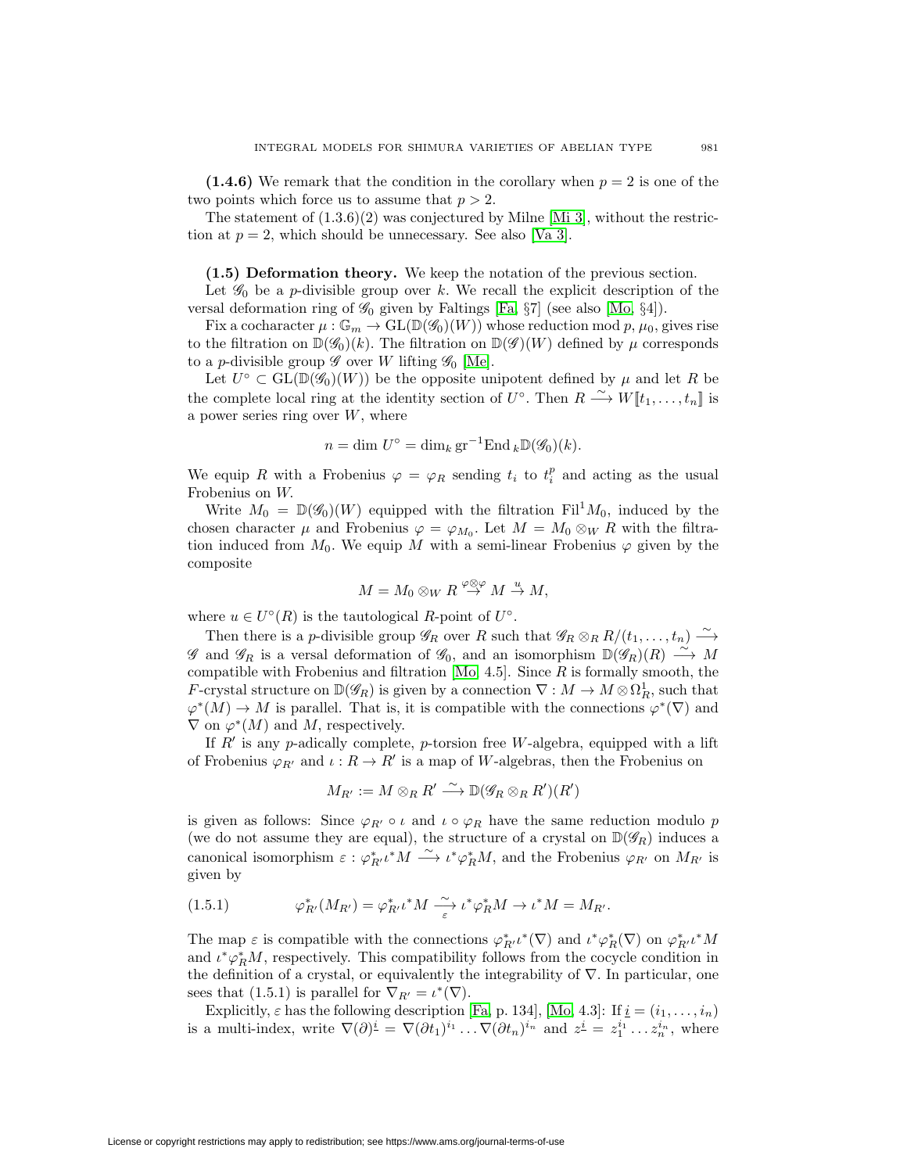**(1.4.6)** We remark that the condition in the corollary when  $p = 2$  is one of the two points which force us to assume that  $p > 2$ .

The statement of  $(1.3.6)(2)$  was conjectured by Milne [\[Mi 3\]](#page-45-9), without the restriction at  $p = 2$ , which should be unnecessary. See also [\[Va 3\]](#page-45-10).

**(1.5) Deformation theory.** We keep the notation of the previous section.

<span id="page-14-0"></span>Let  $\mathscr{G}_0$  be a *p*-divisible group over k. We recall the explicit description of the versal deformation ring of  $\mathscr{G}_0$  given by Faltings [\[Fa,](#page-44-5)  $\S7$ ] (see also [\[Mo,](#page-45-6)  $\S4$ ]).

Fix a cocharacter  $\mu : \mathbb{G}_m \to GL(\mathbb{D}(\mathscr{G}_0)(W))$  whose reduction mod p,  $\mu_0$ , gives rise to the filtration on  $\mathbb{D}(\mathscr{G}_0)(k)$ . The filtration on  $\mathbb{D}(\mathscr{G})(W)$  defined by  $\mu$  corresponds to a *p*-divisible group  $\mathscr G$  over W lifting  $\mathscr G_0$  [\[Me\]](#page-44-15).

Let  $U^{\circ} \subset GL(\mathbb{D}(\mathscr{G}_{0})(W))$  be the opposite unipotent defined by  $\mu$  and let R be the complete local ring at the identity section of  $U^{\circ}$ . Then  $R \xrightarrow{\sim} W[[t_1,\ldots,t_n]]$  is a power series ring over  $W$ , where

$$
n = \dim U^{\circ} = \dim_k \operatorname{gr}^{-1} \operatorname{End}_k \mathbb{D}(\mathscr{G}_0)(k).
$$

We equip R with a Frobenius  $\varphi = \varphi_R$  sending  $t_i$  to  $t_i^p$  and acting as the usual Frobenius on W.

Write  $M_0 = \mathbb{D}(\mathscr{G}_0)(W)$  equipped with the filtration Fil<sup>1</sup> $M_0$ , induced by the chosen character  $\mu$  and Frobenius  $\varphi = \varphi_{M_0}$ . Let  $M = M_0 \otimes_W R$  with the filtration induced from  $M_0$ . We equip M with a semi-linear Frobenius  $\varphi$  given by the composite

$$
M = M_0 \otimes_W R \stackrel{\varphi \otimes \varphi}{\to} M \stackrel{u}{\to} M,
$$

where  $u \in U^{\circ}(R)$  is the tautological R-point of  $U^{\circ}$ .

Then there is a p-divisible group  $\mathscr{G}_R$  over R such that  $\mathscr{G}_R \otimes_R R/(t_1,\ldots,t_n) \stackrel{\sim}{\longrightarrow}$  $\mathscr G$  and  $\mathscr G_R$  is a versal deformation of  $\mathscr G_0$ , and an isomorphism  $\mathbb{D}(\mathscr G_R)(R) \stackrel{\sim}{\longrightarrow} M$ compatible with Frobenius and filtration  $[Mo, 4.5]$  $[Mo, 4.5]$ . Since  $R$  is formally smooth, the F-crystal structure on  $\mathbb{D}(\mathscr{G}_R)$  is given by a connection  $\nabla : M \to M \otimes \Omega_R^1$ , such that  $\varphi^*(M) \to M$  is parallel. That is, it is compatible with the connections  $\varphi^*(\nabla)$  and  $\nabla$  on  $\varphi^*(M)$  and M, respectively.

If  $R'$  is any p-adically complete, p-torsion free W-algebra, equipped with a lift of Frobenius  $\varphi_{R'}$  and  $\iota: R \to R'$  is a map of W-algebras, then the Frobenius on

$$
M_{R'} := M \otimes_R R' \xrightarrow{\sim} \mathbb{D}(\mathscr{G}_R \otimes_R R')(R')
$$

is given as follows: Since  $\varphi_{R'} \circ \iota$  and  $\iota \circ \varphi_R$  have the same reduction modulo p (we do not assume they are equal), the structure of a crystal on  $\mathbb{D}(\mathscr{G}_R)$  induces a canonical isomorphism  $\varepsilon : \varphi_{R'}^* \iota^* M \longrightarrow \iota^* \varphi_R^* M$ , and the Frobenius  $\varphi_{R'}$  on  $M_{R'}$  is given by

(1.5.1) 
$$
\varphi_{R'}^*(M_{R'}) = \varphi_{R'}^* \iota^* M \xrightarrow[\varepsilon]{\sim} \iota^* \varphi_R^* M \to \iota^* M = M_{R'}.
$$

The map  $\varepsilon$  is compatible with the connections  $\varphi_{R'}^* \iota^* (\nabla)$  and  $\iota^* \varphi_R^* (\nabla)$  on  $\varphi_{R'}^* \iota^* M$ and  $\iota^* \varphi_R^* M$ , respectively. This compatibility follows from the cocycle condition in the definition of a crystal, or equivalently the integrability of  $\nabla$ . In particular, one sees that (1.5.1) is parallel for  $\nabla_{R'} = \iota^*(\nabla)$ .

Explicitly,  $\varepsilon$  has the following description [\[Fa,](#page-44-5) p. 134], [\[Mo,](#page-45-6) 4.3]: If  $\underline{i} = (i_1, \ldots, i_n)$ is a multi-index, write  $\nabla(\partial)^{\underline{i}} = \nabla(\partial t_1)^{i_1} \dots \nabla(\partial t_n)^{i_n}$  and  $z^{\underline{i}} = z_1^{i_1} \dots z_n^{i_n}$ , where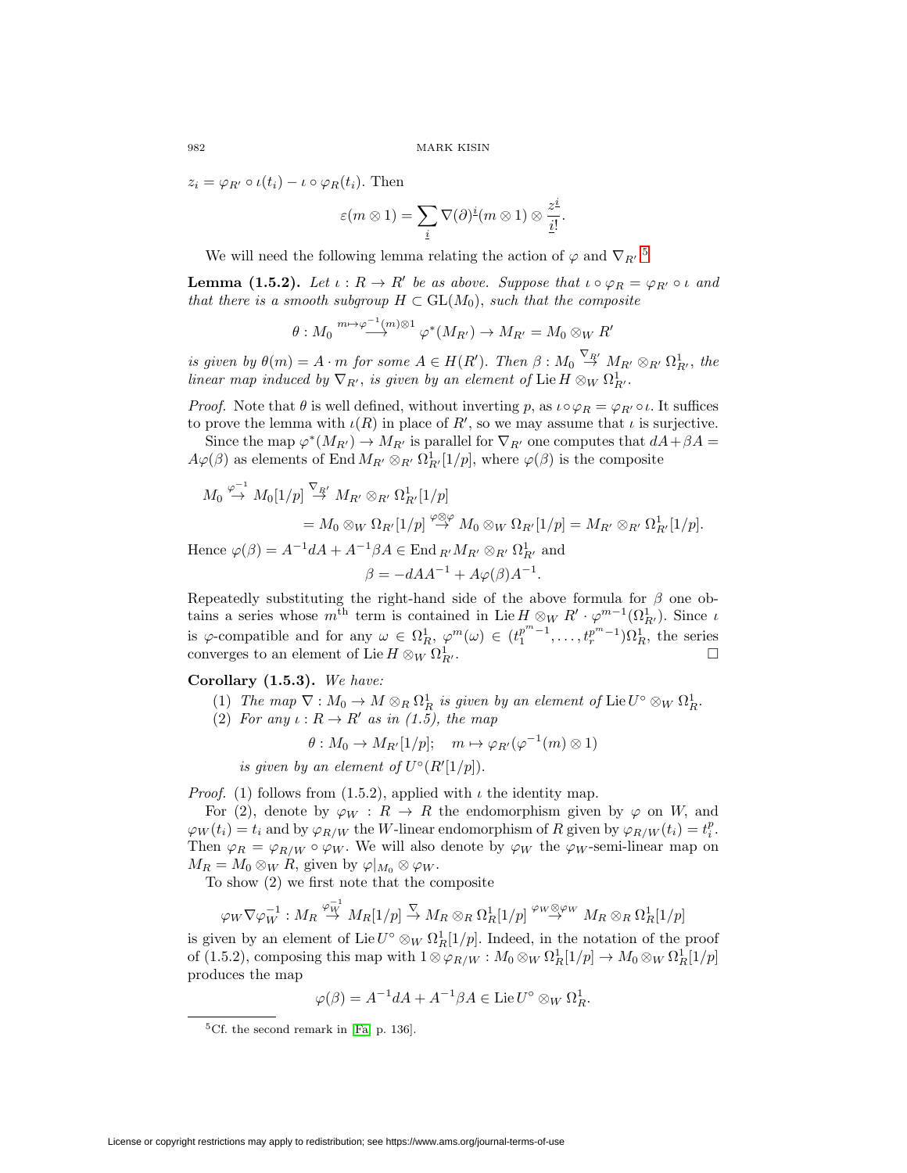$z_i = \varphi_{R'} \circ \iota(t_i) - \iota \circ \varphi_R(t_i)$ . Then

MARK KISIN  
\n
$$
(t_i)
$$
. Then  
\n
$$
\varepsilon(m \otimes 1) = \sum_{\underline{i}} \nabla(\partial)^{\underline{i}}(m \otimes 1) \otimes \frac{z^{\underline{i}}}{\underline{i}!}.
$$

We will need the following lemma relating the action of  $\varphi$  and  $\nabla_{R'}$ .<sup>[5](#page-15-0)</sup>

**Lemma (1.5.2).** Let  $\iota : R \to R'$  be as above. Suppose that  $\iota \circ \varphi_R = \varphi_{R'} \circ \iota$  and that there is a smooth subgroup  $H \subset GL(M_0)$ , such that the composite

$$
\theta: M_0 \stackrel{m \mapsto \varphi^{-1}(m) \otimes 1}{\longrightarrow} \varphi^*(M_{R'}) \to M_{R'} = M_0 \otimes_W R'
$$

is given by  $\theta(m) = A \cdot m$  for some  $A \in H(R')$ . Then  $\beta : M_0 \stackrel{\vee_{R'}}{\rightarrow} M_{R'} \otimes_{R'} \Omega^1_{R'}$ , the linear map induced by  $\nabla_{R'}$ , is given by an element of Lie  $H \otimes_W \Omega^1_{R'}$ .

*Proof.* Note that  $\theta$  is well defined, without inverting p, as  $\iota \circ \varphi_R = \varphi_{R'} \circ \iota$ . It suffices to prove the lemma with  $\iota(R)$  in place of  $R'$ , so we may assume that  $\iota$  is surjective.

Since the map  $\varphi^*(M_{R'}) \to M_{R'}$  is parallel for  $\nabla_{R'}$  one computes that  $dA + \beta A =$  $A\varphi(\beta)$  as elements of End  $M_{R'} \otimes_{R'} \Omega^1_{R'}[1/p]$ , where  $\varphi(\beta)$  is the composite

$$
M_0 \stackrel{\varphi^{-1}}{\rightarrow} M_0[1/p] \stackrel{\nabla_{R'}}{\rightarrow} M_{R'} \otimes_{R'} \Omega^1_{R'}[1/p]
$$
  
=  $M_0 \otimes_W \Omega_{R'}[1/p] \stackrel{\varphi \otimes \varphi}{\rightarrow} M_0 \otimes_W \Omega_{R'}[1/p] = M_{R'} \otimes_{R'} \Omega^1_{R'}[1/p].$   
Hence  $\varphi(\beta) = A^{-1}dA + A^{-1}\beta A \in \text{End }_{R'} M_{R'} \otimes_{R'} \Omega^1_{R'}$  and  
 $\beta = -dAA^{-1} + A\varphi(\beta)A^{-1}.$ 

Repeatedly substituting the right-hand side of the above formula for  $\beta$  one obtains a series whose  $m^{\text{th}}$  term is contained in Lie  $H \otimes_W R' \cdot \varphi^{m-1}(\Omega^1_{R'})$ . Since  $\iota$ is  $\varphi$ -compatible and for any  $\omega \in \Omega_R^1$ ,  $\varphi^m(\omega) \in (t_1^{p^m-1}, \ldots, t_r^{p^m-1})\Omega_R^1$ , the series converges to an element of Lie  $H\otimes_W\Omega^1_{R'}$  $\overline{\phantom{a}}$ .

**Corollary (1.5.3).** We have:

- (1) The map  $\nabla : M_0 \to M \otimes_R \Omega_R^1$  is given by an element of Lie  $U^{\circ} \otimes_W \Omega_R^1$ .
- (2) For any  $\iota: R \to R'$  as in (1.5), the map

$$
\theta: M_0 \to M_{R'}[1/p]; \quad m \mapsto \varphi_{R'}(\varphi^{-1}(m) \otimes 1)
$$

is given by an element of  $U^{\circ}(R'[1/p]).$ 

*Proof.* (1) follows from (1.5.2), applied with  $\iota$  the identity map.

For (2), denote by  $\varphi_W : R \to R$  the endomorphism given by  $\varphi$  on W, and  $\varphi_W(t_i) = t_i$  and by  $\varphi_{R/W}$  the W-linear endomorphism of R given by  $\varphi_{R/W}(t_i) = t_i^p$ . Then  $\varphi_R = \varphi_{R/W} \circ \varphi_W$ . We will also denote by  $\varphi_W$  the  $\varphi_W$ -semi-linear map on  $M_R = M_0 \otimes_W R$ , given by  $\varphi|_{M_0} \otimes \varphi_W$ .

To show (2) we first note that the composite

$$
\varphi_W\nabla\varphi_W^{-1}:M_R\stackrel{\varphi_W^{-1}}{\to} M_R[1/p]\stackrel{\nabla}{\to} M_R\otimes_R\Omega^1_R[1/p]\stackrel{\varphi_W\otimes \varphi_W}{\to} M_R\otimes_R\Omega^1_R[1/p]
$$

is given by an element of Lie  $U^{\circ} \otimes_W \Omega_R^1[1/p]$ . Indeed, in the notation of the proof of (1.5.2), composing this map with  $1 \otimes \varphi_{R/W} : M_0 \otimes_W \Omega_R^1[1/p] \to M_0 \otimes_W \Omega_R^1[1/p]$ produces the map

$$
\varphi(\beta) = A^{-1}dA + A^{-1}\beta A \in \text{Lie } U^{\circ} \otimes_W \Omega_R^1.
$$

<span id="page-15-0"></span> ${}^{5}$ Cf. the second remark in [\[Fa,](#page-44-5) p. 136].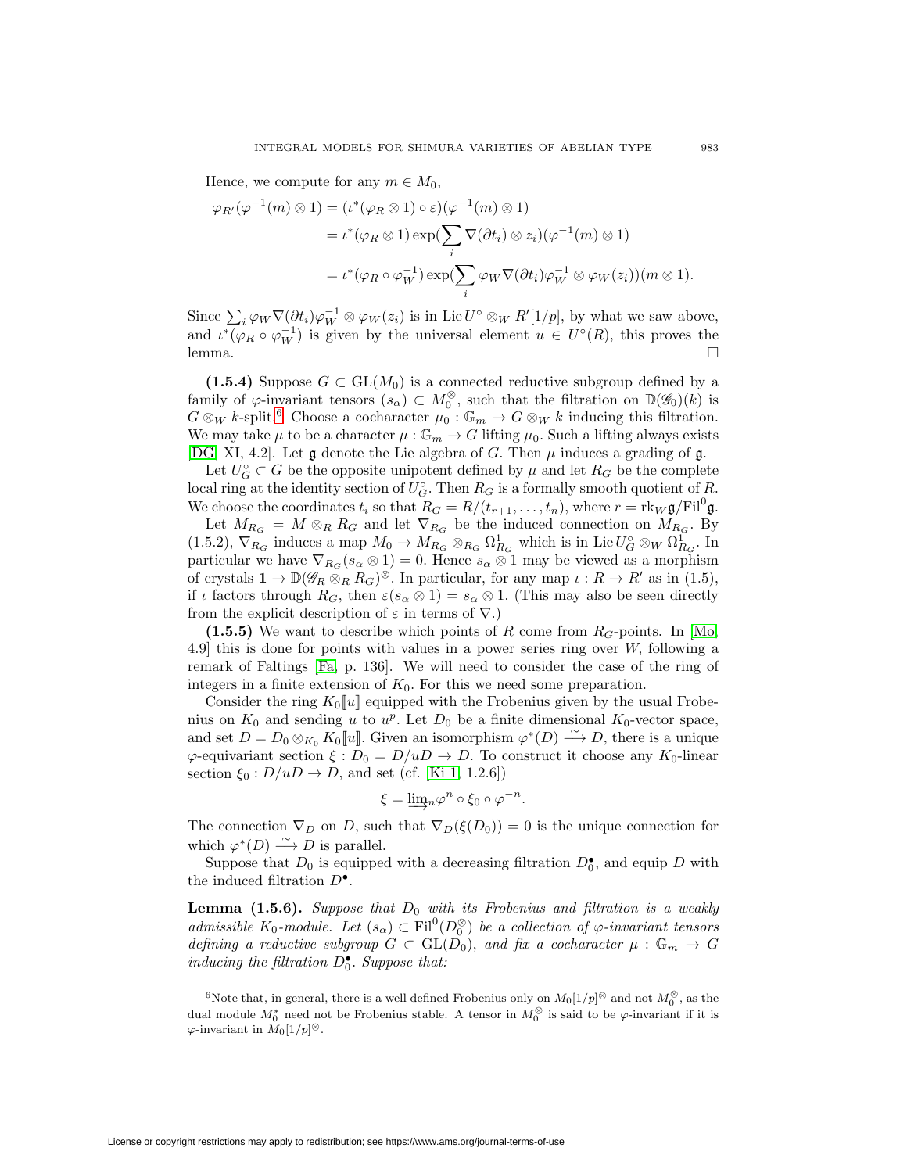Hence, we compute for any  $m \in M_0$ ,

Hence, we compute for any 
$$
m \in M_0
$$
,  
\n
$$
\varphi_{R'}(\varphi^{-1}(m) \otimes 1) = (\iota^*(\varphi_R \otimes 1) \circ \varepsilon)(\varphi^{-1}(m) \otimes 1)
$$
\n
$$
= \iota^*(\varphi_R \otimes 1) \exp(\sum_i \nabla(\partial t_i) \otimes z_i)(\varphi^{-1}(m) \otimes 1)
$$
\n
$$
= \iota^*(\varphi_R \circ \varphi_W^{-1}) \exp(\sum_i \varphi_W \nabla(\partial t_i) \varphi_W^{-1} \otimes \varphi_W(z_i))(m \otimes 1).
$$
\nSince  $\sum_i \varphi_W \nabla(\partial t_i) \varphi_W^{-1} \otimes \varphi_W(z_i)$  is in Lie  $U^{\circ} \otimes_W R'[1/p]$ , by what we saw above,

and  $\iota^*(\varphi_R \circ \varphi_W^{-1})$  is given by the universal element  $u \in U^{\circ}(R)$ , this proves the lemma.  $\Box$ 

**(1.5.4)** Suppose  $G \subset GL(M_0)$  is a connected reductive subgroup defined by a family of  $\varphi$ -invariant tensors  $(s_\alpha) \subset M_0^\otimes$ , such that the filtration on  $\mathbb{D}(\mathscr{G}_0)(k)$  is  $G \otimes_W k$ -split.<sup>[6](#page-16-0)</sup> Choose a cocharacter  $\mu_0 : \mathbb{G}_m \to G \otimes_W k$  inducing this filtration. We may take  $\mu$  to be a character  $\mu : \mathbb{G}_m \to G$  lifting  $\mu_0$ . Such a lifting always exists [\[DG,](#page-44-8) XI, 4.2]. Let  $\mathfrak g$  denote the Lie algebra of G. Then  $\mu$  induces a grading of  $\mathfrak g$ .

Let  $U_G^{\circ} \subset G$  be the opposite unipotent defined by  $\mu$  and let  $R_G$  be the complete local ring at the identity section of  $U_G^{\circ}$ . Then  $R_G$  is a formally smooth quotient of  $R$ . We choose the coordinates  $t_i$  so that  $R_G = R/(t_{r+1},\ldots,t_n)$ , where  $r = \text{rk}_W \mathfrak{g}/\text{Fil}^0 \mathfrak{g}$ .

Let  $M_{R_G} = M \otimes_R R_G$  and let  $\nabla_{R_G}$  be the induced connection on  $M_{R_G}$ . By (1.5.2),  $\nabla_{R_G}$  induces a map  $M_0 \to M_{R_G} \otimes_{R_G} \Omega^1_{R_G}$  which is in Lie  $U_G^{\circ} \otimes_W \Omega^1_{R_G}$ . In particular we have  $\nabla_{R_G}(s_\alpha \otimes 1) = 0$ . Hence  $s_\alpha \otimes 1$  may be viewed as a morphism of crystals  $1 \to \mathbb{D}(\mathscr{G}_R \otimes_R R_G)^\otimes$ . In particular, for any map  $\iota : R \to R'$  as in (1.5), if  $\iota$  factors through  $R_G$ , then  $\varepsilon(s_\alpha \otimes 1) = s_\alpha \otimes 1$ . (This may also be seen directly from the explicit description of  $\varepsilon$  in terms of  $\nabla$ .)

**(1.5.5)** We want to describe which points of R come from  $R_G$ -points. In [\[Mo,](#page-45-6) 4.9] this is done for points with values in a power series ring over W, following a remark of Faltings [\[Fa,](#page-44-5) p. 136]. We will need to consider the case of the ring of integers in a finite extension of  $K_0$ . For this we need some preparation.

Consider the ring  $K_0[[u]]$  equipped with the Frobenius given by the usual Frobenius on  $K_0$  and sending u to  $u^p$ . Let  $D_0$  be a finite dimensional  $K_0$ -vector space, and set  $D = D_0 \otimes_{K_0} K_0[[u]]$ . Given an isomorphism  $\varphi^*(D) \stackrel{\sim}{\longrightarrow} D$ , there is a unique  $\varphi$ -equivariant section  $\xi : D_0 = D/uD \to D$ . To construct it choose any  $K_0$ -linear section  $\xi_0 : D/uD \to D$ , and set (cf. [\[Ki 1,](#page-44-6) 1.2.6])

$$
\xi = \underline{\lim}_{n} \varphi^{n} \circ \xi_{0} \circ \varphi^{-n}.
$$

The connection  $\nabla_D$  on D, such that  $\nabla_D(\xi(D_0)) = 0$  is the unique connection for which  $\varphi^*(D) \longrightarrow D$  is parallel.

Suppose that  $D_0$  is equipped with a decreasing filtration  $D_0^{\bullet}$ , and equip D with the induced filtration  $D^{\bullet}$ .

**Lemma (1.5.6).** Suppose that  $D_0$  with its Frobenius and filtration is a weakly admissible K<sub>0</sub>-module. Let  $(s_\alpha) \subset \text{Fil}^0(D_0^\otimes)$  be a collection of  $\varphi$ -invariant tensors defining a reductive subgroup  $G \subset GL(D_0)$ , and fix a cocharacter  $\mu : \mathbb{G}_m \to G$ inducing the filtration  $D_0^{\bullet}$ . Suppose that:

<span id="page-16-0"></span><sup>&</sup>lt;sup>6</sup>Note that, in general, there is a well defined Frobenius only on  $M_0[1/p]$ <sup>⊗</sup> and not  $M_0^{\otimes}$ , as the dual module  $M_0^*$  need not be Frobenius stable. A tensor in  $M_0^\otimes$  is said to be  $\varphi$ -invariant if it is  $\varphi$ -invariant in  $M_0[1/p]$ <sup>⊗</sup>.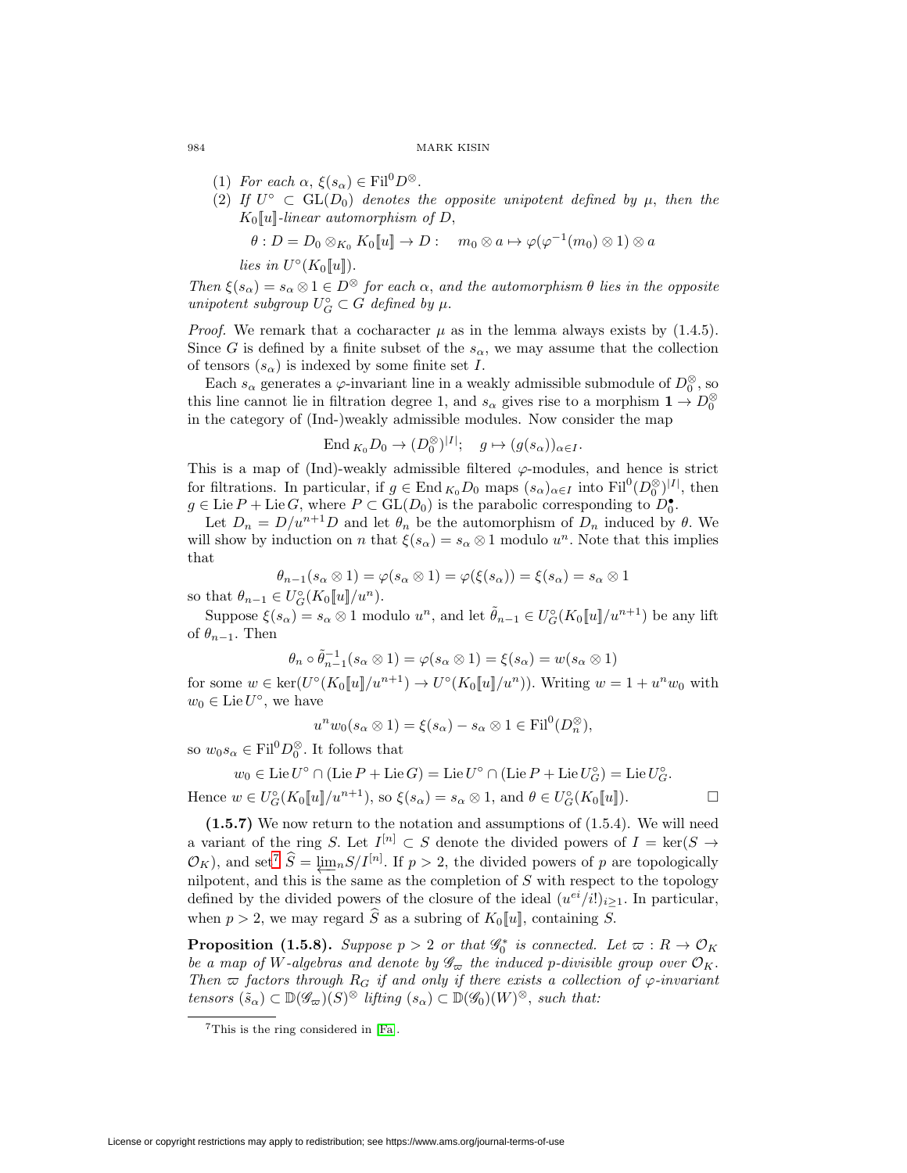- (1) For each  $\alpha$ ,  $\xi(s_\alpha) \in \text{Fil}^0 D^\otimes$ .
- (2) If  $U^{\circ} \subset GL(D_0)$  denotes the opposite unipotent defined by  $\mu$ , then the  $K_0[[u]]$ -linear automorphism of D,

$$
\theta: D = D_0 \otimes_{K_0} K_0[[u]] \to D: \quad m_0 \otimes a \mapsto \varphi(\varphi^{-1}(m_0) \otimes 1) \otimes a
$$

lies in  $U^{\circ}(K_0[[u]])$ .

Then  $\xi(s_\alpha) = s_\alpha \otimes 1 \in D^\otimes$  for each  $\alpha$ , and the automorphism  $\theta$  lies in the opposite unipotent subgroup  $U_G^{\circ} \subset G$  defined by  $\mu$ .

*Proof.* We remark that a cocharacter  $\mu$  as in the lemma always exists by (1.4.5). Since G is defined by a finite subset of the  $s_{\alpha}$ , we may assume that the collection of tensors  $(s_\alpha)$  is indexed by some finite set I.

Each  $s_{\alpha}$  generates a  $\varphi$ -invariant line in a weakly admissible submodule of  $D_0^{\otimes}$ , so this line cannot lie in filtration degree 1, and  $s_{\alpha}$  gives rise to a morphism  $1 \to D_0^{\otimes}$ in the category of (Ind-)weakly admissible modules. Now consider the map

$$
\text{End}_{K_0} D_0 \to (D_0^{\otimes})^{|I|}; \quad g \mapsto (g(s_\alpha))_{\alpha \in I}.
$$

This is a map of (Ind)-weakly admissible filtered  $\varphi$ -modules, and hence is strict for filtrations. In particular, if  $g \in \text{End}_{K_0}D_0$  maps  $(s_\alpha)_{\alpha \in I}$  into  $\text{Fil}^0(D_0^{\otimes})^{|I|}$ , then  $g \in \text{Lie } P + \text{Lie } G$ , where  $P \subset \text{GL}(D_0)$  is the parabolic corresponding to  $D_0^{\bullet}$ .

Let  $D_n = D/u^{n+1}D$  and let  $\theta_n$  be the automorphism of  $D_n$  induced by  $\theta$ . We will show by induction on n that  $\xi(s_\alpha) = s_\alpha \otimes 1$  modulo  $u^n$ . Note that this implies that

$$
\theta_{n-1}(s_{\alpha} \otimes 1) = \varphi(s_{\alpha} \otimes 1) = \varphi(\xi(s_{\alpha})) = \xi(s_{\alpha}) = s_{\alpha} \otimes 1
$$

so that  $\theta_{n-1} \in U_G^{\circ}(K_0[[u]]/u^n)$ .

Suppose  $\xi(s_\alpha) = s_\alpha \otimes 1$  modulo  $u^n$ , and let  $\tilde{\theta}_{n-1} \in U_G^{\circ}(K_0[[u]]/u^{n+1})$  be any lift of  $\theta_{n-1}$ . Then

$$
\theta_n \circ \tilde{\theta}_{n-1}^{-1}(s_\alpha \otimes 1) = \varphi(s_\alpha \otimes 1) = \xi(s_\alpha) = w(s_\alpha \otimes 1)
$$

for some  $w \in \ker(U^{\circ}(K_0[\![u]\!]/u^{n+1}) \to U^{\circ}(K_0[\![u]\!]/u^n)$ ). Writing  $w = 1 + u^n w_0$  with  $w_0 \in \text{Lie } U^\circ$ , we have

$$
unw0(s\alpha \otimes 1) = \xi(s\alpha) - s\alpha \otimes 1 \in \text{Fil}^{0}(D_{n}^{\otimes}),
$$

so  $w_0 s_\alpha \in \text{Fil}^0D_0^\otimes$ . It follows that

$$
w_0 \in \text{Lie } U^\circ \cap (\text{Lie } P + \text{Lie } G) = \text{Lie } U^\circ \cap (\text{Lie } P + \text{Lie } U_G^\circ) = \text{Lie } U_G^\circ.
$$
  
Hence  $w \in U_G^\circ(K_0[[u]]/u^{n+1})$ , so  $\xi(s_\alpha) = s_\alpha \otimes 1$ , and  $\theta \in U_G^\circ(K_0[[u]])$ .

**(1.5.7)** We now return to the notation and assumptions of (1.5.4). We will need a variant of the ring S. Let  $I^{[n]} \subset S$  denote the divided powers of  $I = \text{ker}(S \to$ Hence  $w \in U_G^{\circ}(K_0[[u]]/u^{n+1})$ , so  $\xi(s_\alpha) = s_\alpha \otimes 1$ , and  $\theta \in U_G^{\circ}(K_0[[u])$ .  $\square$ <br>
(1.5.[7](#page-17-0)) We now return to the notation and assumptions of (1.5.4). We will need<br>
a variant of the ring S. Let  $I^{[n]} \subset S$  denote the divide nilpotent, and this is the same as the completion of  $S$  with respect to the topology defined by the divided powers of the closure of the ideal  $(u^{ei}/i!)_{i\geq 1}$ . In particular, when  $p > 2$ , we may regard  $\hat{S}$  as a subring of  $K_0[u]$ , containing  $S$ .  $\mathcal{O}_K$ ), and set<sup>7</sup>  $\hat{S} = \underleftarrow{\lim_n} S/I^{[n]}$ . If  $p > 2$ , the divided powers of p a nilpotent, and this is the same as the completion of S with respect defined by the divided powers of the closure of the ideal  $(u^{ei}/i!)_{i\ge$ 

**Proposition (1.5.8).** Suppose  $p > 2$  or that  $\mathscr{G}_0^*$  is connected. Let  $\varpi : R \to \mathcal{O}_K$ be a map of W-algebras and denote by  $\mathscr{G}_{\varpi}$  the induced p-divisible group over  $\mathcal{O}_K$ . Then  $\varpi$  factors through  $R_G$  if and only if there exists a collection of  $\varphi$ -invariant tensors  $(\tilde{s}_{\alpha}) \subset \mathbb{D}(\mathscr{G}_{\varpi})(S)^{\otimes}$  lifting  $(s_{\alpha}) \subset \mathbb{D}(\mathscr{G}_{0})(W)^{\otimes}$ , such that:

<span id="page-17-0"></span><sup>7</sup>This is the ring considered in [\[Fa\]](#page-44-5).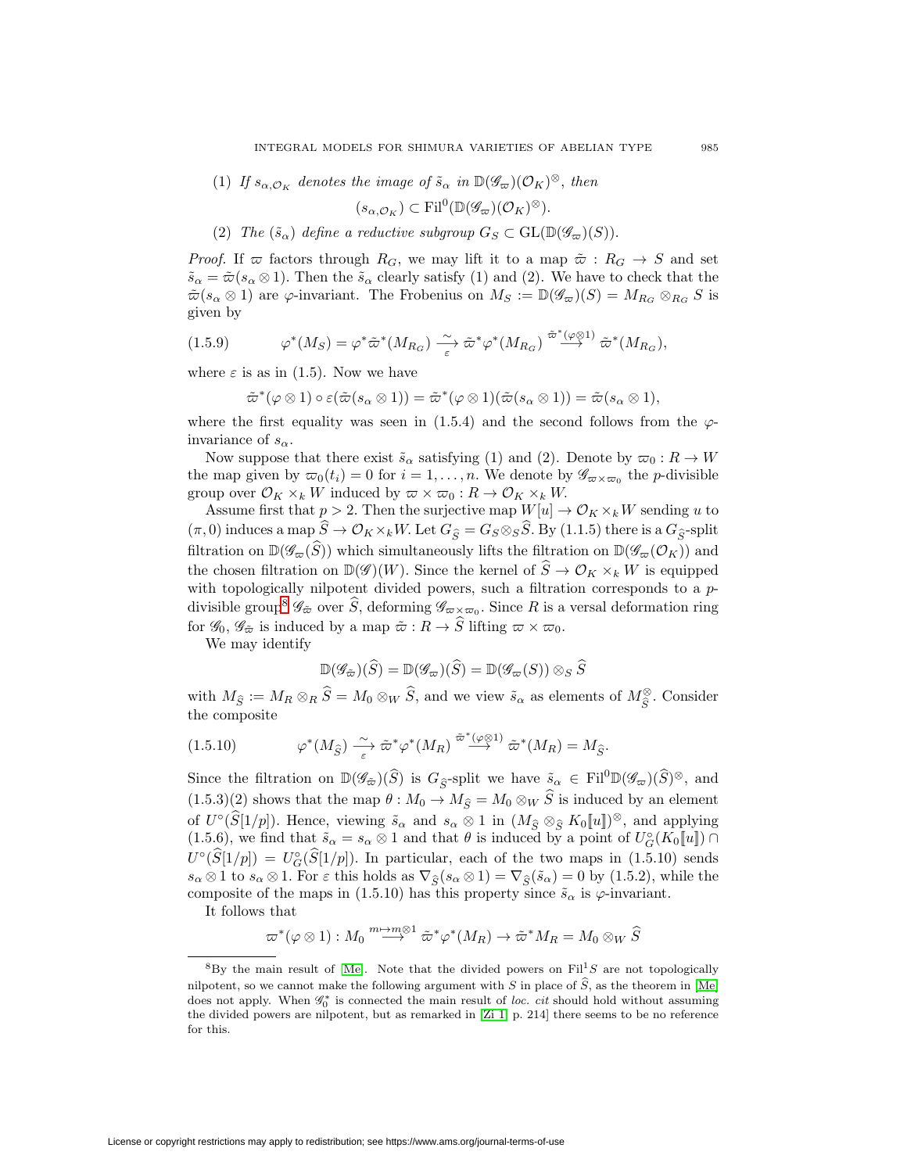(1) If  $s_{\alpha,\mathcal{O}_K}$  denotes the image of  $\tilde{s}_{\alpha}$  in  $\mathbb{D}(\mathscr{G}_{\varpi})(\mathcal{O}_K)^{\otimes}$ , then

$$
(s_{\alpha,\mathcal{O}_K}) \subset \text{Fil}^0(\mathbb{D}(\mathscr{G}_{\varpi})(\mathcal{O}_K)^{\otimes}).
$$

(2) The  $(\tilde{s}_{\alpha})$  define a reductive subgroup  $G_S \subset GL(\mathbb{D}(\mathscr{G}_{\varpi})(S)).$ 

*Proof.* If  $\varpi$  factors through  $R_G$ , we may lift it to a map  $\tilde{\varpi} : R_G \to S$  and set  $\tilde{s}_{\alpha} = \tilde{\varpi}(s_{\alpha} \otimes 1)$ . Then the  $\tilde{s}_{\alpha}$  clearly satisfy (1) and (2). We have to check that the  $\tilde{\varpi}(s_{\alpha} \otimes 1)$  are  $\varphi$ -invariant. The Frobenius on  $M_S := \mathbb{D}(\mathscr{G}_{\varpi})(S) = M_{R_G} \otimes_{R_G} S$  is given by

$$
(1.5.9) \t\varphi^*(M_S) = \varphi^* \tilde{\varpi}^*(M_{R_G}) \xrightarrow[\varepsilon]{\sim} \tilde{\varpi}^* \varphi^*(M_{R_G}) \xrightarrow{\tilde{\varpi}^*(\varphi \otimes 1)} \tilde{\varpi}^*(M_{R_G}),
$$

where  $\varepsilon$  is as in (1.5). Now we have

$$
\tilde{\varpi}^*(\varphi \otimes 1) \circ \varepsilon(\tilde{\varpi}(s_\alpha \otimes 1)) = \tilde{\varpi}^*(\varphi \otimes 1)(\tilde{\varpi}(s_\alpha \otimes 1)) = \tilde{\varpi}(s_\alpha \otimes 1),
$$

where the first equality was seen in (1.5.4) and the second follows from the  $\varphi$ invariance of  $s_{\alpha}$ .

Now suppose that there exist  $\tilde{s}_{\alpha}$  satisfying (1) and (2). Denote by  $\varpi_0 : R \to W$ the map given by  $\varpi_0(t_i) = 0$  for  $i = 1, \ldots, n$ . We denote by  $\mathscr{G}_{\varpi \times \varpi_0}$  the *p*-divisible group over  $\mathcal{O}_K \times_k W$  induced by  $\varpi \times \varpi_0 : R \to \mathcal{O}_K \times_k W$ . Now suppose that there exist  $s_{\alpha}$  satisfying (1) and (2). Denote by  $\varpi_0 : R \to W$ <br>the map given by  $\varpi_0(t_i) = 0$  for  $i = 1, ..., n$ . We denote by  $\mathcal{G}_{\alpha \times \varpi_0}$  the *p*-divisible<br>group over  $\mathcal{O}_K \times_k W$  induced by  $\varpi \$ 

Assume first that  $p > 2$ . Then the surjective map  $W[u] \to \mathcal{O}_K \times_k W$  sending u to filtration on  $\mathbb{D}(\mathscr{G}_{\overline{\omega}}(\widehat{S}))$  which simultaneously lifts the filtration on  $\mathbb{D}(\mathscr{G}_{\overline{\omega}}(\widehat{S}))$  which simultaneously lifts the filtration on  $\mathbb{D}(\mathscr{G}_{\overline{\omega}}(\widehat{S}))$  which simultaneously lifts the filtr Assume first that  $p > 2$ . Then the surjective map  $W[u] \to \mathcal{O}_K \times_k W$  sending u to  $(\pi, 0)$  induces a map  $\hat{S} \to \mathcal{O}_K \times_k W$ . Let  $G_{\hat{S}} = G_S \otimes_S \hat{S}$ . By (1.1.5) there is a  $G_{\hat{S}}$ -split filtration on  $\mathbb{D}(\mathscr{G}_{\var$ with topologically nilpotent divided powers, such a filtration corresponds to a  $p$ filtration on  $\mathbb{D}(\mathscr{G}_{\overline{\omega}}(\widehat{S}))$  which simultaneously lifts the filtration on  $\mathbb{D}(\mathscr{G}_{\overline{\omega}}(\mathcal{O}_K))$  and the chosen filtration on  $\mathbb{D}(\mathscr{G})(W)$ . Since the kernel of  $\widehat{S} \to \mathcal{O}_K \times_k W$  is equipped for  $\mathscr{G}_0$ ,  $\mathscr{G}_{\tilde{\varpi}}$  is induced by a map  $\tilde{\varpi}: R \to \tilde{S}$  lifting  $\varpi \times \varpi_0$ . divisible group<sup>8</sup>  $\mathscr{G}_{\tilde{\varpi}}$  over  $\tilde{S}$ , deforming  $\mathscr{G}_{\varpi \times \varpi_0}$ . Since R is a versal deformation ring

We may identify

$$
\mathbb{D}(\mathscr{G}_{\tilde{\varpi}})(\widehat{S}) = \mathbb{D}(\mathscr{G}_{\varpi})(\widehat{S}) = \mathbb{D}(\mathscr{G}_{\varpi}(S)) \otimes_S \widehat{S}
$$

for  $\mathscr{G}_0$ ,  $\mathscr{G}_{\tilde{\varpi}}$  is induced by a map  $\tilde{\varpi}: R \to S$  lifting  $\varpi \times \varpi_0$ .<br>
We may identify<br>  $\mathbb{D}(\mathscr{G}_{\tilde{\varpi}})(\widehat{S}) = \mathbb{D}(\mathscr{G}_{\varpi})(\widehat{S}) = \mathbb{D}(\mathscr{G}_{\varpi}(S)) \otimes_S \widehat{S}$ <br>
with  $M_{\widehat{S}} := M_R \otimes_R \widehat{S} = M_0 \otimes$ 

which 
$$
H_R \circ R \circ H
$$
 is a linear combination of  $H_R \circ R$  is a linear combination of  $H_R$  with  $H_R$  is a linear combination of  $\varphi^*(M_{\widehat{S}}) \xrightarrow{\sim} \tilde{\varpi}^* \varphi^*(M_R) \xrightarrow{\tilde{\varpi}^*(\varphi \otimes 1)} \tilde{\varpi}^*(M_R) = M_{\widehat{S}}$ .

\nSince the filtration on  $\mathbb{D}(\mathscr{G}_{\widehat{\varpi}})(\widehat{S})$  is  $G_{\widehat{S}}$ -split we have  $\tilde{s}_{\alpha} \in \mathrm{Fil}^0 \mathbb{D}(\mathscr{G}_{\widehat{\varpi}})(\widehat{S})^{\otimes}$ , and

(1.5.10)  $\varphi^*(M_{\widehat{S}}) \xrightarrow[\varepsilon]{\sim} \tilde{\varpi}^*\varphi^*(M_R) \xrightarrow{\tilde{\varpi}^*(\varphi \otimes 1)} \tilde{\varpi}^*(M_R) = M_{\widehat{S}}.$ <br>Since the filtration on  $\mathbb{D}(\mathscr{G}_{\widetilde{\varpi}})(\widehat{S})$  is  $G_{\widehat{S}}$ -split we have  $\tilde{s}_{\alpha} \in \text{Fil}^0\mathbb{D}(\mathscr{G}_{\varpi})(\widehat{S})^{\ot$ (1.5.10)  $\varphi$   $(M_{\tilde{S}}) \to \varpi \varphi$   $(M_R) \to \varpi$   $(M_R) = M_{\tilde{S}}$ .<br>
Since the filtration on  $\mathbb{D}(\mathscr{G}_{\tilde{\varpi}})(\hat{S})$  is  $G_{\hat{S}}$ -split we have  $\tilde{s}_{\alpha} \in \text{Fil}^0\mathbb{D}(\mathscr{G}_{\varpi})(\hat{S})^{\otimes}$ , and (1.5.3)(2) shows that the ma (1.5.6), we find that  $\tilde{s}_{\alpha} = s_{\alpha} \otimes 1$  and that  $\theta$  is induced by a point of  $U_{G}^{\circ}(K_{0}[[u]]) \cap U^{\circ}(\widehat{S}[1/p]) = U_{G}^{\circ}(\widehat{S}[1/p])$ . In particular, each of the two maps in (1.5.10) sends  $s_{\alpha} \otimes 1$  to  $s_{\alpha} \otimes 1$ . F (1.5.3)(2) shows that the map  $\theta : M_0 \to M_{\hat{S}} = M_0 \otimes_W \hat{S}$  is induced by an element<br>of  $U^{\circ}(\hat{S}[1/p])$ . Hence, viewing  $\tilde{s}_{\alpha}$  and  $s_{\alpha} \otimes 1$  in  $(M_{\hat{S}} \otimes_{\hat{S}} K_0[u])^{\otimes}$ , and applying<br>(1.5.6), we find that  $\tilde$ of  $U^{\circ}(\widehat{S}[1/p])$ . Hence, viewing  $\tilde{s}_{\alpha}$  and  $s_{\alpha} \otimes 1$  in  $(M_{\widehat{S}} \otimes_{\widehat{S}} K_0[\![u]\!])^{\otimes}$ , and applying composite of the maps in (1.5.10) has this property since  $\tilde{s}_{\alpha}$  is  $\varphi$ -invariant.  $s_{\alpha} \otimes 1$  to  $s_{\alpha} \otimes 1$ . For  $\varepsilon$  this holds as  $\nabla_{\hat{S}}(s_{\alpha} \otimes 1) = \nabla_{\hat{S}}(\tilde{s}_{\alpha}) = 0$  by (1.5.2), while the

It follows that

$$
\varpi^*(\varphi \otimes 1) : M_0 \overset{m \to m \otimes 1}{\longrightarrow} \tilde{\varpi}^* \varphi^*(M_R) \to \tilde{\varpi}^* M_R = M_0 \otimes_W \widehat{S}
$$

<span id="page-18-0"></span> $8By$  the main result of [\[Me\]](#page-44-15). Note that the divided powers on Fil<sup>1</sup>S are not topologically  $\overline{\omega}^*(\varphi \otimes 1) : M_0 \stackrel{m \mapsto m \otimes 1}{\longrightarrow} \tilde{\omega}^*\varphi^*(M_R) \to \tilde{\omega}^*M_R = M_0 \otimes_W \widehat{S}$ <br>
<sup>8</sup>By the main result of [\[Me\]](#page-44-15). Note that the divided powers on Fil<sup>1</sup>S are not topologically nilpotent, so we cannot make the following a does not apply. When  $\mathcal{G}_0^*$  is connected the main result of loc. cit should hold without assuming the divided powers are nilpotent, but as remarked in [\[Zi 1,](#page-45-11) p. 214] there seems to be no reference for this.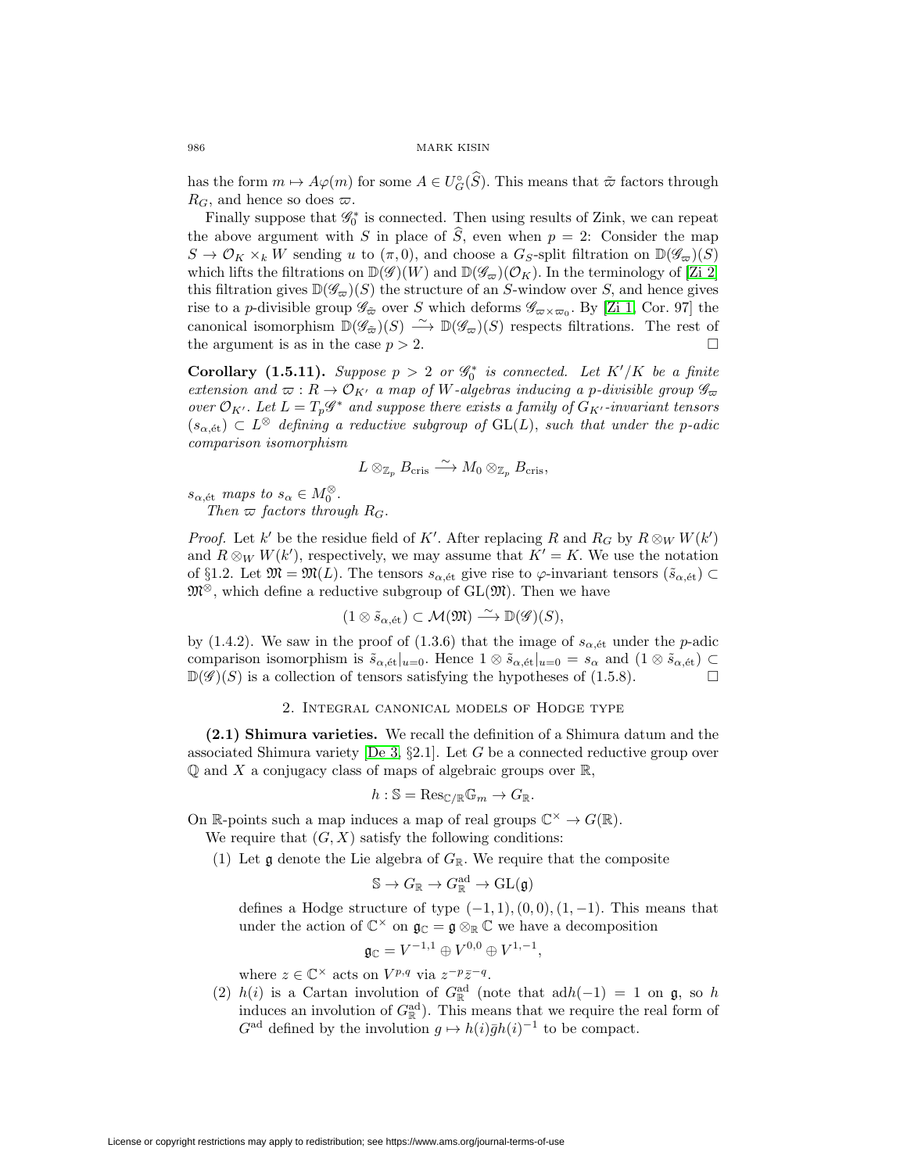986 MARK KISIN<br>has the form  $m \mapsto A\varphi(m)$  for some  $A \in U_G^{\circ}(\widehat{S})$ . This means that  $\tilde{\varpi}$  factors through  $R_G$ , and hence so does  $\varpi$ . has the form  $m \mapsto A\varphi(m)$  for some  $A \in U_G^{\circ}(\widehat{S})$ . This means that  $\tilde{\varpi}$  factors through  $R_G$ , and hence so does  $\varpi$ .<br>Finally suppose that  $\mathscr{G}_0^*$  is connected. Then using results of Zink, we can repeat the a

Finally suppose that  $\mathscr{G}_0^*$  is connected. Then using results of Zink, we can repeat  $S \to \mathcal{O}_K \times_k W$  sending u to  $(\pi, 0)$ , and choose a  $G_S$ -split filtration on  $\mathbb{D}(\mathscr{G}_{\varpi})(S)$ which lifts the filtrations on  $\mathbb{D}(\mathscr{G})(W)$  and  $\mathbb{D}(\mathscr{G}_{\varpi})(\mathcal{O}_K)$ . In the terminology of [\[Zi 2\]](#page-45-12) this filtration gives  $\mathbb{D}(\mathscr{G}_{\varpi})(S)$  the structure of an S-window over S, and hence gives rise to a *p*-divisible group  $\mathscr{G}_{\tilde{\varpi}}$  over S which deforms  $\mathscr{G}_{\varpi \times \varpi_0}$ . By [\[Zi 1,](#page-45-11) Cor. 97] the canonical isomorphism  $\mathbb{D}(\mathscr{G}_{\tilde{\varpi}})(S) \longrightarrow \mathbb{D}(\mathscr{G}_{\varpi})(S)$  respects filtrations. The rest of the argument is as in the case  $p > 2$ .  $\Box$ 

**Corollary (1.5.11).** Suppose  $p > 2$  or  $\mathscr{G}_0^*$  is connected. Let  $K'/K$  be a finite extension and  $\varpi: R \to \mathcal{O}_{K'}$  a map of W-algebras inducing a p-divisible group  $\mathscr{G}_{\varpi}$ over  $\mathcal{O}_{K'}$ . Let  $L=T_p\mathscr{G}^*$  and suppose there exists a family of  $G_{K'}$ -invariant tensors  $(s_{\alpha, \text{\'et}}) \subset L^{\otimes}$  defining a reductive subgroup of  $GL(L)$ , such that under the p-adic comparison isomorphism

$$
L\otimes_{\mathbb{Z}_p} B_{\mathrm{cris}} \stackrel{\sim}{\longrightarrow} M_0\otimes_{\mathbb{Z}_p} B_{\mathrm{cris}},
$$

 $s_{\alpha, \text{\'et}}$  maps to  $s_{\alpha} \in M_0^{\otimes}$ . Then  $\varpi$  factors through  $R_G$ .

*Proof.* Let k' be the residue field of K'. After replacing R and  $R_G$  by  $R \otimes_W W(k')$ and  $R \otimes_W W(k')$ , respectively, we may assume that  $K' = K$ . We use the notation of §1.2. Let  $\mathfrak{M} = \mathfrak{M}(L)$ . The tensors  $s_{\alpha, \text{\'et}}$  give rise to  $\varphi$ -invariant tensors  $(\tilde{s}_{\alpha, \text{\'et}})$  $\mathfrak{M}^{\otimes}$ , which define a reductive subgroup of  $GL(\mathfrak{M})$ . Then we have

$$
(1 \otimes \tilde{s}_{\alpha, \text{\'et}}) \subset \mathcal{M}(\mathfrak{M}) \stackrel{\sim}{\longrightarrow} \mathbb{D}(\mathscr{G})(S),
$$

by (1.4.2). We saw in the proof of (1.3.6) that the image of  $s_{\alpha, \text{\'et}}$  under the p-adic comparison isomorphism is  $\tilde{s}_{\alpha,\text{\'et}}|_{u=0}$ . Hence  $1 \otimes \tilde{s}_{\alpha,\text{\'et}}|_{u=0} = s_\alpha$  and  $(1 \otimes \tilde{s}_{\alpha,\text{\'et}}) \subset$  $\mathbb{D}(\mathscr{G})(S)$  is a collection of tensors satisfying the hypotheses of (1.5.8).  $\Box$ 

# 2. Integral canonical models of Hodge type

<span id="page-19-0"></span>**(2.1) Shimura varieties.** We recall the definition of a Shimura datum and the associated Shimura variety [\[De 3,](#page-44-7)  $\S 2.1$ ]. Let G be a connected reductive group over  $\mathbb Q$  and X a conjugacy class of maps of algebraic groups over  $\mathbb R$ ,

$$
h: \mathbb{S} = \text{Res}_{\mathbb{C}/\mathbb{R}} \mathbb{G}_m \to G_{\mathbb{R}}.
$$

On R-points such a map induces a map of real groups  $\mathbb{C}^{\times} \to G(\mathbb{R})$ .

We require that  $(G, X)$  satisfy the following conditions:

(1) Let  $\mathfrak g$  denote the Lie algebra of  $G_{\mathbb R}$ . We require that the composite

$$
\mathbb{S} \to G_\mathbb{R} \to G_\mathbb{R}^{\rm ad} \to \mathrm{GL}(\mathfrak{g})
$$

defines a Hodge structure of type  $(-1, 1), (0, 0), (1, -1)$ . This means that under the action of  $\mathbb{C}^{\times}$  on  $\mathfrak{g}_{\mathbb{C}} = \mathfrak{g} \otimes_{\mathbb{R}} \mathbb{C}$  we have a decomposition

$$
\mathfrak{g}_\mathbb{C}=V^{-1,1}\oplus V^{0,0}\oplus V^{1,-1},
$$

where  $z \in \mathbb{C}^{\times}$  acts on  $V^{p,q}$  via  $z^{-p}\overline{z}^{-q}$ .

(2)  $h(i)$  is a Cartan involution of  $G_{\mathbb{R}}^{\text{ad}}$  (note that  $\text{ad}h(-1) = 1$  on  $\mathfrak{g}$ , so h induces an involution of  $G^{\text{ad}}_{\mathbb{R}}$ . This means that we require the real form of  $G^{\text{ad}}$  defined by the involution  $g \mapsto h(i)\bar{g}h(i)^{-1}$  to be compact.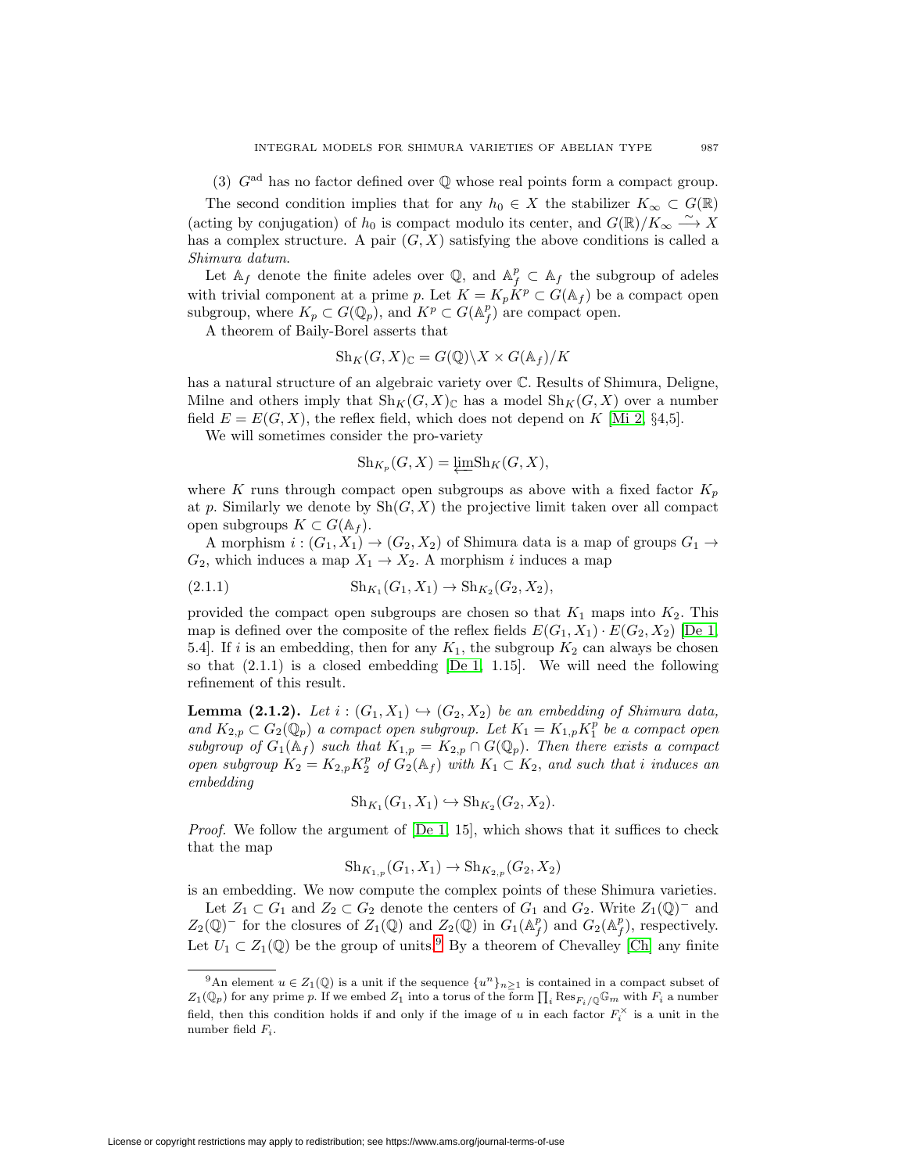(3)  $G<sup>ad</sup>$  has no factor defined over  $\mathbb Q$  whose real points form a compact group.

The second condition implies that for any  $h_0 \in X$  the stabilizer  $K_\infty \subset G(\mathbb{R})$ (acting by conjugation) of  $h_0$  is compact modulo its center, and  $G(\mathbb{R})/K_{\infty} \xrightarrow{\sim} X$ has a complex structure. A pair  $(G, X)$  satisfying the above conditions is called a Shimura datum.

Let  $\mathbb{A}_f$  denote the finite adeles over  $\mathbb{Q}$ , and  $\mathbb{A}_f^p \subset \mathbb{A}_f$  the subgroup of adeles with trivial component at a prime p. Let  $K = K_p \overset{\circ}{K}^p \subset \overset{\circ}{G}(\mathbb{A}_f)$  be a compact open subgroup, where  $K_p \subset G(\mathbb{Q}_p)$ , and  $K^p \subset G(\mathbb{A}_f^p)$  are compact open.

A theorem of Baily-Borel asserts that

$$
\text{Sh}_K(G, X)_{\mathbb{C}} = G(\mathbb{Q}) \backslash X \times G(\mathbb{A}_f) / K
$$

has a natural structure of an algebraic variety over C. Results of Shimura, Deligne, Milne and others imply that  $\text{Sh}_K(G, X)_\mathbb{C}$  has a model  $\text{Sh}_K(G, X)$  over a number field  $E = E(G, X)$ , the reflex field, which does not depend on K [\[Mi 2,](#page-45-1) §4,5].

We will sometimes consider the pro-variety

$$
Sh_{K_p}(G, X) = \underleftarrow{\lim} Sh_K(G, X),
$$

where K runs through compact open subgroups as above with a fixed factor  $K_p$ at p. Similarly we denote by  $\mathrm{Sh}(G,X)$  the projective limit taken over all compact open subgroups  $K \subset G(\mathbb{A}_f)$ .

A morphism  $i:(G_1,X_1)\to (G_2,X_2)$  of Shimura data is a map of groups  $G_1\to$  $G_2$ , which induces a map  $X_1 \rightarrow X_2$ . A morphism i induces a map

$$
(2.1.1) \t\tSh_{K_1}(G_1, X_1) \to Sh_{K_2}(G_2, X_2),
$$

provided the compact open subgroups are chosen so that  $K_1$  maps into  $K_2$ . This map is defined over the composite of the reflex fields  $E(G_1, X_1) \cdot E(G_2, X_2)$  [\[De 1,](#page-44-16) 5.4]. If i is an embedding, then for any  $K_1$ , the subgroup  $K_2$  can always be chosen so that  $(2.1.1)$  is a closed embedding  $[De 1, 1.15]$  $[De 1, 1.15]$ . We will need the following refinement of this result.

**Lemma (2.1.2).** Let  $i : (G_1, X_1) \hookrightarrow (G_2, X_2)$  be an embedding of Shimura data, and  $K_{2,p} \subset G_2(\mathbb{Q}_p)$  a compact open subgroup. Let  $K_1 = K_{1,p} K_1^p$  be a compact open subgroup of  $G_1(\mathbb{A}_f)$  such that  $K_{1,p} = K_{2,p} \cap G(\mathbb{Q}_p)$ . Then there exists a compact open subgroup  $K_2 = K_{2,p} K_2^p$  of  $G_2(\mathbb{A}_f)$  with  $K_1 \subset K_2$ , and such that i induces an embedding

$$
Sh_{K_1}(G_1, X_1) \hookrightarrow Sh_{K_2}(G_2, X_2).
$$

*Proof.* We follow the argument of  $[De 1, 15]$  $[De 1, 15]$ , which shows that it suffices to check that the map

$$
Sh_{K_{1,p}}(G_1, X_1) \to Sh_{K_{2,p}}(G_2, X_2)
$$

is an embedding. We now compute the complex points of these Shimura varieties.

Let  $Z_1 \subset G_1$  and  $Z_2 \subset G_2$  denote the centers of  $G_1$  and  $G_2$ . Write  $Z_1(\mathbb{Q})^-$  and  $Z_2(\mathbb{Q})$ <sup>-</sup> for the closures of  $Z_1(\mathbb{Q})$  and  $Z_2(\mathbb{Q})$  in  $G_1(\mathbb{A}_f^p)$  and  $G_2(\mathbb{A}_f^p)$ , respectively. Let  $U_1 \subset Z_1(\mathbb{Q})$  be the group of units.<sup>[9](#page-20-0)</sup> By a theorem of Chevalley [\[Ch\]](#page-44-17) any finite

<span id="page-20-0"></span>Let  $U_1 \subset Z_1(\mathbb{Q})$  be the group of units.<sup>9</sup> By a theorem of Chevalley [Ch] any finite<br>
<sup>9</sup>An element  $u \in Z_1(\mathbb{Q})$  is a unit if the sequence  $\{u^n\}_{n\geq 1}$  is contained in a compact subset of  $Z_1(\mathbb{Q}_p)$  for any pr  $Z_1(\mathbb{Q}_p)$  for any prime p. If we embed  $Z_1$  into a torus of the form  $\prod_i \text{Res}_{F_i/\mathbb{Q}} \mathbb{G}_m$  with  $F_i$  a number field, then this condition holds if and only if the image of u in each factor  $F_i^{\times}$  is a unit in the number field  $F_i$ .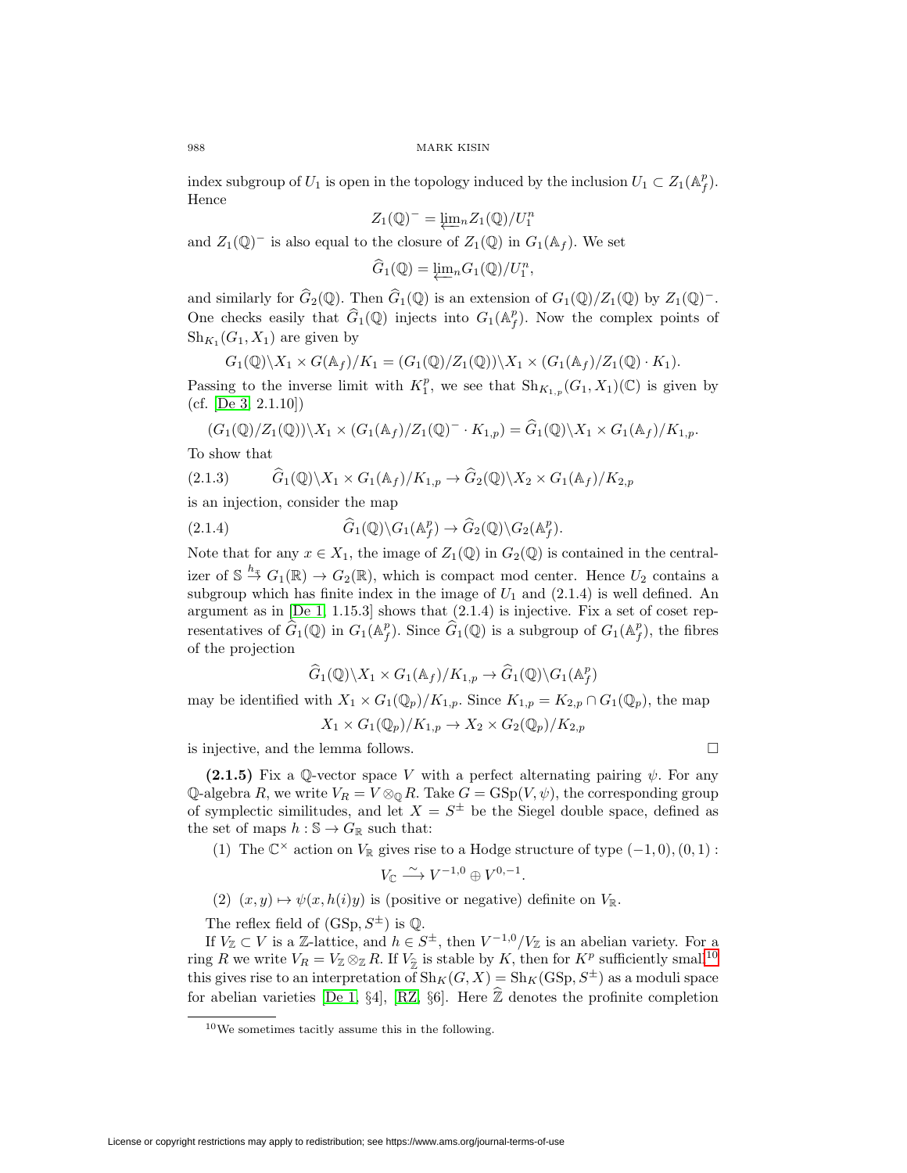index subgroup of  $U_1$  is open in the topology induced by the inclusion  $U_1 \subset Z_1(\mathbb{A}_f^p)$ . Hence

$$
Z_1(\mathbb{Q})^- = \underleftarrow{\lim} {}_n Z_1(\mathbb{Q})/U_1^n
$$

and  $Z_1(\mathbb{Q})^-$  is also equal to the closure of  $Z_1(\mathbb{Q})$  in  $G_1(\mathbb{A}_f)$ . We set

$$
Z_1(\mathbb{Q})^- = \underleftarrow{\lim}{}_n Z_1(\mathbb{Q})/U_1^n
$$
  
the closure of 
$$
Z_1(\mathbb{Q})
$$
 in 
$$
\widehat{G}_1(\mathbb{Q}) = \underleftarrow{\lim}{}_n G_1(\mathbb{Q})/U_1^n,
$$

and  $Z_1(\mathbb{Q})^-$  is also equal to the closure of  $Z_1(\mathbb{Q})$  in  $G_1(\mathbb{A}_f)$ . We set<br>  $\widehat{G}_1(\mathbb{Q}) = \underleftarrow{\lim_n} G_1(\mathbb{Q})/U_1^n$ ,<br>
and similarly for  $\widehat{G}_2(\mathbb{Q})$ . Then  $\widehat{G}_1(\mathbb{Q})$  is an extension of  $G_1(\mathbb{Q})/Z_1(\mathbb{$  $G_1(\mathcal{Q})$  is also equal to the closure of  $\mathcal{Z}_1(\mathcal{Q})$  in<br>  $\widehat{G}_1(\mathbb{Q}) = \underleftarrow{\lim_n} G_1(\mathbb{Q})/U$ <br>
and similarly for  $\widehat{G}_2(\mathbb{Q})$ . Then  $\widehat{G}_1(\mathbb{Q})$  is an extension<br>
One checks easily that  $\widehat{G}_1(\mathbb{Q})$  injects One checks easily that  $\widehat{G}_1(\mathbb{Q})$  injects into  $G_1(\mathbb{A}_f^p)$ . Now the complex points of  $\text{Sh}_{K_1}(G_1, X_1)$  are given by

$$
G_1(\mathbb{Q})\backslash X_1 \times G(\mathbb{A}_f)/K_1 = (G_1(\mathbb{Q})/Z_1(\mathbb{Q}))\backslash X_1 \times (G_1(\mathbb{A}_f)/Z_1(\mathbb{Q}) \cdot K_1).
$$

Passing to the inverse limit with  $K_1^p$ , we see that  $\mathrm{Sh}_{K_{1,p}}(G_1, X_1)(\mathbb{C})$  is given by (cf. [\[De 3,](#page-44-7) 2.1.10])  $Z_1(\mathbb{Q})\setminus X_1 \times (G_1(\mathbb{A}_f)/Z_1(\mathbb{Q}) \cdot K_1).$ <br>
e see that  $\text{Sh}_{K_{1,p}}(G_1, X_1)(\mathbb{C})$  is given<br>  $\vdots$   $K_{1,p} = \widehat{G}_1(\mathbb{Q})\setminus X_1 \times G_1(\mathbb{A}_f)/K_{1,p}.$ 

(c1. [De 3, 2.1.10]])  
\n
$$
(G_1(\mathbb{Q})/Z_1(\mathbb{Q})) \backslash X_1 \times (G_1(\mathbb{A}_f)/Z_1(\mathbb{Q})^- \cdot K_{1,p}) = \widehat{G}_1(\mathbb{Q}) \backslash X_1 \times G_1(\mathbb{A}_f)/K_{1,p}.
$$
\nTo show that  
\n
$$
(2.1.3) \qquad \widehat{G}_1(\mathbb{Q}) \backslash X_1 \times G_1(\mathbb{A}_f)/K_{1,p} \to \widehat{G}_2(\mathbb{Q}) \backslash X_2 \times G_1(\mathbb{A}_f)/K_{2,p}
$$

To show that

10 show that  
\n(2.1.3) 
$$
\widehat{G}_1(\mathbb{Q}) \backslash X_1 \times G_1(\mathbb{A}_f)/K_{1,p} \to \widehat{G}_2(\mathbb{Q}) \backslash X_2 \times G_1(\mathbb{A}_f)/K_{2,p}
$$
  
\nis an injection, consider the map  
\n(2.1.4)  $\widehat{G}_1(\mathbb{Q}) \backslash G_1(\mathbb{A}_f^p) \to \widehat{G}_2(\mathbb{Q}) \backslash G_2(\mathbb{A}_f^p)$ .

is an injection, consider the map

(2.1.4) 
$$
\widehat{G}_1(\mathbb{Q}) \backslash G_1(\mathbb{A}_f^p) \to \widehat{G}_2(\mathbb{Q}) \backslash G_2(\mathbb{A}_f^p).
$$

Note that for any  $x \in X_1$ , the image of  $Z_1(\mathbb{Q})$  in  $G_2(\mathbb{Q})$  is contained in the centralizer of  $\mathbb{S} \stackrel{h_x}{\to} G_1(\mathbb{R}) \to G_2(\mathbb{R})$ , which is compact mod center. Hence  $U_2$  contains a subgroup which has finite index in the image of  $U_1$  and (2.1.4) is well defined. An argument as in [De 1, 1.15.3] shows subgroup which has finite index in the image of  $U_1$  and  $(2.1.4)$  is well defined. An argument as in [\[De 1,](#page-44-16) 1.15.3] shows that (2.1.4) is injective. Fix a set of coset rep-<br>resentatives of  $\hat{G}_1(\mathbb{Q})$  in  $G_1(\mathbb{A}_f^p)$ . Since  $\hat{G}_1(\mathbb{Q})$  is a subgroup of  $G_1(\mathbb{A}_f^p)$ , the fibres<br>of the projection resentatives of  $\hat{G}_1(\mathbb{Q})$  in  $G_1(\mathbb{A}_f^p)$ . Since  $\hat{G}_1(\mathbb{Q})$  is a subgroup of  $G_1(\mathbb{A}_f^p)$ , the fibres of the projection

$$
\widehat{G}_1(\mathbb{Q}) \backslash X_1 \times G_1(\mathbb{A}_f) / K_{1,p} \to \widehat{G}_1(\mathbb{Q}) \backslash G_1(\mathbb{A}_f^p)
$$

may be identified with  $X_1 \times G_1(\mathbb{Q}_p)/K_{1,p}$ . Since  $K_{1,p} = K_{2,p} \cap G_1(\mathbb{Q}_p)$ , the map

$$
X_1 \times G_1(\mathbb{Q}_p)/K_{1,p} \to X_2 \times G_2(\mathbb{Q}_p)/K_{2,p}
$$

is injective, and the lemma follows.  $\hfill \square$ 

**(2.1.5)** Fix a Q-vector space V with a perfect alternating pairing  $\psi$ . For any  $\mathbb{Q}$ -algebra R, we write  $V_R = V \otimes_{\mathbb{Q}} R$ . Take  $G = \text{GSp}(V, \psi)$ , the corresponding group of symplectic similitudes, and let  $X = S^{\pm}$  be the Siegel double space, defined as the set of maps  $h : \mathbb{S} \to G_{\mathbb{R}}$  such that:

(1) The  $\mathbb{C}^{\times}$  action on  $V_{\mathbb{R}}$  gives rise to a Hodge structure of type  $(-1,0), (0,1)$ :

$$
V_{\mathbb{C}} \xrightarrow{\sim} V^{-1,0} \oplus V^{0,-1}.
$$

(2)  $(x, y) \mapsto \psi(x, h(i)y)$  is (positive or negative) definite on  $V_{\mathbb{R}}$ .

The reflex field of  $(GSp, S^{\pm})$  is  $\mathbb{Q}$ .

If  $V_{\mathbb{Z}} \subset V$  is a Z-lattice, and  $h \in S^{\pm}$ , then  $V^{-1,0}/V_{\mathbb{Z}}$  is an abelian variety. For a The reflex field of  $(GSp, S^{\pm})$  is  $\mathbb{Q}$ .<br>
If  $V_{\mathbb{Z}} \subset V$  is a  $\mathbb{Z}$ -lattice, and  $h \in S^{\pm}$ , then  $V^{-1,0}/V_{\mathbb{Z}}$  is an abelian variety. For a<br>
ring R we write  $V_R = V_{\mathbb{Z}} \otimes_{\mathbb{Z}} R$ . If  $V_{\mathbb{Z}}$  is stable by this gives rise to an interpretation of  $\text{Sh}_K(G, X) = \text{Sh}_K(\text{GSp}, S^{\pm})$  as a moduli space

<span id="page-21-0"></span><sup>10</sup>We sometimes tacitly assume this in the following.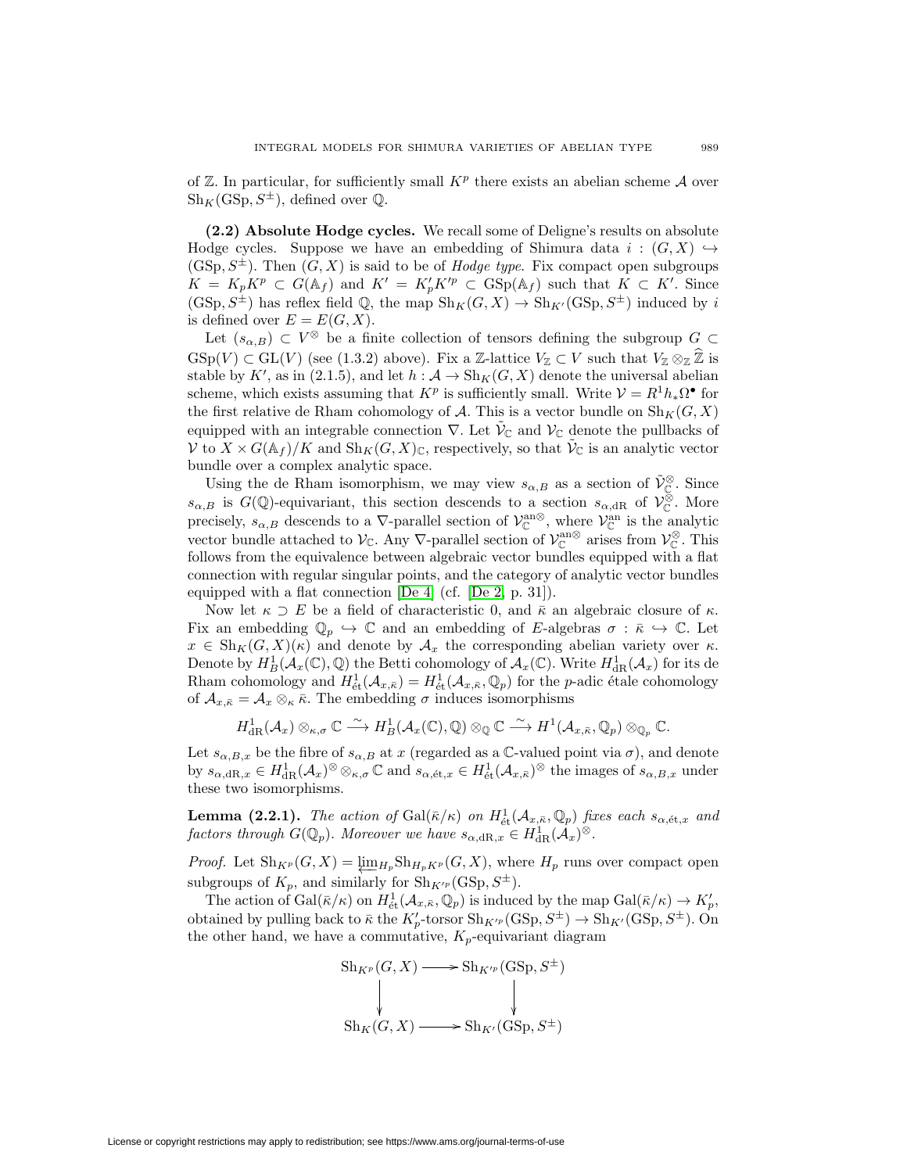of  $\mathbb Z$ . In particular, for sufficiently small  $K^p$  there exists an abelian scheme  $\mathcal A$  over  $\text{Sh}_K(\text{GSp}, S^{\pm})$ , defined over  $\mathbb{Q}$ .

<span id="page-22-0"></span>**(2.2) Absolute Hodge cycles.** We recall some of Deligne's results on absolute Hodge cycles. Suppose we have an embedding of Shimura data  $i : (G, X) \hookrightarrow$  $(GSp, S^{\pm})$ . Then  $(G, X)$  is said to be of *Hodge type*. Fix compact open subgroups  $K = K_p K^p \subset G(\mathbb{A}_f)$  and  $K' = K'_p K'^p \subset \text{GSp}(\mathbb{A}_f)$  such that  $K \subset K'$ . Since  $(\text{GSp}, S^{\pm})$  has reflex field Q, the map  $\text{Sh}_K(G, X) \to \text{Sh}_{K'}(\text{GSp}, S^{\pm})$  induced by i is defined over  $E = E(G, X)$ .

Let  $(s_{\alpha,B}) \subset V^{\otimes}$  be a finite collection of tensors defining the subgroup  $G \subset$  $GSp(V) \subset GL(V)$  (see (1.3.2) above). Fix a Z-lattice  $V_{\mathbb{Z}} \subset V$  such that  $V_{\mathbb{Z}} \otimes_{\mathbb{Z}} \widehat{\mathbb{Z}}$  is stable by K', as in (2.1.5), and let  $h: \mathcal{A} \to Sh_K(G, X)$  denote the universal abelian scheme, which exists assuming that  $K^p$  is sufficiently small. Write  $\mathcal{V} = R^1 h_* \Omega^{\bullet}$  for the first relative de Rham cohomology of A. This is a vector bundle on  $\text{Sh}_K(G, X)$ equipped with an integrable connection  $\nabla$ . Let  $\mathcal{V}_{\mathbb{C}}$  and  $\mathcal{V}_{\mathbb{C}}$  denote the pullbacks of  $V$  to  $X \times G(\mathbb{A}_f)/K$  and  $\text{Sh}_K(G,X)_{\mathbb{C}}$ , respectively, so that  $V_{\mathbb{C}}$  is an analytic vector bundle over a complex analytic space.

Using the de Rham isomorphism, we may view  $s_{\alpha,B}$  as a section of  $\tilde{\mathcal{V}}_{\mathbb{C}}^{\otimes}$ . Since  $s_{\alpha,B}$  is  $G(\mathbb{Q})$ -equivariant, this section descends to a section  $s_{\alpha,\text{dR}}$  of  $\mathcal{V}_{\mathbb{C}}^{\otimes}$ . More precisely,  $s_{\alpha,B}$  descends to a  $\nabla$ -parallel section of  $\mathcal{V}_{\mathbb{C}}^{\text{an}\otimes}$ , where  $\mathcal{V}_{\mathbb{C}}^{\text{an}}$  is the analytic vector bundle attached to  $\mathcal{V}_{\mathbb{C}}$ . Any  $\nabla$ -parallel section of  $\mathcal{V}_{\mathbb{C}}^{\text{an}\otimes}$  arises from  $\mathcal{V}_{\mathbb{C}}^{\otimes}$ . This follows from the equivalence between algebraic vector bundles equipped with a flat connection with regular singular points, and the category of analytic vector bundles equipped with a flat connection [\[De 4\]](#page-44-18) (cf. [\[De 2,](#page-44-11) p. 31]).

Now let  $\kappa \supset E$  be a field of characteristic 0, and  $\bar{\kappa}$  an algebraic closure of  $\kappa$ . Fix an embedding  $\mathbb{Q}_p \hookrightarrow \mathbb{C}$  and an embedding of E-algebras  $\sigma : \bar{\kappa} \hookrightarrow \mathbb{C}$ . Let  $x \in Sh_K(G,X)(\kappa)$  and denote by  $\mathcal{A}_x$  the corresponding abelian variety over  $\kappa$ . Denote by  $H^1_B(\mathcal{A}_x(\mathbb{C}),\mathbb{Q})$  the Betti cohomology of  $\mathcal{A}_x(\mathbb{C})$ . Write  $H^1_{\text{dR}}(\mathcal{A}_x)$  for its de Rham cohomology and  $H^1_{\acute{e}t}(\mathcal{A}_{x,\bar{\kappa}})=H^1_{\acute{e}t}(\mathcal{A}_{x,\bar{\kappa}},\mathbb{Q}_p)$  for the *p*-adic étale cohomology of  $\mathcal{A}_{x,\bar{\kappa}} = \mathcal{A}_x \otimes_{\kappa} \bar{\kappa}$ . The embedding  $\sigma$  induces isomorphisms

$$
H^1_{\rm dR}(\mathcal{A}_x)\otimes_{\kappa,\sigma}\mathbb{C}\stackrel{\sim}{\longrightarrow}H^1_B(\mathcal{A}_x(\mathbb{C}),\mathbb{Q})\otimes_{\mathbb{Q}}\mathbb{C}\stackrel{\sim}{\longrightarrow}H^1(\mathcal{A}_{x,\bar{\kappa}},\mathbb{Q}_p)\otimes_{\mathbb{Q}_p}\mathbb{C}.
$$

Let  $s_{\alpha,B,x}$  be the fibre of  $s_{\alpha,B}$  at x (regarded as a C-valued point via  $\sigma$ ), and denote by  $s_{\alpha, \mathrm{dR},x} \in H^1_{\mathrm{dR}}(\mathcal{A}_x)^\otimes \otimes_{\kappa,\sigma} \mathbb{C}$  and  $s_{\alpha,\mathrm{\acute{e}t},x} \in H^1_{\mathrm{\acute{e}t}}(\mathcal{A}_{x,\bar{\kappa}})^\otimes$  the images of  $s_{\alpha, B,x}$  under these two isomorphisms.

**Lemma (2.2.1).** The action of  $Gal(\bar{\kappa}/\kappa)$  on  $H^1_{\text{\'et}}(\mathcal{A}_{x,\bar{\kappa}},\mathbb{Q}_p)$  fixes each  $s_{\alpha,\text{\'et},x}$  and factors through  $G(\mathbb{Q}_p)$ . Moreover we have  $s_{\alpha,\mathrm{dR},x} \in H^1_{\text{dR}}(\mathcal{A}_x)^\otimes$ .

*Proof.* Let  $\mathrm{Sh}_{K^p}(G, X) = \underline{\lim}_{H_p} \mathrm{Sh}_{H_pK^p}(G, X)$ , where  $H_p$  runs over compact open subgroups of  $K_p$ , and similarly for  $\text{Sh}_{K'^p}(\text{GSp}, S^{\pm}).$ 

The action of  $Gal(\bar{\kappa}/\kappa)$  on  $H^1_{\text{\'et}}(\mathcal{A}_{x,\bar{\kappa}},\mathbb{Q}_p)$  is induced by the map  $Gal(\bar{\kappa}/\kappa) \to K'_p$ , obtained by pulling back to  $\bar{\kappa}$  the  $K'_{p}$ -torsor  $\text{Sh}_{K'^{p}}(\text{GSp}, S^{\pm}) \to \text{Sh}_{K'}(\text{GSp}, S^{\pm})$ . On the other hand, we have a commutative,  $K_p$ -equivariant diagram

$$
Sh_{K^p}(G, X) \longrightarrow Sh_{K'^p}(GSp, S^{\pm})
$$
  
\n
$$
\downarrow \qquad \qquad \downarrow
$$
  
\n
$$
Sh_K(G, X) \longrightarrow Sh_{K'}(GSp, S^{\pm})
$$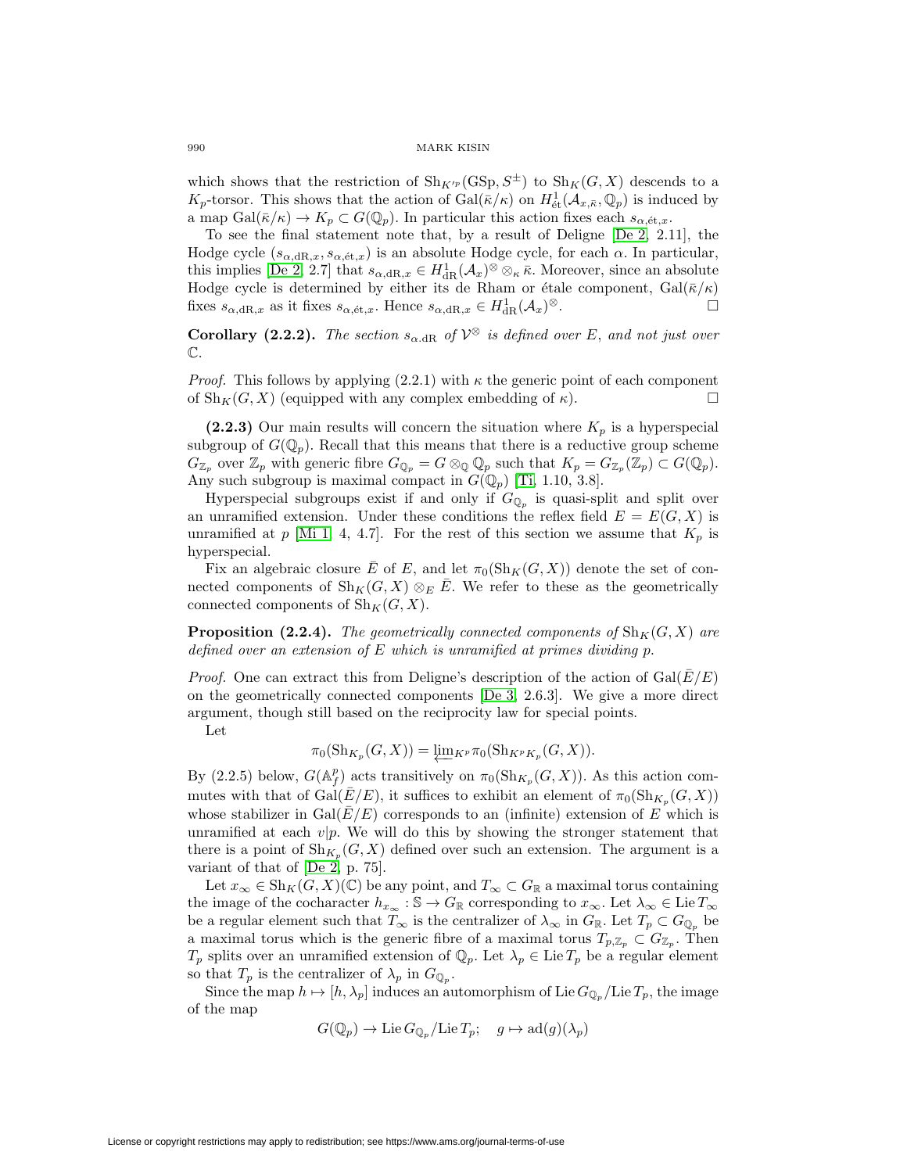which shows that the restriction of  $\text{Sh}_{K'^p}(\text{GSp},S^{\pm})$  to  $\text{Sh}_K(G,X)$  descends to a  $K_p$ -torsor. This shows that the action of  $Gal(\bar{\kappa}/\kappa)$  on  $H^1_{\text{\'et}}(\mathcal{A}_{x,\bar{\kappa}},\mathbb{Q}_p)$  is induced by a map  $Gal(\bar{\kappa}/\kappa) \to K_p \subset G(\mathbb{Q}_p)$ . In particular this action fixes each  $s_{\alpha, \text{\'et},x}$ .

To see the final statement note that, by a result of Deligne [\[De 2,](#page-44-11) 2.11], the Hodge cycle  $(s_{\alpha,dR,x}, s_{\alpha,\text{\'et},x})$  is an absolute Hodge cycle, for each  $\alpha$ . In particular, this implies [\[De 2,](#page-44-11) 2.7] that  $s_{\alpha, \mathrm{dR},x} \in H^1_{\mathrm{dR}}(\mathcal{A}_x)^\otimes \otimes_\kappa \bar{\kappa}$ . Moreover, since an absolute Hodge cycle is determined by either its de Rham or étale component,  $Gal(\bar{\kappa}/\kappa)$ fixes  $s_{\alpha,\text{dR},x}$  as it fixes  $s_{\alpha,\text{\'et},x}$ . Hence  $s_{\alpha,\text{dR},x} \in H^1_{\text{dR}}(\mathcal{A}_x)^\otimes$ .

**Corollary (2.2.2).** The section  $s_{\alpha, \text{dR}}$  of  $V^{\otimes}$  is defined over E, and not just over  $\mathbb{C}.$ 

*Proof.* This follows by applying  $(2.2.1)$  with  $\kappa$  the generic point of each component of  $\text{Sh}_K(G, X)$  (equipped with any complex embedding of  $\kappa$ ).

**(2.2.3)** Our main results will concern the situation where  $K_p$  is a hyperspecial subgroup of  $G(\mathbb{Q}_p)$ . Recall that this means that there is a reductive group scheme  $G_{\mathbb{Z}_p}$  over  $\mathbb{Z}_p$  with generic fibre  $G_{\mathbb{Q}_p} = G \otimes_{\mathbb{Q}} \mathbb{Q}_p$  such that  $K_p = G_{\mathbb{Z}_p}(\mathbb{Z}_p) \subset G(\mathbb{Q}_p)$ . Any such subgroup is maximal compact in  $G(\mathbb{Q}_p)$  [\[Ti,](#page-45-0) 1.10, 3.8].

Hyperspecial subgroups exist if and only if  $G_{\mathbb{Q}_p}$  is quasi-split and split over an unramified extension. Under these conditions the reflex field  $E = E(G, X)$  is unramified at p [\[Mi 1,](#page-44-2) 4, 4.7]. For the rest of this section we assume that  $K_p$  is hyperspecial.

Fix an algebraic closure E of E, and let  $\pi_0(\text{Sh}_K(G, X))$  denote the set of connected components of  $\text{Sh}_K(G, X) \otimes_E E$ . We refer to these as the geometrically connected components of  $\text{Sh}_K(G, X)$ .

**Proposition (2.2.4).** The geometrically connected components of  $\text{Sh}_K(G, X)$  are defined over an extension of  $E$  which is unramified at primes dividing p.

*Proof.* One can extract this from Deligne's description of the action of  $Gal(\overline{E}/E)$ on the geometrically connected components [\[De 3,](#page-44-7) 2.6.3]. We give a more direct argument, though still based on the reciprocity law for special points.

Let

$$
\pi_0(\mathrm{Sh}_{K_p}(G,X)) = \underleftarrow{\lim}_{K^p} \pi_0(\mathrm{Sh}_{K^pK_p}(G,X)).
$$

By (2.2.5) below,  $G(\mathbb{A}_f^p)$  acts transitively on  $\pi_0(\mathrm{Sh}_{K_p}(G, X))$ . As this action commutes with that of Gal $(E/E)$ , it suffices to exhibit an element of  $\pi_0(\text{Sh}_{K_n}(G, X))$ whose stabilizer in Gal $(\bar{E}/E)$  corresponds to an (infinite) extension of E which is unramified at each  $v|p$ . We will do this by showing the stronger statement that there is a point of  $\text{Sh}_{K_n}(G, X)$  defined over such an extension. The argument is a variant of that of [\[De 2,](#page-44-11) p. 75].

Let  $x_\infty \in \mathrm{Sh}_K(G, X)(\mathbb{C})$  be any point, and  $T_\infty \subset G_\mathbb{R}$  a maximal torus containing the image of the cocharacter  $h_{x_\infty}: \mathbb{S} \to G_{\mathbb{R}}$  corresponding to  $x_\infty$ . Let  $\lambda_\infty \in \text{Lie } T_\infty$ be a regular element such that  $T_{\infty}$  is the centralizer of  $\lambda_{\infty}$  in  $G_{\mathbb{R}}$ . Let  $T_p \subset G_{\mathbb{Q}_p}$  be a maximal torus which is the generic fibre of a maximal torus  $T_{p,\mathbb{Z}_p} \subset G_{\mathbb{Z}_p}$ . Then  $T_p$  splits over an unramified extension of  $\mathbb{Q}_p$ . Let  $\lambda_p \in \text{Lie } T_p$  be a regular element so that  $T_p$  is the centralizer of  $\lambda_p$  in  $G_{\mathbb{Q}_p}$ .

Since the map  $h \mapsto [h, \lambda_p]$  induces an automorphism of Lie  $G_{\mathbb{Q}_p}/\text{Lie }T_p$ , the image of the map

$$
G(\mathbb{Q}_p) \to \mathrm{Lie} \, G_{\mathbb{Q}_p}/\mathrm{Lie} \, T_p; \quad g \mapsto \mathrm{ad}(g)(\lambda_p)
$$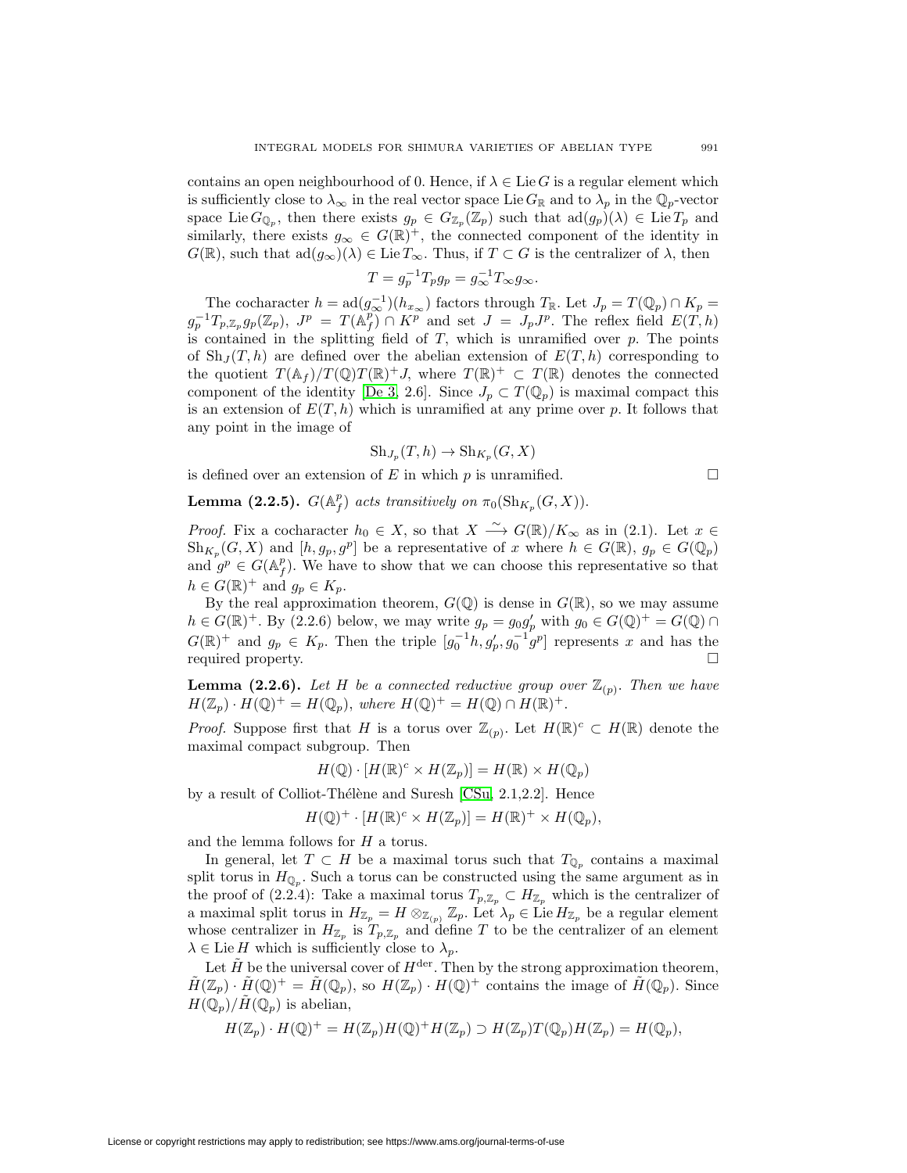contains an open neighbourhood of 0. Hence, if  $\lambda \in \text{Lie } G$  is a regular element which is sufficiently close to  $\lambda_{\infty}$  in the real vector space Lie  $G_{\mathbb{R}}$  and to  $\lambda_p$  in the  $\mathbb{Q}_p$ -vector space Lie  $G_{\mathbb{Q}_p}$ , then there exists  $g_p \in G_{\mathbb{Z}_p}(\mathbb{Z}_p)$  such that  $\text{ad}(g_p)(\lambda) \in \text{Lie } T_p$  and similarly, there exists  $g_{\infty} \in G(\mathbb{R})^+$ , the connected component of the identity in  $G(\mathbb{R})$ , such that  $\text{ad}(g_{\infty})(\lambda) \in \text{Lie }T_{\infty}$ . Thus, if  $T \subset G$  is the centralizer of  $\lambda$ , then

$$
T = g_p^{-1} T_p g_p = g_{\infty}^{-1} T_{\infty} g_{\infty}.
$$

The cocharacter  $h = \text{ad}(g_{\infty}^{-1})(h_{x_{\infty}})$  factors through  $T_{\mathbb{R}}$ . Let  $J_p = T(\mathbb{Q}_p) \cap K_p =$  $g_p^{-1}T_{p,\mathbb{Z}_p}g_p(\mathbb{Z}_p)$ ,  $J^p = T(\mathbb{A}_f^p) \cap K^p$  and set  $J = J_pJ^p$ . The reflex field  $E(T, h)$ is contained in the splitting field of  $T$ , which is unramified over  $p$ . The points of  $\mathrm{Sh}_J(T, h)$  are defined over the abelian extension of  $E(T, h)$  corresponding to the quotient  $T(\mathbb{A}_f)/T(\mathbb{Q})T(\mathbb{R})^+J$ , where  $T(\mathbb{R})^+\subset T(\mathbb{R})$  denotes the connected component of the identity [\[De 3,](#page-44-7) 2.6]. Since  $J_p \subset T(\mathbb{Q}_p)$  is maximal compact this is an extension of  $E(T, h)$  which is unramified at any prime over p. It follows that any point in the image of

$$
Sh_{J_p}(T, h) \to Sh_{K_p}(G, X)
$$

is defined over an extension of  $E$  in which  $p$  is unramified.  $\Box$ 

**Lemma (2.2.5).**  $G(\mathbb{A}_f^p)$  acts transitively on  $\pi_0(\mathrm{Sh}_{K_p}(G, X)).$ 

*Proof.* Fix a cocharacter  $h_0 \in X$ , so that  $X \xrightarrow{\sim} G(\mathbb{R})/K_{\infty}$  as in (2.1). Let  $x \in$  $\text{Sh}_{K_p}(G, X)$  and  $[h, g_p, g^p]$  be a representative of x where  $h \in G(\mathbb{R}), g_p \in G(\mathbb{Q}_p)$ and  $g^p \in G(\mathbb{A}_f^p)$ . We have to show that we can choose this representative so that  $h \in G(\mathbb{R})^+$  and  $g_p \in K_p$ .

By the real approximation theorem,  $G(\mathbb{Q})$  is dense in  $G(\mathbb{R})$ , so we may assume  $h \in G(\mathbb{R})^+$ . By (2.2.6) below, we may write  $g_p = g_0 g'_p$  with  $g_0 \in G(\mathbb{Q})^+ = G(\mathbb{Q}) \cap$  $G(\mathbb{R})^+$  and  $g_p \in K_p$ . Then the triple  $[g_0^{-1}h, g_p', g_0^{-1}g^p]$  represents x and has the required property.  $\Box$ 

**Lemma (2.2.6).** Let H be a connected reductive group over  $\mathbb{Z}_{(p)}$ . Then we have  $H(\mathbb{Z}_p) \cdot H(\mathbb{Q})^+ = H(\mathbb{Q}_p)$ , where  $H(\mathbb{Q})^+ = H(\mathbb{Q}) \cap H(\mathbb{R})^+$ .

*Proof.* Suppose first that H is a torus over  $\mathbb{Z}_{(p)}$ . Let  $H(\mathbb{R})^c \subset H(\mathbb{R})$  denote the maximal compact subgroup. Then

$$
H(\mathbb{Q}) \cdot [H(\mathbb{R})^c \times H(\mathbb{Z}_p)] = H(\mathbb{R}) \times H(\mathbb{Q}_p)
$$

by a result of Colliot-Thélène and Suresh  $[CSu, 2.1, 2.2]$  $[CSu, 2.1, 2.2]$ . Hence

$$
H(\mathbb{Q})^+ \cdot [H(\mathbb{R})^c \times H(\mathbb{Z}_p)] = H(\mathbb{R})^+ \times H(\mathbb{Q}_p),
$$

and the lemma follows for H a torus.

In general, let  $T \subset H$  be a maximal torus such that  $T_{\mathbb{Q}_p}$  contains a maximal split torus in  $H_{\mathbb{Q}_n}$ . Such a torus can be constructed using the same argument as in the proof of (2.2.4): Take a maximal torus  $T_{p,\mathbb{Z}_p} \subset H_{\mathbb{Z}_p}$  which is the centralizer of a maximal split torus in  $H_{\mathbb{Z}_p} = H \otimes_{\mathbb{Z}_{(p)}} \mathbb{Z}_p$ . Let  $\Lambda_p \in \text{Lie } H_{\mathbb{Z}_p}$  be a regular element whose centralizer in  $H_{\mathbb{Z}_p}$  is  $T_{p,\mathbb{Z}_p}$  and define T to be the centralizer of an element  $\lambda \in \text{Lie } H$  which is sufficiently close to  $\lambda_p$ .

Let  $\tilde{H}$  be the universal cover of  $H^{\text{der}}$ . Then by the strong approximation theorem,  $\tilde{H}(\mathbb{Z}_p) \cdot \tilde{H}(\mathbb{Q})^+ = \tilde{H}(\mathbb{Q}_p)$ , so  $H(\mathbb{Z}_p) \cdot H(\mathbb{Q})^+$  contains the image of  $\tilde{H}(\mathbb{Q}_p)$ . Since  $H(\mathbb{Q}_p)/H(\mathbb{Q}_p)$  is abelian,

$$
H(\mathbb{Z}_p) \cdot H(\mathbb{Q})^+ = H(\mathbb{Z}_p)H(\mathbb{Q})^+H(\mathbb{Z}_p) \supset H(\mathbb{Z}_p)T(\mathbb{Q}_p)H(\mathbb{Z}_p) = H(\mathbb{Q}_p),
$$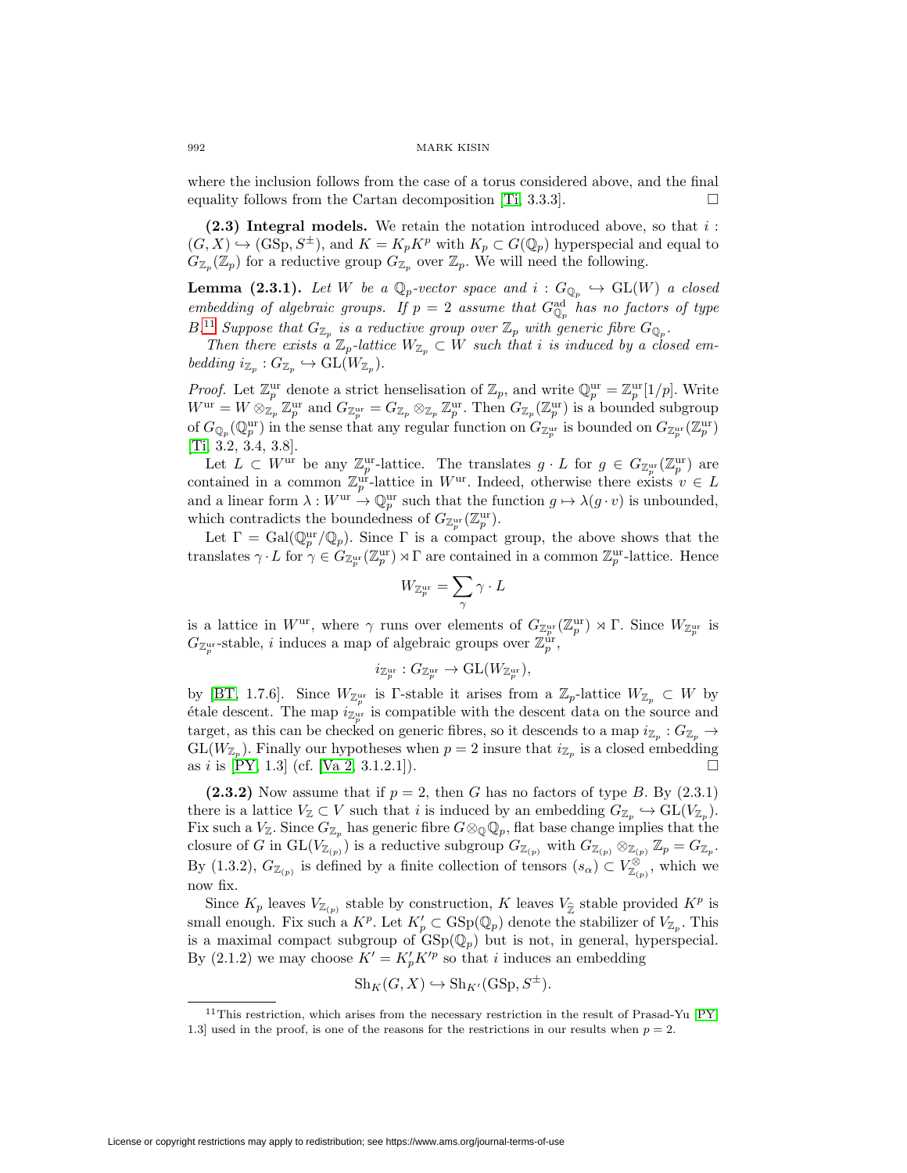where the inclusion follows from the case of a torus considered above, and the final equality follows from the Cartan decomposition  $[T_i, 3.3.3]$ .

<span id="page-25-0"></span>**(2.3) Integral models.** We retain the notation introduced above, so that i :  $(G, X) \hookrightarrow (\text{GSp}, S^{\pm}),$  and  $K = K_p K^p$  with  $K_p \subset G(\mathbb{Q}_p)$  hyperspecial and equal to  $G_{\mathbb{Z}_p}(\mathbb{Z}_p)$  for a reductive group  $G_{\mathbb{Z}_p}$  over  $\mathbb{Z}_p$ . We will need the following.

**Lemma (2.3.1).** Let W be a  $\mathbb{Q}_p$ -vector space and  $i : G_{\mathbb{Q}_p} \hookrightarrow GL(W)$  a closed embedding of algebraic groups. If  $p = 2$  assume that  $G_{\mathbb{Q}_p}^{\text{ad}}$  has no factors of type  $B^{11}$  $B^{11}$  $B^{11}$  Suppose that  $G_{\mathbb{Z}_p}$  is a reductive group over  $\mathbb{Z}_p$  with generic fibre  $G_{\mathbb{Q}_p}$ .

Then there exists a  $\mathbb{Z}_p$ -lattice  $W_{\mathbb{Z}_p} \subset W$  such that i is induced by a closed embedding  $i_{\mathbb{Z}_p}: G_{\mathbb{Z}_p} \hookrightarrow \text{GL}(W_{\mathbb{Z}_p}).$ 

*Proof.* Let  $\mathbb{Z}_p^{\text{ur}}$  denote a strict henselisation of  $\mathbb{Z}_p$ , and write  $\mathbb{Q}_p^{\text{ur}} = \mathbb{Z}_p^{\text{ur}}[1/p]$ . Write  $W^{\text{ur}} = W \otimes_{\mathbb{Z}_p} \mathbb{Z}_p^{\text{ur}}$  and  $G_{\mathbb{Z}_p^{\text{ur}}} = G_{\mathbb{Z}_p} \otimes_{\mathbb{Z}_p} \mathbb{Z}_p^{\text{ur}}$ . Then  $G_{\mathbb{Z}_p}(\mathbb{Z}_p^{\text{ur}})$  is a bounded subgroup of  $G_{\mathbb{Q}_p}(\mathbb{Q}_p^{\text{ur}})$  in the sense that any regular function on  $G_{\mathbb{Z}_p^{\text{ur}}}$  is bounded on  $G_{\mathbb{Z}_p^{\text{ur}}}(\mathbb{Z}_p^{\text{ur}})$ [\[Ti,](#page-45-0) 3.2, 3.4, 3.8].

Let  $L \subset W^{\text{ur}}$  be any  $\mathbb{Z}_p^{\text{ur}}$ -lattice. The translates  $g \cdot L$  for  $g \in G_{\mathbb{Z}_p^{\text{ur}}}(\mathbb{Z}_p^{\text{ur}})$  are contained in a common  $\mathbb{Z}_p^{\text{ur}}$ -lattice in W<sup>ur</sup>. Indeed, otherwise there exists  $v \in L$ and a linear form  $\lambda: W^{\text{ur}} \to \mathbb{Q}_p^{\text{ur}}$  such that the function  $g \mapsto \lambda(g \cdot v)$  is unbounded, which contradicts the boundedness of  $G_{\mathbb{Z}_p^{\text{ur}}}(\mathbb{Z}_p^{\text{ur}})$ .

Let  $\Gamma = \text{Gal}(\mathbb{Q}_p^{\text{ur}}/\mathbb{Q}_p)$ . Since  $\Gamma$  is a compact group, the above shows that the translates  $\gamma \cdot L$  for  $\gamma \in G_{\mathbb{Z}_p^{\text{ur}}}(\mathbb{Z}_p^{\text{ur}}) \rtimes \Gamma$  are contained in a common  $\mathbb{Z}_p^{\text{ur}}$ -lattice. Hence  $\begin{align} \text{on that } \mathbf{b} \ \text{of } G_{\mathbb{Z}_p^{\text{ur}}}(\mathbf{z}) \ \text{s a comp} \ \text{are cont} \ \text{are cont} \ \mathbf{w} = \sum \end{align}$ 

$$
W_{\mathbb{Z}_p^{\mathrm{ur}}} = \sum_{\gamma} \gamma \cdot L
$$

is a lattice in  $W^{\text{ur}}$ , where  $\gamma$  runs over elements of  $G_{\mathbb{Z}_p^{\text{ur}}}(\mathbb{Z}_p^{\text{ur}}) \rtimes \Gamma$ . Since  $W_{\mathbb{Z}_p^{\text{ur}}}$  is  $G_{\mathbb{Z}_p^{\text{ur}}}$ -stable, *i* induces a map of algebraic groups over  $\mathbb{Z}_p^{\text{ur}}$ ,

$$
i_{\mathbb{Z}_p^{\mathrm{ur}}}: G_{\mathbb{Z}_p^{\mathrm{ur}}} \to \mathrm{GL}(W_{\mathbb{Z}_p^{\mathrm{ur}}}),
$$

by [\[BT,](#page-44-20) 1.7.6]. Since  $W_{\mathbb{Z}_p^{\text{ur}}}$  is Γ-stable it arises from a  $\mathbb{Z}_p$ -lattice  $W_{\mathbb{Z}_p} \subset W$  by etale descent. The map  $i_{\mathbb{Z}_p^{\text{ur}}}$  is compatible with the descent data on the source and target, as this can be checked on generic fibres, so it descends to a map  $i_{\mathbb{Z}_p}$  :  $G_{\mathbb{Z}_p} \to$  $GL(W_{\mathbb{Z}_p})$ . Finally our hypotheses when  $p = 2$  insure that  $i_{\mathbb{Z}_p}$  is a closed embedding as  $i$  is [\[PY,](#page-45-14) 1.3] (cf. [\[Va 2,](#page-45-3) 3.1.2.1]).

**(2.3.2)** Now assume that if  $p = 2$ , then G has no factors of type B. By (2.3.1) there is a lattice  $V_{\mathbb{Z}} \subset V$  such that i is induced by an embedding  $G_{\mathbb{Z}_p} \hookrightarrow GL(V_{\mathbb{Z}_p})$ . Fix such a  $V_{\mathbb{Z}}$ . Since  $G_{\mathbb{Z}_p}$  has generic fibre  $G \otimes_{\mathbb{Q}} \mathbb{Q}_p$ , flat base change implies that the closure of G in  $GL(V_{\mathbb{Z}_{(p)}})$  is a reductive subgroup  $G_{\mathbb{Z}_{(p)}}$  with  $G_{\mathbb{Z}_{(p)}} \otimes_{\mathbb{Z}_{(p)}} \mathbb{Z}_p = G_{\mathbb{Z}_p}$ . By (1.3.2),  $G_{\mathbb{Z}_{(p)}}$  is defined by a finite collection of tensors  $(s_{\alpha}) \subset V_{\mathbb{Z}_{(p)}}^{\otimes}$ , which we now fix.

Since  $K_p$  leaves  $V_{\mathbb{Z}_{(p)}}$  stable by construction, K leaves  $V_{\hat{\mathbb{Z}}}$  stable provided  $K^p$  is small enough. Fix such a  $K^p$ . Let  $K'_p \subset \text{GSp}(\mathbb{Q}_p)$  denote the stabilizer of  $V_{\mathbb{Z}_p}$ . This is a maximal compact subgroup of  $\text{GSp}(\mathbb{Q}_p)$  but is not, in general, hyperspecial. By (2.1.2) we may choose  $K' = K'_{p} K'^{p}$  so that *i* induces an embedding

$$
Sh_K(G, X) \hookrightarrow Sh_{K'}(GSp, S^{\pm}).
$$

<span id="page-25-1"></span><sup>&</sup>lt;sup>11</sup>This restriction, which arises from the necessary restriction in the result of Prasad-Yu  $[PY,$ 1.3] used in the proof, is one of the reasons for the restrictions in our results when  $p = 2$ .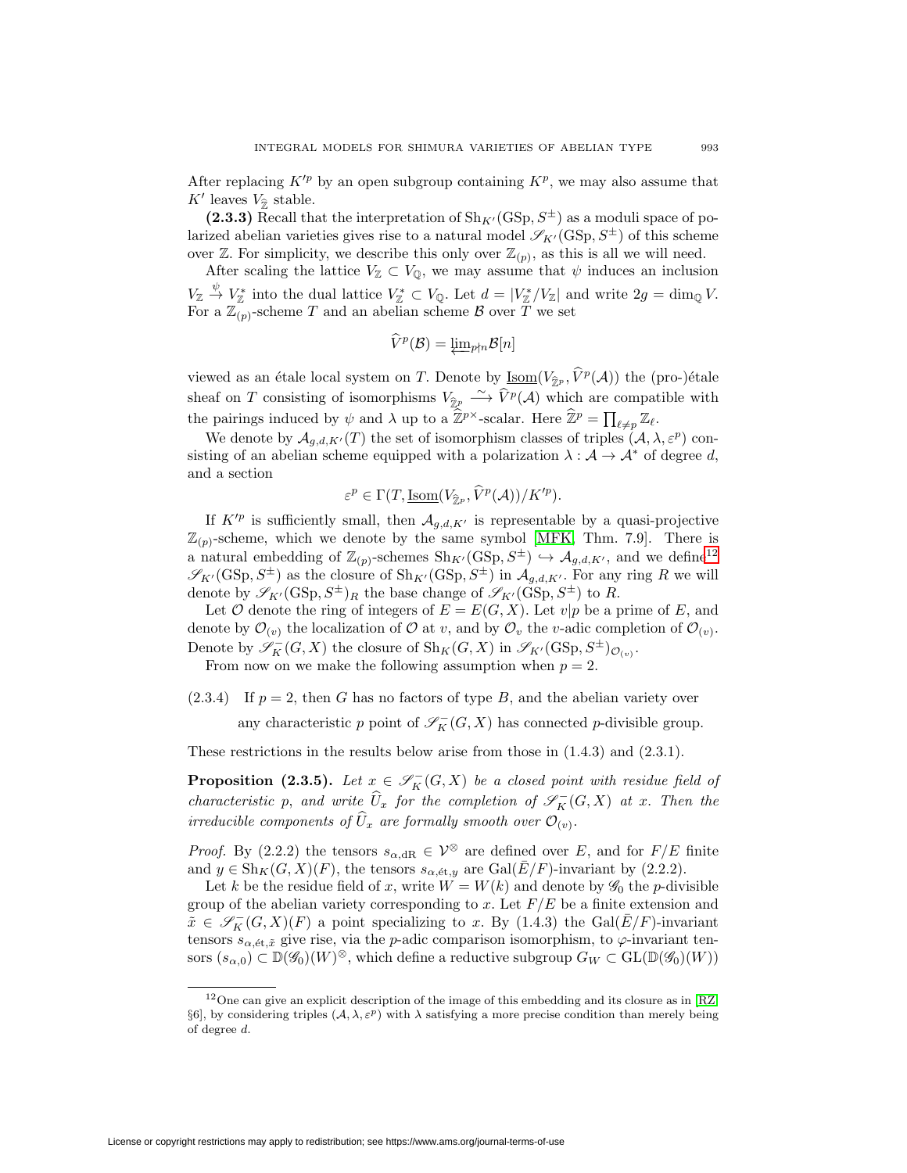After replacing  $K'^p$  by an open subgroup containing  $K^p$ , we may also assume that After replacing  $K'^p$ <br>K' leaves  $V_{\hat{\mathbb{Z}}}$  stable.

(2.3.3) Recall that the interpretation of  $\text{Sh}_{K'}(\text{GSp}, S^{\pm})$  as a moduli space of polarized abelian varieties gives rise to a natural model  $\mathscr{S}_{K'}(\mathrm{GSp},S^{\pm})$  of this scheme over  $\mathbb{Z}$ . For simplicity, we describe this only over  $\mathbb{Z}_{(p)}$ , as this is all we will need.

After scaling the lattice  $V_{\mathbb{Z}} \subset V_{\mathbb{Q}}$ , we may assume that  $\psi$  induces an inclusion  $V_{\mathbb{Z}} \stackrel{\psi}{\to} V_{\mathbb{Z}}^*$  into the dual lattice  $V_{\mathbb{Z}}^* \subset V_{\mathbb{Q}}$ . Let  $d = |V_{\mathbb{Z}}^*/V_{\mathbb{Z}}|$  and write  $2g = \dim_{\mathbb{Q}} V$ . For a  $\mathbb{Z}_{(p)}$ -scheme T and an abelian scheme B over T we set  $\subset V_{\mathbb{Q}}$ , we may<br>  $V_{\mathbb{Z}}^* \subset V_{\mathbb{Q}}$ . Let<br>
elian scheme  $\mathcal{E}$ <br>  $\widehat{V}^p(\mathcal{B}) = \underleftarrow{\lim}_{p \nmid \mathcal{B}}$ 

$$
\dot{V}^p(\mathcal{B})=\varprojlim_{p\nmid n}\mathcal{B}[n]
$$

viewed as an étale local system on T. Denote by  $\underline{\text{Isom}}(V_{\hat{\tau}_p}, \hat{V}^p(\mathcal{A}))$  the (pro-)étale  $\widehat{V}^p(\mathcal{B}) = \underleftarrow{\lim_{p \nmid n} \mathcal{B}[n]}$ <br>viewed as an étale local system on *T*. Denote by <u>Isom</u>( $V_{\widehat{\mathbb{Z}}^p}$ ,  $\widehat{V}^p(\mathcal{A})$ ) the (pro-)étale<br>sheaf on *T* consisting of isomorphisms  $V_{\widehat{\mathbb{Z}}^p} \xrightarrow{\sim} \widehat{V}^p(\mathcal{$  $V^p(\mathcal{B}) = \underbrace{\lim_{p \nmid n} \mathcal{B}[n]}$ <br>viewed as an étale local system on *T*. Denote by <u>Isom</u>( $V_{\hat{\mathbb{Z}}^p}$ ,  $\hat{V}^p(\mathcal{A})$ )<br>sheaf on *T* consisting of isomorphisms  $V_{\hat{\mathbb{Z}}^p} \xrightarrow{\sim} \hat{V}^p(\mathcal{A})$  which are of<br>the pairi the pairings induced by  $\psi$  and  $\lambda$  up to a  $\widehat{\mathbb{Z}}^{p}$ -scalar. Here  $\widehat{\mathbb{Z}}^p = \prod_{\ell \neq n} \mathbb{Z}_{\ell}$ .

Framings induced by  $\psi$  and  $\lambda$  up to a  $2r$  -scalar. Here  $2r - \prod_{\ell \neq p} \alpha_{\ell}$ .<br>We denote by  $A_{g,d,K'}(T)$  the set of isomorphism classes of triples  $(A, \lambda, \varepsilon^p)$  conting of an abelian scheme equipped with a polarizati sisting of an abelian scheme equipped with a polarization  $\lambda : \mathcal{A} \to \mathcal{A}^*$  of degree d, and a section

$$
\varepsilon^p \in \Gamma(T, \underline{\operatorname{Isom}}(V_{\widehat{\pi}_p}, \hat{V}^p(\mathcal{A}))/K'^p).
$$

If  $K'^p$  is sufficiently small, then  $\mathcal{A}_{g,d,K'}$  is representable by a quasi-projective  $\mathbb{Z}_{(p)}$ -scheme, which we denote by the same symbol [\[MFK,](#page-44-21) Thm. 7.9]. There is a natural embedding of  $\mathbb{Z}_{(p)}$ -schemes  $\text{Sh}_{K'}(\text{GSp}, S^{\pm}) \hookrightarrow \mathcal{A}_{g,d,K'}$ , and we define<sup>[12](#page-26-0)</sup>  $\mathscr{S}_{K'}(\mathrm{GSp},S^{\pm})$  as the closure of  $\mathrm{Sh}_{K'}(\mathrm{GSp},S^{\pm})$  in  $\mathcal{A}_{g,d,K'}$ . For any ring R we will denote by  $\mathscr{S}_{K'}(\operatorname{GSp},S^{\pm})_R$  the base change of  $\mathscr{S}_{K'}(\operatorname{GSp},S^{\pm})$  to R.

Let  $O$  denote the ring of integers of  $E = E(G, X)$ . Let  $v|p$  be a prime of E, and denote by  $\mathcal{O}_{(v)}$  the localization of  $\mathcal{O}$  at v, and by  $\mathcal{O}_v$  the v-adic completion of  $\mathcal{O}_{(v)}$ . Denote by  $\mathscr{S}_K^-(G,X)$  the closure of  $\text{Sh}_K(G,X)$  in  $\mathscr{S}_{K'}(\text{GSp},S^{\pm})_{\mathcal{O}_{(v)}}$ .

From now on we make the following assumption when  $p = 2$ .

 $(2.3.4)$  If  $p = 2$ , then G has no factors of type B, and the abelian variety over

any characteristic p point of  $\mathscr{S}_K^-(G,X)$  has connected p-divisible group.

These restrictions in the results below arise from those in (1.4.3) and (2.3.1).

**Proposition (2.3.5).** Let  $x \in \mathscr{S}_K^-(G,X)$  be a closed point with residue field of These restrictions in the results below arise from those in (<br>**Proposition (2.3.5).** Let  $x \in \mathscr{S}_K^-(G,X)$  be a closed potential characteristic p, and write  $\widehat{U}_x$  for the completion of  $\mathscr{S}_K^$ characteristic p, and write  $\widehat{U}_x$  for the completion of  $\mathscr{S}_K^-(G,X)$  at x. Then the irreducible components of  $\widehat{U}_x$  are formally smooth over  $\widetilde{\mathcal{O}}_{(v)}$ .

*Proof.* By (2.2.2) the tensors  $s_{\alpha, \mathrm{dR}} \in \mathcal{V}^{\otimes}$  are defined over E, and for  $F/E$  finite and  $y \in Sh_K(G, X)(F)$ , the tensors  $s_{\alpha, \text{\'et},y}$  are  $Gal(\bar{E}/F)$ -invariant by (2.2.2).

Let k be the residue field of x, write  $W = W(k)$  and denote by  $\mathscr{G}_0$  the p-divisible group of the abelian variety corresponding to x. Let  $F/E$  be a finite extension and  $\tilde{x} \in \mathscr{S}_K^-(G,X)(F)$  a point specializing to x. By (1.4.3) the Gal( $\bar{E}/F$ )-invariant tensors  $s_{\alpha, \text{\'et},\tilde{x}}$  give rise, via the p-adic comparison isomorphism, to  $\varphi$ -invariant tensors  $(s_{\alpha,0}) \subset \mathbb{D}(\mathscr{G}_0)(W)^\otimes$ , which define a reductive subgroup  $G_W \subset GL(\mathbb{D}(\mathscr{G}_0)(W))$ 

<span id="page-26-0"></span> $12$ One can give an explicit description of the image of this embedding and its closure as in [\[RZ,](#page-45-13) §6], by considering triples  $(A, \lambda, \varepsilon^p)$  with  $\lambda$  satisfying a more precise condition than merely being of degree d.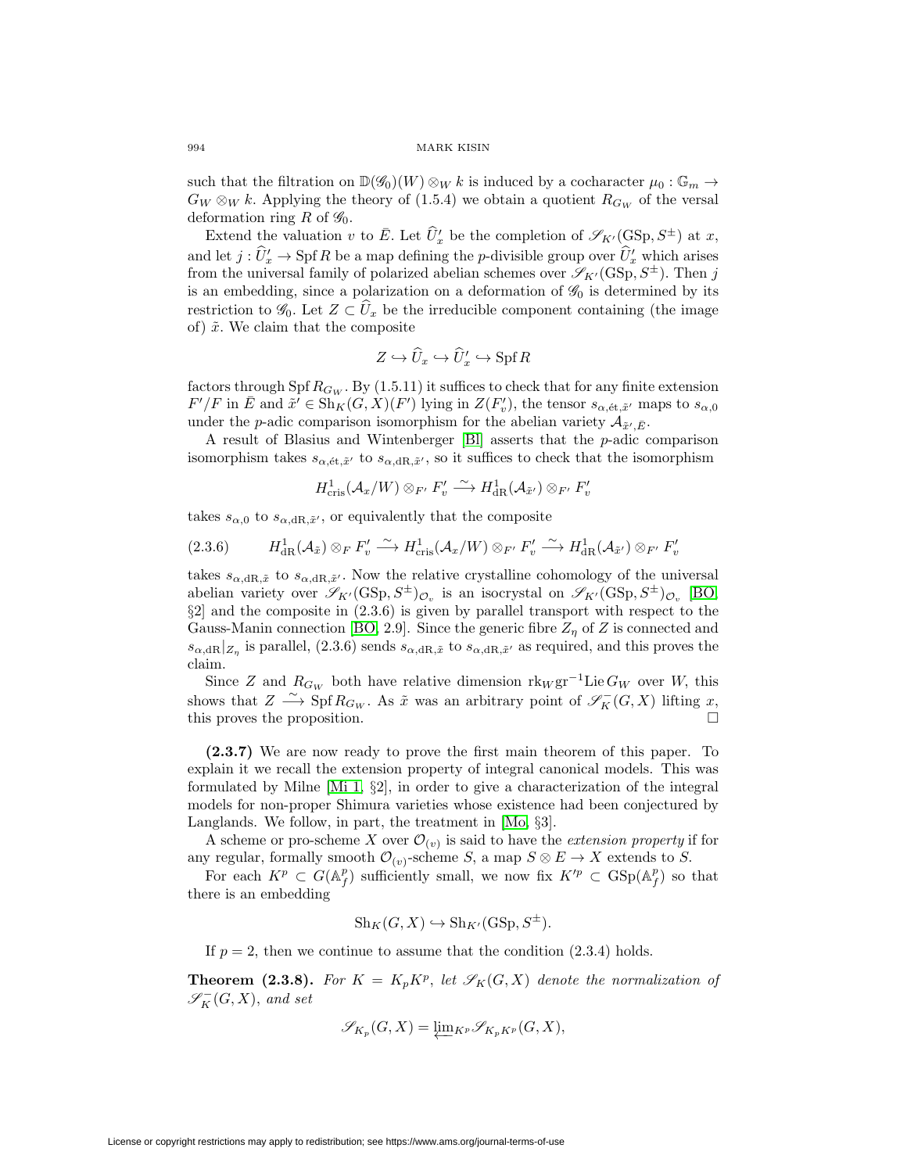such that the filtration on  $\mathbb{D}(\mathscr{G}_0)(W) \otimes_W k$  is induced by a cocharacter  $\mu_0 : \mathbb{G}_m \to$  $G_W \otimes_W k$ . Applying the theory of (1.5.4) we obtain a quotient  $R_{G_W}$  of the versal deformation ring R of  $\mathscr{G}_0$ . ch that the filtration on  $\mathbb{D}(\mathscr{G}_0)(W) \otimes_W k$  is induced by a cocharacter  $\mu_0 : \mathbb{G}_m \to$ <br>  $\mu \otimes_W k$ . Applying the theory of (1.5.4) we obtain a quotient  $R_{G_W}$  of the versal<br>
cormation ring R of  $\mathscr{G}_0$ .<br>
Extend such that the filtration on  $\mathbb{D}(\mathcal{G}_0)(W) \otimes_W \kappa$  is induced by a cocharacter  $\mu_0 : \mathbb{G}_m \to$ <br>  $G_W \otimes_W k$ . Applying the theory of (1.5.4) we obtain a quotient  $R_{G_W}$  of the versal<br>
deformation ring R of  $\mathcal{G}_0$ .<br>
E e nitration on  $\mathbb{D}(\mathscr{G}_0)(W) \otimes_W \kappa$  is induced by a cocharacter<br>Applying the theory of (1.5.4) we obtain a quotient  $R_{G_W}$ <br>ring R of  $\mathscr{G}_0$ .<br>ne valuation v to  $\overline{E}$ . Let  $\widehat{U}'_x$  be the completion of  $\mathscr{S}_{$ 

from the universal family of polarized abelian schemes over  $\mathscr{S}_{K'}(\mathrm{GSp}, S^{\pm})$ . Then j is an embedding, since a polarization on a deformation of  $\mathscr{G}_0$  is determined by its Extend the valuation v to E. Let  $U_x$  be the completion of  $\mathscr{S}_{K'}(\text{GSp}, S^{\perp})$  at x,<br>and let  $j : \hat{U}'_x \to \text{Spf } R$  be a map defining the p-divisible group over  $\hat{U}'_x$  which arises<br>from the universal family of polariz of)  $\tilde{x}$ . We claim that the composite vastion on a<br>
e the irreduction<br>
site<br>  $\hookrightarrow \widehat{U}_x \hookrightarrow \widehat{U}'_x$ 

$$
Z \hookrightarrow \widehat{U}_x \hookrightarrow \widehat{U}'_x \hookrightarrow \operatorname{Spf} R
$$

factors through Spf  $R_{G_W}$ . By (1.5.11) it suffices to check that for any finite extension  $F'/F$  in  $\overline{E}$  and  $\widetilde{x}' \in \operatorname{Sh}_K(G,X)(F')$  lying in  $Z(F'_v)$ , the tensor  $s_{\alpha,\text{\'et},\widetilde{x}'}$  maps to  $s_{\alpha,0}$ under the *p*-adic comparison isomorphism for the abelian variety  $\mathcal{A}_{\tilde{x}',\bar{E}}$ .

A result of Blasius and Wintenberger [\[Bl\]](#page-44-22) asserts that the p-adic comparison isomorphism takes  $s_{\alpha,\text{\'et},\tilde{x}'}$  to  $s_{\alpha,\text{dR},\tilde{x}'},$  so it suffices to check that the isomorphism

$$
H^1_{\mathrm{cris}}(\mathcal{A}_x/W)\otimes_{F'}F'_v\xrightarrow{\sim} H^1_{\mathrm{dR}}(\mathcal{A}_{\tilde{x}'})\otimes_{F'}F'_v
$$

takes  $s_{\alpha,0}$  to  $s_{\alpha,dR,\tilde{x}'}$ , or equivalently that the composite

$$
(2.3.6) \qquad H_{\text{dR}}^1(\mathcal{A}_{\tilde{x}}) \otimes_F F'_v \xrightarrow{\sim} H_{\text{cris}}^1(\mathcal{A}_x/W) \otimes_{F'} F'_v \xrightarrow{\sim} H_{\text{dR}}^1(\mathcal{A}_{\tilde{x}'}) \otimes_{F'} F'_v
$$

takes  $s_{\alpha, \mathrm{dR},\tilde{x}}$  to  $s_{\alpha, \mathrm{dR},\tilde{x}}$ . Now the relative crystalline cohomology of the universal abelian variety over  $\mathscr{S}_{K'}(\text{GSp}, S^{\pm})_{\mathcal{O}_v}$  is an isocrystal on  $\mathscr{S}_{K'}(\text{GSp}, S^{\pm})_{\mathcal{O}_v}$  [\[BO,](#page-44-23) §2] and the composite in (2.3.6) is given by parallel transport with respect to the Gauss-Manin connection [\[BO,](#page-44-23) 2.9]. Since the generic fibre  $Z_n$  of Z is connected and  $s_{\alpha,\text{dR}}|_{Z_n}$  is parallel,  $(2.3.6)$  sends  $s_{\alpha,\text{dR},\tilde{x}}$  to  $s_{\alpha,\text{dR},\tilde{x}'}$  as required, and this proves the claim.

Since Z and  $R_{G_W}$  both have relative dimension  $\text{rk}_W \text{gr}^{-1}$ Lie  $G_W$  over W, this shows that  $Z \xrightarrow{\sim} \text{Spf } R_{G_W}$ . As  $\tilde{x}$  was an arbitrary point of  $\mathscr{S}_K^-(G,X)$  lifting x, this proves the proposition.  $\square$ 

**(2.3.7)** We are now ready to prove the first main theorem of this paper. To explain it we recall the extension property of integral canonical models. This was formulated by Milne [\[Mi 1,](#page-44-2) §2], in order to give a characterization of the integral models for non-proper Shimura varieties whose existence had been conjectured by Langlands. We follow, in part, the treatment in [\[Mo,](#page-45-6) §3].

A scheme or pro-scheme X over  $\mathcal{O}_{(v)}$  is said to have the extension property if for any regular, formally smooth  $\mathcal{O}_{(v)}$ -scheme S, a map  $S \otimes E \to X$  extends to S.

For each  $K^p \subset G(\mathbb{A}_f^p)$  sufficiently small, we now fix  $K'^p \subset \text{GSp}(\mathbb{A}_f^p)$  so that there is an embedding

$$
Sh_K(G, X) \hookrightarrow Sh_{K'}(GSp, S^{\pm}).
$$

If  $p = 2$ , then we continue to assume that the condition  $(2.3.4)$  holds.

**Theorem (2.3.8).** For  $K = K_p K^p$ , let  $\mathscr{S}_K(G,X)$  denote the normalization of  $\mathscr{S}_K^-(G,X)$ , and set

$$
\mathscr{S}_{K_p}(G,X)=\underleftarrow{\lim}_{K^p}\mathscr{S}_{K_pK^p}(G,X),
$$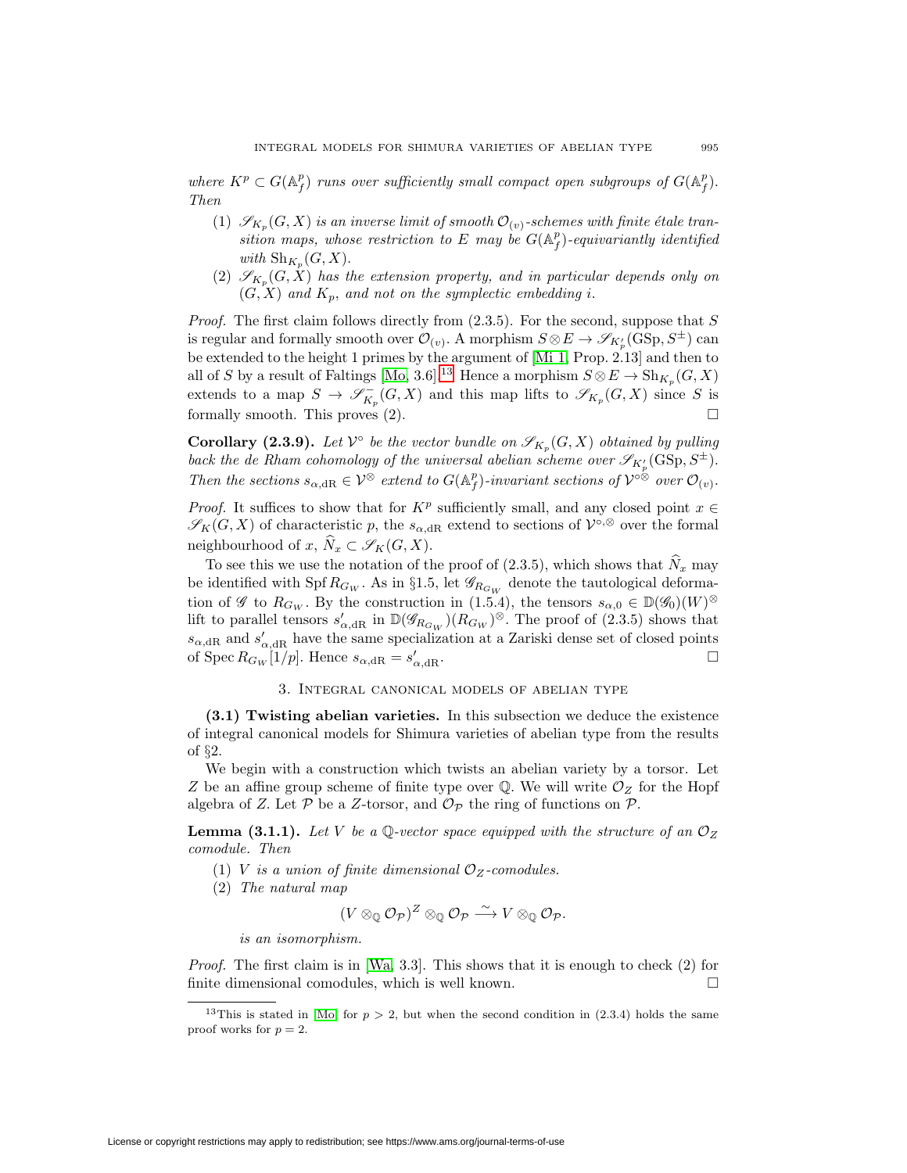where  $K^p \subset G(\mathbb{A}_f^p)$  runs over sufficiently small compact open subgroups of  $G(\mathbb{A}_f^p)$ . Then

- (1)  $\mathscr{S}_{K_p}(G, X)$  is an inverse limit of smooth  $\mathcal{O}_{(v)}$ -schemes with finite étale transition maps, whose restriction to E may be  $G(\mathbb{A}_f^p)$ -equivariantly identified with  $\mathrm{Sh}_{K_n}(G, X)$ .
- (2)  $\mathscr{S}_{K_n}(G, X)$  has the extension property, and in particular depends only on  $(G, X)$  and  $K_p$ , and not on the symplectic embedding i.

*Proof.* The first claim follows directly from  $(2.3.5)$ . For the second, suppose that S is regular and formally smooth over  $\mathcal{O}_{(v)}$ . A morphism  $S \otimes E \to \mathscr{S}_{K'_p}(\mathrm{GSp},S^{\pm})$  can be extended to the height 1 primes by the argument of [\[Mi 1,](#page-44-2) Prop. 2.13] and then to all of S by a result of Faltings [\[Mo,](#page-45-6) 3.6].<sup>[13](#page-28-1)</sup> Hence a morphism  $S \otimes E \to Sh_{K_n}(G, X)$ extends to a map  $S \to \mathscr{S}_{K_p}^-(G,X)$  and this map lifts to  $\mathscr{S}_{K_p}(G,X)$  since S is formally smooth. This proves  $(2)$ .

**Corollary (2.3.9).** Let  $V^{\circ}$  be the vector bundle on  $\mathscr{S}_{K_n}(G, X)$  obtained by pulling back the de Rham cohomology of the universal abelian scheme over  $\mathscr{S}_{K_p'}(\mathrm{GSp},S^{\pm}).$ 

Then the sections  $s_{\alpha, dR} \in \mathcal{V}^{\otimes}$  extend to  $G(\mathbb{A}_f^p)$ -invariant sections of  $\mathcal{V}^{\circ\otimes}$  over  $\mathcal{O}_{(v)}$ .<br>Proof. It suffices to show that for  $K^p$  sufficiently small, and any closed point  $x \in \mathcal{S}_K(G, X)$ *Proof.* It suffices to show that for  $K^p$  sufficiently small, and any closed point  $x \in$  $\mathscr{S}_K(G, X)$  of characteristic p, the  $s_{\alpha, \mathrm{dR}}$  extend to sections of  $\mathcal{V}^{\circ, \otimes}$  over the formal *oof.* It suffices to show that for  $K^p$  sufficiently small, and any closed point  $x \in K(G, X)$  of characteristic p, the  $s_{\alpha, \text{dR}}$  extend to sections of  $\mathcal{V}^{\circ, \otimes}$  over the formal ghbourhood of  $x, \hat{N}_x \subset \mathscr{S}_K(G$ 

be identified with Spf  $R_{G_W}$ . As in §1.5, let  $\mathscr{G}_{R_{G_W}}$  denote the tautological deformation of  $\mathscr G$  to  $R_{G_W}$ . By the construction in (1.5.4), the tensors  $s_{\alpha,0} \in \mathbb{D}(\mathscr G_0)(W)^\otimes$ lift to parallel tensors  $s'_{\alpha, \text{dR}}$  in  $\mathbb{D}(\mathscr{G}_{R_{G_W}})(R_{G_W})^{\otimes}$ . The proof of (2.3.5) shows that  $s_{\alpha,\text{dR}}$  and  $s'_{\alpha,\text{dR}}$  have the same specialization at a Zariski dense set of closed points of Spec  $R_{G_W}[1/p]$ . Hence  $s_{\alpha, \text{dR}} = s'_{\alpha, \text{dR}}$ .  $\alpha$ ,dR.  $\Box$ 

# 3. Integral canonical models of abelian type

<span id="page-28-0"></span>**(3.1) Twisting abelian varieties.** In this subsection we deduce the existence of integral canonical models for Shimura varieties of abelian type from the results of §2.

We begin with a construction which twists an abelian variety by a torsor. Let Z be an affine group scheme of finite type over  $\mathbb Q$ . We will write  $\mathcal O_Z$  for the Hopf algebra of Z. Let  $P$  be a Z-torsor, and  $\mathcal{O}_{\mathcal{P}}$  the ring of functions on  $\mathcal{P}$ .

**Lemma (3.1.1).** Let V be a Q-vector space equipped with the structure of an  $\mathcal{O}_Z$ comodule. Then

- (1) V is a union of finite dimensional  $\mathcal{O}_Z$ -comodules.
- (2) The natural map

$$
(V\otimes_{\mathbb Q} \mathcal O_{\mathcal P})^Z\otimes_{\mathbb Q} \mathcal O_{\mathcal P}\stackrel{\sim}{\longrightarrow} V\otimes_{\mathbb Q} \mathcal O_{\mathcal P}.
$$

is an isomorphism.

*Proof.* The first claim is in [\[Wa,](#page-45-15)  $3.3$ ]. This shows that it is enough to check  $(2)$  for finite dimensional comodules, which is well known.  $\hfill \Box$ 

<span id="page-28-1"></span><sup>&</sup>lt;sup>13</sup>This is stated in [\[Mo\]](#page-45-6) for  $p > 2$ , but when the second condition in (2.3.4) holds the same proof works for  $p = 2$ .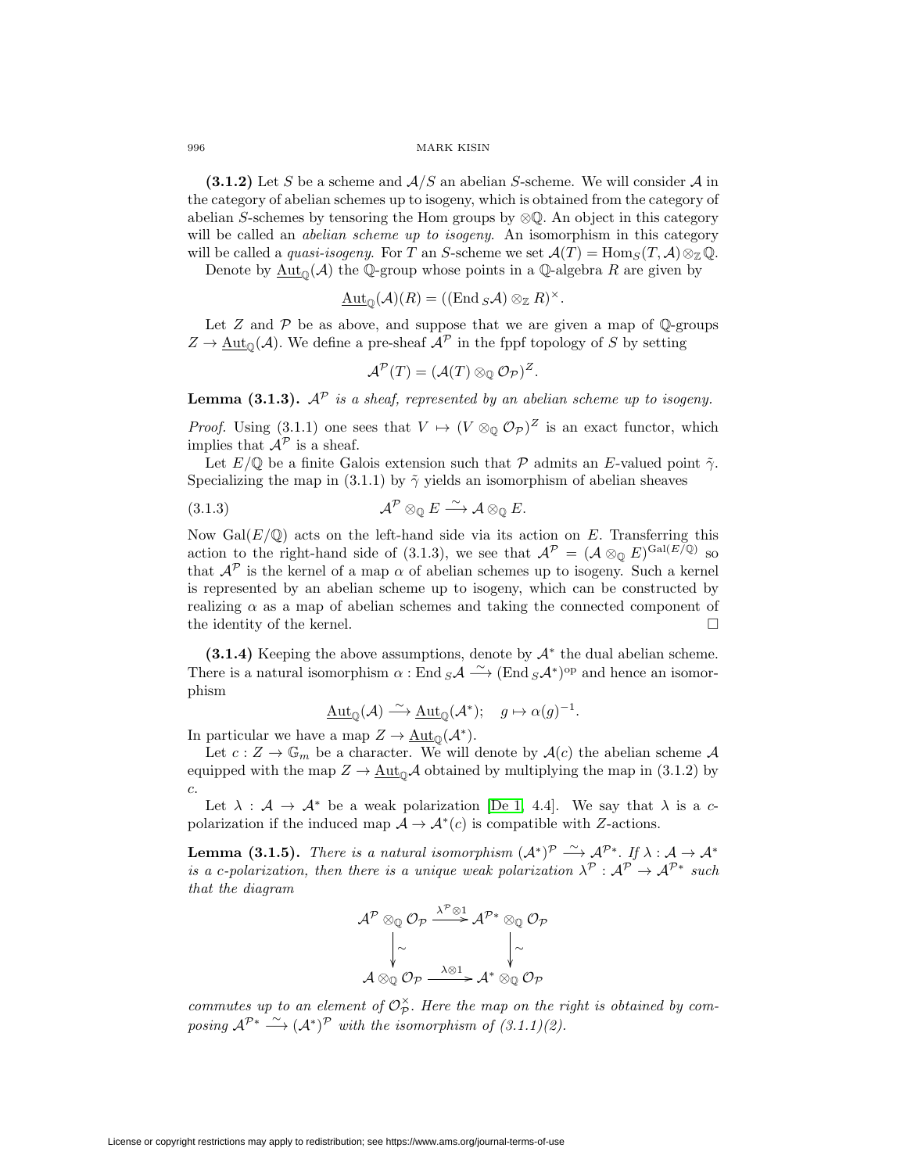**(3.1.2)** Let S be a scheme and  $A/S$  an abelian S-scheme. We will consider A in the category of abelian schemes up to isogeny, which is obtained from the category of abelian S-schemes by tensoring the Hom groups by ⊗Q. An object in this category will be called an *abelian scheme up to isogeny*. An isomorphism in this category will be called a *quasi-isogeny*. For T an S-scheme we set  $\mathcal{A}(T) = \text{Hom}_S(T, \mathcal{A}) \otimes_{\mathbb{Z}} \mathbb{Q}$ .

Denote by  $\text{Aut}_{\mathbb{O}}(\mathcal{A})$  the Q-group whose points in a Q-algebra R are given by

$$
\underline{\mathrm{Aut}}_{\mathbb{Q}}(\mathcal{A})(R) = ((\mathrm{End}\,_{S}\mathcal{A}) \otimes_{\mathbb{Z}} R)^{\times}.
$$

Let  $Z$  and  $P$  be as above, and suppose that we are given a map of  $\mathbb Q$ -groups  $Z \to \text{Aut}_{\mathbb{Q}}(\mathcal{A})$ . We define a pre-sheaf  $\mathcal{A}^{\mathcal{P}}$  in the fppf topology of S by setting

$$
\mathcal{A}^{\mathcal{P}}(T)=(\mathcal{A}(T)\otimes_{\mathbb{Q}}\mathcal{O}_{\mathcal{P}})^{Z}.
$$

**Lemma (3.1.3).**  $A^{\mathcal{P}}$  is a sheaf, represented by an abelian scheme up to isogeny.

*Proof.* Using (3.1.1) one sees that  $V \mapsto (V \otimes_{\mathbb{Q}} \mathcal{O}_{\mathcal{P}})^Z$  is an exact functor, which implies that  $\mathcal{A}^{\mathcal{P}}$  is a sheaf.

Let  $E/\mathbb{Q}$  be a finite Galois extension such that  $\mathcal P$  admits an E-valued point  $\tilde{\gamma}$ . Specializing the map in (3.1.1) by  $\tilde{\gamma}$  yields an isomorphism of abelian sheaves

$$
(3.1.3) \t\t \t\t \t\t \t\t \t\t \mathcal{A}^{\mathcal{P}} \otimes_{\mathbb{Q}} E \xrightarrow{\sim} \mathcal{A} \otimes_{\mathbb{Q}} E.
$$

Now  $Gal(E/\mathbb{Q})$  acts on the left-hand side via its action on E. Transferring this action to the right-hand side of (3.1.3), we see that  $\mathcal{A}^{\mathcal{P}} = (\mathcal{A} \otimes_{\mathbb{Q}} E)^{\text{Gal}(E/\mathbb{Q})}$  so that  $\mathcal{A}^{\mathcal{P}}$  is the kernel of a map  $\alpha$  of abelian schemes up to isogeny. Such a kernel is represented by an abelian scheme up to isogeny, which can be constructed by realizing  $\alpha$  as a map of abelian schemes and taking the connected component of the identity of the kernel.  $\Box$ 

**(3.1.4)** Keeping the above assumptions, denote by  $A^*$  the dual abelian scheme. There is a natural isomorphism  $\alpha$ : End  $_{S}\mathcal{A} \stackrel{\sim}{\longrightarrow}$  (End  $_{S}\mathcal{A}^{*}$ )<sup>op</sup> and hence an isomorphism

$$
\underline{\mathrm{Aut}}_{\mathbb{Q}}(\mathcal{A}) \stackrel{\sim}{\longrightarrow} \underline{\mathrm{Aut}}_{\mathbb{Q}}(\mathcal{A}^*); \quad g \mapsto \alpha(g)^{-1}.
$$

In particular we have a map  $Z \to \underline{\text{Aut}}_{\mathbb{D}}(\mathcal{A}^*).$ 

Let  $c: Z \to \mathbb{G}_m$  be a character. We will denote by  $\mathcal{A}(c)$  the abelian scheme  $\mathcal{A}$ equipped with the map  $Z \to \underline{\text{Aut}}_{\mathbb{Q}} \mathcal{A}$  obtained by multiplying the map in (3.1.2) by c.

Let  $\lambda : \mathcal{A} \to \mathcal{A}^*$  be a weak polarization [\[De 1,](#page-44-16) 4.4]. We say that  $\lambda$  is a cpolarization if the induced map  $\mathcal{A} \to \mathcal{A}^*(c)$  is compatible with Z-actions.

**Lemma (3.1.5).** There is a natural isomorphism  $(A^*)^P \stackrel{\sim}{\longrightarrow} A^{P*}$ . If  $\lambda : A \to A^*$ is a c-polarization, then there is a unique weak polarization  $\lambda^{\mathcal{P}}: \mathcal{A}^{\mathcal{P}} \to \mathcal{A}^{\mathcal{P}*}$  such that the diagram

$$
\mathcal{A}^{\mathcal{P}} \otimes_{\mathbb{Q}} \mathcal{O}_{\mathcal{P}} \xrightarrow{\lambda^{\mathcal{P}} \otimes 1} \mathcal{A}^{\mathcal{P}*} \otimes_{\mathbb{Q}} \mathcal{O}_{\mathcal{P}}
$$
\n
$$
\downarrow \sim \qquad \qquad \downarrow \sim
$$
\n
$$
\mathcal{A} \otimes_{\mathbb{Q}} \mathcal{O}_{\mathcal{P}} \xrightarrow{\lambda \otimes 1} \mathcal{A}^{*} \otimes_{\mathbb{Q}} \mathcal{O}_{\mathcal{P}}
$$

commutes up to an element of  $\mathcal{O}_{\mathcal{P}}^{\times}$ . Here the map on the right is obtained by composing  $\mathcal{A}^{\mathcal{P}*} \stackrel{\sim}{\longrightarrow} (\mathcal{A}^*)^{\mathcal{P}}$  with the isomorphism of  $(3.1.1)(2)$ .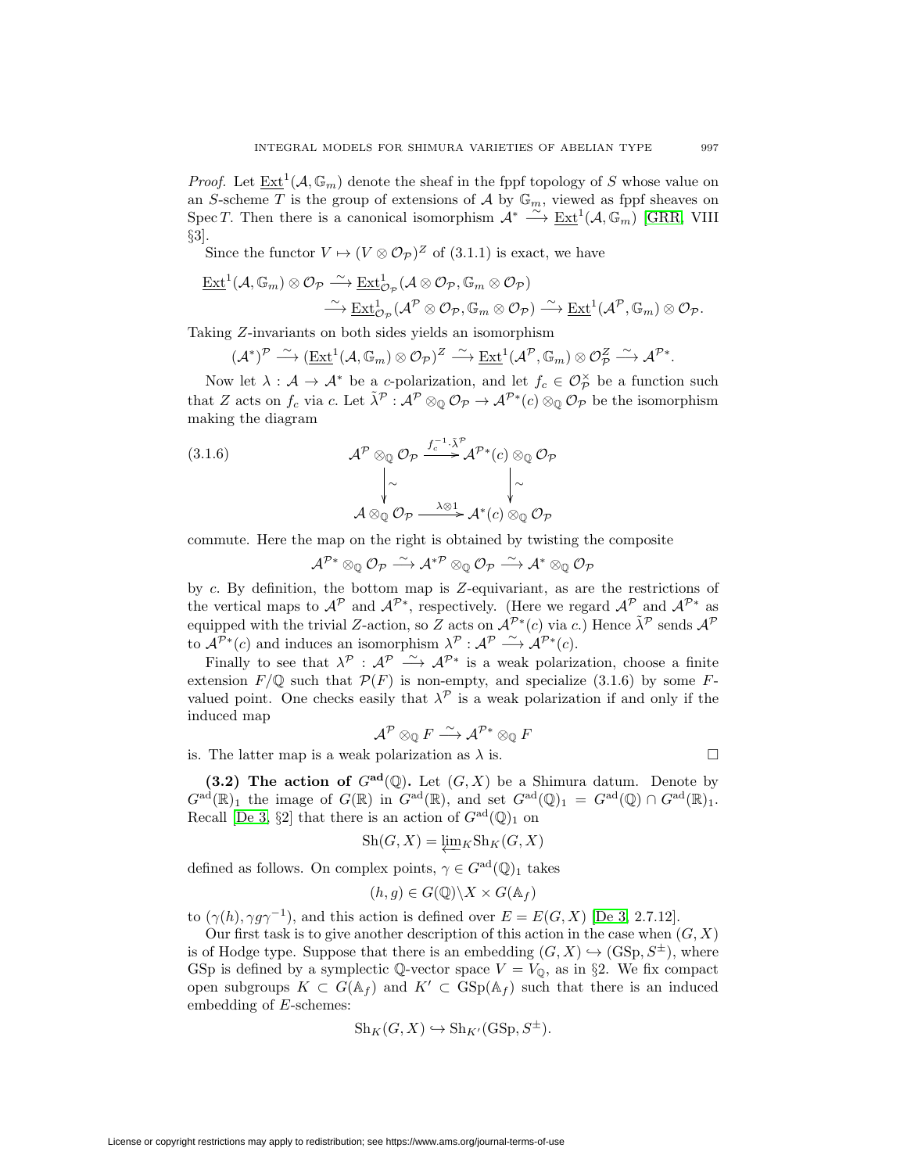*Proof.* Let  $\underline{\mathrm{Ext}}^1(\mathcal{A}, \mathbb{G}_m)$  denote the sheaf in the fppf topology of S whose value on an S-scheme  $T$  is the group of extensions of  $\mathcal A$  by  $\mathbb G_m,$  viewed as fppf sheaves on Spec T. Then there is a canonical isomorphism  $\mathcal{A}^* \stackrel{\sim}{\longrightarrow} \underline{\operatorname{Ext}}^1(\mathcal{A}, \mathbb{G}_m)$  [\[GRR,](#page-44-24) VIII §3].

Since the functor  $V \mapsto (V \otimes \mathcal{O}_{\mathcal{P}})^Z$  of (3.1.1) is exact, we have

$$
\underline{\operatorname{Ext}}^1(\mathcal{A},\mathbb{G}_m)\otimes\mathcal{O}_{\mathcal{P}}\stackrel{\sim}{\longrightarrow}\underline{\operatorname{Ext}}^1_{\mathcal{O}_{\mathcal{P}}}(\mathcal{A}\otimes\mathcal{O}_{\mathcal{P}},\mathbb{G}_m\otimes\mathcal{O}_{\mathcal{P}})
$$

$$
\stackrel{\sim}{\longrightarrow}\underline{\operatorname{Ext}}^1_{\mathcal{O}_{\mathcal{P}}}(\mathcal{A}^{\mathcal{P}}\otimes\mathcal{O}_{\mathcal{P}},\mathbb{G}_m\otimes\mathcal{O}_{\mathcal{P}})\stackrel{\sim}{\longrightarrow}\underline{\operatorname{Ext}}^1(\mathcal{A}^{\mathcal{P}},\mathbb{G}_m)\otimes\mathcal{O}_{\mathcal{P}}.
$$

Taking Z-invariants on both sides yields an isomorphism

$$
(\mathcal{A}^*)^{\mathcal{P}} \stackrel{\sim}{\longrightarrow} (\underline{\operatorname{Ext}}^1(\mathcal{A}, \mathbb{G}_m) \otimes \mathcal{O}_{\mathcal{P}})^{\mathcal{Z}} \stackrel{\sim}{\longrightarrow} \underline{\operatorname{Ext}}^1(\mathcal{A}^{\mathcal{P}}, \mathbb{G}_m) \otimes \mathcal{O}_{\mathcal{P}}^{\mathcal{Z}} \stackrel{\sim}{\longrightarrow} \mathcal{A}^{\mathcal{P}*}.
$$

Now let  $\lambda : \mathcal{A} \to \mathcal{A}^*$  be a c-polarization, and let  $f_c \in \mathcal{O}_\mathcal{P}^\times$  be a function such that Z acts on  $f_c$  via c. Let  $\tilde{\lambda}^{\mathcal{P}}: \mathcal{A}^{\mathcal{P}} \otimes_{\mathbb{Q}} \mathcal{O}_{\mathcal{P}} \to \mathcal{A}^{\mathcal{P}*}(c) \otimes_{\mathbb{Q}} \mathcal{O}_{\mathcal{P}}$  be the isomorphism making the diagram

(3.1.6)  
\n
$$
\mathcal{A}^{\mathcal{P}} \otimes_{\mathbb{Q}} \mathcal{O}_{\mathcal{P}} \xrightarrow{f_{c}^{-1} \cdot \tilde{\lambda}^{\mathcal{P}}} \mathcal{A}^{\mathcal{P}*}(c) \otimes_{\mathbb{Q}} \mathcal{O}_{\mathcal{P}}
$$
\n
$$
\downarrow \sim \qquad \qquad \downarrow \sim
$$
\n
$$
\mathcal{A} \otimes_{\mathbb{Q}} \mathcal{O}_{\mathcal{P}} \xrightarrow{\lambda \otimes 1} \mathcal{A}^{*}(c) \otimes_{\mathbb{Q}} \mathcal{O}_{\mathcal{P}}
$$

commute. Here the map on the right is obtained by twisting the composite

$$
\mathcal{A}^{\mathcal{P}*}\otimes_{\mathbb{Q}}\mathcal{O}_{\mathcal{P}}\stackrel{\sim}{\longrightarrow}\mathcal{A}^{*\mathcal{P}}\otimes_{\mathbb{Q}}\mathcal{O}_{\mathcal{P}}\stackrel{\sim}{\longrightarrow}\mathcal{A}^{*}\otimes_{\mathbb{Q}}\mathcal{O}_{\mathcal{P}}
$$

by  $c$ . By definition, the bottom map is  $Z$ -equivariant, as are the restrictions of the vertical maps to  $\mathcal{A}^{\mathcal{P}}$  and  $\mathcal{A}^{\mathcal{P}*}$ , respectively. (Here we regard  $\mathcal{A}^{\mathcal{P}}$  and  $\mathcal{A}^{\mathcal{P}*}$  as equipped with the trivial Z-action, so Z acts on  $\mathcal{A}^{\mathcal{P}*}(c)$  via c.) Hence  $\tilde{\lambda}^{\mathcal{P}}$  sends  $\mathcal{A}^{\mathcal{P}}$ to  $\mathcal{A}^{\mathcal{P}*}(c)$  and induces an isomorphism  $\lambda^{\mathcal{P}}: \mathcal{A}^{\mathcal{P}} \longrightarrow \mathcal{A}^{\mathcal{P}*}(c)$ .

Finally to see that  $\lambda^p$  :  $\mathcal{A}^p$   $\stackrel{\sim}{\longrightarrow} \mathcal{A}^{p*}$  is a weak polarization, choose a finite extension  $F/\mathbb{Q}$  such that  $\mathcal{P}(F)$  is non-empty, and specialize (3.1.6) by some Fvalued point. One checks easily that  $\lambda^{\mathcal{P}}$  is a weak polarization if and only if the induced map

$$
\mathcal{A}^{\mathcal{P}} \otimes_{\mathbb{Q}} F \stackrel{\sim}{\longrightarrow} \mathcal{A}^{\mathcal{P}*} \otimes_{\mathbb{Q}} F
$$

is. The latter map is a weak polarization as  $\lambda$  is.

$$
\Box
$$

<span id="page-30-0"></span>**(3.2) The action of**  $G^{ad}(\mathbb{Q})$ **.** Let  $(G, X)$  be a Shimura datum. Denote by  $G^{\rm ad}(\mathbb{R})_1$  the image of  $G(\mathbb{R})$  in  $G^{\rm ad}(\mathbb{R})$ , and set  $G^{\rm ad}(\mathbb{Q})_1 = G^{\rm ad}(\mathbb{Q}) \cap G^{\rm ad}(\mathbb{R})_1$ . Recall [\[De 3,](#page-44-7) §2] that there is an action of  $G^{\text{ad}}(\mathbb{Q})_1$  on

$$
Sh(G, X) = \underleftarrow{\lim} _K Sh_K(G, X)
$$

defined as follows. On complex points,  $\gamma \in G^{\text{ad}}(\mathbb{Q})_1$  takes

$$
(h,g) \in G(\mathbb{Q}) \backslash X \times G(\mathbb{A}_f)
$$

to  $(\gamma(h), \gamma g \gamma^{-1})$ , and this action is defined over  $E = E(G, X)$  [\[De 3,](#page-44-7) 2.7.12].

Our first task is to give another description of this action in the case when  $(G, X)$ is of Hodge type. Suppose that there is an embedding  $(G, X) \hookrightarrow (\text{GSp}, S^{\pm})$ , where GSp is defined by a symplectic  $\mathbb{Q}\text{-vector space }V = V_{\mathbb{Q}}$ , as in §2. We fix compact open subgroups  $K \subset G(\mathbb{A}_f)$  and  $K' \subset \text{GSp}(\mathbb{A}_f)$  such that there is an induced embedding of E-schemes:

$$
Sh_K(G, X) \hookrightarrow Sh_{K'}(GSp, S^{\pm}).
$$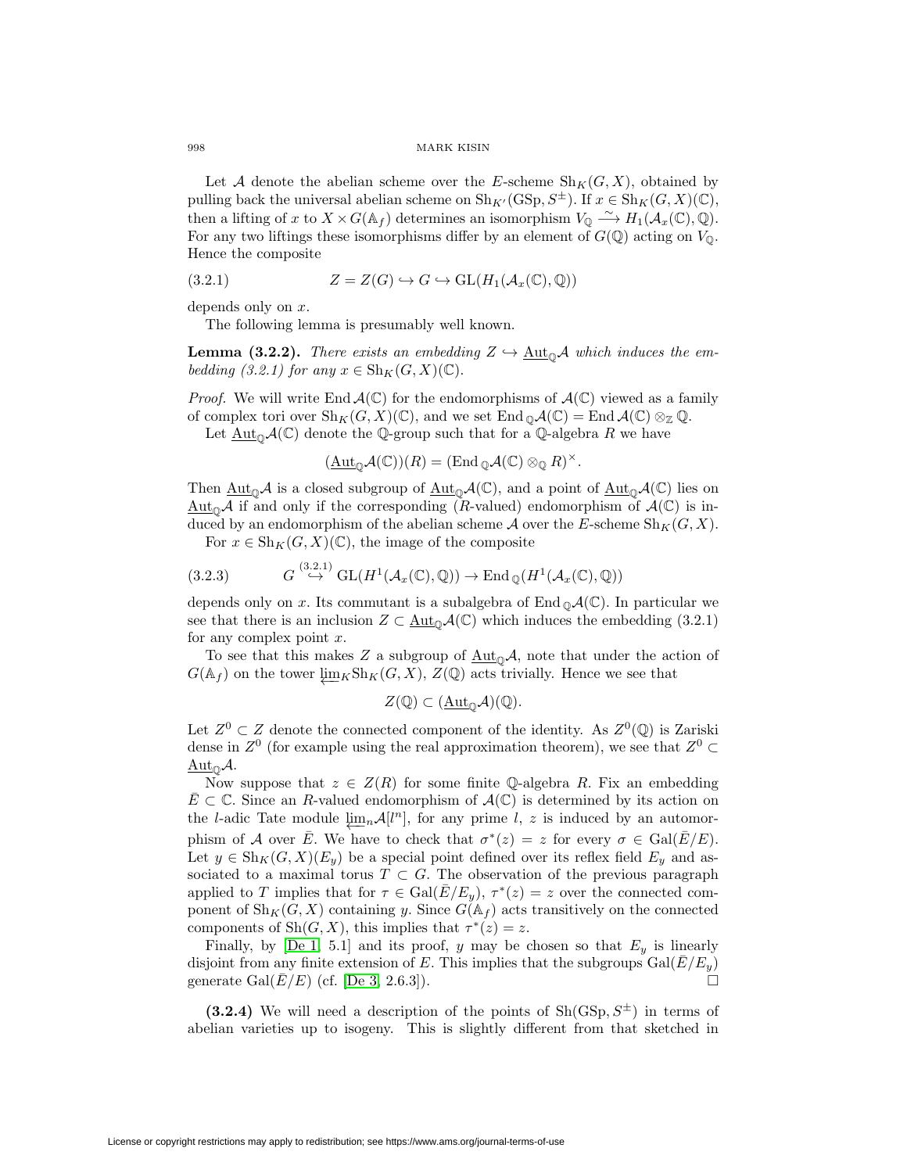Let A denote the abelian scheme over the E-scheme  $\text{Sh}_K(G, X)$ , obtained by pulling back the universal abelian scheme on  $\text{Sh}_{K'}(\text{GSp}, S^{\pm})$ . If  $x \in \text{Sh}_K(G, X)(\mathbb{C})$ , then a lifting of x to  $X \times G(\mathbb{A}_f)$  determines an isomorphism  $V_{\mathbb{Q}} \stackrel{\sim}{\longrightarrow} H_1(\mathcal{A}_x(\mathbb{C}), \mathbb{Q})$ . For any two liftings these isomorphisms differ by an element of  $G(\mathbb{Q})$  acting on  $V_0$ . Hence the composite

(3.2.1) 
$$
Z = Z(G) \hookrightarrow G \hookrightarrow \text{GL}(H_1(\mathcal{A}_x(\mathbb{C}), \mathbb{Q}))
$$

depends only on x.

The following lemma is presumably well known.

**Lemma (3.2.2).** There exists an embedding  $Z \hookrightarrow \underline{\text{Aut}}_{\mathbb{Q}}\mathcal{A}$  which induces the embedding (3.2.1) for any  $x \in Sh_K(G,X)(\mathbb{C})$ .

*Proof.* We will write End  $\mathcal{A}(\mathbb{C})$  for the endomorphisms of  $\mathcal{A}(\mathbb{C})$  viewed as a family of complex tori over  $\text{Sh}_K(G, X)(\mathbb{C})$ , and we set  $\text{End}_{\mathbb{O}}\mathcal{A}(\mathbb{C}) = \text{End}_{\mathcal{A}}(\mathbb{C}) \otimes_{\mathbb{Z}} \mathbb{Q}$ .

Let  $\text{Aut}_{\mathbb{O}}\mathcal{A}(\mathbb{C})$  denote the Q-group such that for a Q-algebra R we have

$$
(\underline{\mathrm{Aut}}_{\mathbb{Q}}\mathcal{A}(\mathbb{C}))(R) = (\mathrm{End}_{\mathbb{Q}}\mathcal{A}(\mathbb{C}) \otimes_{\mathbb{Q}} R)^{\times}.
$$

Then  $\underline{\mathrm{Aut}}_0\mathcal{A}$  is a closed subgroup of  $\underline{\mathrm{Aut}}_0\mathcal{A}(\mathbb{C})$ , and a point of  $\underline{\mathrm{Aut}}_0\mathcal{A}(\mathbb{C})$  lies on  $\text{Aut}_{\mathbb{Q}}\mathcal{A}$  if and only if the corresponding (R-valued) endomorphism of  $\mathcal{A}(\mathbb{C})$  is induced by an endomorphism of the abelian scheme A over the E-scheme  $\text{Sh}_K(G, X)$ .

For  $x \in Sh_K(G,X)(\mathbb{C})$ , the image of the composite

(3.2.3) 
$$
G \stackrel{(3.2.1)}{\hookrightarrow} GL(H^1(\mathcal{A}_x(\mathbb{C}), \mathbb{Q})) \to \text{End}_{\mathbb{Q}}(H^1(\mathcal{A}_x(\mathbb{C}), \mathbb{Q}))
$$

depends only on x. Its commutant is a subalgebra of  $\text{End}_{\mathbb{Q}}\mathcal{A}(\mathbb{C})$ . In particular we see that there is an inclusion  $Z \subset \underline{\text{Aut}}_{\mathcal{D}}\mathcal{A}(\mathbb{C})$  which induces the embedding (3.2.1) for any complex point  $x$ .

To see that this makes Z a subgroup of  $\underline{\text{Aut}}_0\mathcal{A}$ , note that under the action of  $G(\mathbb{A}_f)$  on the tower  $\underline{\lim}_{K} \text{Sh}_{K}(G, X), Z(\mathbb{Q})$  acts trivially. Hence we see that

$$
Z(\mathbb{Q}) \subset (\underline{\mathrm{Aut}}_{\mathbb{Q}}\mathcal{A})(\mathbb{Q}).
$$

Let  $Z^0 \subset Z$  denote the connected component of the identity. As  $Z^0(\mathbb{Q})$  is Zariski dense in  $Z^0$  (for example using the real approximation theorem), we see that  $Z^0 \subset$  $Aut_{\mathbb{O}}\mathcal{A}.$ 

Now suppose that  $z \in Z(R)$  for some finite Q-algebra R. Fix an embedding  $E\subset\mathbb{C}$ . Since an R-valued endomorphism of  $\mathcal{A}(\mathbb{C})$  is determined by its action on the l-adic Tate module  $\varprojlim_n \mathcal{A}[l^n]$ , for any prime l, z is induced by an automorphism of A over  $\overline{E}$ . We have to check that  $\sigma^*(z) = z$  for every  $\sigma \in \text{Gal}(\overline{E}/E)$ . Let  $y \in Sh_K(G, X)(E_y)$  be a special point defined over its reflex field  $E_y$  and associated to a maximal torus  $T \subset G$ . The observation of the previous paragraph applied to T implies that for  $\tau \in \text{Gal}(\overline{E}/E_y)$ ,  $\tau^*(z) = z$  over the connected component of  $\text{Sh}_K(G, X)$  containing y. Since  $G(\mathbb{A}_f)$  acts transitively on the connected components of Sh $(G, X)$ , this implies that  $\tau^*(z) = z$ .

Finally, by [\[De 1,](#page-44-16) 5.1] and its proof, y may be chosen so that  $E_y$  is linearly disjoint from any finite extension of E. This implies that the subgroups  $Gal(E/E_y)$ generate Gal $(E/E)$  (cf. [\[De 3,](#page-44-7) 2.6.3]).

**(3.2.4)** We will need a description of the points of  $\text{Sh}(GSp, S^{\pm})$  in terms of abelian varieties up to isogeny. This is slightly different from that sketched in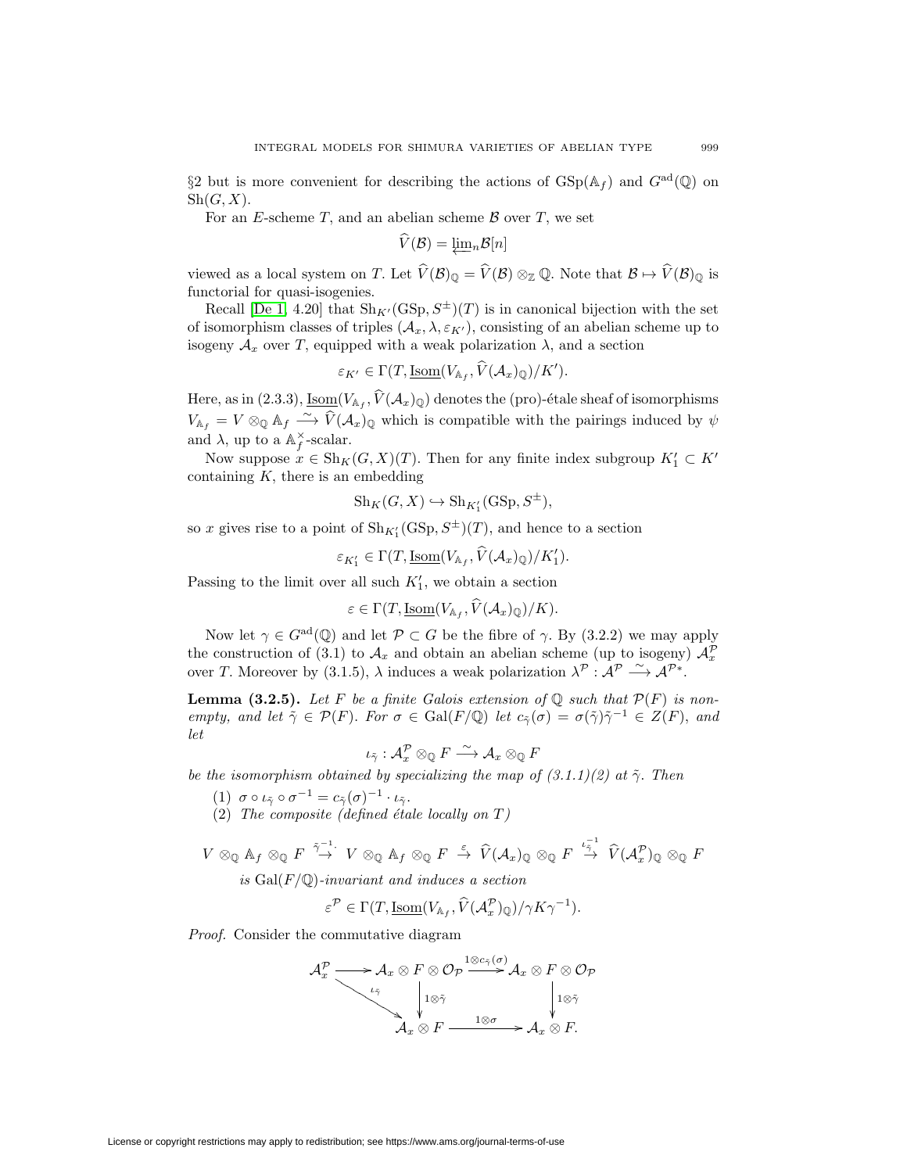§2 but is more convenient for describing the actions of  $\text{GSp}(\mathbb{A}_f)$  and  $G^{\text{ad}}(\mathbb{Q})$  on  $\text{Sh}(G, X)$ .<br>For an *E*-scheme *T*, and an abelian scheme *B* over *T*, we set<br> $\widehat{V}(\mathcal{B}) = \underleftarrow{\lim} _n \mathcal{B}[n]$  $\mathrm{Sh}(G,X).$ 

For an E-scheme  $T$ , and an abelian scheme  $\beta$  over  $T$ , we set

$$
V(\mathcal{B}) = \underline{\lim}_{n} \mathcal{B}[n]
$$

viewed as a local system on T. Let  $\widehat{V}(\mathcal{B})_{\mathbb{Q}} = \widehat{V}(\mathcal{B}) \otimes_{\mathbb{Z}} \mathbb{Q}$ . Note that  $\mathcal{B} \mapsto \widehat{V}(\mathcal{B})_{\mathbb{Q}}$  is functorial for quasi-isogenies.

Recall [\[De 1,](#page-44-16) 4.20] that  $\text{Sh}_{K'}(\text{GSp}, S^{\pm})(T)$  is in canonical bijection with the set<br>isomorphism classes of triples  $(A_x, \lambda, \varepsilon_{K'})$ , consisting of an abelian scheme up to<br>geny  $A_x$  over T, equipped with a weak polarizat of isomorphism classes of triples  $(\mathcal{A}_x, \lambda, \varepsilon_{K'})$ , consisting of an abelian scheme up to isogeny  $A_x$  over T, equipped with a weak polarization  $\lambda$ , and a section

$$
\varepsilon_{K'} \in \Gamma(T, \underline{\text{Isom}}(V_{\mathbb{A}_f}, V(\mathcal{A}_x)_{\mathbb{Q}})/K').
$$

Here, as in (2.3.3),  $\underline{\mathrm{Isom}}(V_{\mathbb{A}_f}, \widehat{V}(\mathcal{A}_x)_{\mathbb{Q}})$  denotes the (pro)-étale sheaf of isomorphisms sogeny  $A_x$  over 1, equipped with a weak polarization  $\lambda$ , and a section<br>  $\varepsilon_{K'} \in \Gamma(T, \underline{\text{Isom}}(V_{\mathbb{A}_f}, \hat{V}(\mathcal{A}_x)_\mathbb{Q})/K').$ <br>
Here, as in (2.3.3),  $\underline{\text{Isom}}(V_{\mathbb{A}_f}, \hat{V}(\mathcal{A}_x)_\mathbb{Q})$  denotes the (pro)-étale sh and  $\lambda$ , up to a  $\mathbb{A}_f^{\times}$ -scalar.

Now suppose  $x \in Sh_K(G, X)(T)$ . Then for any finite index subgroup  $K'_1 \subset K'$ containing  $K$ , there is an embedding

$$
\mathbf{Sh}_K(G, X) \hookrightarrow \mathbf{Sh}_{K'_1}(\mathrm{GSp}, S^{\pm}),
$$

so x gives rise to a point of  $\text{Sh}_{K'_1}(\text{GSp},S^{\pm})(T)$ , and hence to a section

$$
\operatorname{Sh}_{K'}(G, X) \hookrightarrow \operatorname{Sh}_{K'_{1}}(\operatorname{GSp}, S^{\pm}),
$$
  
at of 
$$
\operatorname{Sh}_{K'_{1}}(\operatorname{GSp}, S^{\pm})(T)
$$
, and hence 
$$
\varepsilon_{K'_{1}} \in \Gamma(T, \underline{\operatorname{Isom}}(V_{\mathbb{A}_{f}}, \widehat{V}(\mathcal{A}_{x})_{\mathbb{Q}})/K'_{1}).
$$
  
er all such  $K'_{1}$ , we obtain a section  

$$
\varepsilon \in \Gamma(T, \underline{\operatorname{Isom}}(V_{\mathbb{A}_{f}}, \widehat{V}(\mathcal{A}_{x})_{\mathbb{Q}})/K).
$$

Passing to the limit over all such  $K'_1$ , we obtain a section

$$
\varepsilon \in \Gamma(T, \underline{\text{Isom}}(V_{\mathbb{A}_f}, V(\mathcal{A}_x)_{\mathbb{Q}})/K).
$$

Now let  $\gamma \in G^{\rm ad}(\mathbb{Q})$  and let  $\mathcal{P} \subset G$  be the fibre of  $\gamma$ . By (3.2.2) we may apply the construction of (3.1) to  $\mathcal{A}_x$  and obtain an abelian scheme (up to isogeny)  $\mathcal{A}_x^{\mathcal{P}}$ over T. Moreover by (3.1.5),  $\lambda$  induces a weak polarization  $\lambda^{\mathcal{P}}: \mathcal{A}^{\mathcal{P}} \longrightarrow \mathcal{A}^{\mathcal{P}*}.$ 

**Lemma (3.2.5).** Let F be a finite Galois extension of  $\mathbb{Q}$  such that  $\mathcal{P}(F)$  is nonempty, and let  $\tilde{\gamma} \in \mathcal{P}(F)$ . For  $\sigma \in \text{Gal}(F/\mathbb{Q})$  let  $c_{\tilde{\gamma}}(\sigma) = \sigma(\tilde{\gamma})\tilde{\gamma}^{-1} \in Z(F)$ , and let

$$
\iota_{\tilde\gamma}:\mathcal{A}_x^\mathcal{P}\otimes_\mathbb{Q} F\stackrel{\sim}{\longrightarrow}\mathcal{A}_x\otimes_\mathbb{Q} F
$$

be the isomorphism obtained by specializing the map of  $(3.1.1)(2)$  at  $\tilde{\gamma}$ . Then

- (1)  $\sigma \circ \iota_{\tilde{\gamma}} \circ \sigma^{-1} = c_{\tilde{\gamma}}(\sigma)^{-1} \cdot \iota_{\tilde{\gamma}}.$
- (2) The composite (defined étale locally on  $T$ )

(1) 
$$
\sigma \circ \iota_{\tilde{\gamma}} \circ \sigma^{-1} = c_{\tilde{\gamma}}(\sigma)^{-1} \cdot \iota_{\tilde{\gamma}}
$$
.  
\n(2) The composite (defined étale locally on T)  
\n $V \otimes_{\mathbb{Q}} \mathbb{A}_f \otimes_{\mathbb{Q}} F \xrightarrow{\tilde{\gamma}-1} V \otimes_{\mathbb{Q}} \mathbb{A}_f \otimes_{\mathbb{Q}} F \xrightarrow{\varepsilon} \widehat{V}(\mathcal{A}_x)_{\mathbb{Q}} \otimes_{\mathbb{Q}} F \xrightarrow{\iota_{\tilde{\gamma}}^{-1}} \widehat{V}(\mathcal{A}_x^{\mathcal{P}})_{\mathbb{Q}} \otimes_{\mathbb{Q}} F$   
\nis Gal(F/\mathbb{Q})-invariant and induces a section  
\n $\varepsilon^{\mathcal{P}} \in \Gamma(T, \underline{\mathrm{Isom}}(V_{\mathbb{A}_f}, \widehat{V}(\mathcal{A}_x^{\mathcal{P}})_{\mathbb{Q}})/\gamma K \gamma^{-1}).$ 

is  $Gal(F/\mathbb{Q})$ -invariant and induces a section

$$
\varepsilon^{\mathcal{P}} \in \Gamma(T, \underline{\text{Isom}}(V_{\mathbb{A}_f}, \widehat{V}(\mathcal{A}_x^{\mathcal{P}})_{\mathbb{Q}})/\gamma K \gamma^{-1}).
$$

Proof. Consider the commutative diagram

AP <sup>x</sup> ιγ˜ -- -- -- -- -- - A<sup>x</sup> ⊗ F ⊗ O<sup>P</sup> 1⊗cγ˜ (σ) -1⊗γ˜ A<sup>x</sup> ⊗ F ⊗ O<sup>P</sup> 1⊗γ˜ <sup>A</sup><sup>x</sup> <sup>⊗</sup> <sup>F</sup> <sup>1</sup>⊗<sup>σ</sup> -A<sup>x</sup> ⊗ F.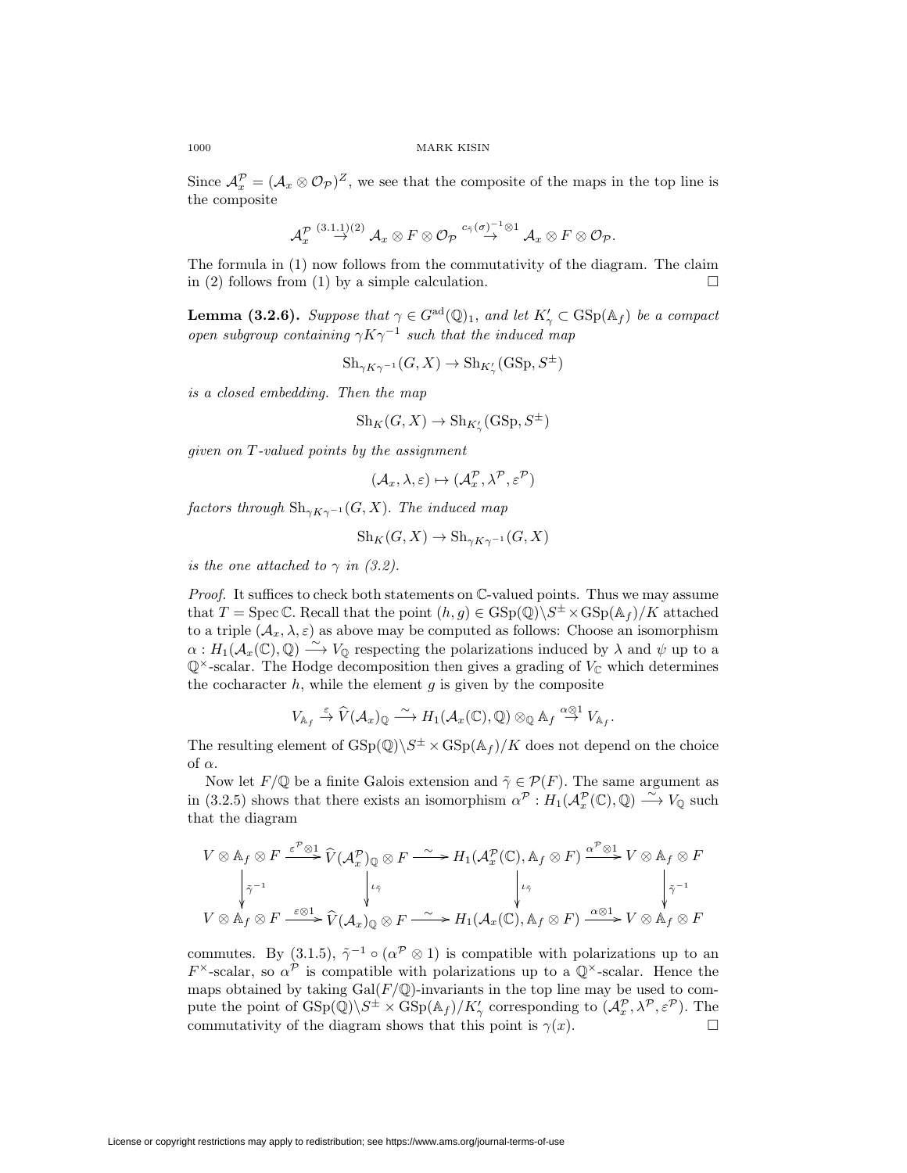Since  $\mathcal{A}_x^{\mathcal{P}} = (\mathcal{A}_x \otimes \mathcal{O}_{\mathcal{P}})^Z$ , we see that the composite of the maps in the top line is the composite

$$
\mathcal{A}_x^{\mathcal{P}}\overset{(3.1.1)(2)}{\rightarrow}\mathcal{A}_x\otimes F\otimes \mathcal{O}_{\mathcal{P}}\overset{c_{\tilde{\gamma}}(\sigma)^{-1}\otimes 1}{\rightarrow}\mathcal{A}_x\otimes F\otimes \mathcal{O}_{\mathcal{P}}.
$$

The formula in (1) now follows from the commutativity of the diagram. The claim in (2) follows from (1) by a simple calculation.  $\Box$ 

**Lemma (3.2.6).** Suppose that  $\gamma \in G^{ad}(\mathbb{Q})_1$ , and let  $K'_{\gamma} \subset \text{GSp}(\mathbb{A}_f)$  be a compact open subgroup containing  $\gamma K \gamma^{-1}$  such that the induced map

 $\text{Sh}_{\gamma K\gamma^{-1}}(G,X)\to \text{Sh}_{K'_{\gamma}}(\text{GSp},S^{\pm})$ 

is a closed embedding. Then the map

$$
\mathbf{Sh}_K(G, X) \to \mathbf{Sh}_{K'_{\gamma}}(\mathrm{GSp}, S^{\pm})
$$

given on T-valued points by the assignment

$$
(\mathcal{A}_x, \lambda, \varepsilon) \mapsto (\mathcal{A}_x^{\mathcal{P}}, \lambda^{\mathcal{P}}, \varepsilon^{\mathcal{P}})
$$

factors through  $\mathrm{Sh}_{\gamma K\gamma^{-1}}(G,X)$ . The induced map

$$
\mathbf{Sh}_K(G, X) \to \mathbf{Sh}_{\gamma K \gamma^{-1}}(G, X)
$$

is the one attached to  $\gamma$  in (3.2).

Proof. It suffices to check both statements on  $\mathbb{C}\text{-valued points}$ . Thus we may assume that  $T = \text{Spec } \mathbb{C}$ . Recall that the point  $(h, g) \in \text{GSp}(\mathbb{Q}) \backslash S^{\pm} \times \text{GSp}(\mathbb{A}_f)/K$  attached to a triple  $(\mathcal{A}_x, \lambda, \varepsilon)$  as above may be computed as follows: Choose an isomorphism  $\alpha: H_1(\mathcal{A}_x(\mathbb{C}), \mathbb{Q}) \longrightarrow V_{\mathbb{Q}}$  respecting the polarizations induced by  $\lambda$  and  $\psi$  up to a  $\mathbb{Q}^{\times}$ -scalar. The Hodge decomposition then gives a grading of  $V_{\mathbb{C}}$  which determines the cocharacter  $h$ , while the element  $g$  is given by the composite  $\Rightarrow$   $V_{\mathbb{Q}}$  respecting the polarizations induced by<br>Hodge decomposition then gives a grading of  $V_{\mathbb{C}}$  w<br>*h*, while the element *g* is given by the composite<br> $V_{\mathbb{A}_f} \xrightarrow{\varepsilon} \widehat{V}(\mathcal{A}_x)_{\mathbb{Q}} \xrightarrow{\sim} H_1(\mathcal{$ 

The resulting element of  $\text{GSp}(\mathbb{Q})\backslash S^{\pm} \times \text{GSp}(\mathbb{A}_f)/K$  does not depend on the choice of  $\alpha$ .

Now let  $F/\mathbb{Q}$  be a finite Galois extension and  $\tilde{\gamma} \in \mathcal{P}(F)$ . The same argument as in (3.2.5) shows that there exists an isomorphism  $\alpha^{\mathcal{P}} : H_1(\mathcal{A}_{\mathcal{X}}^{\mathcal{P}}(\mathbb{C}), \mathbb{Q}) \xrightarrow{\sim} V_{\mathbb{Q}}$  such that the diagram<br>that the diagram<br> $V \otimes \mathbb{A}_f \otimes F \xrightarrow{\varepsilon^{\mathcal{P}} \otimes 1} \widehat{V}(\mathcal{A}_{\mathcal{X}}^{\mathcal{P}})_{\mathbb{Q}} \ot$ that the diagram

$$
V \otimes A_f \otimes F \xrightarrow{\varepsilon^{\mathcal{P}} \otimes 1} \widehat{V}(\mathcal{A}_x^{\mathcal{P}})_{\mathbb{Q}} \otimes F \xrightarrow{\sim} H_1(\mathcal{A}_x^{\mathcal{P}}(\mathbb{C}), A_f \otimes F) \xrightarrow{\alpha^{\mathcal{P}} \otimes 1} V \otimes A_f \otimes F
$$
  

$$
\downarrow^{\tilde{\gamma}^{-1}} \qquad \qquad \downarrow^{\iota_{\tilde{\gamma}}} \qquad \qquad \downarrow^{\iota_{\tilde{\gamma}}} \qquad \qquad \downarrow^{\iota_{\tilde{\gamma}}} \qquad \qquad \downarrow^{\tilde{\gamma}^{-1}} \qquad \qquad \downarrow^{\tilde{\gamma}^{-1}} \qquad \qquad \downarrow^{\tilde{\gamma}^{-1}} \qquad \qquad \downarrow^{\tilde{\gamma}^{-1}} \qquad \qquad \downarrow^{\tilde{\gamma}^{-1}} \qquad \qquad \downarrow^{\tilde{\gamma}^{-1}} \qquad \qquad \downarrow^{\tilde{\gamma}^{-1}} \qquad \qquad \downarrow^{\tilde{\gamma}^{-1}} \qquad \qquad \downarrow^{\tilde{\gamma}^{-1}} \qquad \qquad \downarrow^{\tilde{\gamma}^{-1}} \qquad \qquad \downarrow^{\tilde{\gamma}^{-1}} \qquad \qquad \downarrow^{\tilde{\gamma}^{-1}} \qquad \qquad \downarrow^{\tilde{\gamma}^{-1}} \qquad \qquad \downarrow^{\tilde{\gamma}^{-1}} \qquad \qquad \downarrow^{\tilde{\gamma}^{-1}} \qquad \qquad \downarrow^{\tilde{\gamma}^{-1}} \qquad \qquad \downarrow^{\tilde{\gamma}^{-1}} \qquad \qquad \downarrow^{\tilde{\gamma}^{-1}} \qquad \qquad \downarrow^{\tilde{\gamma}^{-1}} \qquad \qquad \downarrow^{\tilde{\gamma}^{-1}} \qquad \qquad \downarrow^{\tilde{\gamma}^{-1}} \qquad \qquad \downarrow^{\tilde{\gamma}^{-1}} \qquad \qquad \downarrow^{\tilde{\gamma}^{-1}} \qquad \qquad \downarrow^{\tilde{\gamma}^{-1}} \qquad \qquad \downarrow^{\tilde{\gamma}^{-1}} \qquad \qquad \downarrow^{\tilde{\gamma}^{-1}} \qquad \qquad \downarrow^{\tilde{\gamma}^{-1}} \qquad \qquad \downarrow^{\tilde{\gamma}^{-1}} \qquad \qquad \downarrow^{\tilde{\gamma}^{-1}}
$$

commutes. By (3.1.5),  $\tilde{\gamma}^{-1} \circ (\alpha^{\mathcal{P}} \otimes 1)$  is compatible with polarizations up to an  $F^{\times}$ -scalar, so  $\alpha^{\mathcal{P}}$  is compatible with polarizations up to a  $\mathbb{Q}^{\times}$ -scalar. Hence the maps obtained by taking  $Gal(F/\mathbb{Q})$ -invariants in the top line may be used to compute the point of  $GSp(\mathbb{Q})\backslash S^{\pm}\times GSp(\mathbb{A}_f)/K'_\gamma$  corresponding to  $(\mathcal{A}_x^{\mathcal{P}},\lambda^{\mathcal{P}},\varepsilon^{\mathcal{P}})$ . The commutativity of the diagram shows that this point is  $\gamma(x)$ .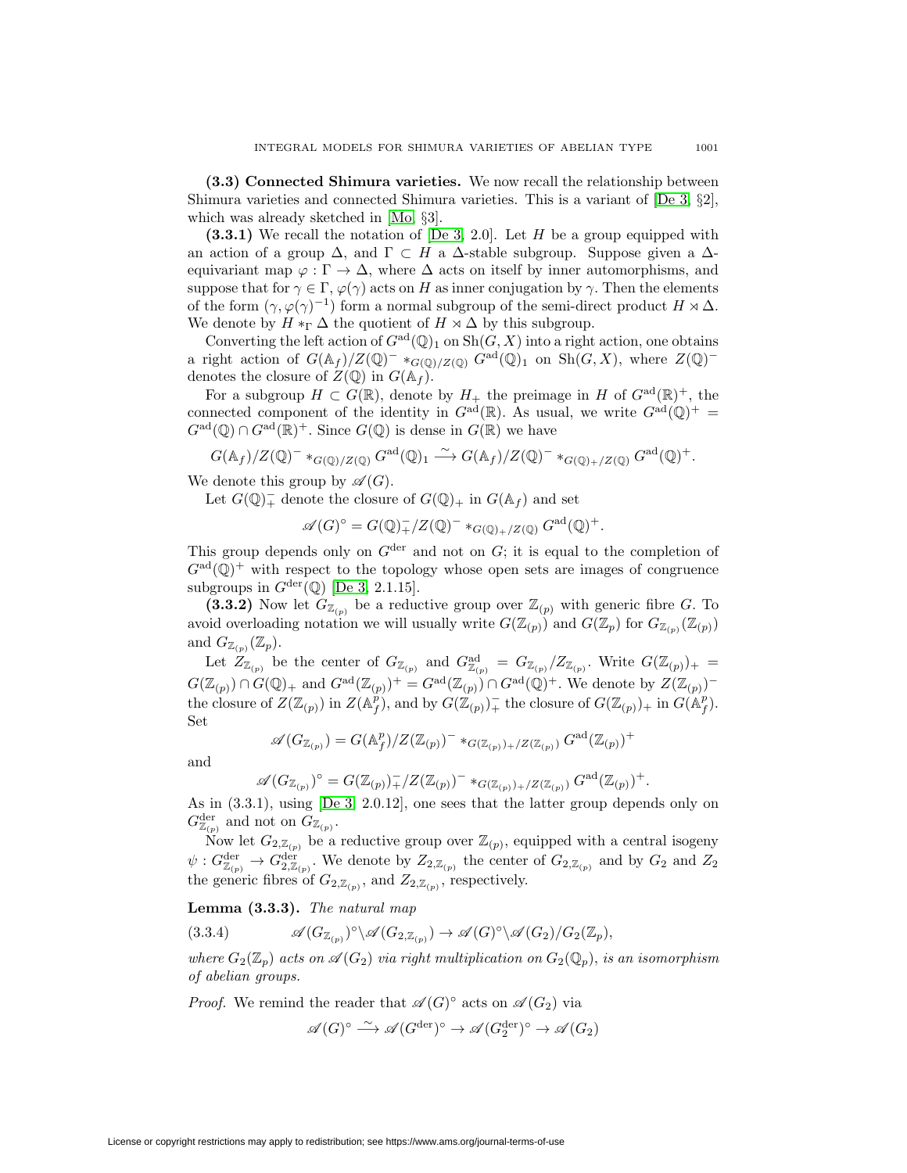<span id="page-34-0"></span>**(3.3) Connected Shimura varieties.** We now recall the relationship between Shimura varieties and connected Shimura varieties. This is a variant of [\[De 3,](#page-44-7) §2], which was already sketched in [\[Mo,](#page-45-6) §3].

**(3.3.1)** We recall the notation of [\[De 3,](#page-44-7) 2.0]. Let H be a group equipped with an action of a group  $\Delta$ , and  $\Gamma \subset H$  a  $\Delta$ -stable subgroup. Suppose given a  $\Delta$ equivariant map  $\varphi : \Gamma \to \Delta$ , where  $\Delta$  acts on itself by inner automorphisms, and suppose that for  $\gamma \in \Gamma$ ,  $\varphi(\gamma)$  acts on H as inner conjugation by  $\gamma$ . Then the elements of the form  $(\gamma, \varphi(\gamma)^{-1})$  form a normal subgroup of the semi-direct product  $H \rtimes \Delta$ . We denote by  $H *_{\Gamma} \Delta$  the quotient of  $H \rtimes \Delta$  by this subgroup.

Converting the left action of  $G^{ad}(\mathbb{Q})_1$  on  $\text{Sh}(G, X)$  into a right action, one obtains a right action of  $G(\mathbb{A}_f)/Z(\mathbb{Q})^-$  \* $_{G(\mathbb{Q})/Z(\mathbb{Q})}$   $G^{\text{ad}}(\mathbb{Q})_1$  on  $\text{Sh}(G,X)$ , where  $Z(\mathbb{Q})^$ denotes the closure of  $Z(\mathbb{Q})$  in  $G(\mathbb{A}_f)$ .

For a subgroup  $H \subset G(\mathbb{R})$ , denote by  $H_+$  the preimage in H of  $G^{ad}(\mathbb{R})^+$ , the connected component of the identity in  $G^{\text{ad}}(\mathbb{R})$ . As usual, we write  $G^{\text{ad}}(\mathbb{Q})^+$  =  $G^{\rm ad}(\mathbb{Q}) \cap G^{\rm ad}(\mathbb{R})^+$ . Since  $G(\mathbb{Q})$  is dense in  $G(\mathbb{R})$  we have

$$
G(\mathbb{A}_f)/Z(\mathbb{Q})^- *_{G(\mathbb{Q})/Z(\mathbb{Q})} G^{\text{ad}}(\mathbb{Q})_1 \xrightarrow{\sim} G(\mathbb{A}_f)/Z(\mathbb{Q})^- *_{G(\mathbb{Q})_+/Z(\mathbb{Q})} G^{\text{ad}}(\mathbb{Q})^+.
$$

We denote this group by  $\mathscr{A}(G)$ .

Let  $G(\mathbb{Q})_+^-$  denote the closure of  $G(\mathbb{Q})_+$  in  $G(\mathbb{A}_f)$  and set

$$
\mathscr{A}(G)^{\circ} = G(\mathbb{Q})_{+}^{-}/Z(\mathbb{Q})^{-} *_{G(\mathbb{Q})_{+}/Z(\mathbb{Q})} G^{\text{ad}}(\mathbb{Q})^{+}.
$$

This group depends only on  $G<sup>der</sup>$  and not on  $G$ ; it is equal to the completion of  $G^{\text{ad}}(\mathbb{Q})^+$  with respect to the topology whose open sets are images of congruence subgroups in  $G^{\text{der}}(\mathbb{Q})$  [\[De 3,](#page-44-7) 2.1.15].

**(3.3.2)** Now let  $G_{\mathbb{Z}_{(p)}}$  be a reductive group over  $\mathbb{Z}_{(p)}$  with generic fibre G. To avoid overloading notation we will usually write  $G(\mathbb{Z}_{(p)})$  and  $G(\mathbb{Z}_p)$  for  $G_{\mathbb{Z}_{(p)}}(\mathbb{Z}_{(p)})$ and  $G_{\mathbb{Z}_{(p)}}(\mathbb{Z}_p)$ .

Let  $Z_{\mathbb{Z}_{(p)}}$  be the center of  $G_{\mathbb{Z}_{(p)}}$  and  $G_{\mathbb{Z}_{(p)}}^{\mathrm{ad}} = G_{\mathbb{Z}_{(p)}}/Z_{\mathbb{Z}_{(p)}}$ . Write  $G(\mathbb{Z}_{(p)})_+ =$  $G(\mathbb{Z}_{(p)}) \cap G(\mathbb{Q})_+$  and  $G^{\rm ad}(\mathbb{Z}_{(p)})^+ = G^{\rm ad}(\mathbb{Z}_{(p)}) \cap G^{\rm ad}(\mathbb{Q})^+$ . We denote by  $Z(\mathbb{Z}_{(p)})^$ the closure of  $Z(\mathbb{Z}_{(p)})$  in  $Z(\mathbb{A}_f^p)$ , and by  $G(\mathbb{Z}_{(p)})_+^-$  the closure of  $G(\mathbb{Z}_{(p)})_+$  in  $G(\mathbb{A}_f^p)$ . Set

$$
\mathscr{A}(G_{\mathbb{Z}_{(p)}})=G(\mathbb{A}_f^p)/Z(\mathbb{Z}_{(p)})^-*_{G(\mathbb{Z}_{(p)})_+/Z(\mathbb{Z}_{(p)})}G^{\mathrm{ad}}(\mathbb{Z}_{(p)})^+
$$

and

$$
\mathscr{A}(G_{\mathbb{Z}_{(p)}})^{\circ} = G(\mathbb{Z}_{(p)})_{+}^{-}/Z(\mathbb{Z}_{(p)})^{-} *_{G(\mathbb{Z}_{(p)})_{+}/Z(\mathbb{Z}_{(p)})} G^{\mathrm{ad}}(\mathbb{Z}_{(p)})^{+}.
$$

As in (3.3.1), using [\[De 3,](#page-44-7) 2.0.12], one sees that the latter group depends only on  $G_{\mathbb{Z}_{(p)}}^{\text{der}}$  and not on  $G_{\mathbb{Z}_{(p)}}$ .

Now let  $G_{2,\mathbb{Z}_{(p)}}$  be a reductive group over  $\mathbb{Z}_{(p)}$ , equipped with a central isogeny  $\psi: G_{\mathbb{Z}_{(p)}}^{\text{der}} \to G_{2,\mathbb{Z}_{(p)}}^{\text{der}}$ . We denote by  $Z_{2,\mathbb{Z}_{(p)}}$  the center of  $G_{2,\mathbb{Z}_{(p)}}$  and by  $G_2$  and  $Z_2$ the generic fibres of  $G_{2,\mathbb{Z}_{(p)}},$  and  $Z_{2,\mathbb{Z}_{(p)}},$  respectively.

**Lemma (3.3.3).** The natural map

(3.3.4) 
$$
\mathscr{A}(G_{\mathbb{Z}_{(p)}})^{\circ}\backslash \mathscr{A}(G_{2,\mathbb{Z}_{(p)}}) \to \mathscr{A}(G)^{\circ}\backslash \mathscr{A}(G_2)/G_2(\mathbb{Z}_p),
$$

where  $G_2(\mathbb{Z}_p)$  acts on  $\mathscr{A}(G_2)$  via right multiplication on  $G_2(\mathbb{Q}_p)$ , is an isomorphism of abelian groups.

*Proof.* We remind the reader that  $\mathscr{A}(G)^\circ$  acts on  $\mathscr{A}(G_2)$  via

$$
\mathscr{A}(G)^{\circ} \stackrel{\sim}{\longrightarrow} \mathscr{A}(G^{\mathrm{der}})^{\circ} \to \mathscr{A}(G_2^{\mathrm{der}})^{\circ} \to \mathscr{A}(G_2)
$$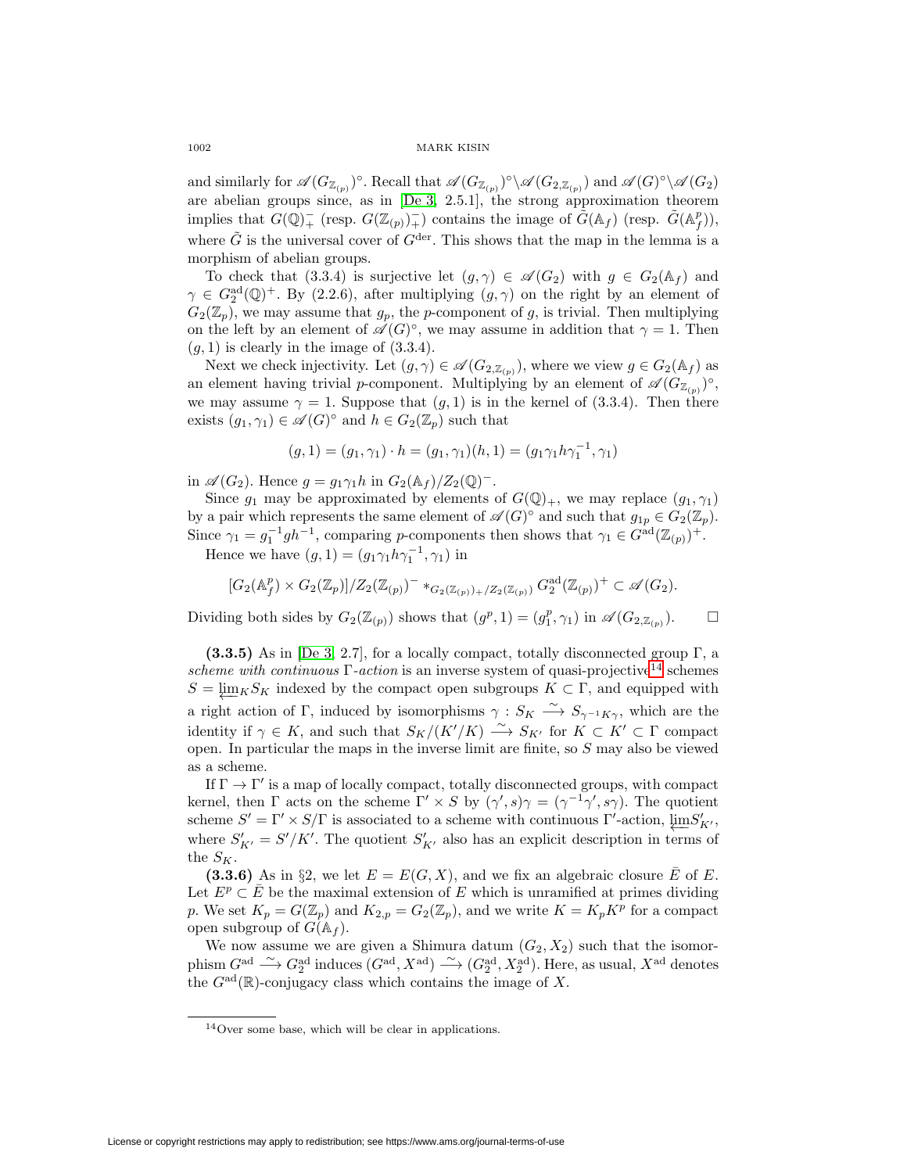and similarly for  $\mathscr{A}(G_{\mathbb{Z}_{(p)}})$ °. Recall that  $\mathscr{A}(G_{\mathbb{Z}_{(p)}})$ ° $\setminus \mathscr{A}(G_{2,\mathbb{Z}_{(p)}})$  and  $\mathscr{A}(G)$ ° $\setminus \mathscr{A}(G_2)$ are abelian groups since, as in [\[De 3,](#page-44-7) 2.5.1], the strong approximation theorem implies that  $G(\mathbb{Q})^+_{+}$  (resp.  $G(\mathbb{Z}_{(p)})^+_{+}$ ) contains the image of  $\tilde{G}(\mathbb{A}_f)$  (resp.  $\tilde{G}(\mathbb{A}_f^p)$ ), where  $\tilde{G}$  is the universal cover of  $G^{\text{der}}$ . This shows that the map in the lemma is a morphism of abelian groups.

To check that (3.3.4) is surjective let  $(g, \gamma) \in \mathscr{A}(G_2)$  with  $g \in G_2(\mathbb{A}_f)$  and  $\gamma \in G_2^{\rm ad}(\mathbb{Q})^+$ . By (2.2.6), after multiplying  $(g, \gamma)$  on the right by an element of  $G_2(\mathbb{Z}_p)$ , we may assume that  $g_p$ , the p-component of g, is trivial. Then multiplying on the left by an element of  $\mathscr{A}(G)^\circ$ , we may assume in addition that  $\gamma = 1$ . Then  $(g, 1)$  is clearly in the image of  $(3.3.4)$ .

Next we check injectivity. Let  $(g, \gamma) \in \mathscr{A}(G_{2,\mathbb{Z}_{(p)}})$ , where we view  $g \in G_2(\mathbb{A}_f)$  as an element having trivial p-component. Multiplying by an element of  $\mathscr{A}(G_{\mathbb{Z}_{(p)}})^\circ$ , we may assume  $\gamma = 1$ . Suppose that  $(g, 1)$  is in the kernel of  $(3.3.4)$ . Then there exists  $(g_1, \gamma_1) \in \mathscr{A}(G)^\circ$  and  $h \in G_2(\mathbb{Z}_p)$  such that

$$
(g,1) = (g_1, \gamma_1) \cdot h = (g_1, \gamma_1)(h,1) = (g_1 \gamma_1 h \gamma_1^{-1}, \gamma_1)
$$

in  $\mathscr{A}(G_2)$ . Hence  $g = g_1 \gamma_1 h$  in  $G_2(\mathbb{A}_f)/Z_2(\mathbb{Q})^-$ .

Since  $g_1$  may be approximated by elements of  $G(\mathbb{Q})_+$ , we may replace  $(g_1, \gamma_1)$ by a pair which represents the same element of  $\mathscr{A}(G)^\circ$  and such that  $g_{1p} \in G_2(\mathbb{Z}_p)$ . Since  $\gamma_1 = g_1^{-1}gh^{-1}$ , comparing p-components then shows that  $\gamma_1 \in G^{\text{ad}}(\mathbb{Z}_{(p)})^+$ .

Hence we have  $(g, 1) = (g_1 \gamma_1 h \gamma_1^{-1}, \gamma_1)$  in

$$
[G_2(\mathbb{A}_f^p) \times G_2(\mathbb{Z}_p)]/Z_2(\mathbb{Z}_{(p)})^- *_{G_2(\mathbb{Z}_{(p)})_+/Z_2(\mathbb{Z}_{(p)})} G_2^{\mathrm{ad}}(\mathbb{Z}_{(p)})^+ \subset \mathscr{A}(G_2).
$$

Dividing both sides by  $G_2(\mathbb{Z}_{(p)})$  shows that  $(g^p, 1) = (g_1^p, \gamma_1)$  in  $\mathscr{A}(G_{2, \mathbb{Z}_{(p)}})$ .  $\Box$ 

**(3.3.5)** As in [\[De 3,](#page-44-7) 2.7], for a locally compact, totally disconnected group Γ, a scheme with continuous  $\Gamma$ -action is an inverse system of quasi-projective<sup>[14](#page-35-0)</sup> schemes  $S = \varprojlim_{K} S_{K}$  indexed by the compact open subgroups  $K \subset \Gamma$ , and equipped with a right action of Γ, induced by isomorphisms  $\gamma: S_K \longrightarrow S_{\gamma^{-1}K\gamma}$ , which are the identity if  $\gamma \in K$ , and such that  $S_K/(K'/K) \longrightarrow S_{K'}$  for  $K \subset K' \subset \Gamma$  compact open. In particular the maps in the inverse limit are finite, so S may also be viewed as a scheme.

If  $\Gamma \to \Gamma'$  is a map of locally compact, totally disconnected groups, with compact kernel, then  $\Gamma$  acts on the scheme  $\Gamma' \times S$  by  $(\gamma', s) \gamma = (\gamma^{-1} \gamma', s \gamma)$ . The quotient scheme  $S' = \Gamma' \times S/\Gamma$  is associated to a scheme with continuous  $\Gamma'$ -action,  $\varprojlim S'_{K'}$ , where  $S'_{K'} = S'/K'$ . The quotient  $S'_{K'}$  also has an explicit description in terms of the  $S_K$ .

**(3.3.6)** As in §2, we let  $E = E(G, X)$ , and we fix an algebraic closure E of E. Let  $E^p \subset \overline{E}$  be the maximal extension of E which is unramified at primes dividing p. We set  $K_p = G(\mathbb{Z}_p)$  and  $K_{2,p} = G_2(\mathbb{Z}_p)$ , and we write  $K = K_p K^p$  for a compact open subgroup of  $G(\mathbb{A}_f)$ .

We now assume we are given a Shimura datum  $(G_2, X_2)$  such that the isomorphism  $G^{\rm ad} \stackrel{\sim}{\longrightarrow} G_2^{\rm ad}$  induces  $(G^{\rm ad}, X^{\rm ad}) \stackrel{\sim}{\longrightarrow} (G_2^{\rm ad}, X_2^{\rm ad})$ . Here, as usual,  $X^{\rm ad}$  denotes the  $G^{\text{ad}}(\mathbb{R})$ -conjugacy class which contains the image of X.

<span id="page-35-0"></span><sup>14</sup>Over some base, which will be clear in applications.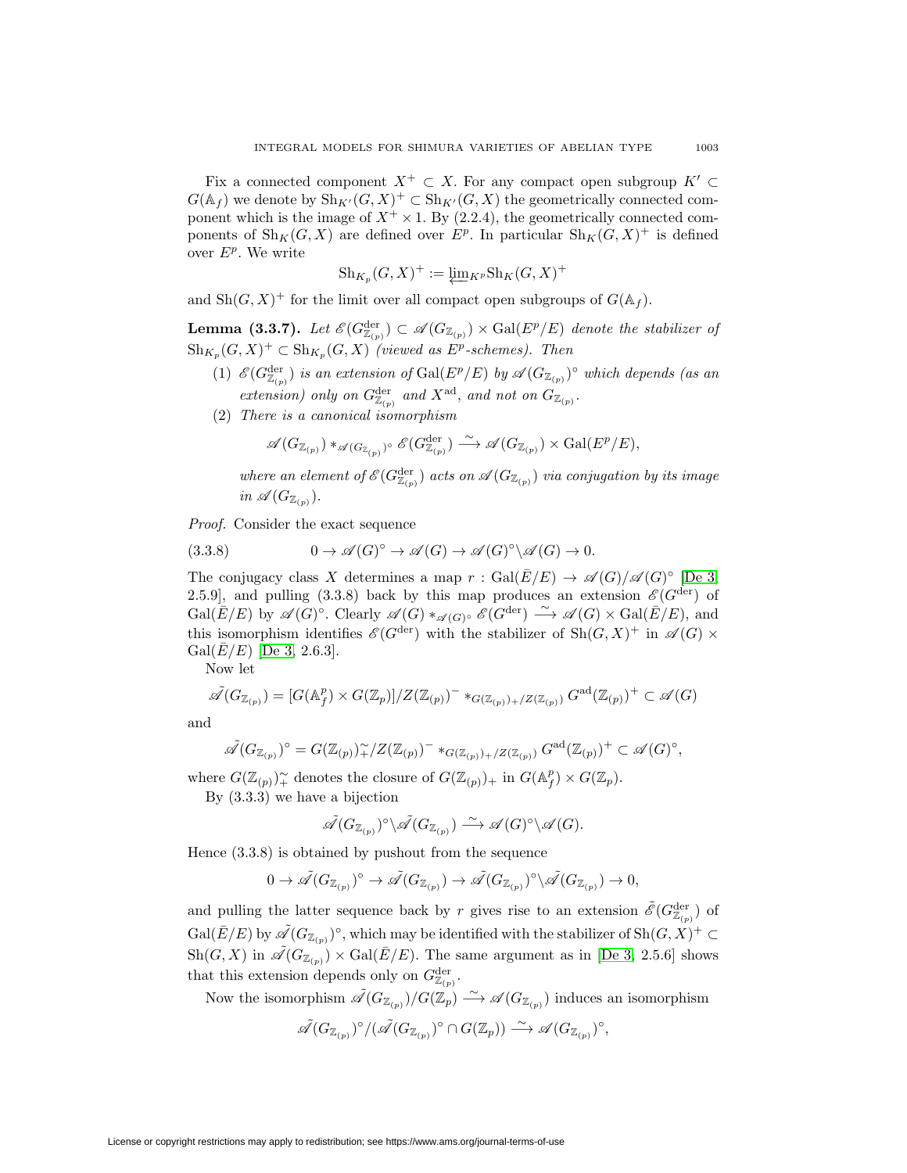Fix a connected component  $X^+ \subset X$ . For any compact open subgroup  $K' \subset Y$  $G(\mathbb{A}_f)$  we denote by  $\mathrm{Sh}_{K'}(G,X)^+ \subset \mathrm{Sh}_{K'}(G,X)$  the geometrically connected component which is the image of  $X^+ \times 1$ . By (2.2.4), the geometrically connected components of  $\text{Sh}_K(G, X)$  are defined over  $E^p$ . In particular  $\text{Sh}_K(G, X)^+$  is defined over  $E^p$ . We write

$$
\mathrm{Sh}_{K_p}(G,X)^+ := \varprojlim_{K^p} \mathrm{Sh}_K(G,X)^+
$$

and  $\mathrm{Sh}(G, X)^+$  for the limit over all compact open subgroups of  $G(\mathbb{A}_f)$ .

**Lemma (3.3.7).** Let  $\mathscr{E}(G_{\mathbb{Z}_{(p)}}^{\text{der}}) \subset \mathscr{A}(G_{\mathbb{Z}_{(p)}}) \times \text{Gal}(E^p/E)$  denote the stabilizer of  $\text{Sh}_{K_p}(G, X)^+ \subset \text{Sh}_{K_p}(G, X)$  (viewed as  $E^p$ -schemes). Then

- (1)  $\mathscr{E}(G_{\mathbb{Z}_{(p)}}^{\text{der}})$  is an extension of  $\text{Gal}(E^p/E)$  by  $\mathscr{A}(G_{\mathbb{Z}_{(p)}})^\circ$  which depends (as an extension) only on  $G_{\mathbb{Z}_{(p)}}^{\text{der}}$  and  $X^{\text{ad}}$ , and not on  $G_{\mathbb{Z}_{(p)}}$ .
- (2) There is a canonical isomorphism

$$
\mathscr{A}(G_{\mathbb{Z}_{(p)}}) \ast_{\mathscr{A}(G_{\mathbb{Z}_{(p)}})^{\circ}} \mathscr{E}(G_{\mathbb{Z}_{(p)}}^{\mathrm{der}}) \stackrel{\sim}{\longrightarrow} \mathscr{A}(G_{\mathbb{Z}_{(p)}}) \times \mathrm{Gal}(E^p/E),
$$

where an element of  $\mathscr{E}(G_{\mathbb{Z}_{(p)}}^{\text{der}})$  acts on  $\mathscr{A}(G_{\mathbb{Z}_{(p)}})$  via conjugation by its image in  $\mathscr{A}(G_{\mathbb{Z}_{(p)}}).$ 

Proof. Consider the exact sequence

(3.3.8) 
$$
0 \to \mathscr{A}(G)^{\circ} \to \mathscr{A}(G) \to \mathscr{A}(G)^{\circ} \backslash \mathscr{A}(G) \to 0.
$$

The conjugacy class X determines a map  $r : \text{Gal}(\overline{E}/E) \to \mathscr{A}(G)/\mathscr{A}(G)^\circ$  [\[De 3,](#page-44-7) 2.5.9], and pulling (3.3.8) back by this map produces an extension  $\mathscr{E}(G^{\text{der}})$  of  $Gal(\overline{E}/E)$  by  $\mathscr{A}(G)$ °. Clearly  $\mathscr{A}(G) *_{\mathscr{A}(G)^{\circ}} \mathscr{E}(G^{\text{der}}) \longrightarrow \mathscr{A}(G) \times Gal(\overline{E}/E)$ , and this isomorphism identifies  $\mathscr{E}(G^{\text{der}})$  with the stabilizer of  $\text{Sh}(G, X)^+$  in  $\mathscr{A}(G)$  ×  $Gal(\bar{E}/E)$  [\[De 3,](#page-44-7) 2.6.3].

Now let

$$
\tilde{\mathscr{A}}(G_{\mathbb{Z}_{(p)}}) = [G(\mathbb{A}_f^p) \times G(\mathbb{Z}_p)]/Z(\mathbb{Z}_{(p)})^- *_{G(\mathbb{Z}_{(p)}) + Z(\mathbb{Z}_{(p)})} G^{ad}(\mathbb{Z}_{(p)})^+ \subset \mathscr{A}(G)
$$

and

$$
\tilde{\mathscr{A}}(G_{\mathbb{Z}_{(p)}})^\circ = G(\mathbb{Z}_{(p)})^\sim_+/Z(\mathbb{Z}_{(p)})^- \ast_{G(\mathbb{Z}_{(p)})_+/Z(\mathbb{Z}_{(p)})} G^{\mathrm{ad}}(\mathbb{Z}_{(p)})^+ \subset \mathscr{A}(G)^\circ,
$$

where  $G(\mathbb{Z}_{(p)})^{\sim}_+$  denotes the closure of  $G(\mathbb{Z}_{(p)})_+$  in  $G(\mathbb{A}_f^p) \times G(\mathbb{Z}_p)$ .

By (3.3.3) we have a bijection

$$
\tilde{\mathscr{A}}(G_{\mathbb{Z}_{(p)}})^{\circ}\backslash\tilde{\mathscr{A}}(G_{\mathbb{Z}_{(p)}})\stackrel{\sim}{\longrightarrow} \mathscr{A}(G)^{\circ}\backslash\mathscr{A}(G).
$$

Hence (3.3.8) is obtained by pushout from the sequence

$$
0 \to \tilde{\mathscr{A}}(G_{\mathbb{Z}_{(p)}})^{\circ} \to \tilde{\mathscr{A}}(G_{\mathbb{Z}_{(p)}}) \to \tilde{\mathscr{A}}(G_{\mathbb{Z}_{(p)}})^{\circ} \backslash \tilde{\mathscr{A}}(G_{\mathbb{Z}_{(p)}}) \to 0,
$$

and pulling the latter sequence back by r gives rise to an extension  $\tilde{\mathscr{E}}(G_{\mathbb{Z}_{(p)}}^{\text{der}})$  of  $Gal(\bar{E}/E)$  by  $\tilde{\mathscr{A}}(G_{\mathbb{Z}_{(p)}})^\circ$ , which may be identified with the stabilizer of  $\mathrm{Sh}(G,X)^+ \subset$  $\mathrm{Sh}(G, X)$  in  $\tilde{\mathscr{A}}(G_{\mathbb{Z}_{(p)}}) \times \mathrm{Gal}(\overline{E}/E)$ . The same argument as in [\[De 3,](#page-44-7) 2.5.6] shows that this extension depends only on  $G_{\mathbb{Z}_{(p)}}^{\text{der}}$ .

Now the isomorphism  $\tilde{\mathscr{A}}(G_{\mathbb{Z}_{(p)}})/\tilde{G}(\mathbb{Z}_{p}) \longrightarrow \mathscr{A}(G_{\mathbb{Z}_{(p)}})$  induces an isomorphism

$$
\tilde{\mathscr{A}}(G_{\mathbb{Z}_{(p)}})^{\circ}/(\tilde{\mathscr{A}}(G_{\mathbb{Z}_{(p)}})^{\circ} \cap G(\mathbb{Z}_{p})) \xrightarrow{\sim} \mathscr{A}(G_{\mathbb{Z}_{(p)}})^{\circ},
$$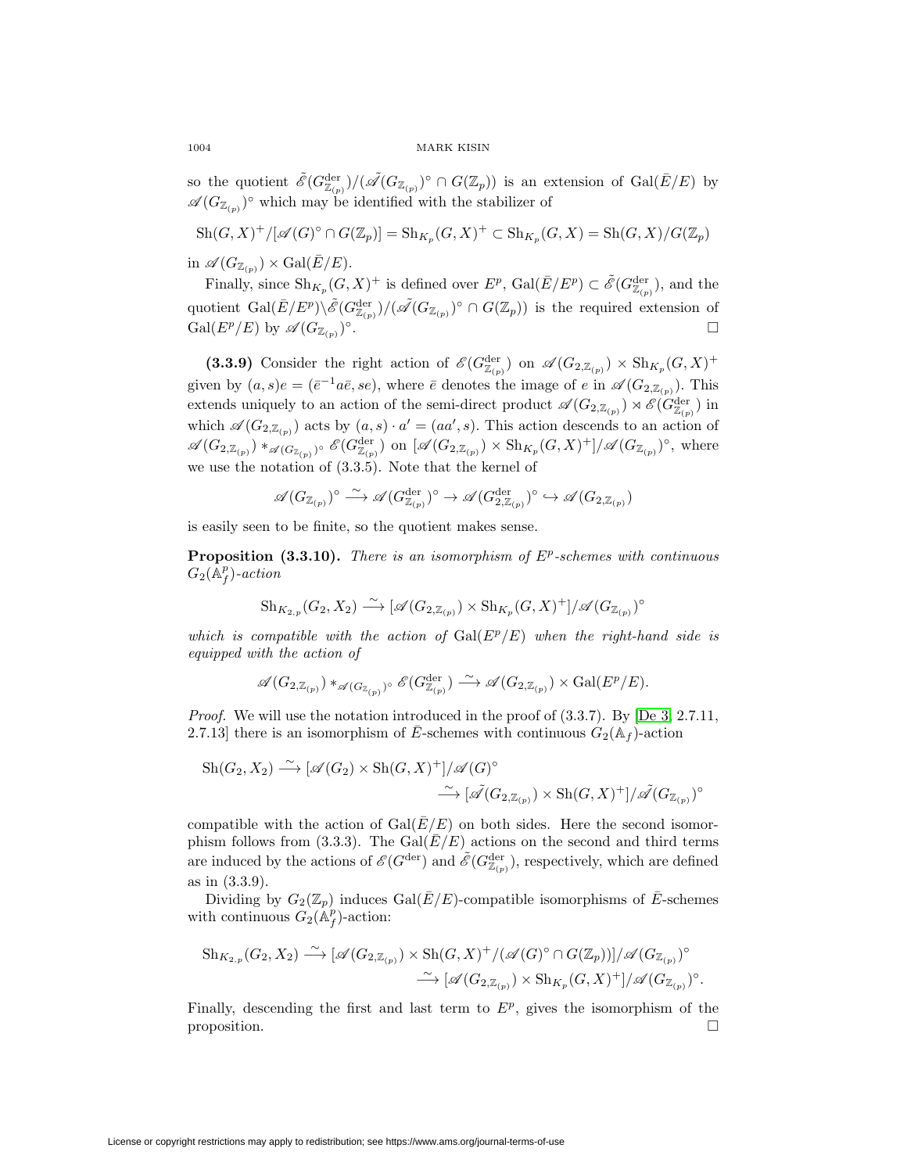so the quotient  $\tilde{\mathscr{E}}(G_{\mathbb{Z}_{(p)}}^{\text{der}})/(\tilde{\mathscr{A}}(G_{\mathbb{Z}_{(p)}})^{\circ} \cap G(\mathbb{Z}_{p}))$  is an extension of  $Gal(\bar{E}/E)$  by  $\mathscr{A}(G_{\mathbb{Z}_{(p)}})^\circ$  which may be identified with the stabilizer of

 $\mathrm{Sh}(G, X)^+ / [\mathscr{A}(G)^\circ \cap G(\mathbb{Z}_p)] = \mathrm{Sh}_{K_p}(G, X)^+ \subset \mathrm{Sh}_{K_p}(G, X) = \mathrm{Sh}(G, X) / G(\mathbb{Z}_p)$ 

in  $\mathscr{A}(G_{\mathbb{Z}_{(p)}}) \times \mathrm{Gal}(\overline{E}/E)$ .

Finally, since  $\text{Sh}_{K_p}(G, X)^+$  is defined over  $E^p$ ,  $\text{Gal}(\overline{E}/E^p) \subset \tilde{\mathscr{E}}(G_{\mathbb{Z}_{(p)}}^{\text{der}})$ , and the quotient  $Gal(\bar{E}/E^p)\backslash\tilde{\mathscr{E}}(G_{\mathbb{Z}_{(p)}}^{\text{der}})/(\tilde{\mathscr{A}}(G_{\mathbb{Z}_{(p)}})^{\circ}\cap G(\mathbb{Z}_{p}))$  is the required extension of  $Gal(E^p/E)$  by  $\mathscr{A}(G_{\mathbb{Z}_{(p)}})^\circ$ .

(3.3.9) Consider the right action of  $\mathscr{E}(G_{\mathbb{Z}_{(p)}}^{\text{der}})$  on  $\mathscr{A}(G_{2,\mathbb{Z}_{(p)}}) \times \text{Sh}_{K_p}(G,X)^+$ given by  $(a, s)e = (\bar{e}^{-1}a\bar{e}, s\bar{e}),$  where  $\bar{e}$  denotes the image of  $e$  in  $\mathscr{A}(G_{2,\mathbb{Z}_{(p)}}).$  This extends uniquely to an action of the semi-direct product  $\mathscr{A}(G_{2,\mathbb{Z}_{(p)}}) \rtimes \mathscr{E}(G_{\mathbb{Z}_{(p)}}^{\text{der}})$  in which  $\mathscr{A}(G_{2,\mathbb{Z}_{(p)}})$  acts by  $(a, s) \cdot a' = (aa', s)$ . This action descends to an action of  $\mathscr{A}(G_{2,\mathbb{Z}_{(p)}}) *_{\mathscr{A}(G_{\mathbb{Z}_{(p)}})} \circ \mathscr{E}(G_{\mathbb{Z}_{(p)}}^{\text{der}})$  on  $[\mathscr{A}(G_{2,\mathbb{Z}_{(p)}}) \times \text{Sh}_{K_p}(G,X)^+] / \mathscr{A}(G_{\mathbb{Z}_{(p)}})^{\circ}$ , where we use the notation of (3.3.5). Note that the kernel of

$$
\mathscr{A}(G_{\mathbb{Z}_{(p)}})^{\circ} \stackrel{\sim}{\longrightarrow} \mathscr{A}(G_{\mathbb{Z}_{(p)}}^{\mathrm{der}})^{\circ} \to \mathscr{A}(G_{2,\mathbb{Z}_{(p)}}^{\mathrm{der}})^{\circ} \hookrightarrow \mathscr{A}(G_{2,\mathbb{Z}_{(p)}})
$$

is easily seen to be finite, so the quotient makes sense.

**Proposition (3.3.10).** There is an isomorphism of  $E^p$ -schemes with continuous  $G_2(\mathbb{A}_f^p)$ -action

$$
\mathrm{Sh}_{K_{2,p}}(G_2,X_2)\stackrel{\sim}{\longrightarrow}[\mathscr{A}(G_{2,\mathbb{Z}_{(p)}})\times\mathrm{Sh}_{K_p}(G,X)^+]/\mathscr{A}(G_{\mathbb{Z}_{(p)}})^\circ
$$

which is compatible with the action of  $Gal(E^p/E)$  when the right-hand side is equipped with the action of

$$
\mathscr{A}(G_{2,\mathbb{Z}_{(p)}})\ast_{\mathscr{A}(G_{\mathbb{Z}_{(p)}})^{\circ}}\mathscr{E}(G_{\mathbb{Z}_{(p)}}^{\mathrm{der}})\xrightarrow{\,\sim\,}\mathscr{A}(G_{2,\mathbb{Z}_{(p)}})\times\mathrm{Gal}(E^p/E).
$$

*Proof.* We will use the notation introduced in the proof of  $(3.3.7)$ . By [\[De 3,](#page-44-7) 2.7.11, 2.7.13] there is an isomorphism of  $\bar{E}$ -schemes with continuous  $G_2(\mathbb{A}_f)$ -action

$$
\operatorname{Sh}(G_2, X_2) \xrightarrow{\sim} [\mathscr{A}(G_2) \times \operatorname{Sh}(G, X)^+] / \mathscr{A}(G)^\circ
$$
  

$$
\xrightarrow{\sim} [\mathscr{A}(G_{2, \mathbb{Z}_{(p)}}) \times \operatorname{Sh}(G, X)^+] / \mathscr{A}(G_{\mathbb{Z}_{(p)}})^\circ
$$

compatible with the action of  $Gal(\overline{E}/E)$  on both sides. Here the second isomorphism follows from (3.3.3). The Gal( $\bar{E}/E$ ) actions on the second and third terms are induced by the actions of  $\mathscr{E}(G^{\text{der}})$  and  $\tilde{\mathscr{E}}(G^{\text{der}}_{\mathbb{Z}_{(p)}})$ , respectively, which are defined as in (3.3.9).

Dividing by  $G_2(\mathbb{Z}_p)$  induces  $Gal(\overline{E}/E)$ -compatible isomorphisms of  $\overline{E}$ -schemes with continuous  $G_2(\mathbb{A}_f^p)$ -action:

$$
\mathrm{Sh}_{K_{2,p}}(G_2, X_2) \xrightarrow{\sim} [\mathscr{A}(G_{2, \mathbb{Z}_{(p)}}) \times \mathrm{Sh}(G, X)^+ / (\mathscr{A}(G)^\circ \cap G(\mathbb{Z}_p))]/\mathscr{A}(G_{\mathbb{Z}_{(p)}})^\circ
$$
  

$$
\xrightarrow{\sim} [\mathscr{A}(G_{2, \mathbb{Z}_{(p)}}) \times \mathrm{Sh}_{K_p}(G, X)^+]/\mathscr{A}(G_{\mathbb{Z}_{(p)}})^\circ.
$$

Finally, descending the first and last term to  $E^p$ , gives the isomorphism of the proposition.  $\Box$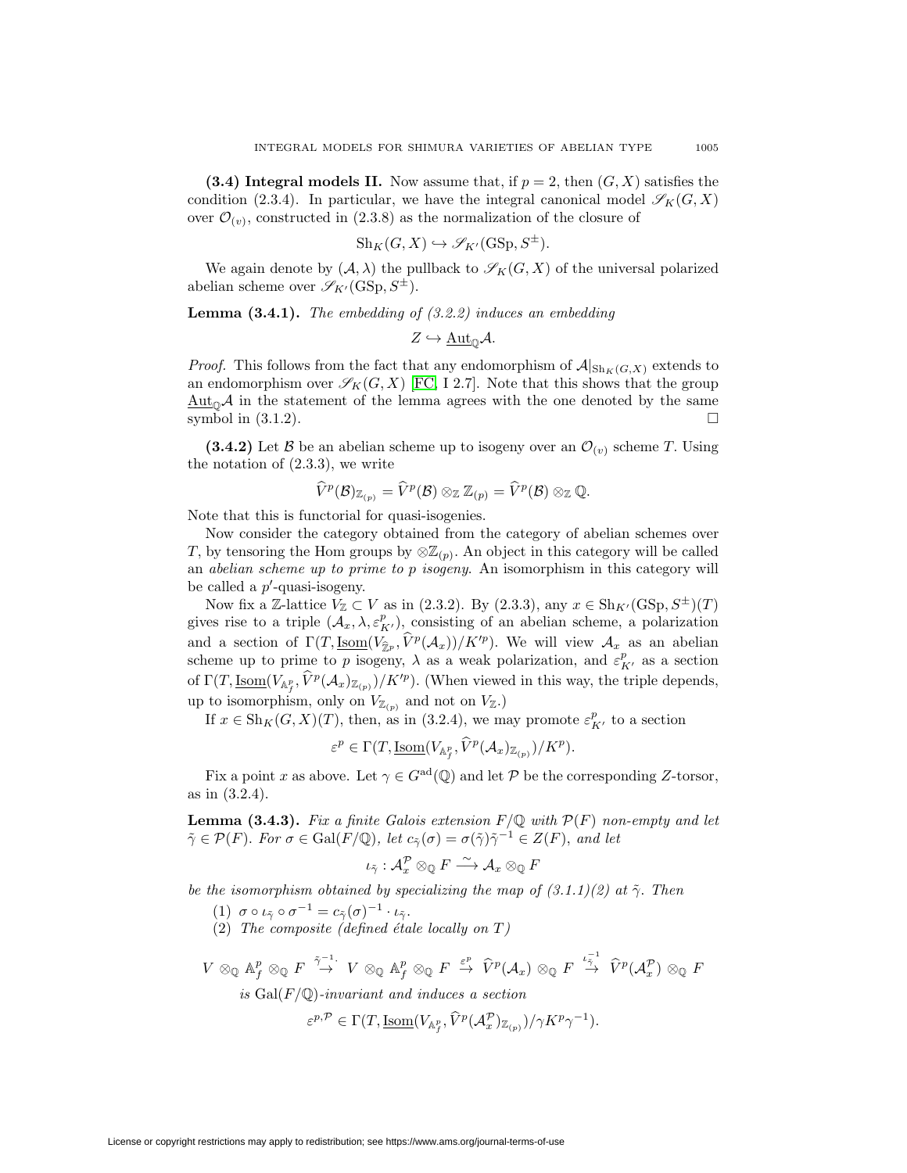<span id="page-38-0"></span>**(3.4) Integral models II.** Now assume that, if  $p = 2$ , then  $(G, X)$  satisfies the condition (2.3.4). In particular, we have the integral canonical model  $\mathscr{S}_K(G, X)$ over  $\mathcal{O}_{(v)}$ , constructed in (2.3.8) as the normalization of the closure of

$$
Sh_K(G, X) \hookrightarrow \mathscr{S}_{K'}(GSp, S^{\pm}).
$$

We again denote by  $(A, \lambda)$  the pullback to  $\mathscr{S}_K(G, X)$  of the universal polarized abelian scheme over  $\mathscr{S}_{K'}(\mathrm{GSp}, S^{\pm}).$ 

**Lemma (3.4.1).** The embedding of (3.2.2) induces an embedding

$$
Z \hookrightarrow \underline{\mathrm{Aut}}_{\mathbb{Q}}\mathcal{A}.
$$

*Proof.* This follows from the fact that any endomorphism of  $\mathcal{A}|_{\text{Sh}_K(G,X)}$  extends to an endomorphism over  $\mathscr{S}_K(G, X)$  [\[FC,](#page-44-25) I 2.7]. Note that this shows that the group  $\frac{\text{Aut}_{\mathbb{Q}}\mathcal{A}}{\text{in}}$  the statement of the lemma agrees with the one denoted by the same symbol in  $(3.1.2)$ .

**(3.4.2)** Let B be an abelian scheme up to isogeny over an  $\mathcal{O}_{(v)}$  scheme T. Using the notation of (2.3.3), we write an abelian scheme up to isogeny over an  $C$ <br>3), we write<br> $\widehat{V}^p(\mathcal{B})_{\mathbb{Z}_{(p)}} = \widehat{V}^p(\mathcal{B}) \otimes_{\mathbb{Z}} \mathbb{Z}_{(p)} = \widehat{V}^p(\mathcal{B}) \otimes_{\mathbb{Z}} \mathbb{Q}.$ 

$$
\widehat{V}^p(\mathcal{B})_{\mathbb{Z}_{(p)}}=\widehat{V}^p(\mathcal{B})\otimes_{\mathbb{Z}}\mathbb{Z}_{(p)}=\widehat{V}^p(\mathcal{B})\otimes_{\mathbb{Z}}\mathbb{Q}.
$$

Note that this is functorial for quasi-isogenies.

Now consider the category obtained from the category of abelian schemes over T, by tensoring the Hom groups by  $\otimes \mathbb{Z}_{(p)}$ . An object in this category will be called an abelian scheme up to prime to p isogeny. An isomorphism in this category will be called a  $p'$ -quasi-isogeny.

Now fix a Z-lattice  $V_{\mathbb{Z}} \subset V$  as in (2.3.2). By (2.3.3), any  $x \in Sh_{K'}(GSp, S^{\pm})(T)$ gives rise to a triple  $(\mathcal{A}_x, \lambda, \varepsilon_{K'}^p)$ , consisting of an abelian scheme, a polarization and a section of  $\Gamma(T,\underline{\mathrm{Isom}}(V_{\hat{\mathcal{P}}p},\widehat{V}^p(\mathcal{A}_x))/K'^p)$ . We will view  $\mathcal{A}_x$  as an abelian scheme up to prime to p isogeny,  $\lambda$  as a weak polarization, and  $\varepsilon_{K'}^p$  as a section Now IIX a  $\mathbb{Z}$ -lattice  $V_{\mathbb{Z}} \subset V$  as in (2.3.2). By (2.3.3), any  $\mathcal{X} \in \text{SH}_{K'}(\text{GSD}, \mathcal{Y})$  (1) gives rise to a triple  $(\mathcal{A}_x, \lambda, \varepsilon_{K'}^p)$ , consisting of an abelian scheme, a polarization and a section of  $\$ up to isomorphism, only on  $V_{\mathbb{Z}(p)}$  and not on  $V_{\mathbb{Z}}$ .) hen viewed in this w<br>ot on  $V_{\mathbb{Z}}$ .)<br>.4), we may promote<br> $\hat{V}_f^p$ ,  $\hat{V}^p(A_x)_{\mathbb{Z}_{(p)}}$ / $K^p$ ).

If  $x \in Sh_K(G, X)(T)$ , then, as in (3.2.4), we may promote  $\varepsilon_{K'}^p$  to a section

$$
\varepsilon^p \in \Gamma(T, \underline{\operatorname{Isom}}(V_{\mathbb{A}_f^p}, \widehat{V}^p(\mathcal{A}_x)_{\mathbb{Z}_{(p)}})/K^p).
$$

Fix a point x as above. Let  $\gamma \in G^{\text{ad}}(\mathbb{Q})$  and let P be the corresponding Z-torsor, as in (3.2.4).

**Lemma (3.4.3).** Fix a finite Galois extension  $F/Q$  with  $P(F)$  non-empty and let  $\tilde{\gamma} \in \mathcal{P}(F)$ . For  $\sigma \in \text{Gal}(F/\mathbb{Q})$ , let  $c_{\tilde{\gamma}}(\sigma) = \sigma(\tilde{\gamma})\tilde{\gamma}^{-1} \in Z(F)$ , and let

$$
\iota_{\tilde\gamma}:\mathcal{A}_x^\mathcal{P}\otimes_\mathbb{Q} F\stackrel{\sim}{\longrightarrow}\mathcal{A}_x\otimes_\mathbb{Q} F
$$

be the isomorphism obtained by specializing the map of  $(3.1.1)(2)$  at  $\tilde{\gamma}$ . Then

$$
(1) \ \sigma \circ \iota_{\tilde{\gamma}} \circ \sigma^{-1} = c_{\tilde{\gamma}}(\sigma)^{-1} \cdot \iota_{\tilde{\gamma}}.
$$

(2) The composite (defined étale locally on  $T$ )

(1)  $\sigma \circ \iota_{\tilde{\gamma}} \circ \sigma^{-1} = c_{\tilde{\gamma}}(\sigma)^{-1} \cdot \iota_{\tilde{\gamma}}$ .<br>
(2) The composite (defined étale locally on T)<br>  $V \otimes_{\mathbb{Q}} \mathbb{A}_f^p \otimes_{\mathbb{Q}} F \xrightarrow{\tilde{\gamma}-1} V \otimes_{\mathbb{Q}} \mathbb{A}_f^p \otimes_{\mathbb{Q}} F \xrightarrow{\varepsilon^p} \hat{V}^p(\mathcal{A}_x) \otimes_{\mathbb{Q}} F \xrightarrow{\iota$  $\begin{array}{c} \mu_{\gamma}^{-1} \ \stackrel{\tau^{-1}_{\gamma}}{\to} \ \hat{V}^p(\mathcal{A}_x^\mathcal{P}) \otimes_\mathbb{Q} F \end{array}$  $F \stackrel{\varepsilon^p}{\to} \widehat{V}$ <br>luces a se

is  $Gal(F/\mathbb{Q})$ -invariant and induces a section

$$
\varepsilon^{p,\mathcal{P}} \in \Gamma(T,\underline{\mathrm{Isom}}(V_{\mathbb{A}_f^p},\widehat{V}^p(\mathcal{A}_x^{\mathcal{P}})_{\mathbb{Z}_{(p)}})/\gamma K^p \gamma^{-1}).
$$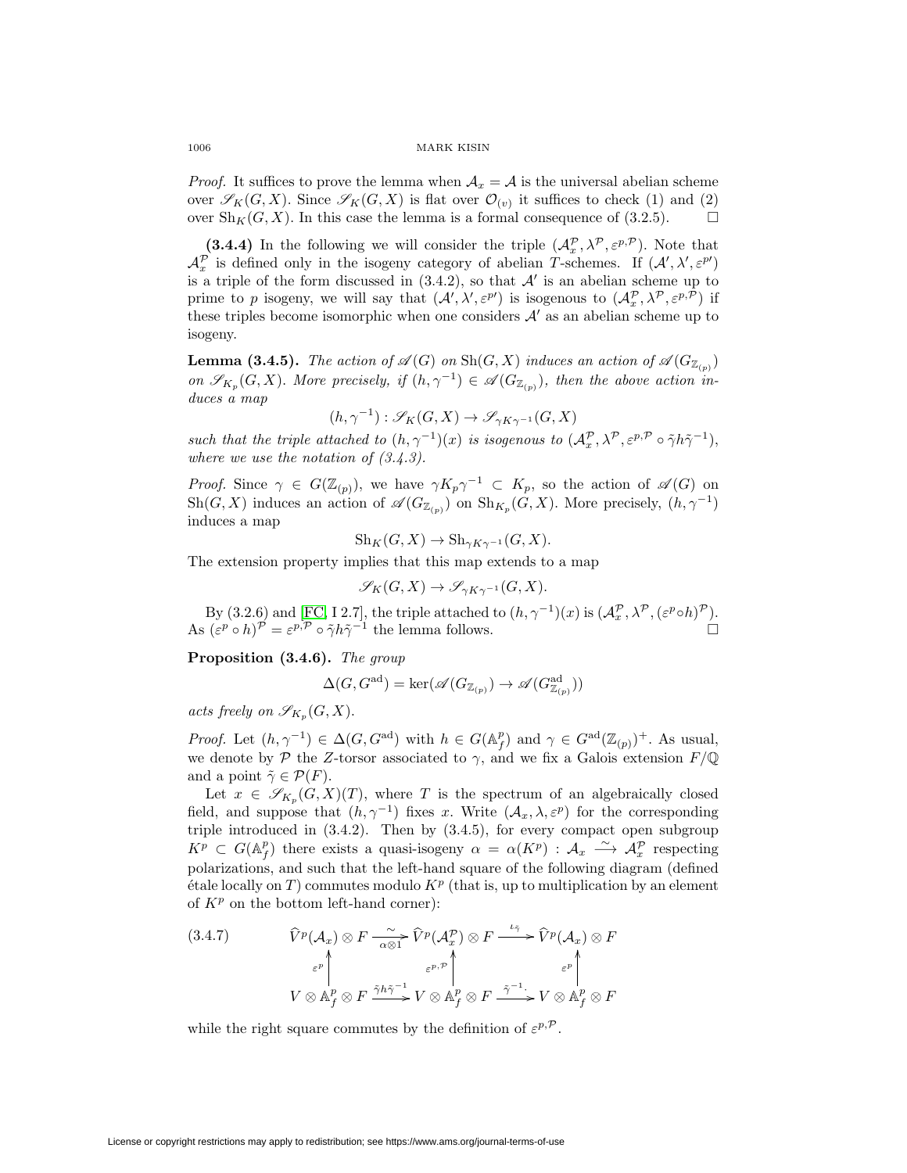*Proof.* It suffices to prove the lemma when  $A_x = A$  is the universal abelian scheme over  $\mathscr{S}_K(G, X)$ . Since  $\mathscr{S}_K(G, X)$  is flat over  $\mathcal{O}_{(v)}$  it suffices to check (1) and (2) over  $\text{Sh}_K(G, X)$ . In this case the lemma is a formal consequence of (3.2.5).  $\Box$ 

**(3.4.4)** In the following we will consider the triple  $(\mathcal{A}_x^{\mathcal{P}}, \lambda^{\mathcal{P}}, \varepsilon^{p,\mathcal{P}})$ . Note that  $\mathcal{A}_x^{\mathcal{P}}$  is defined only in the isogeny category of abelian T-schemes. If  $(\mathcal{A}', \lambda', \varepsilon^{p})$ is a triple of the form discussed in  $(3.4.2)$ , so that  $\mathcal{A}'$  is an abelian scheme up to prime to p isogeny, we will say that  $(\mathcal{A}', \lambda', \varepsilon^{p})$  is isogenous to  $(\mathcal{A}^{\mathcal{P}}_x, \lambda^{\mathcal{P}}, \varepsilon^{p, \mathcal{P}})$  if these triples become isomorphic when one considers  $A'$  as an abelian scheme up to isogeny.

**Lemma (3.4.5).** The action of  $\mathscr{A}(G)$  on  $\text{Sh}(G, X)$  induces an action of  $\mathscr{A}(G_{\mathbb{Z}_{(p)}})$ on  $\mathscr{S}_{K_p}(G, X)$ . More precisely, if  $(h, \gamma^{-1}) \in \mathscr{A}(G_{\mathbb{Z}_{(p)}})$ , then the above action induces a map

$$
(h, \gamma^{-1}) : \mathcal{S}_K(G, X) \to \mathcal{S}_{\gamma K \gamma^{-1}}(G, X)
$$

such that the triple attached to  $(h, \gamma^{-1})(x)$  is isogenous to  $(\mathcal{A}_{x}^{\mathcal{P}}, \lambda^{\mathcal{P}}, \varepsilon^{p,\mathcal{P}} \circ \tilde{\gamma} h \tilde{\gamma}^{-1}),$ where we use the notation of  $(3.4.3)$ .

*Proof.* Since  $\gamma \in G(\mathbb{Z}_{(p)})$ , we have  $\gamma K_p \gamma^{-1} \subset K_p$ , so the action of  $\mathscr{A}(G)$  on  $\operatorname{Sh}(G, X)$  induces an action of  $\mathscr{A}(G_{\mathbb{Z}_{(p)}})$  on  $\operatorname{Sh}_{K_p}(G, X)$ . More precisely,  $(h, \gamma^{-1})$ induces a map

$$
Sh_K(G, X) \to Sh_{\gamma K\gamma^{-1}}(G, X).
$$

The extension property implies that this map extends to a map

$$
\mathscr{S}_K(G,X) \to \mathscr{S}_{\gamma K \gamma^{-1}}(G,X).
$$

By (3.2.6) and [\[FC,](#page-44-25) I 2.7], the triple attached to  $(h, \gamma^{-1})(x)$  is  $(\mathcal{A}_x^{\mathcal{P}}, \lambda^{\mathcal{P}}, (\varepsilon^{p} \circ h)^{\mathcal{P}})$ . As  $(\varepsilon^p \circ h)^{\mathcal{P}} = \varepsilon^{p, \mathcal{P}} \circ \tilde{\gamma} h \tilde{\gamma}^{-1}$  the lemma follows.  $\Box$ 

**Proposition (3.4.6).** The group

$$
\Delta(G,G^\mathrm{ad})=\ker(\mathscr{A}(G_{\mathbb{Z}_{(p)}})\to\mathscr{A}(G_{\mathbb{Z}_{(p)}}^\mathrm{ad}))
$$

acts freely on  $\mathscr{S}_{K_n}(G,X)$ .

*Proof.* Let  $(h, \gamma^{-1}) \in \Delta(G, G^{\text{ad}})$  with  $h \in G(\mathbb{A}_f^p)$  and  $\gamma \in G^{\text{ad}}(\mathbb{Z}_{(p)})^+$ . As usual, we denote by P the Z-torsor associated to  $\gamma$ , and we fix a Galois extension  $F/\mathbb{Q}$ and a point  $\tilde{\gamma} \in \mathcal{P}(F)$ .

Let  $x \in \mathscr{S}_{K_n}(G,X)(T)$ , where T is the spectrum of an algebraically closed field, and suppose that  $(h, \gamma^{-1})$  fixes x. Write  $(\mathcal{A}_x, \lambda, \varepsilon^p)$  for the corresponding triple introduced in (3.4.2). Then by (3.4.5), for every compact open subgroup  $K^p \subset G(\mathbb{A}_f^p)$  there exists a quasi-isogeny  $\alpha = \alpha(K^p) : \mathcal{A}_x \longrightarrow \mathcal{A}_x^p$  respecting polarizations, and such that the left-hand square of the following diagram (defined  $\acute{e}$ tale locally on T) commutes modulo  $K^p$  (that is, up to multiplication by an element of  $K^p$  on the bottom left-hand corner): polarizations, and such that the left-hand square of the following c<br>
étale locally on *T*) commutes modulo  $K^p$  (that is, up to multiplication<br>
of  $K^p$  on the bottom left-hand corner):<br>
(3.4.7)  $\widehat{V}^p(\mathcal{A}_x) \otimes F \xrightarrow$ 

(3.4.7) 
$$
\widehat{V}^p(\mathcal{A}_x) \otimes F \xrightarrow[\alpha \otimes 1]{\sim} \widehat{V}^p(\mathcal{A}_x^p) \otimes F \xrightarrow{\iota_{\widetilde{\gamma}}} \widehat{V}^p(\mathcal{A}_x) \otimes F
$$

$$
\varepsilon^p \downarrow \qquad \qquad \varepsilon^p \uparrow \qquad \qquad \varepsilon^p \uparrow \qquad \qquad \varepsilon^p \uparrow \qquad \qquad \varepsilon^p \uparrow \qquad \qquad \varepsilon^p \uparrow \qquad \qquad \varepsilon^p \uparrow \qquad \qquad \varepsilon^p \uparrow \qquad \qquad \varepsilon^p \uparrow \qquad \qquad \varepsilon^p \uparrow \qquad \qquad \varepsilon^p \uparrow \qquad \qquad \varepsilon^p \uparrow \qquad \qquad \varepsilon^p \uparrow \qquad \qquad \varepsilon^p \uparrow \qquad \qquad \varepsilon^p \uparrow \qquad \qquad \varepsilon^p \uparrow \qquad \qquad \varepsilon^p \uparrow \qquad \qquad \varepsilon^p \uparrow \qquad \qquad \varepsilon^p \uparrow \qquad \qquad \varepsilon^p \uparrow \qquad \qquad \varepsilon^p \uparrow \qquad \qquad \varepsilon^p \uparrow \qquad \qquad \varepsilon^p \uparrow \qquad \qquad \varepsilon^p \uparrow \qquad \qquad \varepsilon^p \uparrow \qquad \qquad \varepsilon^p \uparrow \qquad \qquad \varepsilon^p \uparrow \qquad \qquad \varepsilon^p \uparrow \qquad \qquad \varepsilon^p \uparrow \qquad \qquad \varepsilon^p \uparrow \qquad \qquad \varepsilon^p \uparrow \qquad \qquad \varepsilon^p \uparrow \qquad \qquad \varepsilon^p \uparrow \qquad \qquad \varepsilon^p \uparrow \qquad \qquad \varepsilon^p \uparrow \qquad \qquad \varepsilon^p \uparrow \qquad \qquad \varepsilon^p \uparrow \qquad \qquad \varepsilon^p \uparrow \qquad \qquad \varepsilon^p \uparrow \qquad \qquad \varepsilon^p \uparrow \qquad \qquad \varepsilon^p \uparrow \qquad \qquad \varepsilon^p \uparrow \qquad \qquad \varepsilon^p \uparrow \qquad \qquad \varepsilon^p \uparrow \q
$$

while the right square commutes by the definition of  $\varepsilon^{p,\mathcal{P}}$ .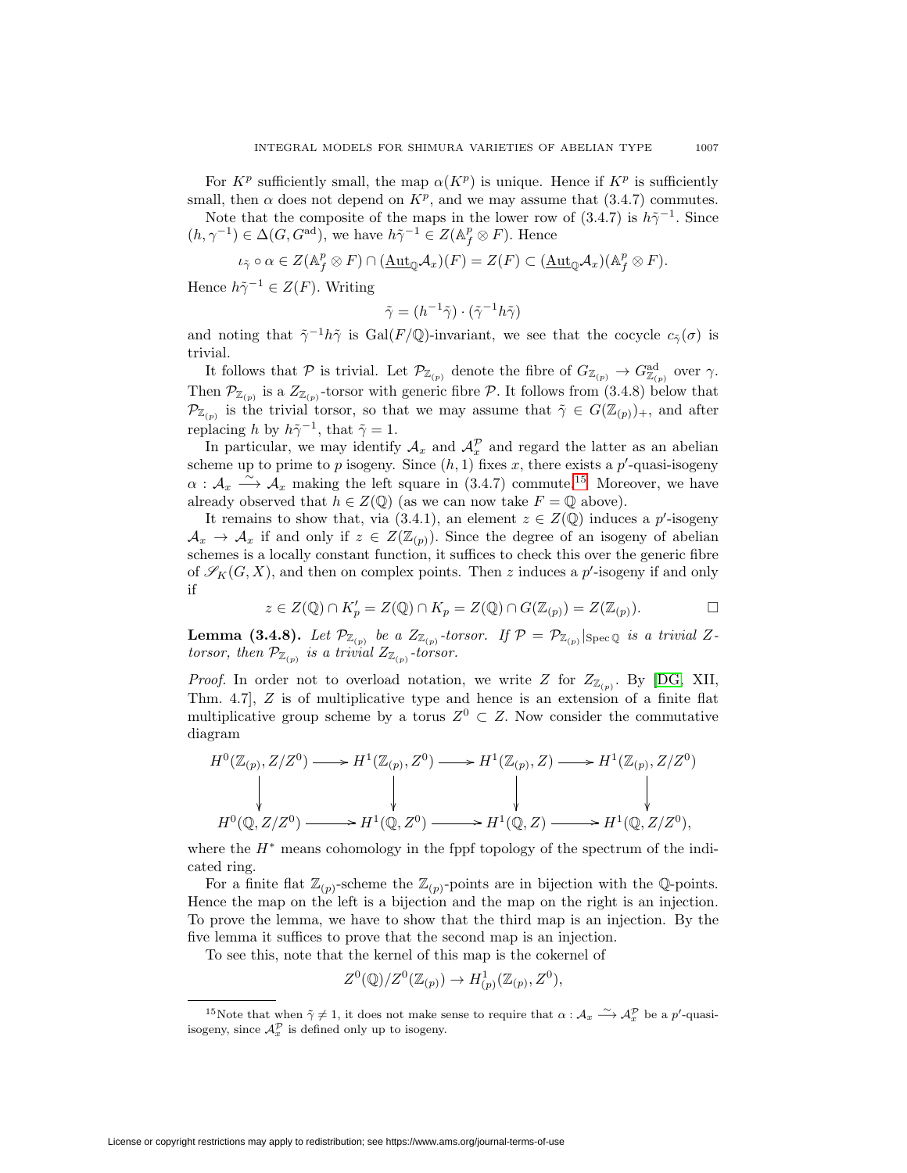Note that the composite of the maps in the lower row of  $(3.4.7)$  is  $h\tilde{\gamma}^{-1}$ . Since  $(h, \gamma^{-1}) \in \Delta(G, G^{\text{ad}}),$  we have  $h \tilde{\gamma}^{-1} \in Z(\mathbb{A}_f^p \otimes F).$  Hence

$$
\iota_{\tilde{\gamma}} \circ \alpha \in Z(\mathbb{A}_f^p \otimes F) \cap (\underline{\mathrm{Aut}}_{\mathbb{Q}}\mathcal{A}_x)(F) = Z(F) \subset (\underline{\mathrm{Aut}}_{\mathbb{Q}}\mathcal{A}_x)(\mathbb{A}_f^p \otimes F).
$$

Hence  $h\tilde{\gamma}^{-1} \in Z(F)$ . Writing

$$
\tilde{\gamma} = (h^{-1}\tilde{\gamma}) \cdot (\tilde{\gamma}^{-1}h\tilde{\gamma})
$$

and noting that  $\tilde{\gamma}^{-1}h\tilde{\gamma}$  is Gal(F/Q)-invariant, we see that the cocycle  $c_{\tilde{\gamma}}(\sigma)$  is trivial.

It follows that  $P$  is trivial. Let  $\mathcal{P}_{\mathbb{Z}_{(p)}}$  denote the fibre of  $G_{\mathbb{Z}_{(p)}} \to G_{\mathbb{Z}_{(p)}}^{\mathrm{ad}}$  over  $\gamma$ . Then  $\mathcal{P}_{\mathbb{Z}_{(p)}}$  is a  $Z_{\mathbb{Z}_{(p)}}$ -torsor with generic fibre  $\mathcal{P}$ . It follows from (3.4.8) below that  $\mathcal{P}_{\mathbb{Z}_{(p)}}$  is the trivial torsor, so that we may assume that  $\tilde{\gamma} \in G(\mathbb{Z}_{(p)})_+$ , and after replacing h by  $h\tilde{\gamma}^{-1}$ , that  $\tilde{\gamma} = 1$ .

In particular, we may identify  $A_x$  and  $A_x^{\mathcal{P}}$  and regard the latter as an abelian scheme up to prime to p isogeny. Since  $(h, 1)$  fixes x, there exists a p'-quasi-isogeny  $\alpha: \mathcal{A}_x \longrightarrow \mathcal{A}_x$  making the left square in (3.4.7) commute.<sup>[15](#page-40-0)</sup> Moreover, we have already observed that  $h \in Z(\mathbb{Q})$  (as we can now take  $F = \mathbb{Q}$  above).

It remains to show that, via  $(3.4.1)$ , an element  $z \in Z(\mathbb{Q})$  induces a p'-isogeny  $\mathcal{A}_x \to \mathcal{A}_x$  if and only if  $z \in Z(\mathbb{Z}_{(p)})$ . Since the degree of an isogeny of abelian schemes is a locally constant function, it suffices to check this over the generic fibre of  $\mathscr{S}_K(G,X)$ , and then on complex points. Then z induces a p'-isogeny if and only if

$$
z \in Z(\mathbb{Q}) \cap K'_p = Z(\mathbb{Q}) \cap K_p = Z(\mathbb{Q}) \cap G(\mathbb{Z}_{(p)}) = Z(\mathbb{Z}_{(p)}).
$$

**Lemma (3.4.8).** Let  $\mathcal{P}_{\mathbb{Z}_{(p)}}$  be a  $Z_{\mathbb{Z}_{(p)}}$ -torsor. If  $\mathcal{P} = \mathcal{P}_{\mathbb{Z}_{(p)}}|_{\text{Spec } \mathbb{Q}}$  is a trivial Ztorsor, then  $\mathcal{P}_{\mathbb{Z}_{(p)}}$  is a trivial  $Z_{\mathbb{Z}_{(p)}}$ -torsor.

*Proof.* In order not to overload notation, we write Z for  $Z_{\mathbb{Z}_{(p)}}$ . By [\[DG,](#page-44-8) XII, Thm. 4.7, Z is of multiplicative type and hence is an extension of a finite flat multiplicative group scheme by a torus  $Z^0 \subset Z$ . Now consider the commutative diagram

$$
H^0(\mathbb{Z}_{(p)}, Z/Z^0) \longrightarrow H^1(\mathbb{Z}_{(p)}, Z^0) \longrightarrow H^1(\mathbb{Z}_{(p)}, Z) \longrightarrow H^1(\mathbb{Z}_{(p)}, Z/Z^0)
$$
\n
$$
\downarrow \qquad \qquad \downarrow \qquad \qquad \downarrow
$$
\n
$$
H^0(\mathbb{Q}, Z/Z^0) \longrightarrow H^1(\mathbb{Q}, Z^0) \longrightarrow H^1(\mathbb{Q}, Z) \longrightarrow H^1(\mathbb{Q}, Z/Z^0),
$$

where the  $H^*$  means cohomology in the fppf topology of the spectrum of the indicated ring.

For a finite flat  $\mathbb{Z}_{(p)}$ -scheme the  $\mathbb{Z}_{(p)}$ -points are in bijection with the Q-points. Hence the map on the left is a bijection and the map on the right is an injection. To prove the lemma, we have to show that the third map is an injection. By the five lemma it suffices to prove that the second map is an injection.

To see this, note that the kernel of this map is the cokernel of

$$
Z^0(\mathbb{Q})/Z^0(\mathbb{Z}_{(p)}) \to H^1_{(p)}(\mathbb{Z}_{(p)}, Z^0),
$$

<span id="page-40-0"></span><sup>&</sup>lt;sup>15</sup>Note that when  $\tilde{\gamma} \neq 1$ , it does not make sense to require that  $\alpha : \mathcal{A}_x \longrightarrow \mathcal{A}_x^{\mathcal{P}}$  be a p'-quasiisogeny, since  $\mathcal{A}_x^{\mathcal{P}}$  is defined only up to isogeny.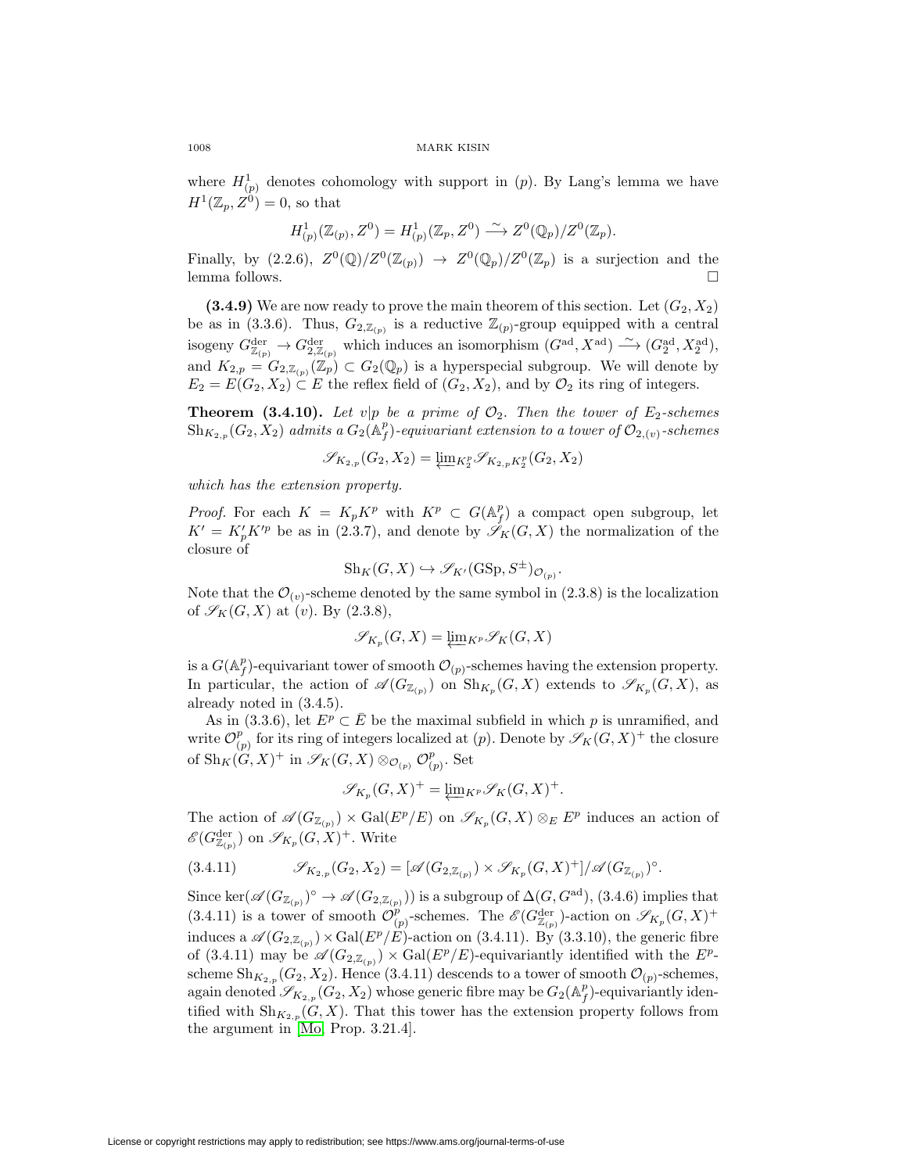where  $H_{(p)}^1$  denotes cohomology with support in  $(p)$ . By Lang's lemma we have  $H^1(\mathbb{Z}_p, Z^0)=0$ , so that

$$
H^1_{(p)}(\mathbb{Z}_{(p)}, Z^0) = H^1_{(p)}(\mathbb{Z}_p, Z^0) \xrightarrow{\sim} Z^0(\mathbb{Q}_p)/Z^0(\mathbb{Z}_p).
$$

Finally, by  $(2.2.6), Z^0(\mathbb{Q})/Z^0(\mathbb{Z}_{(p)}) \rightarrow Z^0(\mathbb{Q}_p)/Z^0(\mathbb{Z}_p)$  is a surjection and the lemma follows.  $\Box$ 

**(3.4.9)** We are now ready to prove the main theorem of this section. Let  $(G_2, X_2)$ be as in (3.3.6). Thus,  $G_{2,\mathbb{Z}_{(p)}}$  is a reductive  $\mathbb{Z}_{(p)}$ -group equipped with a central isogeny  $G_{\mathbb{Z}_{(p)}}^{\text{der}} \to G_{2,\mathbb{Z}_{(p)}}^{\text{der}}$  which induces an isomorphism  $(G^{\text{ad}}, X^{\text{ad}}) \xrightarrow{\sim} (G_2^{\text{ad}}, X_2^{\text{ad}})$ , and  $K_{2,p} = G_{2,\mathbb{Z}_{(p)}}(\mathbb{Z}_p) \subset G_2(\mathbb{Q}_p)$  is a hyperspecial subgroup. We will denote by  $E_2 = E(G_2, X_2) \subset E$  the reflex field of  $(G_2, X_2)$ , and by  $\mathcal{O}_2$  its ring of integers.

**Theorem (3.4.10).** Let  $v|p$  be a prime of  $\mathcal{O}_2$ . Then the tower of  $E_2$ -schemes  $\mathrm{Sh}_{K_{2,p}}(G_2,X_2)$  admits a  $G_2(\mathbb{A}_f^p)$ -equivariant extension to a tower of  $\mathcal{O}_{2,(v)}$ -schemes

$$
\mathscr{S}_{K_{2,p}}(G_2,X_2) = \underleftarrow{\lim}{}_{K_2^p} \mathscr{S}_{K_{2,p}K_2^p}(G_2,X_2)
$$

which has the extension property.

*Proof.* For each  $K = K_p K^p$  with  $K^p \subset G(\mathbb{A}_f^p)$  a compact open subgroup, let  $K' = K'_{p} K'^{p}$  be as in (2.3.7), and denote by  $\mathscr{S}_{K}(G, X)$  the normalization of the closure of

$$
\mathcal{S}\mathrm{h}_K(G,X) \hookrightarrow \mathscr{S}_{K'}(\mathrm{GSp},S^{\pm})_{\mathcal{O}_{(p)}}.
$$

Note that the  $\mathcal{O}_{(v)}$ -scheme denoted by the same symbol in (2.3.8) is the localization of  $\mathscr{S}_K(G,X)$  at (v). By (2.3.8),

$$
\mathscr{S}_{K_p}(G,X) = \underleftarrow{\lim}_{K^p} \mathscr{S}_K(G,X)
$$

is a  $G(\mathbb{A}_f^p)$ -equivariant tower of smooth  $\mathcal{O}_{(p)}$ -schemes having the extension property. In particular, the action of  $\mathscr{A}(G_{\mathbb{Z}_{(n)}})$  on  $\text{Sh}_{K_p}(G, X)$  extends to  $\mathscr{S}_{K_p}(G, X)$ , as already noted in (3.4.5).

As in (3.3.6), let  $E^p \subset \overline{E}$  be the maximal subfield in which p is unramified, and write  $\mathcal{O}_{(p)}^p$  for its ring of integers localized at  $(p)$ . Denote by  $\mathscr{S}_K(G,X)^+$  the closure of  $\mathrm{Sh}_K(G,X)^+$  in  $\mathscr{S}_K(G,X) \otimes_{\mathcal{O}_{(p)}} \mathcal{O}_{(p)}^p$ . Set

$$
\mathscr{S}_{K_p}(G,X)^+ = \underleftarrow{\lim}_{K^p} \mathscr{S}_K(G,X)^+.
$$

The action of  $\mathscr{A}(G_{\mathbb{Z}_{(p)}}) \times \mathrm{Gal}(E^p/E)$  on  $\mathscr{S}_{K_p}(G,X) \otimes_E E^p$  induces an action of  $\mathscr{E}(G_{\mathbb{Z}_{(p)}}^{\mathrm{der}})$  on  $\mathscr{S}_{K_p}(G,X)^+$ . Write

$$
(3.4.11) \t\t \mathscr{S}_{K_{2,p}}(G_2,X_2) = [\mathscr{A}(G_{2,\mathbb{Z}_{(p)}}) \times \mathscr{S}_{K_p}(G,X)^+] / \mathscr{A}(G_{\mathbb{Z}_{(p)}})^{\circ}.
$$

Since ker $(\mathscr{A}(G_{\mathbb{Z}_{(p)}})^{\circ} \to \mathscr{A}(G_{2,\mathbb{Z}_{(p)}}))$  is a subgroup of  $\Delta(G, G^{ad})$ , (3.4.6) implies that (3.4.11) is a tower of smooth  $\mathcal{O}_{(p)}^p$ -schemes. The  $\mathscr{E}(G_{\mathbb{Z}_{(p)}}^{\text{der}})$ -action on  $\mathscr{S}_{K_p}(G,X)^+$ induces a  $\mathscr{A}(G_{2,\mathbb{Z}_{(p)}}) \times \text{Gal}(E^p/E)$ -action on (3.4.11). By (3.3.10), the generic fibre of (3.4.11) may be  $\mathscr{A}(G_{2,\mathbb{Z}_{(p)}}) \times \text{Gal}(E^p/E)$ -equivariantly identified with the  $E^p$ scheme  $\mathrm{Sh}_{K_{2,p}}(G_2, X_2)$ . Hence (3.4.11) descends to a tower of smooth  $\mathcal{O}_{(p)}$ -schemes, again denoted  $\mathscr{S}_{K_{2,p}}(G_2, X_2)$  whose generic fibre may be  $G_2(\mathbb{A}_f^p)$ -equivariantly identified with  $\mathrm{Sh}_{K_{2,p}}(G, X)$ . That this tower has the extension property follows from the argument in [\[Mo,](#page-45-6) Prop. 3.21.4].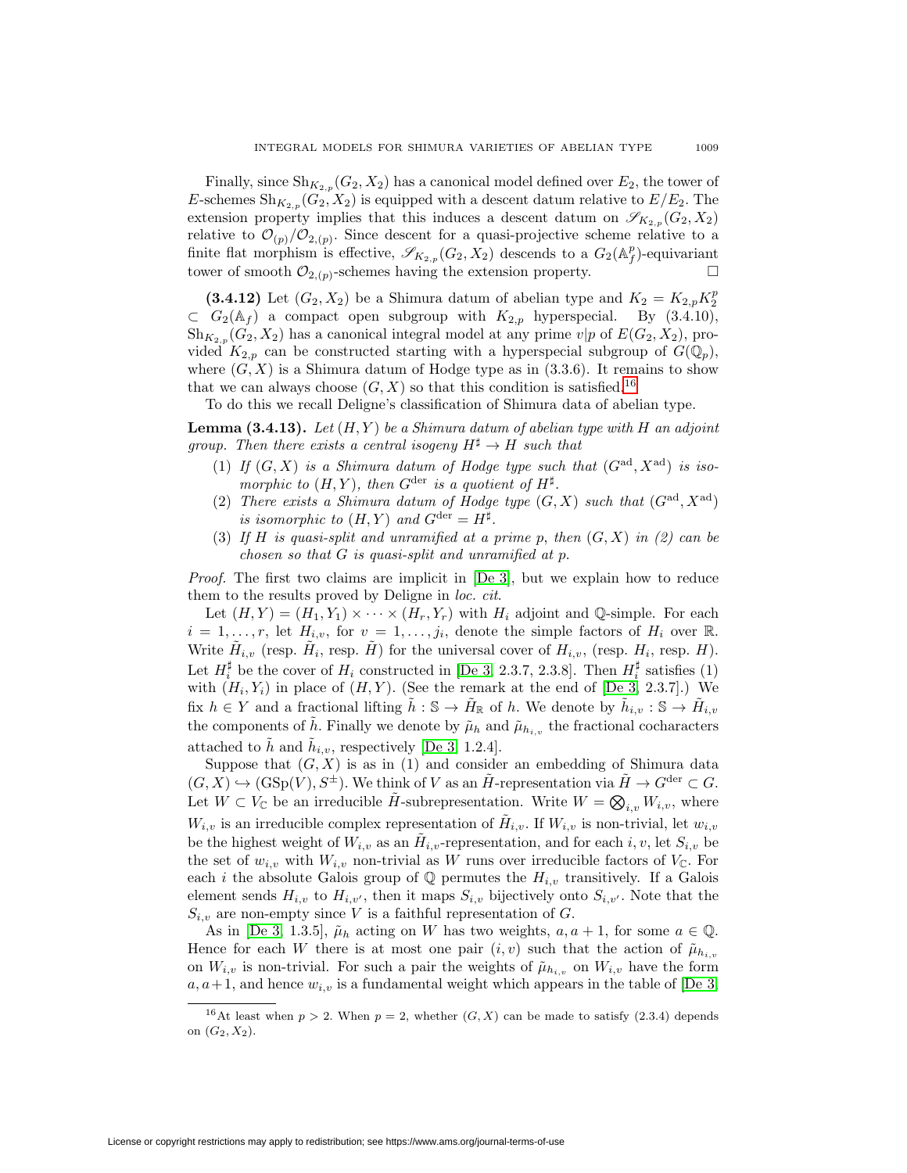Finally, since  $\mathrm{Sh}_{K_{2,p}}(G_2,X_2)$  has a canonical model defined over  $E_2$ , the tower of E-schemes  $\mathrm{Sh}_{K_{2,p}}(G_2, X_2)$  is equipped with a descent datum relative to  $E/E_2$ . The extension property implies that this induces a descent datum on  $\mathscr{S}_{K_{2,p}}(G_2, X_2)$ relative to  $\mathcal{O}_{(p)}/\mathcal{O}_{2,(p)}$ . Since descent for a quasi-projective scheme relative to a finite flat morphism is effective,  $\mathscr{S}_{K_{2,p}}(G_2, X_2)$  descends to a  $G_2(\mathbb{A}_f^p)$ -equivariant tower of smooth  $\mathcal{O}_{2,(p)}$ -schemes having the extension property. ⊔

(3.4.12) Let  $(G_2, X_2)$  be a Shimura datum of abelian type and  $K_2 = K_{2,p} K_2^p$  $\subset G_2(\mathbb{A}_f)$  a compact open subgroup with  $K_{2,p}$  hyperspecial. By (3.4.10),  $\operatorname{Sh}_{K_{2,n}}(G_2, X_2)$  has a canonical integral model at any prime  $v|p$  of  $E(G_2, X_2)$ , provided  $K_{2,p}$  can be constructed starting with a hyperspecial subgroup of  $G(\mathbb{Q}_p)$ , where  $(G, X)$  is a Shimura datum of Hodge type as in  $(3.3.6)$ . It remains to show that we can always choose  $(G, X)$  so that this condition is satisfied.<sup>[16](#page-42-0)</sup>

To do this we recall Deligne's classification of Shimura data of abelian type.

**Lemma (3.4.13).** Let  $(H, Y)$  be a Shimura datum of abelian type with H an adjoint group. Then there exists a central isogeny  $H^{\sharp} \to H$  such that

- (1) If  $(G, X)$  is a Shimura datum of Hodge type such that  $(G<sup>ad</sup>, X<sup>ad</sup>)$  is isomorphic to  $(H, Y)$ , then  $G^{\text{der}}$  is a quotient of  $H^{\sharp}$ .
- (2) There exists a Shimura datum of Hodge type  $(G, X)$  such that  $(G<sup>ad</sup>, X<sup>ad</sup>)$ is isomorphic to  $(H, Y)$  and  $G^{\text{der}} = H^{\sharp}$ .
- (3) If H is quasi-split and unramified at a prime p, then  $(G, X)$  in (2) can be chosen so that  $G$  is quasi-split and unramified at  $p$ .

Proof. The first two claims are implicit in [\[De 3\]](#page-44-7), but we explain how to reduce them to the results proved by Deligne in loc. cit.

Let  $(H, Y) = (H_1, Y_1) \times \cdots \times (H_r, Y_r)$  with  $H_i$  adjoint and Q-simple. For each  $i = 1, \ldots, r$ , let  $H_{i,v}$ , for  $v = 1, \ldots, j_i$ , denote the simple factors of  $H_i$  over R. Write  $\tilde{H}_{i,v}$  (resp.  $\tilde{H}_i$ , resp.  $\tilde{H}$ ) for the universal cover of  $H_{i,v}$ , (resp.  $H_i$ , resp.  $H$ ). Let  $H_i^{\sharp}$  be the cover of  $H_i$  constructed in [\[De 3,](#page-44-7) 2.3.7, 2.3.8]. Then  $H_i^{\sharp}$  satisfies (1) with  $(H_i, Y_i)$  in place of  $(H, Y)$ . (See the remark at the end of [\[De 3,](#page-44-7) 2.3.7].) We fix  $h \in Y$  and a fractional lifting  $h : \mathbb{S} \to H_{\mathbb{R}}$  of h. We denote by  $h_{i,v} : \mathbb{S} \to H_{i,v}$ the components of  $\tilde{h}$ . Finally we denote by  $\tilde{\mu}_h$  and  $\tilde{\mu}_{h_{i,v}}$  the fractional cocharacters attached to h and  $h_{i,v}$ , respectively [\[De 3,](#page-44-7) 1.2.4].

Suppose that  $(G, X)$  is as in (1) and consider an embedding of Shimura data  $(G, X) \hookrightarrow (GSp(V), S^{\pm})$ . We think of V as an  $\tilde{H}$ -representation via  $\tilde{H} \to G^{\text{der}} \subset G$ . the components of h. Finally we denote by  $\tilde{\mu}_h$  and  $\tilde{\mu}_{h_{i,v}}$  the fractions attached to  $\tilde{h}$  and  $\tilde{h}_{i,v}$ , respectively [De 3, 1.2.4].<br>Suppose that  $(G, X)$  is as in (1) and consider an embedding of  $(G, X) \hookrightarrow (\$  $\bigotimes_{i,v} W_{i,v}$ , where  $W_{i,v}$  is an irreducible complex representation of  $H_{i,v}$ . If  $W_{i,v}$  is non-trivial, let  $w_{i,v}$ be the highest weight of  $W_{i,v}$  as an  $H_{i,v}$ -representation, and for each  $i, v$ , let  $S_{i,v}$  be the set of  $w_{i,v}$  with  $W_{i,v}$  non-trivial as W runs over irreducible factors of  $V_{\mathbb{C}}$ . For each *i* the absolute Galois group of  $\mathbb{Q}$  permutes the  $H_{i,v}$  transitively. If a Galois element sends  $H_{i,v}$  to  $H_{i,v'}$ , then it maps  $S_{i,v}$  bijectively onto  $S_{i,v'}$ . Note that the  $S_{i,v}$  are non-empty since V is a faithful representation of G.

As in [\[De 3,](#page-44-7) 1.3.5],  $\tilde{\mu}_h$  acting on W has two weights,  $a, a + 1$ , for some  $a \in \mathbb{Q}$ . Hence for each W there is at most one pair  $(i, v)$  such that the action of  $\tilde{\mu}_{h_{i,v}}$ on  $W_{i,v}$  is non-trivial. For such a pair the weights of  $\tilde{\mu}_{h_{i,v}}$  on  $W_{i,v}$  have the form  $a, a+1$ , and hence  $w_{i,v}$  is a fundamental weight which appears in the table of [\[De 3,](#page-44-7)

<span id="page-42-0"></span><sup>&</sup>lt;sup>16</sup>At least when  $p > 2$ . When  $p = 2$ , whether  $(G, X)$  can be made to satisfy (2.3.4) depends on  $(G_2, X_2)$ .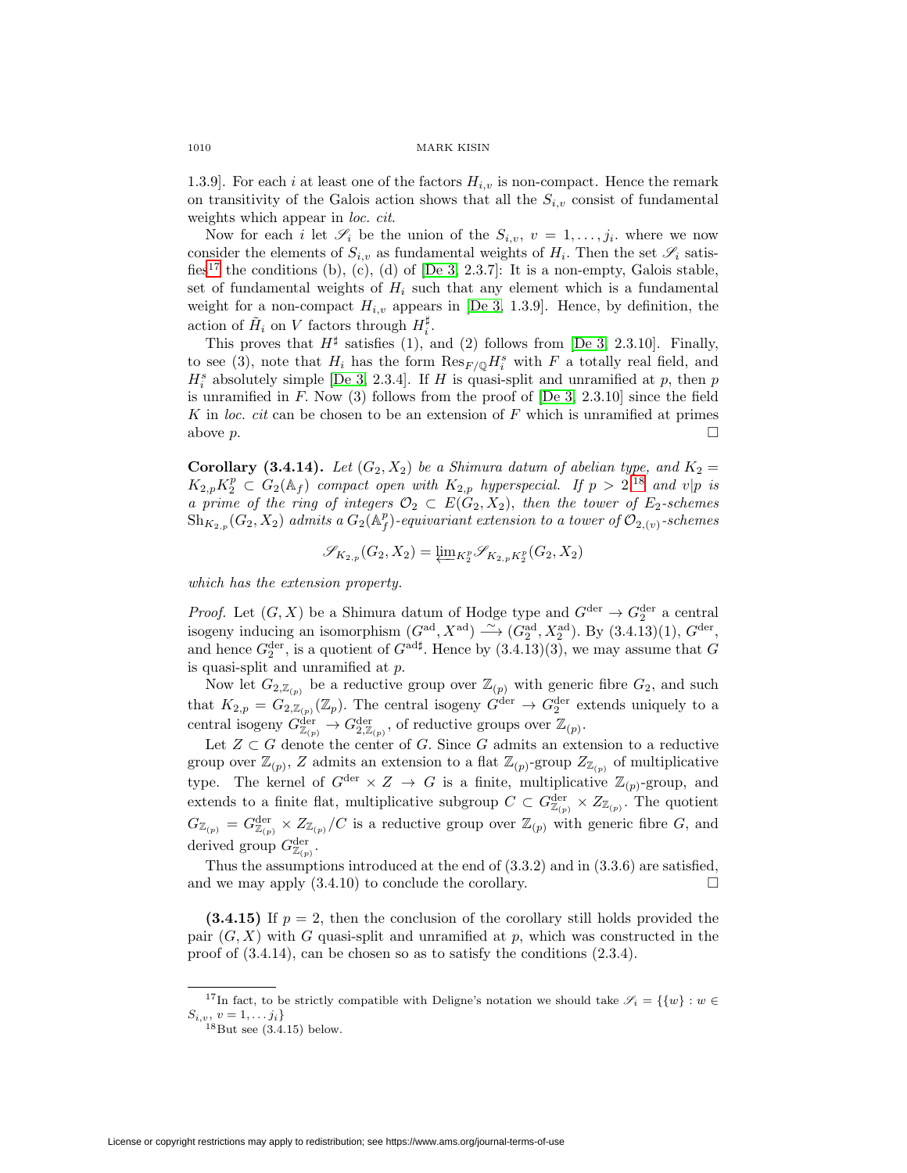1.3.9. For each i at least one of the factors  $H_{i,v}$  is non-compact. Hence the remark on transitivity of the Galois action shows that all the  $S_{i,v}$  consist of fundamental weights which appear in *loc. cit.* 

Now for each i let  $\mathscr{S}_i$  be the union of the  $S_{i,v}$ ,  $v = 1,\ldots,j_i$ . where we now consider the elements of  $S_{i,v}$  as fundamental weights of  $H_i$ . Then the set  $\mathscr{S}_i$  satis-fies<sup>[17](#page-43-0)</sup> the conditions (b), (c), (d) of [\[De 3,](#page-44-7) 2.3.7]: It is a non-empty, Galois stable, set of fundamental weights of  $H_i$  such that any element which is a fundamental weight for a non-compact  $H_{i,v}$  appears in [\[De 3,](#page-44-7) 1.3.9]. Hence, by definition, the action of  $\tilde{H}_i$  on V factors through  $H_i^{\sharp}$ .

This proves that  $H^{\sharp}$  satisfies (1), and (2) follows from [\[De 3,](#page-44-7) 2.3.10]. Finally, to see (3), note that  $H_i$  has the form  $\text{Res}_{F/\mathbb{Q}} H_i^s$  with F a totally real field, and  $H_i^s$  absolutely simple [\[De 3,](#page-44-7) 2.3.4]. If H is quasi-split and unramified at p, then p is unramified in  $F$ . Now (3) follows from the proof of  $[De 3, 2.3.10]$  $[De 3, 2.3.10]$  since the field K in loc. cit can be chosen to be an extension of  $F$  which is unramified at primes above  $p$ .

**Corollary (3.4.14).** Let  $(G_2, X_2)$  be a Shimura datum of abelian type, and  $K_2 =$  $K_{2,p}K_2^p \subset G_2(\mathbb{A}_f)$  compact open with  $K_{2,p}$  hyperspecial. If  $p > 2$ , <sup>[18](#page-43-1)</sup> and v|p is a prime of the ring of integers  $\mathcal{O}_2 \subset E(G_2, X_2)$ , then the tower of  $E_2$ -schemes  $\overline{\mathrm{Sh}}_{K_{2,p}}(G_2,X_2)$  admits a  $G_2(\mathbb{A}_f^p)$ -equivariant extension to a tower of  $\mathcal{O}_{2,(v)}$ -schemes

$$
\mathscr{S}_{K_{2,p}}(G_2,X_2) = \underleftarrow{\lim}{}_{K_2^p} \mathscr{S}_{K_{2,p}K_2^p}(G_2,X_2)
$$

which has the extension property.

*Proof.* Let  $(G, X)$  be a Shimura datum of Hodge type and  $G^{\text{der}} \to G_2^{\text{der}}$  a central isogeny inducing an isomorphism  $(G<sup>ad</sup>, X<sup>ad</sup>) \longrightarrow (G<sub>2</sub><sup>ad</sup>, X<sub>2</sub><sup>ad</sup>)$ . By  $(3.4.13)(1)$ ,  $G<sup>der</sup>$ , and hence  $G_2^{\text{der}},$  is a quotient of  $G^{\text{add}}$ . Hence by  $(3.4.13)(3)$ , we may assume that  $G$ is quasi-split and unramified at p.

Now let  $G_{2,\mathbb{Z}_{(p)}}$  be a reductive group over  $\mathbb{Z}_{(p)}$  with generic fibre  $G_2$ , and such that  $K_{2,p} = G_{2,\mathbb{Z}_{(p)}}(\mathbb{Z}_p)$ . The central isogeny  $G^{\text{der}} \to G_2^{\text{der}}$  extends uniquely to a central isogeny  $G_{\mathbb{Z}_{(p)}}^{\text{der}} \to G_{2,\mathbb{Z}_{(p)}}^{\text{der}}$ , of reductive groups over  $\mathbb{Z}_{(p)}$ .

Let  $Z \subset G$  denote the center of G. Since G admits an extension to a reductive group over  $\mathbb{Z}_{(p)}$ , Z admits an extension to a flat  $\mathbb{Z}_{(p)}$ -group  $Z_{\mathbb{Z}_{(p)}}$  of multiplicative type. The kernel of  $G^{\text{der}} \times Z \to G$  is a finite, multiplicative  $\mathbb{Z}_{(p)}$ -group, and extends to a finite flat, multiplicative subgroup  $C \subset G_{\mathbb{Z}_{(p)}}^{\text{der}} \times \mathbb{Z}_{\mathbb{Z}_{(p)}}$ . The quotient  $G_{\mathbb{Z}_{(p)}}=G_{\mathbb{Z}_{(p)}}^{\text{der}}\times Z_{\mathbb{Z}_{(p)}}/C$  is a reductive group over  $\mathbb{Z}_{(p)}$  with generic fibre G, and derived group  $G_{\mathbb{Z}_{(p)}}^{\text{der}}$ .

Thus the assumptions introduced at the end of (3.3.2) and in (3.3.6) are satisfied, and we may apply  $(3.4.10)$  to conclude the corollary.  $\Box$ 

**(3.4.15)** If  $p = 2$ , then the conclusion of the corollary still holds provided the pair  $(G, X)$  with G quasi-split and unramified at p, which was constructed in the proof of (3.4.14), can be chosen so as to satisfy the conditions (2.3.4).

<span id="page-43-1"></span><span id="page-43-0"></span><sup>&</sup>lt;sup>17</sup>In fact, to be strictly compatible with Deligne's notation we should take  $\mathscr{S}_i = \{\{w\} : w \in$  $S_{i,v}, v = 1,...,j_i$ <br><sup>18</sup>But see (3.4.15) below.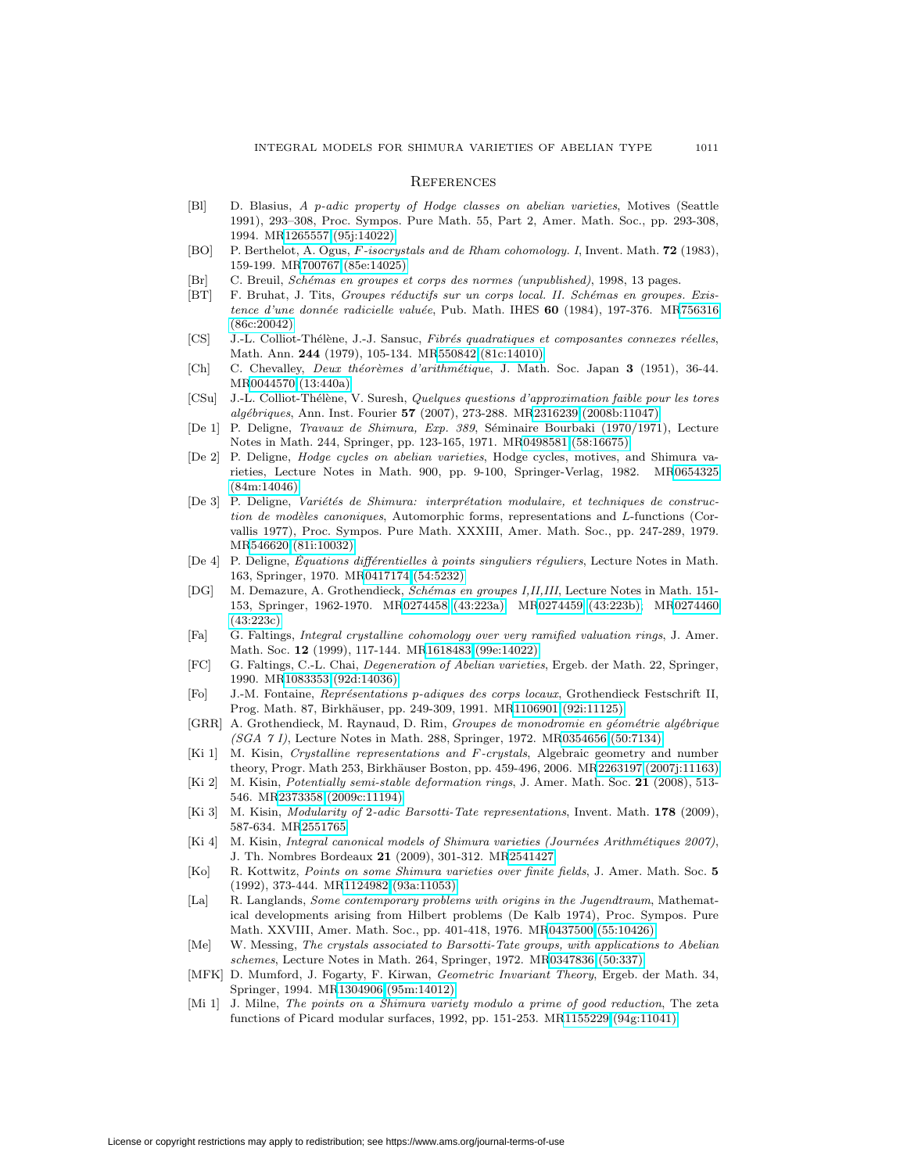### **REFERENCES**

- <span id="page-44-22"></span><span id="page-44-0"></span>[Bl] D. Blasius, A p-adic property of Hodge classes on abelian varieties, Motives (Seattle 1991), 293–308, Proc. Sympos. Pure Math. 55, Part 2, Amer. Math. Soc., pp. 293-308, 1994. M[R1265557 \(95j:14022\)](http://www.ams.org/mathscinet-getitem?mr=1265557)
- <span id="page-44-23"></span>[BO] P. Berthelot, A. Ogus, F-isocrystals and de Rham cohomology. I, Invent. Math. **72** (1983), 159-199. M[R700767 \(85e:14025\)](http://www.ams.org/mathscinet-getitem?mr=700767)
- [Br] C. Breuil, Sch´emas en groupes et corps des normes (unpublished), 1998, 13 pages.
- <span id="page-44-20"></span><span id="page-44-13"></span>[BT] F. Bruhat, J. Tits, Groupes réductifs sur un corps local. II. Schémas en groupes. Exis-tence d'une donnée radicielle valuée, Pub. Math. IHES 60 (1984), 197-376. M[R756316](http://www.ams.org/mathscinet-getitem?mr=756316) [\(86c:20042\)](http://www.ams.org/mathscinet-getitem?mr=756316)
- <span id="page-44-12"></span>[CS] J.-L. Colliot-Thélène, J.-J. Sansuc, Fibrés quadratiques et composantes connexes réelles, Math. Ann. **244** (1979), 105-134. M[R550842 \(81c:14010\)](http://www.ams.org/mathscinet-getitem?mr=550842)
- <span id="page-44-17"></span>[Ch] C. Chevalley, *Deux théorèmes d'arithmétique*, J. Math. Soc. Japan **3** (1951), 36-44. M[R0044570 \(13:440a\)](http://www.ams.org/mathscinet-getitem?mr=0044570)
- <span id="page-44-19"></span>[CSu] J.-L. Colliot-Thélène, V. Suresh, Quelques questions d'approximation faible pour les tores alg´ebriques, Ann. Inst. Fourier **57** (2007), 273-288. M[R2316239 \(2008b:11047\)](http://www.ams.org/mathscinet-getitem?mr=2316239)
- <span id="page-44-16"></span>[De 1] P. Deligne, *Travaux de Shimura, Exp. 389*, Séminaire Bourbaki (1970/1971), Lecture Notes in Math. 244, Springer, pp. 123-165, 1971. M[R0498581 \(58:16675\)](http://www.ams.org/mathscinet-getitem?mr=0498581)
- <span id="page-44-11"></span>[De 2] P. Deligne, Hodge cycles on abelian varieties, Hodge cycles, motives, and Shimura varieties, Lecture Notes in Math. 900, pp. 9-100, Springer-Verlag, 1982. M[R0654325](http://www.ams.org/mathscinet-getitem?mr=0654325) [\(84m:14046\)](http://www.ams.org/mathscinet-getitem?mr=0654325)
- <span id="page-44-7"></span>[De 3] P. Deligne, Variétés de Shimura: interprétation modulaire, et techniques de construction de modèles canoniques, Automorphic forms, representations and  $L$ -functions (Corvallis 1977), Proc. Sympos. Pure Math. XXXIII, Amer. Math. Soc., pp. 247-289, 1979. M[R546620 \(81i:10032\)](http://www.ams.org/mathscinet-getitem?mr=546620)
- <span id="page-44-18"></span>[De 4] P. Deligne, Équations différentielles à points singuliers réguliers, Lecture Notes in Math. 163, Springer, 1970. M[R0417174 \(54:5232\)](http://www.ams.org/mathscinet-getitem?mr=0417174)
- <span id="page-44-8"></span>[DG] M. Demazure, A. Grothendieck, Schémas en groupes I,II,III, Lecture Notes in Math. 151-153, Springer, 1962-1970. M[R0274458 \(43:223a\);](http://www.ams.org/mathscinet-getitem?mr=0274458) M[R0274459 \(43:223b\);](http://www.ams.org/mathscinet-getitem?mr=0274459) M[R0274460](http://www.ams.org/mathscinet-getitem?mr=0274460) [\(43:223c\)](http://www.ams.org/mathscinet-getitem?mr=0274460)
- <span id="page-44-5"></span>[Fa] G. Faltings, Integral crystalline cohomology over very ramified valuation rings, J. Amer. Math. Soc. **12** (1999), 117-144. M[R1618483 \(99e:14022\)](http://www.ams.org/mathscinet-getitem?mr=1618483)
- <span id="page-44-25"></span>[FC] G. Faltings, C.-L. Chai, Degeneration of Abelian varieties, Ergeb. der Math. 22, Springer, 1990. M[R1083353 \(92d:14036\)](http://www.ams.org/mathscinet-getitem?mr=1083353)
- <span id="page-44-9"></span>[Fo] J.-M. Fontaine, Représentations p-adiques des corps locaux, Grothendieck Festschrift II, Prog. Math. 87, Birkhäuser, pp. 249-309, 1991. M[R1106901 \(92i:11125\)](http://www.ams.org/mathscinet-getitem?mr=1106901)
- <span id="page-44-24"></span>[GRR] A. Grothendieck, M. Raynaud, D. Rim, Groupes de monodromie en géométrie algébrique (SGA 7 I), Lecture Notes in Math. 288, Springer, 1972. M[R0354656 \(50:7134\)](http://www.ams.org/mathscinet-getitem?mr=0354656)
- <span id="page-44-6"></span>[Ki 1] M. Kisin, Crystalline representations and F-crystals, Algebraic geometry and number theory, Progr. Math 253, Birkhäuser Boston, pp. 459-496, 2006. M[R2263197 \(2007j:11163\)](http://www.ams.org/mathscinet-getitem?mr=2263197)
- <span id="page-44-10"></span>[Ki 2] M. Kisin, Potentially semi-stable deformation rings, J. Amer. Math. Soc. **21** (2008), 513- 546. M[R2373358 \(2009c:11194\)](http://www.ams.org/mathscinet-getitem?mr=2373358)
- <span id="page-44-14"></span>[Ki 3] M. Kisin, Modularity of 2-adic Barsotti-Tate representations, Invent. Math. **178** (2009), 587-634. M[R2551765](http://www.ams.org/mathscinet-getitem?mr=2551765)
- <span id="page-44-4"></span>[Ki 4] M. Kisin, *Integral canonical models of Shimura varieties (Journées Arithmétiques 2007)*, J. Th. Nombres Bordeaux **21** (2009), 301-312. M[R2541427](http://www.ams.org/mathscinet-getitem?mr=2541427)
- <span id="page-44-3"></span>[Ko] R. Kottwitz, Points on some Shimura varieties over finite fields, J. Amer. Math. Soc. **5** (1992), 373-444. M[R1124982 \(93a:11053\)](http://www.ams.org/mathscinet-getitem?mr=1124982)
- <span id="page-44-1"></span>[La] R. Langlands, *Some contemporary problems with origins in the Jugendtraum*, Mathematical developments arising from Hilbert problems (De Kalb 1974), Proc. Sympos. Pure Math. XXVIII, Amer. Math. Soc., pp. 401-418, 1976. M[R0437500 \(55:10426\)](http://www.ams.org/mathscinet-getitem?mr=0437500)
- <span id="page-44-15"></span>[Me] W. Messing, The crystals associated to Barsotti-Tate groups, with applications to Abelian schemes, Lecture Notes in Math. 264, Springer, 1972. M[R0347836 \(50:337\)](http://www.ams.org/mathscinet-getitem?mr=0347836)
- <span id="page-44-21"></span>[MFK] D. Mumford, J. Fogarty, F. Kirwan, Geometric Invariant Theory, Ergeb. der Math. 34, Springer, 1994. M[R1304906 \(95m:14012\)](http://www.ams.org/mathscinet-getitem?mr=1304906)
- <span id="page-44-2"></span>[Mi 1] J. Milne, The points on a Shimura variety modulo a prime of good reduction, The zeta functions of Picard modular surfaces, 1992, pp. 151-253. M[R1155229 \(94g:11041\)](http://www.ams.org/mathscinet-getitem?mr=1155229)